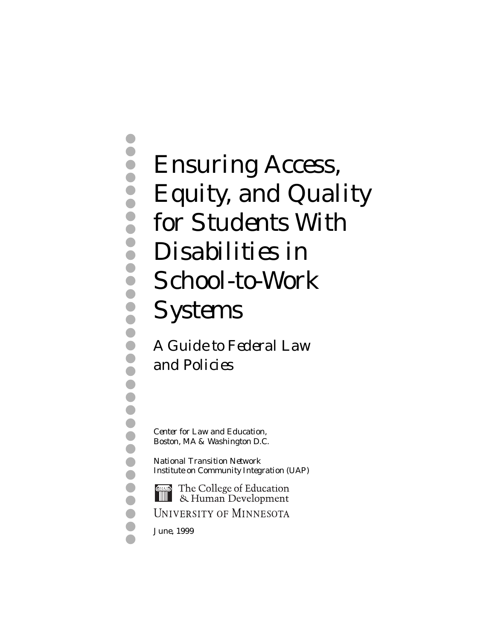# **Ensuring Access,<br>Equity, and Qual**<br>for Students With<br>Disabilities in<br>School-to-Work<br>Systems<br>A Guide to Federal Law<br>and Policies<br>and Policies<br>Conter for Law and Education.<br>Boston, MA & Washington D.C.<br>National Transition N *Equity, and Quality for Students With Disabilities in School-to-Work Systems*

*A Guide to Federal Law and Policies*

*Center for Law and Education, Boston, MA & Washington D.C.*

*National Transition Network Institute on Community Integration (UAP)*

*June, 1999*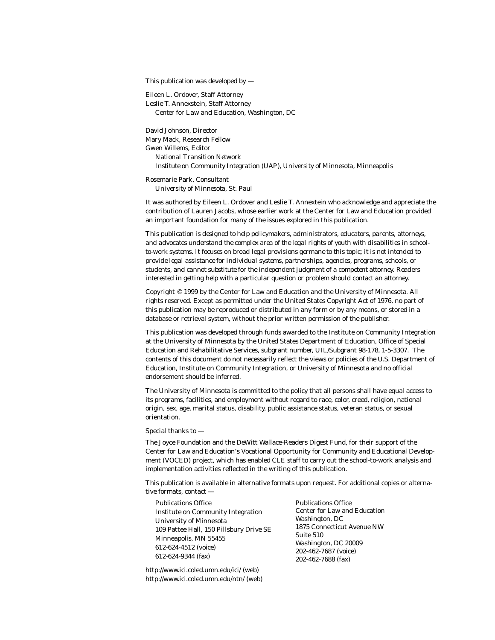This publication was developed by —

Eileen L. Ordover, Staff Attorney Leslie T. Annexstein, Staff Attorney *Center for Law and Education, Washington, DC*

David Johnson, Director Mary Mack, Research Fellow Gwen Willems, Editor *National Transition Network Institute on Community Integration (UAP), University of Minnesota, Minneapolis*

Rosemarie Park, Consultant *University of Minnesota, St. Paul*

It was authored by Eileen L. Ordover and Leslie T. Annextein who acknowledge and appreciate the contribution of Lauren Jacobs, whose earlier work at the Center for Law and Education provided an important foundation for many of the issues explored in this publication.

*This publication is designed to help policymakers, administrators, educators, parents, attorneys, and advocates understand the complex area of the legal rights of youth with disabilities in schoolto-work systems. It focuses on broad legal provisions germane to this topic; it is not intended to provide legal assistance for individual systems, partnerships, agencies, programs, schools, or students, and cannot substitute for the independent judgment of a competent attorney. Readers interested in getting help with a particular question or problem should contact an attorney.*

Copyright © 1999 by the Center for Law and Education and the University of Minnesota. All rights reserved. Except as permitted under the United States Copyright Act of 1976, no part of this publication may be reproduced or distributed in any form or by any means, or stored in a database or retrieval system, without the prior written permission of the publisher.

This publication was developed through funds awarded to the Institute on Community Integration at the University of Minnesota by the United States Department of Education, Office of Special Education and Rehabilitative Services, subgrant number, UIL/Subgrant 98-178, 1-5-3307. The contents of this document do not necessarily reflect the views or policies of the U.S. Department of Education, Institute on Community Integration, or University of Minnesota and no official endorsement should be inferred.

The University of Minnesota is committed to the policy that all persons shall have equal access to its programs, facilities, and employment without regard to race, color, creed, religion, national origin, sex, age, marital status, disability, public assistance status, veteran status, or sexual orientation.

Special thanks to —

The Joyce Foundation and the DeWitt Wallace-Readers Digest Fund, for their support of the Center for Law and Education's Vocational Opportunity for Community and Educational Development (VOCED) project, which has enabled CLE staff to carry out the school-to-work analysis and implementation activities reflected in the writing of this publication.

This publication is available in alternative formats upon request. For additional copies or alternative formats, contact —

Publications Office Institute on Community Integration University of Minnesota 109 Pattee Hall, 150 Pillsbury Drive SE Minneapolis, MN 55455 612-624-4512 (voice) 612-624-9344 (fax)

Publications Office Center for Law and Education Washington, DC 1875 Connecticut Avenue NW Suite 510 Washington, DC 20009 202-462-7687 (voice) 202-462-7688 (fax)

http://www.ici.coled.umn.edu/ici/ (web) http://www.ici.coled.umn.edu/ntn/ (web)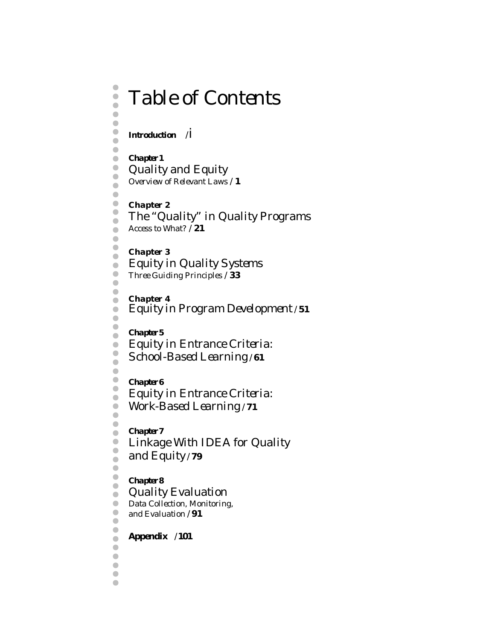# *Table of Contents*

*Introduction* /*1* 

 $\bullet$  $\bullet$  $\bullet$  $\bullet$  $\bullet$  $\bullet$  $\bullet$ 

aaaaaaaaaaaaa  $\bullet$ *Chapter 1 Quality and Equity*  $\bullet$ *Overview of Relevant Laws / 1*  $\begin{array}{c} \bullet \\ \bullet \end{array}$ 

 $\bullet$  $\bullet$ *Chapter 2*  $\bullet$ *The "Quality" in Quality Programs*  $\bullet$ *Access to What? / 21*  $\bullet$ 

aaaaaaaaaaaaaaaaaaaaaaaaaaaaaaaaaaaaaaaaaaaa $\bullet$ *Chapter 3*  $\bullet$ *Equity in Quality Systems*  $\bullet$ *Three Guiding Principles / 33*  $\begin{array}{c} \bullet \\ \bullet \end{array}$ 

 $\bullet$ *Chapter 4 Equity in Program Development / 51*  $\bullet$  $\bullet$ 

 $\bullet$ *Chapter 5*  $\bullet$  $\bullet$ 

*Equity in Entrance Criteria:*  $\bullet$ 

*School-Based Learning / 61*

#### $\bullet$ *Chapter 6*

 $\bullet$  $\bullet$ 

 $\bullet$  $\bullet$  $\bullet$  $\bullet$ 

 $\bullet$ *Equity in Entrance Criteria:*  $\bullet$ *Work-Based Learning / 71*  $\bullet$  $\bullet$ 

 $\bullet$ *Chapter 7*  $\bullet$ 

> *Linkage With IDEA for Quality and Equity / 79*

#### $\bullet$ *Chapter 8*

 $\bullet$ *Quality Evaluation Data Collection, Monitoring, and Evaluation / 91*  $\bullet$ 

 $\bullet$ *Appendix / 101*  $\bullet$ 

 $\bullet$  $\bullet$  $\bullet$ 

 $\bullet$  $\bullet$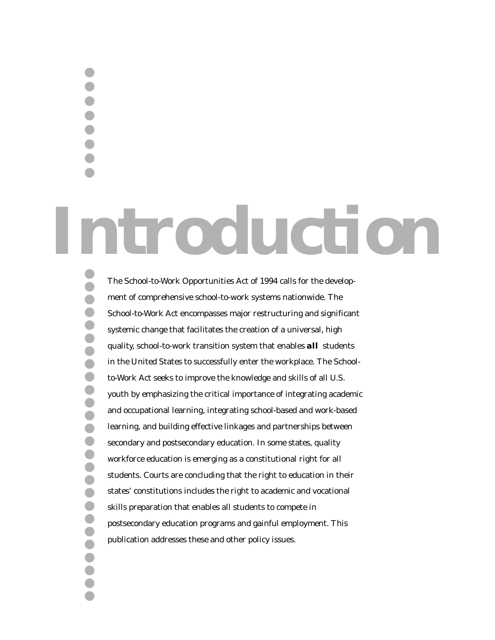# *Introduction*

aaaaaaaaaaaaaaaaaaaaaaaaaa aaaaaaaa  $\bullet$  $\bullet$  $\bullet$  $\bullet$  $\bullet$  $\bullet$  $\bullet$  $\bullet$  $\bullet$  $\bullet$  $\bullet$  $\bullet$  $\bullet$  $\bullet$  $\bullet$  $\bullet$  $\bullet$  $\bullet$  $\bullet$  $\bullet$  $\bullet$  $\qquad \qquad \blacksquare$ 

The School-to-Work Opportunities Act of 1994 calls for the development of comprehensive school-to-work systems nationwide. The School-to-Work Act encompasses major restructuring and significant systemic change that facilitates the creation of a universal, high quality, school-to-work transition system that enables *all* students in the United States to successfully enter the workplace. The Schoolto-Work Act seeks to improve the knowledge and skills of all U.S. youth by emphasizing the critical importance of integrating academic and occupational learning, integrating school-based and work-based learning, and building effective linkages and partnerships between secondary and postsecondary education. In some states, quality workforce education is emerging as a constitutional right for all students. Courts are concluding that the right to education in their states' constitutions includes the right to academic and vocational skills preparation that enables all students to compete in postsecondary education programs and gainful employment. This publication addresses these and other policy issues.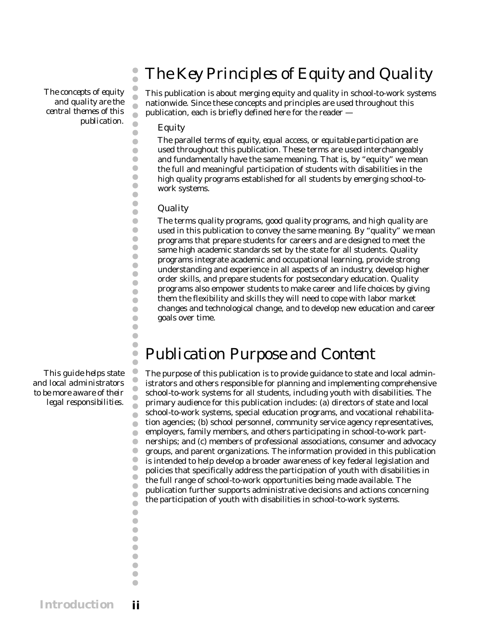#### aaaaaa  $\bullet$ *The concepts of equity*  $\bullet$ *and quality are the*  $\bullet$ *central themes of this*  $\bullet$

 $\bullet$  $\bullet$  $\qquad \qquad \bullet$  $\bullet$  $\bullet$  $\bullet$  $\bullet$  $\bullet$  $\bullet$  $\blacksquare$  $\blacksquare$  $\bullet$  $\bullet$  $\bullet$  $\bullet$  $\triangle$  $\bullet$  $\blacksquare$  $\blacksquare$  $\bullet$  $\bullet$  $\bullet$  $\bullet$  $\bullet$  $\bullet$  $\bullet$  $\bullet$  $\bullet$ 

*publication.*

# *The Key Principles of Equity and Quality*

This publication is about merging equity and quality in school-to-work systems nationwide. Since these concepts and principles are used throughout this publication, each is briefly defined here for the reader —

#### *Equity*

The parallel terms of *equity*, *equal access*, or *equitable participation* are used throughout this publication. These terms are used interchangeably and fundamentally have the same meaning. That is, by "equity" we mean the full and meaningful participation of students with disabilities in the high quality programs established for all students by emerging school-towork systems.

#### *Quality*

The terms *quality programs*, *good quality programs*, and *high quality* are used in this publication to convey the same meaning. By "quality" we mean programs that prepare students for careers and are designed to meet the same high academic standards set by the state for all students. Quality programs integrate academic and occupational learning, provide strong understanding and experience in all aspects of an industry, develop higher order skills, and prepare students for postsecondary education. Quality programs also empower students to make career and life choices by giving them the flexibility and skills they will need to cope with labor market changes and technological change, and to develop new education and career goals over time.

# *Publication Purpose and Content*

aaaaaaaaaaaaaaaaaaaaaaaaaaaaaaaaaaaaaaaaaaaaaaaaaaaaa  $\bullet$ The purpose of this publication is to provide guidance to state and local admin- $\blacksquare$ istrators and others responsible for planning and implementing comprehensive  $\bullet$ school-to-work systems for all students, including youth with disabilities. The  $\bullet$ primary audience for this publication includes: (a) directors of state and local  $\bullet$ school-to-work systems, special education programs, and vocational rehabilita- $\bullet$ tion agencies; (b) school personnel, community service agency representatives,  $\bullet$ employers, family members, and others participating in school-to-work part- $\bullet$ nerships; and (c) members of professional associations, consumer and advocacy  $\bullet$  $\bullet$ groups, and parent organizations. The information provided in this publication  $\blacksquare$ is intended to help develop a broader awareness of key federal legislation and  $\bullet$ policies that specifically address the participation of youth with disabilities in  $\bullet$ the full range of school-to-work opportunities being made available. The  $\bullet$ publication further supports administrative decisions and actions concerning  $\bullet$ the participation of youth with disabilities in school-to-work systems.  $\bullet$  $\bullet$ 

*This guide helps state and local administrators*

#### *to be more aware of their legal responsibilities.*

*Introduction* **ii**

 $\bullet$  $\blacksquare$  $\bullet$  $\bullet$  $\bullet$  $\bullet$  $\bullet$  $\bullet$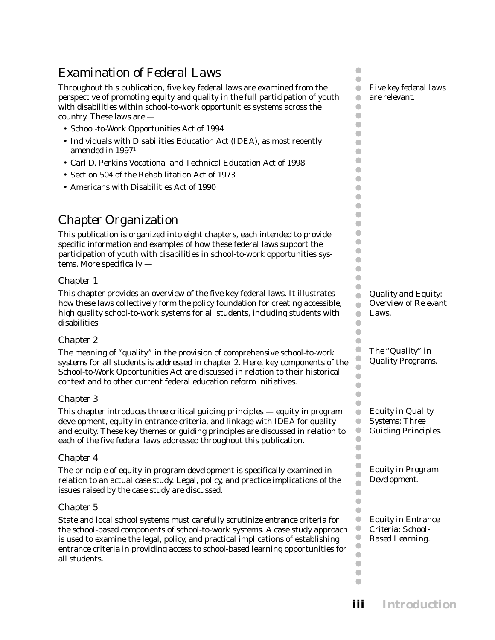# *Examination of Federal Laws*

Throughout this publication, five key federal laws are examined from the perspective of promoting equity and quality in the full participation of youth with disabilities within school-to-work opportunities systems across the country. These laws are —

- School-to-Work Opportunities Act of 1994
- Individuals with Disabilities Education Act (IDEA), as most recently amended in 1997 1
- Carl D. Perkins Vocational and Technical Education Act of 1998
- Section 504 of the Rehabilitation Act of 1973
- Americans with Disabilities Act of 1990

# *Chapter Organization*

This publication is organized into eight chapters, each intended to provide specific information and examples of how these federal laws support the participation of youth with disabilities in school-to-work opportunities systems. More specifically —

#### *Chapter 1*

This chapter provides an overview of the five key federal laws. It illustrates how these laws collectively form the policy foundation for creating accessible, high quality school-to-work systems for all students, including students with disabilities.

#### *Chapter 2*

The meaning of "quality" in the provision of comprehensive school-to-work systems for all students is addressed in chapter 2. Here, key components of the School-to-Work Opportunities Act are discussed in relation to their historical context and to other current federal education reform initiatives.

#### *Chapter 3*

This chapter introduces three critical guiding principles — equity in program development, equity in entrance criteria, and linkage with IDEA for quality and equity. These key themes or guiding principles are discussed in relation to each of the five federal laws addressed throughout this publication.

#### *Chapter 4*

The principle of equity in program development is specifically examined in relation to an actual case study. Legal, policy, and practice implications of the issues raised by the case study are discussed.

#### *Chapter 5*

State and local school systems must carefully scrutinize entrance criteria for the school-based components of school-to-work systems. A case study approach is used to examine the legal, policy, and practical implications of establishing entrance criteria in providing access to school-based learning opportunities for all students.

 $\bullet$ aaaaaaaaaaaaaaaaaaaaaaaaaaa  $\bullet$  $\bullet$ *Five key federal laws*  $\bullet$ *are relevant.*  $\bullet$  $\bullet$  $\bullet$  $\bullet$  $\bullet$  $\blacksquare$  $\overline{\phantom{a}}$  $\triangle$  $\overline{\phantom{0}}$  $\bullet$  $\overline{\phantom{a}}$  $\bullet$  $\bullet$  $\bullet$  $\blacksquare$  $\overline{\phantom{a}}$  $\bullet$  $\bullet$  $\bullet$  $\bullet$  $\overline{\phantom{a}}$ *Quality and Equity:*  $\bullet$ *Overview of Relevant*  $\bullet$ *Laws.*  $\triangle$ aaaaaaaaaaaaaaaaaaaaaaaaaaaaaaa  $\bullet$  $\bullet$  $\bullet$  $\bullet$ *The "Quality" in*  $\bullet$ *Quality Programs.*  $\bullet$  $\bullet$  $\bullet$  $\bullet$  $\bullet$ *Equity in Quality*  $\bullet$  $\bullet$ *Systems: Three*  $\bullet$ *Guiding Principles.*  $\bullet$  $\bullet$  $\bullet$  $\bullet$ *Equity in Program*  $\bullet$ *Development.*  $\bullet$  $\bullet$  $\bullet$  $\bullet$  $\bullet$ *Equity in Entrance*  $\bullet$ *Criteria: School-* $\bullet$ *Based Learning.* $\bullet$  $\bullet$  $\bullet$  $\bullet$  $\bullet$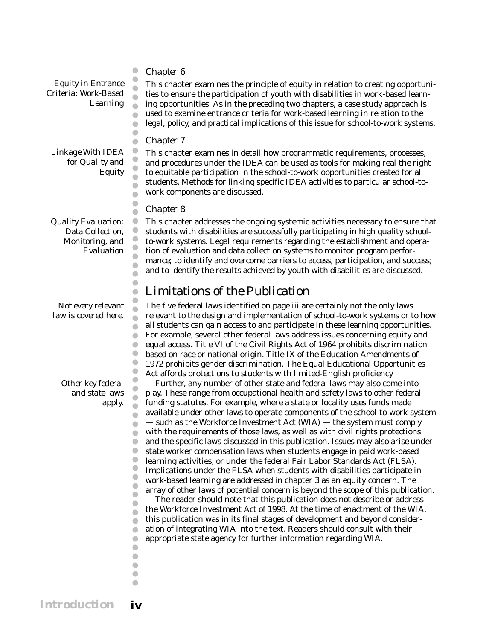#### *Equity in Entrance Criteria: Work-Based Learning*

*Linkage With IDEA for Quality and Equity*

*Quality Evaluation: Data Collection, Monitoring, and Evaluation*

*Not every relevant law is covered here.*

> *Other key federal and state laws apply.*

## $\bullet$ aaaaaa *Chapter 6*  $\overline{\phantom{a}}$

 $\bullet$  $\bullet$  $\bullet$  $\bullet$  $\bullet$  $\bullet$  $\qquad \qquad \bullet$ 

 $\bullet$  $\bullet$  $\bullet$  $\bullet$  $\bullet$  $\bullet$  $\triangle$  $\bullet$  $\bullet$  $\begin{array}{c} \begin{array}{c} \begin{array}{c} \begin{array}{c} \end{array} \end{array} \end{array} \end{array} \end{array}$  $\bullet$ 

 $\bullet$ 

 $\bullet$  $\bigcirc$ 

This chapter examines the principle of equity in relation to creating opportunities to ensure the participation of youth with disabilities in work-based learning opportunities. As in the preceding two chapters, a case study approach is used to examine entrance criteria for work-based learning in relation to the legal, policy, and practical implications of this issue for school-to-work systems.

#### *Chapter 7*

 $\bullet$ This chapter examines in detail how programmatic requirements, processes,  $\bullet$ and procedures under the IDEA can be used as tools for making real the right  $\bullet$ to equitable participation in the school-to-work opportunities created for all  $\bullet$ students. Methods for linking specific IDEA activities to particular school-to- $\begin{array}{c} \bullet \\ \bullet \end{array}$ work components are discussed.  $\bullet$ 

#### *Chapter 8*

This chapter addresses the ongoing systemic activities necessary to ensure that students with disabilities are successfully participating in high quality schoolto-work systems. Legal requirements regarding the establishment and operation of evaluation and data collection systems to monitor program performance; to identify and overcome barriers to access, participation, and success; and to identify the results achieved by youth with disabilities are discussed.

# *Limitations of the Publication*

aaaaaaaaaaaaaaaaaaaaaaaaaaaaaaaaaaaaaaaaaaaaaaaaaaaaa  $\overline{\phantom{0}}$ The five federal laws identified on page iii are certainly not the only laws  $\bullet$ relevant to the design and implementation of school-to-work systems or to how  $\bullet$ all students can gain access to and participate in these learning opportunities.  $\bullet$ For example, several other federal laws address issues concerning equity and  $\bullet$  $\bullet$ equal access. Title VI of the Civil Rights Act of 1964 prohibits discrimination  $\bullet$ based on race or national origin. Title IX of the Education Amendments of  $\bullet$ 1972 prohibits gender discrimination. The Equal Educational Opportunities  $\bullet$ Act affords protections to students with limited-English proficiency.  $\blacksquare$ 

Further, any number of other state and federal laws may also come into play. These range from occupational health and safety laws to other federal  $\bullet$ funding statutes. For example, where a state or locality uses funds made  $\begin{array}{c} \bullet \\ \bullet \end{array}$ available under other laws to operate components of the school-to-work system  $\bullet$ — such as the Workforce Investment Act (WIA) — the system must comply  $\bullet$ with the requirements of those laws, as well as with civil rights protections  $\bullet$ and the specific laws discussed in this publication. Issues may also arise under  $\bullet$ state worker compensation laws when students engage in paid work-based  $\bullet$  $\bullet$ learning activities, or under the federal Fair Labor Standards Act (FLSA).  $\bullet$ Implications under the FLSA when students with disabilities participate in work-based learning are addressed in chapter 3 as an equity concern. The array of other laws of potential concern is beyond the scope of this publication.  $\bullet$ The reader should note that this publication does not describe or address  $\bullet$ the Workforce Investment Act of 1998. At the time of enactment of the WIA,  $\bullet$ this publication was in its final stages of development and beyond consider- $\bullet$ ation of integrating WIA into the text. Readers should consult with their  $\blacksquare$ 

appropriate state agency for further information regarding WIA.

 $\bullet$  $\bullet$ 

 $\bullet$ 

- $\bullet$ 
	- $\bullet$  $\bullet$

*Introduction* **iv**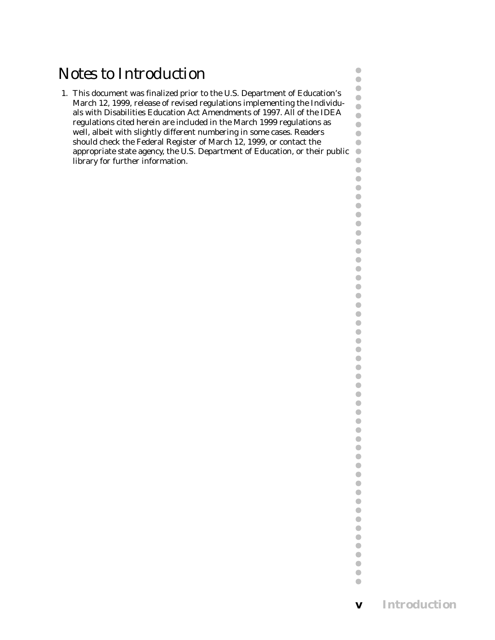| <i>Notes to Introduction</i>                                                                                                                                                                                                                                                                                                                                                                                                                                                                                                                                                    |                                                                            |
|---------------------------------------------------------------------------------------------------------------------------------------------------------------------------------------------------------------------------------------------------------------------------------------------------------------------------------------------------------------------------------------------------------------------------------------------------------------------------------------------------------------------------------------------------------------------------------|----------------------------------------------------------------------------|
| 1. This document was finalized prior to the U.S. Department of Education's<br>March 12, 1999, release of revised regulations implementing the Individu-<br>als with Disabilities Education Act Amendments of 1997. All of the IDEA<br>regulations cited herein are included in the March 1999 regulations as<br>well, albeit with slightly different numbering in some cases. Readers<br>should check the Federal Register of March 12, 1999, or contact the<br>appropriate state agency, the U.S. Department of Education, or their public<br>library for further information. | $\bullet$<br>$\bullet$<br>$\bullet$<br>$\bullet$<br>$\bullet$<br>$\bullet$ |
|                                                                                                                                                                                                                                                                                                                                                                                                                                                                                                                                                                                 |                                                                            |
|                                                                                                                                                                                                                                                                                                                                                                                                                                                                                                                                                                                 |                                                                            |
|                                                                                                                                                                                                                                                                                                                                                                                                                                                                                                                                                                                 |                                                                            |
|                                                                                                                                                                                                                                                                                                                                                                                                                                                                                                                                                                                 |                                                                            |
|                                                                                                                                                                                                                                                                                                                                                                                                                                                                                                                                                                                 |                                                                            |
|                                                                                                                                                                                                                                                                                                                                                                                                                                                                                                                                                                                 |                                                                            |
|                                                                                                                                                                                                                                                                                                                                                                                                                                                                                                                                                                                 |                                                                            |
|                                                                                                                                                                                                                                                                                                                                                                                                                                                                                                                                                                                 |                                                                            |
|                                                                                                                                                                                                                                                                                                                                                                                                                                                                                                                                                                                 |                                                                            |
|                                                                                                                                                                                                                                                                                                                                                                                                                                                                                                                                                                                 |                                                                            |
|                                                                                                                                                                                                                                                                                                                                                                                                                                                                                                                                                                                 |                                                                            |
|                                                                                                                                                                                                                                                                                                                                                                                                                                                                                                                                                                                 |                                                                            |
|                                                                                                                                                                                                                                                                                                                                                                                                                                                                                                                                                                                 |                                                                            |
|                                                                                                                                                                                                                                                                                                                                                                                                                                                                                                                                                                                 |                                                                            |
|                                                                                                                                                                                                                                                                                                                                                                                                                                                                                                                                                                                 |                                                                            |
|                                                                                                                                                                                                                                                                                                                                                                                                                                                                                                                                                                                 |                                                                            |
|                                                                                                                                                                                                                                                                                                                                                                                                                                                                                                                                                                                 |                                                                            |
|                                                                                                                                                                                                                                                                                                                                                                                                                                                                                                                                                                                 |                                                                            |
|                                                                                                                                                                                                                                                                                                                                                                                                                                                                                                                                                                                 |                                                                            |
|                                                                                                                                                                                                                                                                                                                                                                                                                                                                                                                                                                                 |                                                                            |
|                                                                                                                                                                                                                                                                                                                                                                                                                                                                                                                                                                                 |                                                                            |
|                                                                                                                                                                                                                                                                                                                                                                                                                                                                                                                                                                                 |                                                                            |
|                                                                                                                                                                                                                                                                                                                                                                                                                                                                                                                                                                                 | ۸                                                                          |
|                                                                                                                                                                                                                                                                                                                                                                                                                                                                                                                                                                                 | 0                                                                          |
|                                                                                                                                                                                                                                                                                                                                                                                                                                                                                                                                                                                 | $\bullet$                                                                  |
|                                                                                                                                                                                                                                                                                                                                                                                                                                                                                                                                                                                 | $\bullet$<br>$\bullet$                                                     |
|                                                                                                                                                                                                                                                                                                                                                                                                                                                                                                                                                                                 | $\bullet$                                                                  |
|                                                                                                                                                                                                                                                                                                                                                                                                                                                                                                                                                                                 | $\bullet$                                                                  |
|                                                                                                                                                                                                                                                                                                                                                                                                                                                                                                                                                                                 | $\bullet$<br>$\bullet$                                                     |
|                                                                                                                                                                                                                                                                                                                                                                                                                                                                                                                                                                                 | $\bullet$                                                                  |
|                                                                                                                                                                                                                                                                                                                                                                                                                                                                                                                                                                                 | 0                                                                          |
|                                                                                                                                                                                                                                                                                                                                                                                                                                                                                                                                                                                 | $\bullet$                                                                  |
|                                                                                                                                                                                                                                                                                                                                                                                                                                                                                                                                                                                 | $\bullet$<br>$\bullet$                                                     |
|                                                                                                                                                                                                                                                                                                                                                                                                                                                                                                                                                                                 | $\bullet$                                                                  |
|                                                                                                                                                                                                                                                                                                                                                                                                                                                                                                                                                                                 | $\bullet$                                                                  |
|                                                                                                                                                                                                                                                                                                                                                                                                                                                                                                                                                                                 | $\bullet$                                                                  |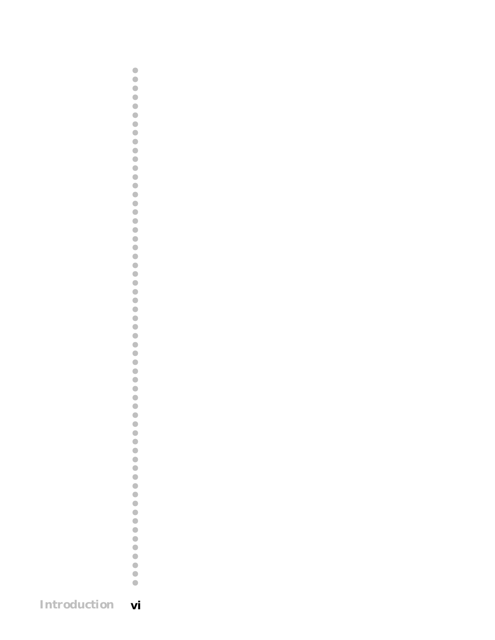aaaaaa  $\bullet$  $\begin{array}{c} \bullet \\ \bullet \end{array}$  $\bullet$  $\begin{array}{c} \bullet \\ \bullet \end{array}$  $\bullet$  $\bullet$ aaaaaaaaaaaaaaaaaaaaaaaaaaaaaaaaaaaaaaaaaaaaaaaaaaaaa  $\begin{array}{c} \bullet \\ \bullet \end{array}$  $\bullet$  $\begin{array}{c} \bullet \\ \bullet \end{array}$  $\bullet$  $\bullet$  $\bullet$  $\bullet$  $\bullet$  $\begin{array}{ccc} \bullet & \bullet & \bullet \\ \bullet & \bullet & \bullet \end{array}$  $\begin{array}{c} \bullet \\ \bullet \end{array}$  $\bullet$  $\bullet$  $\bullet$  $\bullet$  $\bullet$  $\bullet$  $\begin{array}{c} \bullet \\ \bullet \end{array}$  $\bullet$  $\bullet$  $\bullet$  $\bullet$  $\bullet$  $\bullet$  $\begin{array}{c} \bullet \\ \bullet \end{array}$  $\begin{array}{ccc} \bullet & \bullet & \bullet \\ \bullet & \bullet & \bullet \end{array}$  $\bullet$  $\bullet$  $\bullet$  $\bullet$  $\bullet$  $\bullet$  $\bullet$  $\bullet$  $\bullet$  $\bullet$  $\bullet$  $\bullet$  $\bullet$  $\bullet$  $\bullet$  $\bullet$  $\bullet$  $\bullet$  $\bullet$  $\bullet$  $\bullet$  $\bullet$  $\bullet$  $\bullet$  $\bullet$  $\bullet$  $\bullet$ 

 $\bullet$ 

*Introduction* **vi**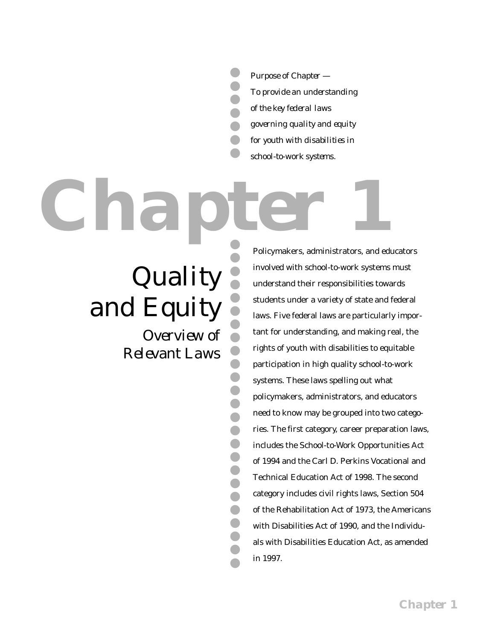- *Purpose of Chapter —*
- *To provide an understanding*
- *of the key federal laws*
- *governing quality and equity*  $\blacksquare$
- $\blacksquare$ *for youth with disabilities in*
	- *school-to-work systems* .

# *Chapter 1* aaaaaaaaaaaaaaaaaaaaaaaaa aaaaaaa

 $\bullet$  $\bullet$  $\blacksquare$  $\bullet$  $\bullet$  $\bullet$  $\blacksquare$  $\blacksquare$ 

 $\blacksquare$  $\qquad \qquad \blacksquare$  $\bullet$ O

# *Quality and Equity Overview of*  $\blacksquare$ *Relevant Laws*  $\bullet$  $\bullet$

aaaaaaaaaaaaaaaaaaaaaaaaaaa aaaaaaaaaaaaaaaaaaaaaaaaaaaaaaa Policymakers, administrators, and educators involved with school-to-work systems must understand their responsibilities towards students under a variety of state and federal laws. Five federal laws are particularly important for understanding, and making real, the rights of youth with disabilities to equitable participation in high quality school-to-work systems. These laws spelling out what policymakers, administrators, and educators need to know may be grouped into two categories. The first category, career preparation laws, includes the School-to-Work Opportunities Act of 1994 and the Carl D. Perkins Vocational and Technical Education Act of 1998. The second category includes civil rights laws, Section 504 of the Rehabilitation Act of 1973, the Americans with Disabilities Act of 1990, and the Individuals with Disabilities Education Act, as amended in 1997.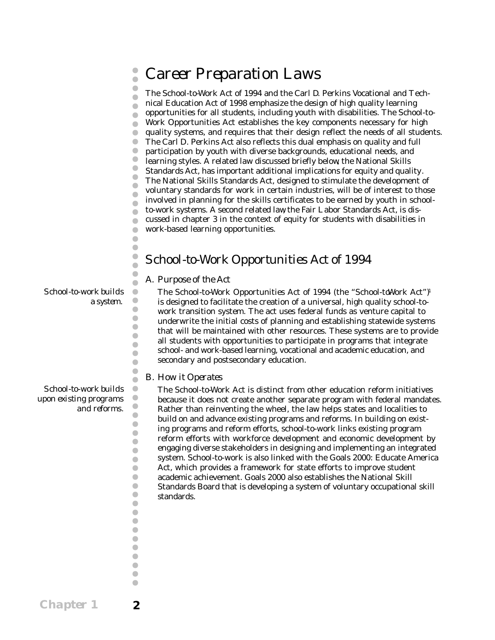| <b>Career Preparation Laws</b>                                                                                                                                                                                                                                                                                                                                                                                                                                                                                                                                                                                                                                                                                                                                                                                                                                                                                                                                                                                                                                                                                                                                                                           |
|----------------------------------------------------------------------------------------------------------------------------------------------------------------------------------------------------------------------------------------------------------------------------------------------------------------------------------------------------------------------------------------------------------------------------------------------------------------------------------------------------------------------------------------------------------------------------------------------------------------------------------------------------------------------------------------------------------------------------------------------------------------------------------------------------------------------------------------------------------------------------------------------------------------------------------------------------------------------------------------------------------------------------------------------------------------------------------------------------------------------------------------------------------------------------------------------------------|
| The School-to-Work Act of 1994 and the Carl D. Perkins Vocational and Tech-<br>nical Education Act of 1998 emphasize the design of high quality learning<br>opportunities for all students, including youth with disabilities. The School-to-<br>Work Opportunities Act establishes the key components necessary for high<br>quality systems, and requires that their design reflect the needs of all students.<br>The Carl D. Perkins Act also reflects this dual emphasis on quality and full<br>participation by youth with diverse backgrounds, educational needs, and<br>learning styles. A related law discussed briefly below, the National Skills<br>Standards Act, has important additional implications for equity and quality.<br>The National Skills Standards Act, designed to stimulate the development of<br>voluntary standards for work in certain industries, will be of interest to those<br>involved in planning for the skills certificates to be earned by youth in school-<br>to-work systems. A second related law the Fair Labor Standards Act, is dis-<br>cussed in chapter 3 in the context of equity for students with disabilities in<br>work-based learning opportunities. |
| School-to-Work Opportunities Act of 1994                                                                                                                                                                                                                                                                                                                                                                                                                                                                                                                                                                                                                                                                                                                                                                                                                                                                                                                                                                                                                                                                                                                                                                 |
| A. Purpose of the Act<br>The School-to-Work Opportunities Act of 1994 (the "School-to-Work Act") <sup>1</sup><br>is designed to facilitate the creation of a universal, high quality school-to-<br>work transition system. The act uses federal funds as venture capital to<br>underwrite the initial costs of planning and establishing statewide systems<br>that will be maintained with other resources. These systems are to provide<br>all students with opportunities to participate in programs that integrate<br>school- and work-based learning, vocational and academic education, and<br>secondary and postsecondary education.                                                                                                                                                                                                                                                                                                                                                                                                                                                                                                                                                               |
| <b>B.</b> How it Operates<br>The School-to-Work Act is distinct from other education reform initiatives<br>because it does not create another separate program with federal mandates.<br>Rather than reinventing the wheel, the law helps states and localities to<br>build on and advance existing programs and reforms. In building on exist-<br>ing programs and reform efforts, school-to-work links existing program<br>reform efforts with workforce development and economic development by<br>engaging diverse stakeholders in designing and implementing an integrated<br>system. School-to-work is also linked with the Goals 2000: Educate America<br>Act, which provides a framework for state efforts to improve student<br>academic achievement. Goals 2000 also establishes the National Skill<br>Standards Board that is developing a system of voluntary occupational skill<br>standards.                                                                                                                                                                                                                                                                                               |
|                                                                                                                                                                                                                                                                                                                                                                                                                                                                                                                                                                                                                                                                                                                                                                                                                                                                                                                                                                                                                                                                                                                                                                                                          |

*Chapter 1* **2**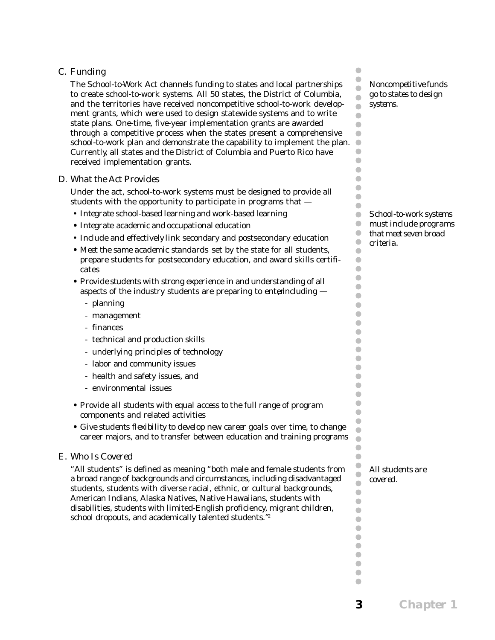| C. Funding<br>The School-to-Work Act channels funding to states and local partnerships<br>to create school-to-work systems. All 50 states, the District of Columbia,<br>and the territories have received noncompetitive school-to-work develop-<br>ment grants, which were used to design statewide systems and to write<br>state plans. One-time, five-year implementation grants are awarded<br>through a competitive process when the states present a comprehensive<br>school-to-work plan and demonstrate the capability to implement the plan.<br>Currently, all states and the District of Columbia and Puerto Rico have<br>received implementation grants. | $\bullet$<br>$\bullet$<br>$\bullet$<br>O<br>O | Noncompetitive funds<br>go to states to design<br>systems. |
|---------------------------------------------------------------------------------------------------------------------------------------------------------------------------------------------------------------------------------------------------------------------------------------------------------------------------------------------------------------------------------------------------------------------------------------------------------------------------------------------------------------------------------------------------------------------------------------------------------------------------------------------------------------------|-----------------------------------------------|------------------------------------------------------------|
| D. What the Act Provides                                                                                                                                                                                                                                                                                                                                                                                                                                                                                                                                                                                                                                            |                                               |                                                            |
| Under the act, school-to-work systems must be designed to provide all<br>students with the opportunity to participate in programs that -                                                                                                                                                                                                                                                                                                                                                                                                                                                                                                                            |                                               |                                                            |
| • Integrate school-based learning and work-based learning                                                                                                                                                                                                                                                                                                                                                                                                                                                                                                                                                                                                           | O                                             | School-to-work systems                                     |
| • Integrate academic and occupational education                                                                                                                                                                                                                                                                                                                                                                                                                                                                                                                                                                                                                     |                                               | must include programs                                      |
| • Include and effectively link secondary and postsecondary education                                                                                                                                                                                                                                                                                                                                                                                                                                                                                                                                                                                                | O                                             | that meet seven broad<br>criteria.                         |
| • Meet the same academic standards set by the state for all students,<br>prepare students for postsecondary education, and award skills certifi-<br>cates                                                                                                                                                                                                                                                                                                                                                                                                                                                                                                           | $\bullet$<br>0                                |                                                            |
| • Provide students with strong experience in and understanding of all<br>aspects of the industry students are preparing to enterincluding —                                                                                                                                                                                                                                                                                                                                                                                                                                                                                                                         |                                               |                                                            |
| - planning                                                                                                                                                                                                                                                                                                                                                                                                                                                                                                                                                                                                                                                          |                                               |                                                            |
| - management                                                                                                                                                                                                                                                                                                                                                                                                                                                                                                                                                                                                                                                        |                                               |                                                            |
| - finances                                                                                                                                                                                                                                                                                                                                                                                                                                                                                                                                                                                                                                                          |                                               |                                                            |
| - technical and production skills                                                                                                                                                                                                                                                                                                                                                                                                                                                                                                                                                                                                                                   |                                               |                                                            |
| - underlying principles of technology                                                                                                                                                                                                                                                                                                                                                                                                                                                                                                                                                                                                                               |                                               |                                                            |
| - labor and community issues                                                                                                                                                                                                                                                                                                                                                                                                                                                                                                                                                                                                                                        |                                               |                                                            |
| - health and safety issues, and                                                                                                                                                                                                                                                                                                                                                                                                                                                                                                                                                                                                                                     |                                               |                                                            |
| - environmental issues                                                                                                                                                                                                                                                                                                                                                                                                                                                                                                                                                                                                                                              |                                               |                                                            |
| • Provide all students with equal access to the full range of program<br>components and related activities                                                                                                                                                                                                                                                                                                                                                                                                                                                                                                                                                          |                                               |                                                            |
| · Give students flexibility to develop new career goals over time, to change<br>career majors, and to transfer between education and training programs                                                                                                                                                                                                                                                                                                                                                                                                                                                                                                              |                                               |                                                            |
| E. Who Is Covered                                                                                                                                                                                                                                                                                                                                                                                                                                                                                                                                                                                                                                                   |                                               |                                                            |
| "All students" is defined as meaning "both male and female students from<br>a broad range of backgrounds and circumstances, including disadvantaged<br>students, students with diverse racial, ethnic, or cultural backgrounds,<br>American Indians, Alaska Natives, Native Hawaiians, students with<br>disabilities, students with limited-English proficiency, migrant children,<br>school dropouts, and academically talented students." <sup>2</sup>                                                                                                                                                                                                            |                                               | All students are<br>covered.                               |
|                                                                                                                                                                                                                                                                                                                                                                                                                                                                                                                                                                                                                                                                     |                                               |                                                            |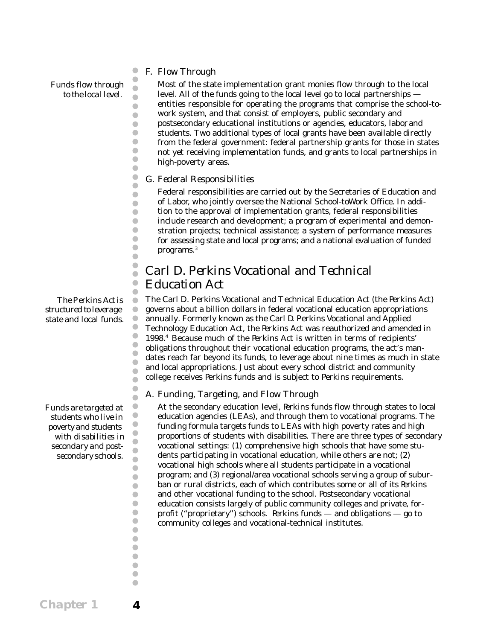*Funds flow through to the local level.*

## $\bullet$ aaaaaa *F. Flow Through*  $\bullet$

 $\qquad \qquad \bullet$  $\begin{array}{c} \bullet \\ \bullet \end{array}$  $\bullet$  $\bullet$  $\bullet$  $\bullet$  $\blacksquare$  $\bullet$  $\bullet$  $\bullet$  $\bullet$  $\bullet$  $\bullet$  $\blacksquare$  $\blacksquare$  $\bullet$  $\bullet$  $\bullet$  $\bullet$  $\triangle$ 

 $\bullet$  $\bullet$  $\bullet$  $\bullet$  $\bigcirc$  $\bullet$  $\bullet$  $\bullet$  $\bullet$  $\bullet$  $\bullet$  $\bullet$  $\bullet$  $\bullet$  $\bullet$  $\bullet$  $\blacksquare$  $\bullet$  $\bullet$  $\bullet$  $\bullet$  $\bullet$  $\bullet$  $\bullet$  $\bullet$  $\blacksquare$  $\bullet$  $\bullet$  $\bullet$  $\bullet$  $\bullet$  $\bullet$ 

Most of the state implementation grant monies flow through to the local level. All of the funds going to the local level go to local partnerships entities responsible for operating the programs that comprise the school-towork system, and that consist of employers, public secondary and postsecondary educational institutions or agencies, educators, labor and students. Two additional types of local grants have been available directly from the federal government: federal partnership grants for those in states not yet receiving implementation funds, and grants to local partnerships in high-poverty areas.

#### *G. Federal Responsibilities*

Federal responsibilities are carried out by the Secretaries of Education and of Labor, who jointly oversee the National School-toWork Office. In addition to the approval of implementation grants, federal responsibilities include research and development; a program of experimental and demonstration projects; technical assistance; a system of performance measures for assessing state and local programs; and a national evaluation of funded programs.3

# aaaaaaaaaaaaaaaaaaaaaaaaaaaaaaaaaaaaaaaaaaaaaaaaaaaaa  $\blacksquare$ *Carl D. Perkins Vocational and Technical*  $\bullet$  $\bullet$ *Education Act*  $\overline{\phantom{a}}$

The Carl D. Perkins Vocational and Technical Education Act (the Perkins Act)  $\bullet$ governs about a billion dollars in federal vocational education appropriations annually. Formerly known as the Carl D. Perkins Vocational and Applied Technology Education Act, the Perkins Act was reauthorized and amended in 1998.4 Because much of the Perkins Act is written in terms of recipients' obligations throughout their vocational education programs, the act's mandates reach far beyond its funds, to leverage about nine times as much in state and local appropriations. Just about every school district and community college receives Perkins funds and is subject to Perkins requirements.

#### *A. Funding, Targeting, and Flow Through*

At the secondary education level, Perkins funds flow through states to local education agencies (LEAs), and through them to vocational programs. The funding formula targets funds to LEAs with high poverty rates and high proportions of students with disabilities. There are three types of secondary vocational settings: (1) comprehensive high schools that have some students participating in vocational education, while others are not; (2) vocational high schools where all students participate in a vocational program; and (3) regional/area vocational schools serving a group of suburban or rural districts, each of which contributes some or all of its Perkins and other vocational funding to the school. Postsecondary vocational education consists largely of public community colleges and private, forprofit ("proprietary") schools. Perkins funds — and obligations — go to community colleges and vocational-technical institutes.

*The Perkins Act is structured to leverage state and local funds.*

*Funds are targeted at students who live in poverty and students with disabilities in secondary and postsecondary schools.*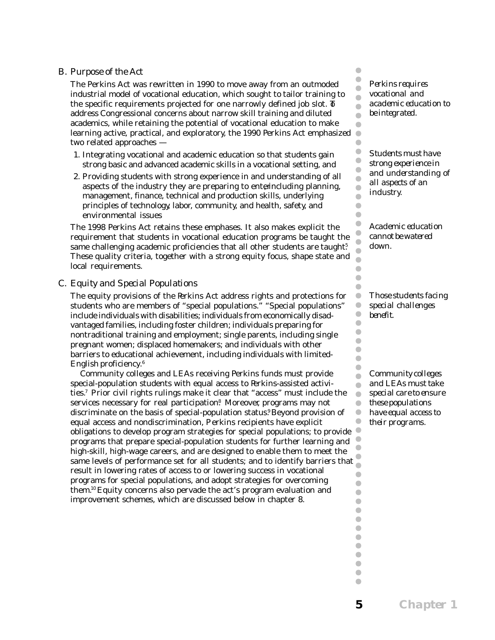#### *B. Purpose of the Act*

The Perkins Act was rewritten in 1990 to move away from an outmoded industrial model of vocational education, which sought to tailor training to the specific requirements projected for one narrowly defined job slot.  $\mathbf \bar{x}$ address Congressional concerns about narrow skill training and diluted academics, while retaining the potential of vocational education to make learning active, practical, and exploratory, the 1990 Perkins Act emphasized two related approaches —

- 1. Integrating vocational and academic education so that students gain strong basic and advanced academic skills in a vocational setting, and
- 2. Providing students with strong experience in and understanding of all aspects of the industry they are preparing to enterincluding planning, management, finance, technical and production skills, underlying principles of technology, labor, community, and health, safety, and environmental issues

The 1998 Perkins Act retains these emphases. It also makes explicit the requirement that students in vocational education programs be taught the same challenging academic proficiencies that all other students are taught.<sup>5</sup> These quality criteria, together with a strong equity focus, shape state and local requirements.

#### *C. Equity and Special Populations*

The equity provisions of the Perkins Act address rights and protections for students who are members of "special populations." "Special populations" include individuals with disabilities; individuals from economically disadvantaged families, including foster children; individuals preparing for nontraditional training and employment; single parents, including single pregnant women; displaced homemakers; and individuals with other barriers to educational achievement, including individuals with limited-English proficiency.6

Community colleges and LEAs receiving Perkins funds must provide special-population students with equal access to Perkins-assisted activities.7 Prior civil rights rulings make it clear that "access" must include the services necessary for real participation.<sup>8</sup> Moreover programs may not discriminate on the basis of special-population status.<sup>9</sup> Beyond provision of equal access and nondiscrimination, Perkins recipients have explicit obligations to develop program strategies for special populations; to provide programs that prepare special-population students for further learning and high-skill, high-wage careers, and are designed to enable them to meet the same levels of performance set for all students; and to identify barriers that result in lowering rates of access to or lowering success in vocational programs for special populations, and adopt strategies for overcoming them.10 Equity concerns also pervade the act's program evaluation and improvement schemes, which are discussed below in chapter 8.

 $\overline{\phantom{a}}$ aaaaaaaaaaaaaaaaaaaaaaaaaaa  $\bullet$ *Perkins requires*  $\bullet$ *vocational and*  $\bullet$ *academic education to*  $\bullet$ *be integrated.*  $\bullet$  $\bullet$  $\bullet$  $\bullet$  $\bullet$ *Students must have*  $\overline{\phantom{a}}$ *strong experience in*  $\bullet$ *and understanding of*  $\bullet$ *all aspects of an*  $\bullet$ *industry.*  $\bullet$  $\bullet$  $\bullet$  $\bullet$ *Academic education*  $\bullet$ *cannot be watered down.*  $\bullet$  $\bullet$  $\bullet$  $\bullet$  $\bullet$  $\bullet$ *Those students facing*  $\bullet$ *special challenges*  $\bullet$ aaaaaaaaaaaaaaaaaaaaaaaaaaaaaaa *benefit.*  $\blacksquare$  $\overline{\phantom{a}}$  $\bullet$  $\bullet$  $\bullet$  $\bullet$ *Community colleges*  $\bullet$ *and LEAs must take*  $\bullet$ *special care to ensure*  $\bullet$  $\bullet$ *these populations*  $\bullet$ *have equal access to*  $\mathbf{C}$ *their programs.* $\blacksquare$ 

ă  $\blacksquare$  $\bullet$  $\blacksquare$ ă  $\overline{\phantom{a}}$  $\bullet$  $\overline{\phantom{a}}$  $\bullet$  $\overline{\phantom{a}}$  $\bullet$  $\blacksquare$  $\bullet$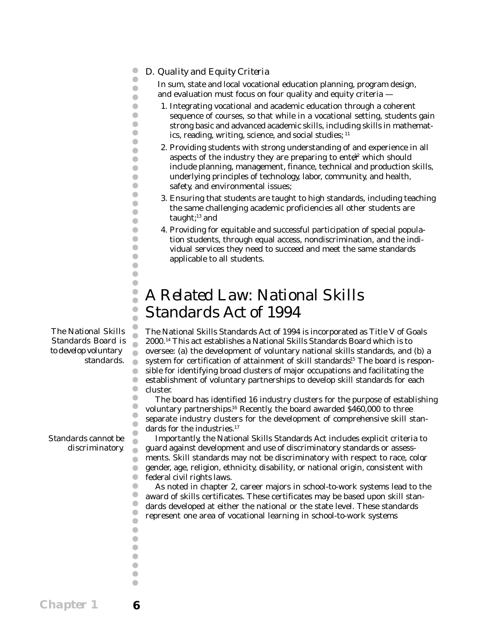## $\bullet$ aaaaaa *D. Quality and Equity Criteria*  $\bullet$

 $\bullet$  $\bullet$  $\bullet$  $\bullet$  $\qquad \qquad \blacksquare$  $\bullet$  $\qquad \qquad \bullet$  $\blacksquare$  $\bullet$  $\bullet$  $\bullet$  $\blacksquare$  $\bullet$  $\bullet$  $\bullet$  $\bullet$  $\bullet$  $\bullet$  $\blacksquare$  $\bullet$  $\bullet$  $\begin{array}{c} \hline \end{array}$  $\qquad \qquad \bullet$  $\bullet$  $\bullet$  $\bullet$  $\overline{\phantom{a}}$  $\bullet$  In sum, state and local vocational education planning, program design,

- and evaluation must focus on four quality and equity criteria
	- 1. Integrating vocational and academic education through a coherent sequence of courses, so that while in a vocational setting, students gain strong basic and advanced academic skills, including skills in mathematics, reading, writing, science, and social studies;<sup>11</sup>
	- 2. Providing students with strong understanding of and experience in all aspects of the industry they are preparing to entel<sup>2</sup> which should include planning, management, finance, technical and production skills, underlying principles of technology, labor, community, and health, safety, and environmental issues;
	- 3. Ensuring that students are taught to high standards, including teaching the same challenging academic proficiencies all other students are taught;<sup>13</sup> and
	- 4. Providing for equitable and successful participation of special population students, through equal access, nondiscrimination, and the individual services they need to succeed and meet the same standards applicable to all students.

# *A Related Law: National Skills Standards Act of 1994*

The National Skills Standards Act of 1994 is incorporated as Title V of Goals 2000.14 This act establishes a National Skills Standards Board which is to oversee: (a) the development of voluntary national skills standards, and (b) a system for certification of attainment of skill standards.<sup>15</sup> The board is responsible for identifying broad clusters of major occupations and facilitating the establishment of voluntary partnerships to develop skill standards for each cluster.

The board has identified 16 industry clusters for the purpose of establishing voluntary partnerships.16 Recently, the board awarded \$460,000 to three separate industry clusters for the development of comprehensive skill standards for the industries.<sup>17</sup>

 $\bullet$ Importantly, the National Skills Standards Act includes explicit criteria to  $\bullet$ guard against development and use of discriminatory standards or assess- $\bullet$ ments. Skill standards may not be discriminatory with respect to race, color,  $\blacksquare$ gender, age, religion, ethnicity, disability, or national origin, consistent with  $\blacksquare$  $\bullet$ federal civil rights laws.

aaaaaaaaaaaaaaaaaaaaaaaaaaaaaaaaaaaaaaaaaaaaaaaaaaaaa  $\bullet$ As noted in chapter 2, career majors in school-to-work systems lead to the  $\bullet$ award of skills certificates. These certificates may be based upon skill stan- $\bullet$ dards developed at either the national or the state level. These standards  $\overline{\phantom{a}}$ represent one area of vocational learning in school-to-work systems*.*  $\bullet$ 

*The National Skills Standards Board is to develop voluntary standards.*

 $\overline{\phantom{a}}$  $\bullet$  $\bullet$  $\bullet$  $\bullet$  $\bullet$  $\bullet$  $\bigcirc$  $\bullet$  $\bullet$ 

 $\bullet$  $\bullet$  $\bullet$  $\bullet$  $\bullet$  $\bullet$  $\bullet$ 

*Standards cannot be discriminatory.*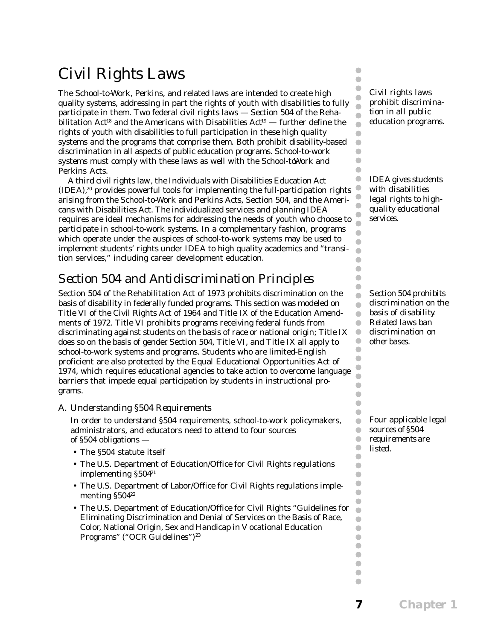# *Civil Rights Laws*

The School-to-Work, Perkins, and related laws are intended to create high quality systems, addressing in part the rights of youth with disabilities to fully participate in them. Two federal civil rights laws — Section 504 of the Rehabilitation Act<sup>18</sup> and the Americans with Disabilities Act<sup>19</sup> — further define the rights of youth with disabilities to full participation in these high quality systems and the programs that comprise them. Both prohibit disability-based discrimination in all aspects of public education programs. School-to-work systems must comply with these laws as well with the School-toWork and Perkins Acts.

aaaaaaaaaaaaaaaaaaaaaaaaaaa  $\bullet$ A third civil rights law, the Individuals with Disabilities Education Act  $\bigcap$ (IDEA),20 provides powerful tools for implementing the full-participation rights arising from the School-to-Work and Perkins Acts, Section 504, and the Ameri- $\overline{\phantom{a}}$ cans with Disabilities Act. The individualized services and planning IDEA Ô requires are ideal mechanisms for addressing the needs of youth who choose to participate in school-to-work systems. In a complementary fashion, programs  $\bullet$ which operate under the auspices of school-to-work systems may be used to  $\overline{\phantom{0}}$ implement students' rights under IDEA to high quality academics and "transi- $\bullet$ tion services," including career development education.  $\bullet$ 

# *Section 504 and Antidiscrimination Principles*

Section 504 of the Rehabilitation Act of 1973 prohibits discrimination on the basis of disability in federally funded programs. This section was modeled on Title VI of the Civil Rights Act of 1964 and Title IX of the Education Amendments of 1972. Title VI prohibits programs receiving federal funds from discriminating against students on the basis of race or national origin; Title IX does so on the basis of gender Section 504, Title VI, and Title IX all apply to school-to-work systems and programs. Students who are limited-English proficient are also protected by the Equal Educational Opportunities Act of 1974, which requires educational agencies to take action to overcome language barriers that impede equal participation by students in instructional programs*.*

*A. Understanding §504 Requirements*

In order to understand §504 requirements, school-to-work policymakers, administrators, and educators need to attend to four sources of §504 obligations —

- The §504 statute itself
- The U.S. Department of Education/Office for Civil Rights regulations implementing §50421
- The U.S. Department of Labor/Office for Civil Rights regulations implementing  $$504^{22}$
- The U.S. Department of Education/Office for Civil Rights "Guidelines for Eliminating Discrimination and Denial of Services on the Basis of Race, Color, National Origin, Sex and Handicap in V ocational Education Programs" ("OCR Guidelines")<sup>23</sup>

*Civil rights laws prohibit discrimination in all public education programs.*

 $\bullet$  $\bullet$  $\bullet$  $\triangle$ 

 $\mathbf{C}$  $\bullet$  $\bullet$  $\bullet$  $\blacksquare$  $\bullet$  $\bullet$ 

 $\bullet$  $\bullet$  $\bullet$  $\bullet$  $\bullet$  $\triangle$  $\bullet$  $\bullet$  $\bullet$  $\bullet$  $\bullet$  $\overline{\phantom{a}}$  $\triangle$  $\bullet$  $\bullet$  $\bullet$  $\bullet$  $\bullet$  $\bullet$  $\bullet$  $\bullet$  $\overline{\phantom{a}}$  $\bullet$  $\bullet$  $\bullet$  $\bullet$  $\blacksquare$ ă  $\overline{\phantom{a}}$  $\bullet$  $\bullet$  $\bullet$  $\overline{\phantom{a}}$  $\bullet$  $\bullet$  $\bullet$  *IDEA gives students with disabilities legal rights to highquality educational services.*

*Section 504 prohibits discrimination on the basis of disability. Related laws ban discrimination on other bases.*

*Four applicable legal sources of §504 requirements are listed.*

aaaaaaaaaaaaaaaaaaaaaaaaaaaaaaa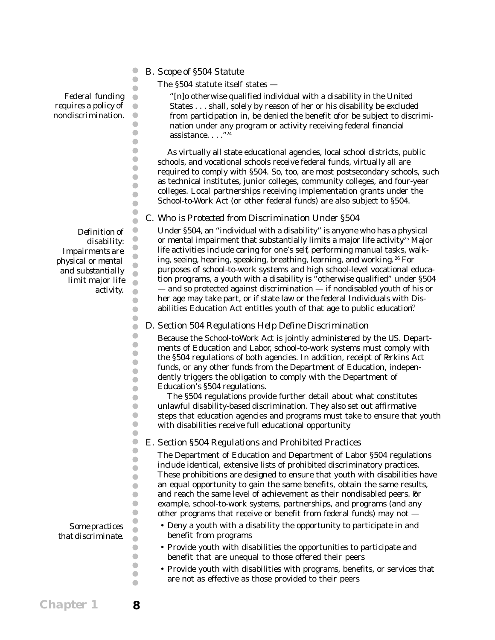## $\bullet$ aaaaaa *B. Scope of §504 Statute*  $\bullet$

The §504 statute itself states —

"[n]o otherwise qualified individual with a disability in the United States . . . shall, solely by reason of her or his disability, be excluded from participation in, be denied the benefit of or be subject to discrimination under any program or activity receiving federal financial assistance. . . ."24

As virtually all state educational agencies, local school districts, public schools, and vocational schools receive federal funds, virtually all are required to comply with §504. So, too, are most postsecondary schools, such as technical institutes, junior colleges, community colleges, and four-year colleges. Local partnerships receiving implementation grants under the School-to-Work Act (or other federal funds) are also subject to §504.

#### *C. Who is Protected from Discrimination Under §504*

Under §504, an "individual with a disability" is anyone who has a physical or mental impairment that substantially limits a major life activity $^{25}$  Major life activities include caring for one's self, performing manual tasks, walking, seeing, hearing, speaking, breathing, learning, and working. 26 For purposes of school-to-work systems and high school-level vocational education programs, a youth with a disability is "otherwise qualified" under §504 — and so protected against discrimination — if nondisabled youth of his or her age may take part, or if state law or the federal Individuals with Disabilities Education Act entitles youth of that age to public education?

#### *D. Section 504 Regulations Help Define Discrimination*

Because the School-to-Work Act is jointly administered by the US. Departments of Education and Labor, school-to-work systems must comply with the §504 regulations of both agencies. In addition, receipt of Perkins Act funds, or any other funds from the Department of Education, independently triggers the obligation to comply with the Department of Education's §504 regulations.

The §504 regulations provide further detail about what constitutes unlawful disability-based discrimination. They also set out affirmative steps that education agencies and programs must take to ensure that youth with disabilities receive full educational opportunity.

#### *E. Section §504 Regulations and Prohibited Practices*

The Department of Education and Department of Labor §504 regulations include identical, extensive lists of prohibited discriminatory practices. These prohibitions are designed to ensure that youth with disabilities have an equal opportunity to gain the same benefits, obtain the same results, and reach the same level of achievement as their nondisabled peers. For example, school-to-work systems, partnerships, and programs (and any other programs that receive or benefit from federal funds) may not —

• Deny a youth with a disability the opportunity to participate in and benefit from programs

- Provide youth with disabilities the opportunities to participate and benefit that are unequal to those offered their peers
- Provide youth with disabilities with programs, benefits, or services that are not as effective as those provided to their peers

*Definition of disability: Impairments are physical or mental and substantially limit major life activity.*

*Federal funding requires a policy of nondiscrimination.*

 $\blacksquare$  $\bullet$  $\bullet$  $\bullet$  $\bullet$  $\bullet$  $\qquad \qquad \bullet$  $\blacksquare$  $\bullet$  $\bullet$  $\bullet$  $\blacksquare$  $\bullet$  $\qquad \qquad \bullet$  $\bullet$  $\bullet$  $\bullet$  $\overline{\phantom{0}}$  $\overline{\phantom{a}}$  $\overline{\phantom{a}}$  $\bullet$  $\begin{array}{c} \hline \end{array}$  $\begin{array}{c} \begin{array}{c} \begin{array}{c} \begin{array}{c} \end{array} \end{array} \end{array} \end{array}$  $\bullet$  $\bullet$  $\bullet$  $\bullet$  $\bullet$  $\bullet$  $\bullet$  $\bullet$  $\bullet$  $\bullet$  $\bullet$  $\bullet$  $\bullet$  $\qquad \qquad \blacksquare$  $\begin{array}{c} \hline \end{array}$  $\bullet$  $\bullet$  $\bullet$  $\bullet$  $\bullet$  $\blacksquare$  $\bullet$  $\bullet$  $\bullet$  $\bullet$  $\bullet$  $\bullet$  $\blacksquare$  $\bullet$  $\bullet$  $\bullet$  $\bullet$  $\bullet$  $\bullet$ 

aaaaaaaaaaaaaaaaaaaaaaaaaaaaaaaaaaaaaaaaaaaaaaaaaaaaa

*Some practices that discriminate.*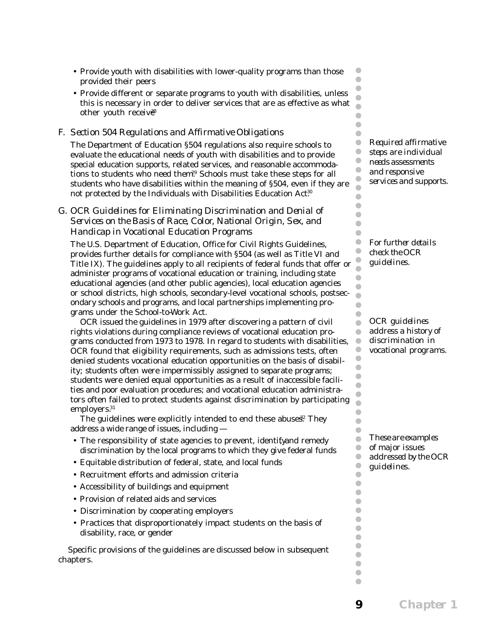| • Provide youth with disabilities with lower-quality programs than those<br>provided their peers                                                                                                                                                                                                                                                                                                                                                                                                                                                                                                                                                                                                                                                |                     |                                                                                                               |
|-------------------------------------------------------------------------------------------------------------------------------------------------------------------------------------------------------------------------------------------------------------------------------------------------------------------------------------------------------------------------------------------------------------------------------------------------------------------------------------------------------------------------------------------------------------------------------------------------------------------------------------------------------------------------------------------------------------------------------------------------|---------------------|---------------------------------------------------------------------------------------------------------------|
| • Provide different or separate programs to youth with disabilities, unless<br>this is necessary in order to deliver services that are as effective as what<br>other youth receive <sup>8</sup>                                                                                                                                                                                                                                                                                                                                                                                                                                                                                                                                                 |                     |                                                                                                               |
| F. Section 504 Regulations and Affirmative Obligations                                                                                                                                                                                                                                                                                                                                                                                                                                                                                                                                                                                                                                                                                          |                     |                                                                                                               |
| The Department of Education §504 regulations also require schools to<br>evaluate the educational needs of youth with disabilities and to provide<br>special education supports, related services, and reasonable accommoda-<br>tions to students who need them <sup>29</sup> Schools must take these steps for all<br>students who have disabilities within the meaning of §504, even if they are<br>not protected by the Individuals with Disabilities Education Act <sup>30</sup>                                                                                                                                                                                                                                                             |                     | Required affirmative<br>steps are individual<br>needs assessments<br>and responsive<br>services and supports. |
| G. OCR Guidelines for Eliminating Discrimination and Denial of<br>Services on the Basis of Race, Color, National Origin, Sex, and<br>Handicap in Vocational Education Programs                                                                                                                                                                                                                                                                                                                                                                                                                                                                                                                                                                  |                     |                                                                                                               |
| The U.S. Department of Education, Office for Civil Rights Guidelines,<br>provides further details for compliance with §504 (as well as Title VI and<br>Title IX). The guidelines apply to all recipients of federal funds that offer or<br>administer programs of vocational education or training, including state<br>educational agencies (and other public agencies), local education agencies<br>or school districts, high schools, secondary-level vocational schools, postsec-<br>ondary schools and programs, and local partnerships implementing pro-<br>grams under the School-to-Work Act.                                                                                                                                            |                     | For further details<br>check the OCR<br>guidelines.                                                           |
| OCR issued the guidelines in 1979 after discovering a pattern of civil<br>rights violations during compliance reviews of vocational education pro-<br>grams conducted from 1973 to 1978. In regard to students with disabilities,<br>OCR found that eligibility requirements, such as admissions tests, often<br>denied students vocational education opportunities on the basis of disabil-<br>ity; students often were impermissibly assigned to separate programs;<br>students were denied equal opportunities as a result of inaccessible facili-<br>ties and poor evaluation procedures; and vocational education administra-<br>tors often failed to protect students against discrimination by participating<br>employers. <sup>31</sup> | $\bullet$<br>0<br>U | OCR guidelines<br>address a history of<br>discrimination in<br>vocational programs.                           |
| The guidelines were explicitly intended to end these abuses <sup>2</sup> . They<br>address a wide range of issues, including -                                                                                                                                                                                                                                                                                                                                                                                                                                                                                                                                                                                                                  | O                   |                                                                                                               |
| • The responsibility of state agencies to prevent, identifyand remedy<br>discrimination by the local programs to which they give federal funds                                                                                                                                                                                                                                                                                                                                                                                                                                                                                                                                                                                                  |                     | These are examples<br>of major issues<br>addressed by the OCR                                                 |
| • Equitable distribution of federal, state, and local funds                                                                                                                                                                                                                                                                                                                                                                                                                                                                                                                                                                                                                                                                                     |                     | guidelines.                                                                                                   |
| • Recruitment efforts and admission criteria                                                                                                                                                                                                                                                                                                                                                                                                                                                                                                                                                                                                                                                                                                    |                     |                                                                                                               |
| • Accessibility of buildings and equipment                                                                                                                                                                                                                                                                                                                                                                                                                                                                                                                                                                                                                                                                                                      |                     |                                                                                                               |
| • Provision of related aids and services                                                                                                                                                                                                                                                                                                                                                                                                                                                                                                                                                                                                                                                                                                        |                     |                                                                                                               |
| • Discrimination by cooperating employers                                                                                                                                                                                                                                                                                                                                                                                                                                                                                                                                                                                                                                                                                                       |                     |                                                                                                               |
| • Practices that disproportionately impact students on the basis of<br>disability, race, or gender                                                                                                                                                                                                                                                                                                                                                                                                                                                                                                                                                                                                                                              |                     |                                                                                                               |
| Specific provisions of the guidelines are discussed below in subsequent<br>chapters.                                                                                                                                                                                                                                                                                                                                                                                                                                                                                                                                                                                                                                                            |                     |                                                                                                               |
|                                                                                                                                                                                                                                                                                                                                                                                                                                                                                                                                                                                                                                                                                                                                                 |                     |                                                                                                               |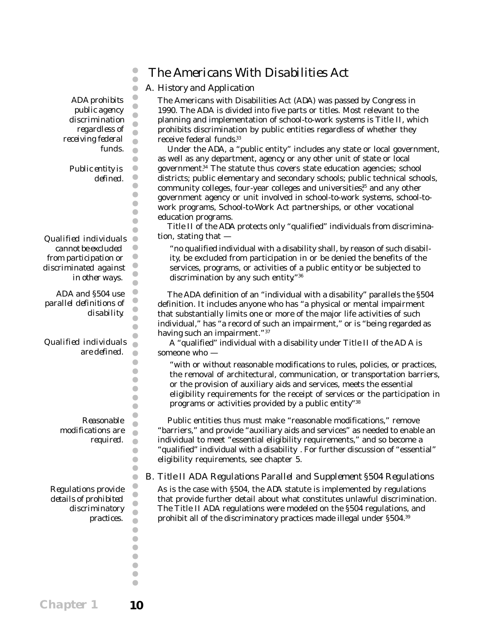#### *The Americans With Disabilities Act*  $\bullet$

 $\bullet$ *A. History and Application*

> The Americans with Disabilities Act (ADA) was passed by Congress in 1990. The ADA is divided into five parts or titles. Most relevant to the planning and implementation of school-to-work systems is Title II, which prohibits discrimination by public entities regardless of whether they receive federal funds.33

Under the ADA, a "public entity" includes any state or local government, as well as any department, agency, or any other unit of state or local government.<sup>34</sup> The statute thus covers state education agencies; school districts; public elementary and secondary schools; public technical schools, community colleges, four-year colleges and universities;<sup>35</sup> and any other government agency or unit involved in school-to-work systems, school-towork programs, School-to-Work Act partnerships, or other vocational education programs.

Title II of the ADA protects only "qualified" individuals from discrimination, stating that —

"no qualified individual with a disability shall, by reason of such disability, be excluded from participation in or be denied the benefits of the services, programs, or activities of a public entity or be subjected to discrimination by any such entity"36

The ADA definition of an "individual with a disability" parallels the §504 definition. It includes anyone who has "a physical or mental impairment that substantially limits one or more of the major life activities of such individual," has "a record of such an impairment," or is "being regarded as having such an impairment."<sup>37</sup>

 A "qualified" individual with a disability under Title II of the AD A is someone who —

"*with or without* reasonable modifications to rules, policies, or practices, the removal of architectural, communication, or transportation barriers, or the provision of auxiliary aids and services, meets the essential eligibility requirements for the receipt of services or the participation in programs or activities provided by a public entity"38

Public entities thus must make "reasonable modifications," remove "barriers," and provide "auxiliary aids and services" as needed to enable an individual to meet "essential eligibility requirements," and so become a "qualified" individual with a disability . For further discussion of "essential" eligibility requirements, see chapter 5.

#### *B. Title II ADA Regulations Parallel and Supplement §504 Regulations*

As is the case with §504, the ADA statute is implemented by regulations that provide further detail about what constitutes unlawful discrimination. The Title II ADA regulations were modeled on the §504 regulations, and prohibit all of the discriminatory practices made illegal under §504.39

|                                                                                                         | 0                                                                         |
|---------------------------------------------------------------------------------------------------------|---------------------------------------------------------------------------|
| <b>ADA</b> prohibits<br>public agency<br>discrimination<br>regardless of<br>receiving federal<br>funds. | 0<br>0<br>$\bullet$<br>$\bullet$<br>0<br>$\bullet$<br>0<br>0<br>$\bullet$ |
| Public entity is<br>defined.                                                                            | 0<br>0<br>0<br>o<br>$\bullet$<br>0<br>0<br>0                              |
| Qualified individuals<br>cannot be excluded                                                             | 0<br>0                                                                    |
| from participation or                                                                                   | 0                                                                         |
| discriminated against<br>in other ways.                                                                 | 0<br>0                                                                    |
| ADA and §504 use                                                                                        | 0<br>0                                                                    |
| parallel definitions of                                                                                 | $\bullet$                                                                 |
| disability.                                                                                             | $\bullet$<br>0<br>$\bullet$                                               |
| Qualified individuals<br>are defined.                                                                   | $\bullet$<br>0<br>$\bullet$<br>0<br>0<br>0<br>D                           |
|                                                                                                         | 0<br>$\bullet$<br>0                                                       |
| Reasonable<br>modifications are<br>required.                                                            | $\bullet$                                                                 |
|                                                                                                         |                                                                           |
| <i>Regulations provide</i><br>details of prohibited<br>discriminatory<br>practices.                     |                                                                           |
|                                                                                                         |                                                                           |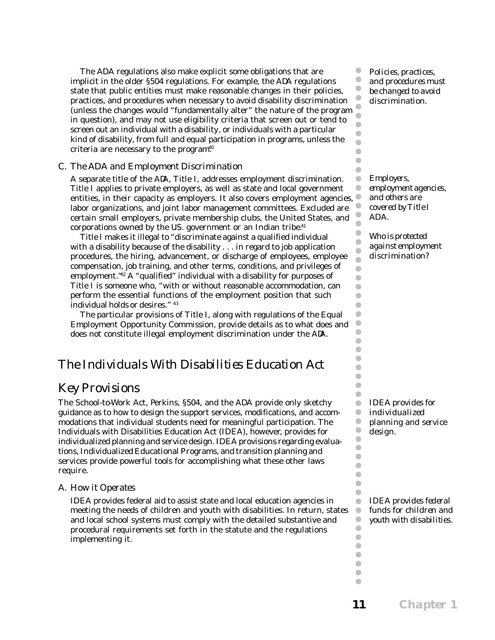The ADA regulations also make explicit some obligations that are implicit in the older §504 regulations. For example, the ADA regulations state that public entities must make reasonable changes in their policies, practices, and procedures when necessary to avoid disability discrimination (unless the changes would "fundamentally alter" the nature of the program in question), and may not use eligibility criteria that screen out or tend to screen out an individual with a disability, or individuals with a particular kind of disability, from full and equal participation in programs, unless the criteria are necessary to the program<sup>40</sup>

#### *C. The ADA and Employment Discrimination*

A separate title of the ADA, Title I, addresses employment discrimination. Title I applies to private employers, as well as state and local government  $\bigcirc$ entities, in their capacity as employers. It also covers employment agencies, labor organizations, and joint labor management committees. Excluded are certain small employers, private membership clubs, the United States, and corporations owned by the US. government or an Indian tribe.<sup>41</sup>

Title I makes it illegal to "discriminate against a qualified individual with a disability because of the disability . . . in regard to job application procedures, the hiring, advancement, or discharge of employees, employee compensation, job training, and other terms, conditions, and privileges of employment."<sup>42</sup> A "qualified" individual with a disability for purposes of Title I is someone who, "with or without reasonable accommodation, can perform the essential functions of the employment position that such individual holds or desires." <sup>43</sup>

The particular provisions of Title I, along with regulations of the Equal Employment Opportunity Commission, provide details as to what does and does not constitute illegal employment discrimination under the ADA.

# *The Individuals With Disabilities Education Act*

### *Key Provisions*

The School-to-Work Act, Perkins, §504, and the ADA provide only sketchy guidance as to how to design the support services, modifications, and accommodations that individual students need for meaningful participation. The Individuals with Disabilities Education Act (IDEA), however, provides for individualized planning and service design. IDEA provisions regarding evaluations, Individualized Educational Programs, and transition planning and services provide powerful tools for accomplishing what these other laws require.

#### *A. How it Operates*

IDEA provides federal aid to assist state and local education agencies in meeting the needs of children and youth with disabilities. In return, states and local school systems must comply with the detailed substantive and procedural requirements set forth in the statute and the regulations implementing it.

*Policies, practices, and procedures must be changed to avoid discrimination.*

*Employers, employment agencies, and others are covered by Title I ADA.*

aaaaaaaaaaaaaaaaaaaaaaaaaaa

 $\bullet$  $\bullet$  $\bullet$  $\bullet$  $\bullet$  $\bullet$  $\bullet$  $\bullet$  $\bullet$  $\bullet$  $\bullet$  $\bullet$  $\bullet$  $\blacksquare$  $\mathbf \Omega$  $\bullet$  $\bullet$  $\bullet$  $\bullet$  $\bullet$  $\bullet$  $\overline{\phantom{a}}$  $\bullet$  $\bullet$  $\mathbf{C}$  $\bullet$  $\bullet$  $\bullet$  $\overline{\phantom{a}}$  $\bullet$  $\bullet$  $\bullet$  $\overline{\phantom{a}}$  $\bullet$  $\blacksquare$  $\overline{\phantom{a}}$  $\overline{\phantom{a}}$  $\bullet$  $\bullet$  $\overline{\phantom{a}}$  $\bullet$  $\bullet$  $\bullet$ 

 $\bullet$  $\blacksquare$  $\bullet$  $\bullet$ 

 $\bullet$  $\bullet$  $\bullet$  $\bullet$  $\bullet$  $\bullet$  $\bullet$  $\bullet$ 

> *Who is protected against employment discrimination?*

*IDEA provides for individualized planning and service design.*

aaaaaaaaaaaaaaaaaaaaaaaaaaaaaaa

*IDEA provides federal funds for children and youth with disabilities.*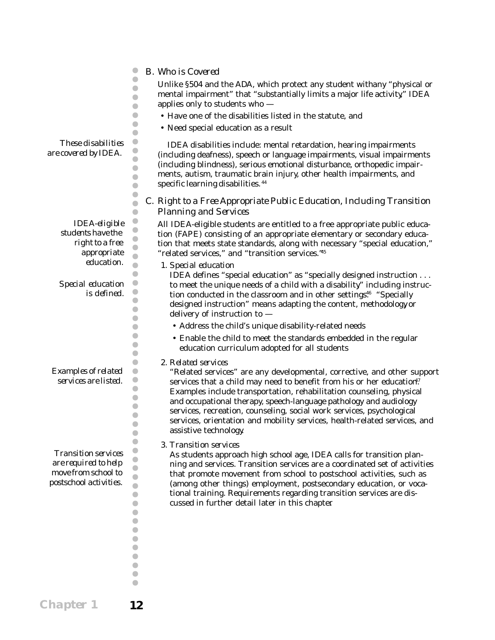|                                                                                                     | <b>B.</b> Who is Covered<br>Unlike §504 and the ADA, which protect any student withany "physical or<br>mental impairment" that "substantially limits a major life activity" IDEA<br>applies only to students who $-$<br>• Have one of the disabilities listed in the statute, and<br>• Need special education as a result                                                                                                                                                                         |
|-----------------------------------------------------------------------------------------------------|---------------------------------------------------------------------------------------------------------------------------------------------------------------------------------------------------------------------------------------------------------------------------------------------------------------------------------------------------------------------------------------------------------------------------------------------------------------------------------------------------|
| These disabilities<br>are covered by IDEA.                                                          | IDEA disabilities include: mental retardation, hearing impairments<br>(including deafness), speech or language impairments, visual impairments<br>(including blindness), serious emotional disturbance, orthopedic impair-<br>ments, autism, traumatic brain injury, other health impairments, and<br>specific learning disabilities. <sup>44</sup>                                                                                                                                               |
|                                                                                                     | C. Right to a Free Appropriate Public Education, Including Transition<br><b>Planning and Services</b>                                                                                                                                                                                                                                                                                                                                                                                             |
| <b>IDEA-eligible</b><br>students have the<br>right to a free<br>appropriate                         | All IDEA-eligible students are entitled to a free appropriate public educa-<br>tion (FAPE) consisting of an appropriate elementary or secondary educa-<br>tion that meets state standards, along with necessary "special education,"<br>"related services," and "transition services."45                                                                                                                                                                                                          |
| education.<br>Special education<br>is defined.                                                      | 1. Special education<br>IDEA defines "special education" as "specially designed instruction<br>to meet the unique needs of a child with a disability" including instruc-<br>tion conducted in the classroom and in other settings. <sup>46</sup> "Specially<br>designed instruction" means adapting the content, methodology or<br>delivery of instruction to $-$                                                                                                                                 |
|                                                                                                     | • Address the child's unique disability-related needs<br>• Enable the child to meet the standards embedded in the regular<br>education curriculum adopted for all students                                                                                                                                                                                                                                                                                                                        |
| Examples of related<br>services are listed.                                                         | 2. Related services<br>"Related services" are any developmental, corrective, and other support<br>services that a child may need to benefit from his or her education?<br>Examples include transportation, rehabilitation counseling, physical<br>and occupational therapy, speech-language pathology and audiology<br>services, recreation, counseling, social work services, psychological<br>services, orientation and mobility services, health-related services, and<br>assistive technology |
| <b>Transition services</b><br>are required to help<br>move from school to<br>postschool activities. | 3. Transition services<br>As students approach high school age, IDEA calls for transition plan-<br>ning and services. Transition services are a coordinated set of activities<br>that promote movement from school to postschool activities, such as<br>(among other things) employment, postsecondary education, or voca-<br>tional training. Requirements regarding transition services are dis-<br>cussed in further detail later in this chapter                                              |
|                                                                                                     |                                                                                                                                                                                                                                                                                                                                                                                                                                                                                                   |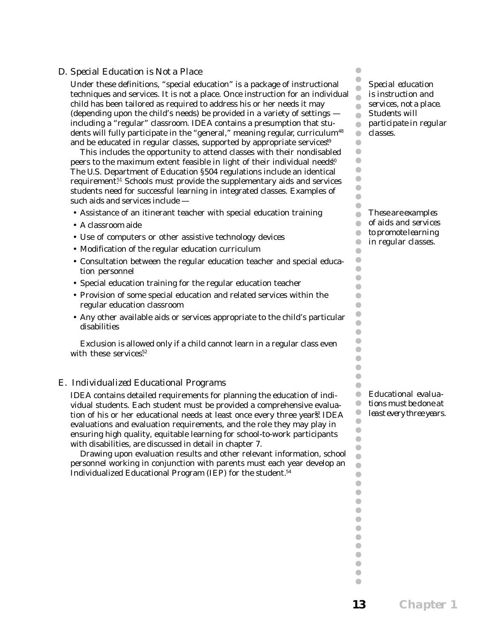#### *D. Special Education is Not a Place*

Under these definitions, "special education" is a package of instructional techniques and services. It is not a place. Once instruction for an individual child has been tailored as required to address his or her needs it may (depending upon the child's needs) be provided in a variety of settings including a "regular" classroom. IDEA contains a presumption that students will fully participate in the "general," meaning regular, curriculum<sup>48</sup> and be educated in regular classes, supported by appropriate services<sup>49</sup>

This includes the opportunity to attend classes with their nondisabled peers to the maximum extent feasible in light of their individual needs.<sup>60</sup> The U.S. Department of Education §504 regulations include an identical requirement.51 Schools must provide the supplementary aids and services students need for successful learning in integrated classes. Examples of such aids and services include —

- Assistance of an itinerant teacher with special education training
- A classroom aide
- Use of computers or other assistive technology devices
- Modification of the regular education curriculum
- Consultation between the regular education teacher and special education personnel
- Special education training for the regular education teacher
- Provision of some special education and related services within the regular education classroom
- Any other available aids or services appropriate to the child's particular disabilities

Exclusion is allowed only if a child cannot learn in a regular class even with these services $52$ 

#### *E. Individualized Educational Programs*

IDEA contains detailed requirements for planning the education of individual students. Each student must be provided a comprehensive evaluation of his or her educational needs at least once every three year<sup>§</sup>. IDEA evaluations and evaluation requirements, and the role they may play in ensuring high quality, equitable learning for school-to-work participants with disabilities, are discussed in detail in chapter 7.

Drawing upon evaluation results and other relevant information, school personnel working in conjunction with parents must each year develop an Individualized Educational Program (IEP) for the student.<sup>54</sup>

 $\overline{\phantom{a}}$ aaaaaaaaaaaaaaaaaaaaaaaaaaa  $\blacksquare$ *Special education*  $\bullet$ *is instruction and*  $\blacksquare$ *services, not a place.*  $\bullet$ *Students will*  $\blacksquare$ *participate in regular*  $\bullet$ *classes.*  $\triangle$  $\bullet$  $\bullet$  $\overline{\phantom{a}}$  $\bullet$  $\bullet$  $\bullet$  $\overline{\phantom{a}}$  $\overline{\phantom{a}}$ *These are examples*  $\bullet$ *of aids and services*  $\bullet$ *to promote learning*  $\blacksquare$  $\overline{\phantom{0}}$ *in regular classes.*  $\overline{\phantom{0}}$  $\bullet$  $\bullet$  $\bullet$  $\overline{\phantom{a}}$  $\bullet$  $\blacksquare$  $\overline{\phantom{a}}$ aaaaaaaaaaaaaaaaaaaaaaaaaaaaaaa  $\blacksquare$  $\overline{\phantom{a}}$  $\bullet$  $\bullet$  $\overline{\phantom{a}}$  $\bullet$  $\bullet$  $\bullet$  $\bullet$ *Educational evalua-* $\bullet$ *tions must be done at*  $\overline{\phantom{a}}$ *least every three years.* $\mathbf{C}$  $\bullet$  $\bullet$  $\overline{\phantom{0}}$  $\overline{\phantom{a}}$ ă ă  $\blacksquare$ 

 $\overline{\phantom{a}}$  $\blacksquare$ ă  $\overline{\phantom{a}}$  $\overline{\phantom{a}}$  $\overline{\phantom{a}}$  $\bullet$  $\overline{\phantom{a}}$  $\bullet$  $\bullet$  $\bullet$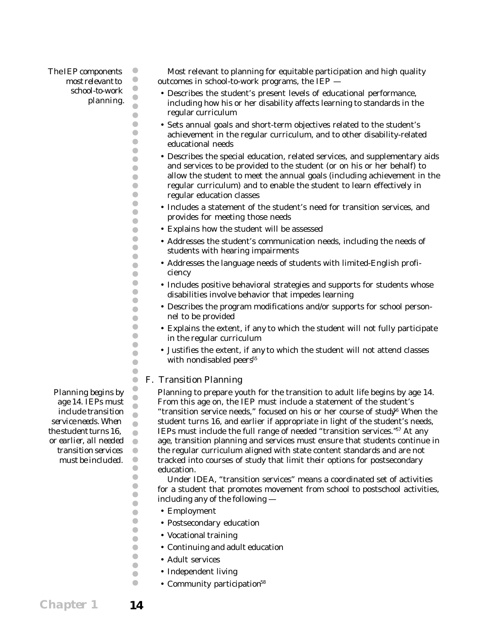$\bullet$ *The IEP components* aaaaaa  $\bullet$ *most relevant to*  $\bullet$ *school-to-work*  $\bullet$ *planning.*  $\bullet$ 

Most relevant to planning for equitable participation and high quality outcomes in school-to-work programs, the IEP —

- Describes the student's present levels of educational performance, including how his or her disability affects learning to standards in the regular curriculum
- Sets annual goals and short-term objectives related to the student's achievement in the regular curriculum, and to other disability-related educational needs
- Describes the special education, related services, and supplementary aids and services to be provided to the student (or on his or her behalf) to allow the student to meet the annual goals (including achievement in the regular curriculum) and to enable the student to learn effectively in regular education classes
- Includes a statement of the student's need for transition services, and provides for meeting those needs
- Explains how the student will be assessed
- Addresses the student's communication needs, including the needs of students with hearing impairments
- Addresses the language needs of students with limited-English proficiency
- Includes positive behavioral strategies and supports for students whose disabilities involve behavior that impedes learning
- Describes the program modifications and/or supports for school personnel to be provided
- Explains the extent, if any to which the student will not fully participate in the regular curriculum
- Justifies the extent, if any to which the student will not attend classes with nondisabled peers<sup>55</sup>

#### *F. Transition Planning*

aaaaaaaaaaaaaaaaaaaaaaaaaaaaaaaaaaaaaaaaaaaaaaaaaaaaa

 $\bullet$  $\qquad \qquad \blacksquare$  $\bullet$  $\qquad \qquad \bullet$  $\blacksquare$  $\blacksquare$  $\qquad \qquad \bullet$  $\bullet$  $\qquad \qquad \blacksquare$  $\bullet$  $\bullet$  $\bullet$  $\qquad \qquad \blacksquare$  $\bullet$  $\bullet$  $\blacksquare$  $\bullet$  $\bullet$  $\begin{array}{c} \hline \end{array}$  $\qquad \qquad \bullet$  $\qquad \qquad \blacksquare$  $\bullet$  $\bullet$  $\bullet$  $\bullet$  $\bullet$  $\bullet$  $\bullet$  $\bullet$  $\bullet$  $\bullet$  $\bullet$  $\bullet$  $\begin{array}{c} \bullet \\ \bullet \end{array}$  $\begin{array}{c} \bullet \\ \bullet \end{array}$  $\bullet$  $\bullet$  $\bullet$  $\bullet$  $\qquad \qquad \blacksquare$  $\qquad \qquad \bullet$  $\bullet$  $\bullet$  $\bullet$  $\bullet$  $\bullet$  $\bullet$  $\bullet$  $\bullet$  $\bullet$  $\bullet$  $\bullet$  $\bullet$  $\bullet$ 

Planning to prepare youth for the transition to adult life begins by age 14. From this age on, the IEP must include a statement of the student's "transition service needs," focused on his or her course of study<sup>6</sup> When the student turns 16, and earlier if appropriate in light of the student's needs, IEPs must include the full range of needed "transition services."<sup>57</sup> At any age, transition planning and services must ensure that students continue in the regular curriculum aligned with state content standards and are not tracked into courses of study that limit their options for postsecondary education.

Under IDEA, "transition services" means a coordinated set of activities for a student that promotes movement from school to postschool activities, including any of the following —

- Employment
- Postsecondary education
- Vocational training
- Continuing and adult education
- Adult services
- Independent living
- Community participation $58$

*Planning begins by age 14. IEPs must include transition service needs. When the student turns 16, or earlier, all needed transition services must be included.*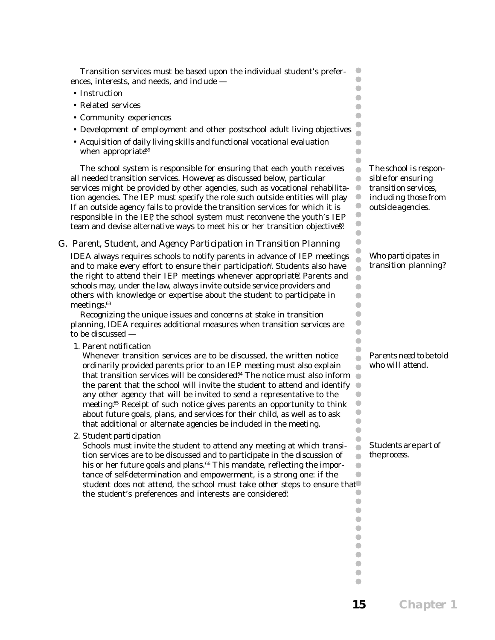Transition services must be based upon the individual student's preferaaaaaaaaaaaaaaaaaaaaaaaaaaa  $\blacksquare$ ences, interests, and needs, and include —  $\bullet$ • Instruction  $\overline{\phantom{0}}$ • Related services  $\overline{\phantom{0}}$  $\mathbf{C}$ • Community experiences • Development of employment and other postschool adult living objectives • Acquisition of daily living skills and functional vocational evaluation  $\bullet$ when appropriate<sup>59</sup>  $\blacksquare$  $\bullet$ The school system is responsible for ensuring that each youth receives *The school is respon*ă all needed transition services. However as discussed below, particular  $\bullet$ *sible for ensuring* services might be provided by other agencies, such as vocational rehabilita- $\bullet$ *transition services,* tion agencies. The IEP must specify the role such outside entities will play.  $\bullet$ *including those from*  $\bullet$ If an outside agency fails to provide the transition services for which it is *outside agencies.*  $\bullet$ responsible in the IEP the school system must reconvene the youth's IEP  $\bullet$ team and devise alternative ways to meet his or her transition objectives.  $\bullet$ *G. Parent, Student, and Agency Participation in Transition Planning*  $\overline{\phantom{0}}$  $\overline{\phantom{0}}$ IDEA always requires schools to notify parents in advance of IEP meetings *Who participates in*  $\bullet$ and to make every effort to ensure their participation. Students also have *transition planning?*  $\bullet$ the right to attend their IEP meetings whenever appropriate. Parents and  $\bullet$ schools may, under the law, always invite outside service providers and  $\bullet$ others with knowledge or expertise about the student to participate in  $\bullet$ meetings. $63$  $\bullet$ Recognizing the unique issues and concerns at stake in transition  $\bullet$ aaaaaaaaaaaaaaaaaaaaaaaaaaaaaaa  $\blacksquare$ planning, IDEA requires additional measures when transition services are  $\overline{\phantom{a}}$ to be discussed —  $\bullet$ *1. Parent notification*  $\bullet$ *Parents need to be told* Whenever transition services are to be discussed, the written notice  $\bullet$ *who will attend.* ordinarily provided parents prior to an IEP meeting must also explain  $\triangle$ that transition services will be considered $i<sup>44</sup>$  The notice must also inform  $\begin{array}{c} \begin{array}{c} \begin{array}{c} \begin{array}{c} \end{array} \end{array} \end{array} \end{array}$ the parent that the school will invite the student to attend and identify  $\bullet$ any other agency that will be invited to send a representative to the  $\bullet$  $\bullet$ meeting.65 Receipt of such notice gives parents an opportunity to think  $\bullet$ about future goals, plans, and services for their child, as well as to ask  $\mathbf{C}$ that additional or alternate agencies be included in the meeting.  $\bullet$ *2. Student participation*  $\bullet$ Schools *must* invite the student to attend any meeting at which transi-*Students are part of*  $\bullet$ tion services are to be discussed and to participate in the discussion of *the process.* $\bullet$ his or her future goals and plans.<sup>66</sup> This mandate, reflecting the impor- $\bullet$ tance of self-determination and empowerment, is a strong one: if the  $\blacksquare$ student does not attend, the school must take other steps to ensure that  $\overline{\phantom{a}}$ the student's preferences and interests are considered.  $\bullet$ ă  $\overline{\phantom{a}}$  $\overline{\phantom{a}}$  $\overline{\phantom{a}}$  $\bullet$  $\overline{\phantom{a}}$ 

- $\bullet$
- $\bullet$  $\bullet$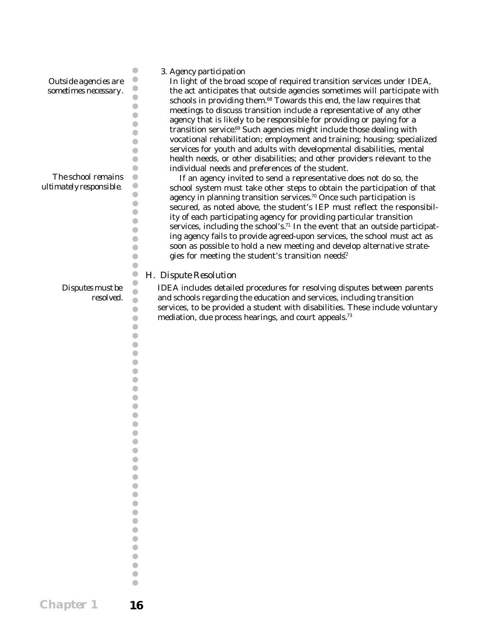| Outside agencies are<br>sometimes necessary.<br>The school remains<br>ultimately responsible. |                        | 3. Agency participation<br>In light of the broad scope of required transition services under IDEA,<br>the act anticipates that outside agencies sometimes will participate with<br>schools in providing them. <sup>68</sup> Towards this end, the law requires that<br>meetings to discuss transition include a representative of any other<br>agency that is likely to be responsible for providing or paying for a<br>transition service. <sup>69</sup> Such agencies might include those dealing with<br>vocational rehabilitation; employment and training; housing; specialized<br>services for youth and adults with developmental disabilities, mental<br>health needs, or other disabilities; and other providers relevant to the<br>individual needs and preferences of the student.<br>If an agency invited to send a representative does not do so, the<br>school system must take other steps to obtain the participation of that<br>agency in planning transition services. <sup>70</sup> Once such participation is<br>secured, as noted above, the student's IEP must reflect the responsibil-<br>ity of each participating agency for providing particular transition<br>services, including the school's. <sup>71</sup> In the event that an outside participat-<br>ing agency fails to provide agreed-upon services, the school must act as<br>soon as possible to hold a new meeting and develop alternative strate-<br>gies for meeting the student's transition needs?<br>H. Dispute Resolution |
|-----------------------------------------------------------------------------------------------|------------------------|----------------------------------------------------------------------------------------------------------------------------------------------------------------------------------------------------------------------------------------------------------------------------------------------------------------------------------------------------------------------------------------------------------------------------------------------------------------------------------------------------------------------------------------------------------------------------------------------------------------------------------------------------------------------------------------------------------------------------------------------------------------------------------------------------------------------------------------------------------------------------------------------------------------------------------------------------------------------------------------------------------------------------------------------------------------------------------------------------------------------------------------------------------------------------------------------------------------------------------------------------------------------------------------------------------------------------------------------------------------------------------------------------------------------------------------------------------------------------------------------------------------------|
| Disputes must be                                                                              | 0                      | IDEA includes detailed procedures for resolving disputes between parents                                                                                                                                                                                                                                                                                                                                                                                                                                                                                                                                                                                                                                                                                                                                                                                                                                                                                                                                                                                                                                                                                                                                                                                                                                                                                                                                                                                                                                             |
| resolved.                                                                                     |                        | and schools regarding the education and services, including transition<br>services, to be provided a student with disabilities. These include voluntary<br>mediation, due process hearings, and court appeals. <sup>73</sup>                                                                                                                                                                                                                                                                                                                                                                                                                                                                                                                                                                                                                                                                                                                                                                                                                                                                                                                                                                                                                                                                                                                                                                                                                                                                                         |
|                                                                                               |                        |                                                                                                                                                                                                                                                                                                                                                                                                                                                                                                                                                                                                                                                                                                                                                                                                                                                                                                                                                                                                                                                                                                                                                                                                                                                                                                                                                                                                                                                                                                                      |
|                                                                                               |                        |                                                                                                                                                                                                                                                                                                                                                                                                                                                                                                                                                                                                                                                                                                                                                                                                                                                                                                                                                                                                                                                                                                                                                                                                                                                                                                                                                                                                                                                                                                                      |
|                                                                                               |                        |                                                                                                                                                                                                                                                                                                                                                                                                                                                                                                                                                                                                                                                                                                                                                                                                                                                                                                                                                                                                                                                                                                                                                                                                                                                                                                                                                                                                                                                                                                                      |
|                                                                                               |                        |                                                                                                                                                                                                                                                                                                                                                                                                                                                                                                                                                                                                                                                                                                                                                                                                                                                                                                                                                                                                                                                                                                                                                                                                                                                                                                                                                                                                                                                                                                                      |
|                                                                                               |                        |                                                                                                                                                                                                                                                                                                                                                                                                                                                                                                                                                                                                                                                                                                                                                                                                                                                                                                                                                                                                                                                                                                                                                                                                                                                                                                                                                                                                                                                                                                                      |
|                                                                                               |                        |                                                                                                                                                                                                                                                                                                                                                                                                                                                                                                                                                                                                                                                                                                                                                                                                                                                                                                                                                                                                                                                                                                                                                                                                                                                                                                                                                                                                                                                                                                                      |
|                                                                                               |                        |                                                                                                                                                                                                                                                                                                                                                                                                                                                                                                                                                                                                                                                                                                                                                                                                                                                                                                                                                                                                                                                                                                                                                                                                                                                                                                                                                                                                                                                                                                                      |
|                                                                                               |                        |                                                                                                                                                                                                                                                                                                                                                                                                                                                                                                                                                                                                                                                                                                                                                                                                                                                                                                                                                                                                                                                                                                                                                                                                                                                                                                                                                                                                                                                                                                                      |
|                                                                                               | $\bullet$<br>$\bullet$ |                                                                                                                                                                                                                                                                                                                                                                                                                                                                                                                                                                                                                                                                                                                                                                                                                                                                                                                                                                                                                                                                                                                                                                                                                                                                                                                                                                                                                                                                                                                      |
|                                                                                               | $\bullet$<br>O         |                                                                                                                                                                                                                                                                                                                                                                                                                                                                                                                                                                                                                                                                                                                                                                                                                                                                                                                                                                                                                                                                                                                                                                                                                                                                                                                                                                                                                                                                                                                      |
|                                                                                               | O                      |                                                                                                                                                                                                                                                                                                                                                                                                                                                                                                                                                                                                                                                                                                                                                                                                                                                                                                                                                                                                                                                                                                                                                                                                                                                                                                                                                                                                                                                                                                                      |
|                                                                                               | $\bullet$<br>$\bullet$ |                                                                                                                                                                                                                                                                                                                                                                                                                                                                                                                                                                                                                                                                                                                                                                                                                                                                                                                                                                                                                                                                                                                                                                                                                                                                                                                                                                                                                                                                                                                      |
|                                                                                               | $\bullet$              |                                                                                                                                                                                                                                                                                                                                                                                                                                                                                                                                                                                                                                                                                                                                                                                                                                                                                                                                                                                                                                                                                                                                                                                                                                                                                                                                                                                                                                                                                                                      |
|                                                                                               | $\bullet$<br>$\bullet$ |                                                                                                                                                                                                                                                                                                                                                                                                                                                                                                                                                                                                                                                                                                                                                                                                                                                                                                                                                                                                                                                                                                                                                                                                                                                                                                                                                                                                                                                                                                                      |
|                                                                                               | $\bullet$              |                                                                                                                                                                                                                                                                                                                                                                                                                                                                                                                                                                                                                                                                                                                                                                                                                                                                                                                                                                                                                                                                                                                                                                                                                                                                                                                                                                                                                                                                                                                      |
|                                                                                               |                        |                                                                                                                                                                                                                                                                                                                                                                                                                                                                                                                                                                                                                                                                                                                                                                                                                                                                                                                                                                                                                                                                                                                                                                                                                                                                                                                                                                                                                                                                                                                      |
|                                                                                               |                        |                                                                                                                                                                                                                                                                                                                                                                                                                                                                                                                                                                                                                                                                                                                                                                                                                                                                                                                                                                                                                                                                                                                                                                                                                                                                                                                                                                                                                                                                                                                      |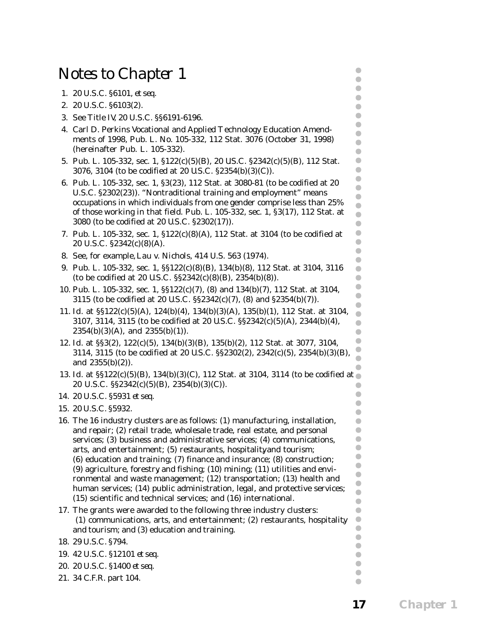| <i>Notes to Chapter 1</i>                                                                                                                                                                                                                                                                                                                                                                                                                                                                                                                                                                                                                                                                        |                                                  |
|--------------------------------------------------------------------------------------------------------------------------------------------------------------------------------------------------------------------------------------------------------------------------------------------------------------------------------------------------------------------------------------------------------------------------------------------------------------------------------------------------------------------------------------------------------------------------------------------------------------------------------------------------------------------------------------------------|--------------------------------------------------|
| 1. 20 U.S.C. §6101, et seq.                                                                                                                                                                                                                                                                                                                                                                                                                                                                                                                                                                                                                                                                      |                                                  |
| 2. 20 U.S.C. §6103(2).                                                                                                                                                                                                                                                                                                                                                                                                                                                                                                                                                                                                                                                                           |                                                  |
| 3. See Title IV, 20 U.S.C. §§6191-6196.                                                                                                                                                                                                                                                                                                                                                                                                                                                                                                                                                                                                                                                          |                                                  |
| 4. Carl D. Perkins Vocational and Applied Technology Education Amend-<br>ments of 1998, Pub. L. No. 105-332, 112 Stat. 3076 (October 31, 1998)<br>(hereinafter Pub. L. 105-332).                                                                                                                                                                                                                                                                                                                                                                                                                                                                                                                 |                                                  |
| 5. Pub. L. 105-332, sec. 1, §122(c)(5)(B), 20 US.C. §2342(c)(5)(B), 112 Stat.<br>3076, 3104 (to be codified at 20 US.C. §2354(b)(3)(C)).                                                                                                                                                                                                                                                                                                                                                                                                                                                                                                                                                         |                                                  |
| 6. Pub. L. 105-332, sec. 1, §3(23), 112 Stat. at 3080-81 (to be codified at 20<br>U.S.C. §2302(23)). "Nontraditional training and employment" means<br>occupations in which individuals from one gender comprise less than 25%<br>of those working in that field. Pub. L. 105-332, sec. 1, §3(17), 112 Stat. at<br>3080 (to be codified at 20 US.C. §2302(17)).                                                                                                                                                                                                                                                                                                                                  | $\bullet$<br>$\bullet$<br>$\bullet$              |
| 7. Pub. L. 105-332, sec. 1, $$122(c)(8)(A)$ , 112 Stat. at 3104 (to be codified at<br>20 U.S.C. $$2342(c)(8)(A)$ .                                                                                                                                                                                                                                                                                                                                                                                                                                                                                                                                                                               | $\bullet$                                        |
| 8. See, for example, <i>Lau v. Nichols</i> , 414 U.S. 563 (1974).                                                                                                                                                                                                                                                                                                                                                                                                                                                                                                                                                                                                                                |                                                  |
| 9. Pub. L. 105-332, sec. 1, \$§122(c)(8)(B), 134(b)(8), 112 Stat. at 3104, 3116<br>(to be codified at 20 US.C. $\S$ \$2342(c)(8)(B), 2354(b)(8)).                                                                                                                                                                                                                                                                                                                                                                                                                                                                                                                                                |                                                  |
| 10. Pub. L. 105-332, sec. 1, §§122(c)(7), (8) and 134(b)(7), 112 Stat. at 3104,<br>3115 (to be codified at 20 US.C. §§2342(c)(7), (8) and §2354(b)(7)).                                                                                                                                                                                                                                                                                                                                                                                                                                                                                                                                          |                                                  |
| 11. Id. at $\S(122)(c)(5)(A)$ , 124(b)(4), 134(b)(3)(A), 135(b)(1), 112 Stat. at 3104,<br>3107, 3114, 3115 (to be codified at 20 US.C. §§2342(c)(5)(A), 2344(b)(4),<br>$2354(b)(3)(A)$ , and $2355(b)(1)$ ).                                                                                                                                                                                                                                                                                                                                                                                                                                                                                     |                                                  |
| 12. Id. at §§3(2), 122(c)(5), 134(b)(3)(B), 135(b)(2), 112 Stat. at 3077, 3104,<br>3114, 3115 (to be codified at 20 US.C. §§2302(2), 2342(c)(5), 2354(b)(3)(B),<br>and $2355(b)(2)$ ).                                                                                                                                                                                                                                                                                                                                                                                                                                                                                                           |                                                  |
| 13. Id. at $\S122(c)(5)(B)$ , 134(b)(3)(C), 112 Stat. at 3104, 3114 (to be codified at<br>20 U.S.C. $\S$ \$2342(c)(5)(B), 2354(b)(3)(C)).                                                                                                                                                                                                                                                                                                                                                                                                                                                                                                                                                        |                                                  |
| 14. 20 U.S.C. §5931 et seq.                                                                                                                                                                                                                                                                                                                                                                                                                                                                                                                                                                                                                                                                      |                                                  |
| 15. 20 U.S.C. §5932.                                                                                                                                                                                                                                                                                                                                                                                                                                                                                                                                                                                                                                                                             |                                                  |
| 16. The 16 industry clusters are as follows: (1) manufacturing, installation,<br>and repair; (2) retail trade, wholesale trade, real estate, and personal<br>services; (3) business and administrative services; (4) communications,<br>arts, and entertainment; (5) restaurants, hospitality and tourism;<br>(6) education and training; (7) finance and insurance; (8) construction;<br>(9) agriculture, forestry and fishing; (10) mining; (11) utilities and envi-<br>ronmental and waste management; (12) transportation; (13) health and<br>human services; (14) public administration, legal, and protective services;<br>(15) scientific and technical services; and (16) international. | $\bullet$<br>$\bullet$<br>$\bullet$<br>$\bullet$ |
| 17. The grants were awarded to the following three industry clusters:<br>(1) communications, arts, and entertainment; (2) restaurants, hospitality<br>and tourism; and (3) education and training.                                                                                                                                                                                                                                                                                                                                                                                                                                                                                               | $\bullet$<br>$\bullet$                           |
| 18. 29 U.S.C. §794.                                                                                                                                                                                                                                                                                                                                                                                                                                                                                                                                                                                                                                                                              |                                                  |
| 19. 42 U.S.C. §12101 et seq.                                                                                                                                                                                                                                                                                                                                                                                                                                                                                                                                                                                                                                                                     |                                                  |
| 20. 20 U.S.C. §1400 et seq.                                                                                                                                                                                                                                                                                                                                                                                                                                                                                                                                                                                                                                                                      |                                                  |
| 21. 34 C.F.R. part 104.                                                                                                                                                                                                                                                                                                                                                                                                                                                                                                                                                                                                                                                                          |                                                  |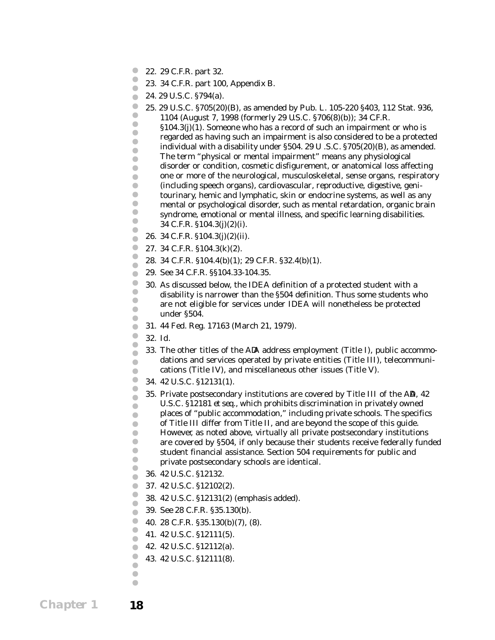- $\bullet$ 22. 29 C.F.R. part 32.
- $\bullet$ 23. 34 C.F.R. part 100, Appendix B.  $\qquad \qquad \blacksquare$
- 24. 29 U.S.C. §794(a).  $\bullet$
- aaaaaa  $\bullet$ 25. 29 U.S.C. §705(20)(B), as amended by Pub. L. 105-220 §403, 112 Stat. 936,  $\bullet$
- 1104 (August 7, 1998 (formerly 29 US.C. §706(8)(b)); 34 C.F.R.  $\bullet$
- §104.3(j)(1). Someone who has a record of such an impairment or who is  $\bullet$
- regarded as having such an impairment is also considered to be a protected  $\qquad \qquad \bullet$ individual with a disability under §504. 29 U .S.C. §705(20)(B), as amended.
- $\bullet$ The term "physical or mental impairment" means any physiological  $\bullet$
- disorder or condition, cosmetic disfigurement, or anatomical loss affecting  $\bullet$
- one or more of the neurological, musculoskeletal, sense organs, respiratory  $\bullet$
- (including speech organs), cardiovascular, reproductive, digestive, geni- $\blacksquare$
- $\bullet$ tourinary, hemic and lymphatic, skin or endocrine systems, as well as any  $\blacksquare$
- mental or psychological disorder, such as mental retardation, organic brain  $\bullet$
- syndrome, emotional or mental illness, and specific learning disabilities.  $\bullet$
- 34 C.F.R. §104.3(j)(2)(i).  $\bullet$
- 26. 34 C.F.R. §104.3(j)(2)(ii).  $\bullet$
- $\qquad \qquad \bullet$ 27. 34 C.F.R. §104.3(k)(2).  $\bullet$
- 28. 34 C.F.R. §104.4(b)(1); 29 C.F.R. §32.4(b)(1).  $\blacksquare$
- 29. See 34 C.F.R. §§104.33-104.35.  $\qquad \qquad \blacksquare$
- aaaaaaaaaaaaaaaaaaaaaaaaaaaaaaaaaaaaaaaaaaaaaaaaaaaaa  $\bullet$ 30. As discussed below, the IDEA definition of a protected student with a  $\bullet$ disability is narrower than the §504 definition. Thus some students who  $\bullet$ are not eligible for services under IDEA will nonetheless be protected  $\bullet$ under §504.  $\bullet$
- 31. 44 Fed. Reg. 17163 (March 21, 1979).  $\bullet$
- $\bullet$ 32. *Id.*  $\bullet$
- 33. The other titles of the ADA address employment (Title I), public accommo- $\bullet$ dations and services operated by private entities (Title III), telecommuni- $\bullet$ cations (Title IV), and miscellaneous other issues (Title V).  $\bullet$
- $\bullet$ 34. 42 U.S.C. §12131(1).  $\bullet$
- 35. Private postsecondary institutions are covered by Title III of the AD, 42  $\bullet$ U.S.C. §12181 *et seq.,* which prohibits discrimination in privately owned  $\begin{array}{c} \bullet \\ \bullet \end{array}$ places of "public accommodation," including private schools. The specifics  $\bullet$ of Title III differ from Title II, and are beyond the scope of this guide.  $\bullet$ However, as noted above, virtually all private postsecondary institutions  $\bullet$  $\bullet$ are covered by §504, if only because their students receive federally funded  $\bullet$ student financial assistance. Section 504 requirements for public and  $\bullet$ private postsecondary schools are identical.
- $\bullet$ 36. 42 U.S.C. §12132.  $\bullet$
- $\bullet$ 37. 42 U.S.C. §12102(2).
- $\bullet$ 38. 42 U.S.C. §12131(2) (emphasis added).  $\bigcirc$
- 39. See 28 C.F.R. §35.130(b).  $\qquad \qquad \bullet$
- $\bullet$ 40. 28 C.F.R. §35.130(b)(7), (8).
- $\blacksquare$ 41. 42 U.S.C. §12111(5).  $\blacksquare$
- 42. 42 U.S.C. §12112(a).  $\bullet$
- $\bullet$ 43. 42 U.S.C. §12111(8).
- $\bullet$  $\bullet$  $\bullet$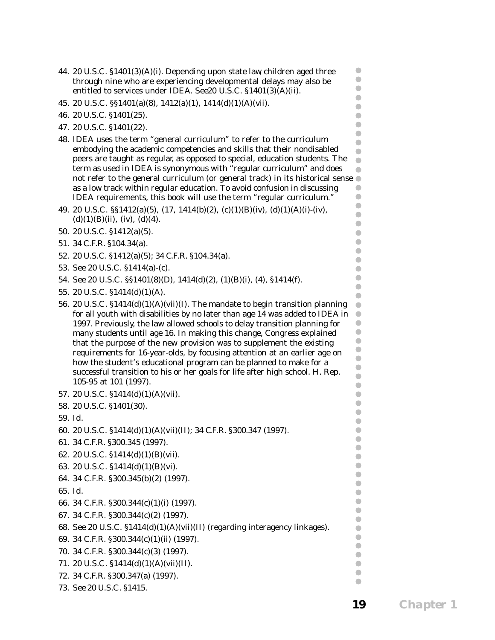| 44. 20 U.S.C. §1401(3)(A)(i). Depending upon state law children aged three<br>through nine who are experiencing developmental delays may also be<br>entitled to services under IDEA. See20 U.S.C. §1401(3)(A)(ii).                                                                                                                                                                                                                                                                                                                                                                                                                                         |                                                                                                                                |
|------------------------------------------------------------------------------------------------------------------------------------------------------------------------------------------------------------------------------------------------------------------------------------------------------------------------------------------------------------------------------------------------------------------------------------------------------------------------------------------------------------------------------------------------------------------------------------------------------------------------------------------------------------|--------------------------------------------------------------------------------------------------------------------------------|
| 45. 20 U.S.C. §§1401(a)(8), 1412(a)(1), 1414(d)(1)(A)(vii).                                                                                                                                                                                                                                                                                                                                                                                                                                                                                                                                                                                                |                                                                                                                                |
| 46. 20 U.S.C. §1401(25).                                                                                                                                                                                                                                                                                                                                                                                                                                                                                                                                                                                                                                   |                                                                                                                                |
| 47. 20 U.S.C. §1401(22).                                                                                                                                                                                                                                                                                                                                                                                                                                                                                                                                                                                                                                   |                                                                                                                                |
| 48. IDEA uses the term "general curriculum" to refer to the curriculum<br>embodying the academic competencies and skills that their nondisabled<br>peers are taught as regular, as opposed to special, education students. The<br>term as used in IDEA is synonymous with "regular curriculum" and does<br>not refer to the general curriculum (or general track) in its historical sense<br>as a low track within regular education. To avoid confusion in discussing<br>IDEA requirements, this book will use the term "regular curriculum."                                                                                                             | $\bullet$<br>$\bullet$<br>$\bullet$<br>$\bullet$<br>$\bullet$<br>$\bullet$                                                     |
| 49. 20 U.S.C. §§1412(a)(5), (17, 1414(b)(2), (c)(1)(B)(iv), (d)(1)(A)(i)-(iv),<br>$(d)(1)(B)(ii)$ , (iv), (d)(4).                                                                                                                                                                                                                                                                                                                                                                                                                                                                                                                                          | $\bullet$<br>$\bullet$                                                                                                         |
| 50. 20 U.S.C. §1412(a)(5).                                                                                                                                                                                                                                                                                                                                                                                                                                                                                                                                                                                                                                 | O                                                                                                                              |
| 51. 34 C.F.R. §104.34(a).                                                                                                                                                                                                                                                                                                                                                                                                                                                                                                                                                                                                                                  |                                                                                                                                |
| 52. 20 U.S.C. §1412(a)(5); 34 C.F.R. §104.34(a).                                                                                                                                                                                                                                                                                                                                                                                                                                                                                                                                                                                                           |                                                                                                                                |
| 53. See 20 U.S.C. §1414(a)-(c).                                                                                                                                                                                                                                                                                                                                                                                                                                                                                                                                                                                                                            |                                                                                                                                |
| 54. See 20 U.S.C. §§1401(8)(D), 1414(d)(2), (1)(B)(i), (4), §1414(f).                                                                                                                                                                                                                                                                                                                                                                                                                                                                                                                                                                                      |                                                                                                                                |
| 55. 20 U.S.C. §1414(d)(1)(A).                                                                                                                                                                                                                                                                                                                                                                                                                                                                                                                                                                                                                              | $\bullet$<br>$\bullet$                                                                                                         |
| 56. 20 U.S.C. §1414(d)(1)(A)(vii)(I). The mandate to begin transition planning<br>for all youth with disabilities by no later than age 14 was added to IDEA in<br>1997. Previously, the law allowed schools to delay transition planning for<br>many students until age 16. In making this change, Congress explained<br>that the purpose of the new provision was to supplement the existing<br>requirements for 16-year-olds, by focusing attention at an earlier age on<br>how the student's educational program can be planned to make for a<br>successful transition to his or her goals for life after high school. H. Rep.<br>105-95 at 101 (1997). | $\bullet$<br>$\bullet$<br>$\bullet$<br>$\bullet$<br>$\bullet$<br>$\bullet$<br>$\bullet$<br>$\bullet$<br>$\bullet$<br>$\bullet$ |
| 57. 20 U.S.C. §1414(d)(1)(A)(vii).                                                                                                                                                                                                                                                                                                                                                                                                                                                                                                                                                                                                                         |                                                                                                                                |
| 58. 20 U.S.C. §1401(30).                                                                                                                                                                                                                                                                                                                                                                                                                                                                                                                                                                                                                                   |                                                                                                                                |
| 59. Id.                                                                                                                                                                                                                                                                                                                                                                                                                                                                                                                                                                                                                                                    |                                                                                                                                |
| 60. 20 U.S.C. §1414(d)(1)(A)(vii)(II); 34 C.F.R. §300.347 (1997).                                                                                                                                                                                                                                                                                                                                                                                                                                                                                                                                                                                          |                                                                                                                                |
| 61. 34 C.F.R. §300.345 (1997).                                                                                                                                                                                                                                                                                                                                                                                                                                                                                                                                                                                                                             |                                                                                                                                |
| 62. 20 U.S.C. $$1414(d)(1)(B)(vii)$ .                                                                                                                                                                                                                                                                                                                                                                                                                                                                                                                                                                                                                      |                                                                                                                                |
| 63. 20 U.S.C. $$1414(d)(1)(B)(vi)$ .                                                                                                                                                                                                                                                                                                                                                                                                                                                                                                                                                                                                                       |                                                                                                                                |
| 64. 34 C.F.R. §300.345(b)(2) (1997).<br>65. Id.                                                                                                                                                                                                                                                                                                                                                                                                                                                                                                                                                                                                            |                                                                                                                                |
| 66. 34 C.F.R. §300.344(c)(1)(i) (1997).                                                                                                                                                                                                                                                                                                                                                                                                                                                                                                                                                                                                                    |                                                                                                                                |
| 67. 34 C.F.R. §300.344(c)(2) (1997).                                                                                                                                                                                                                                                                                                                                                                                                                                                                                                                                                                                                                       |                                                                                                                                |
| 68. See 20 U.S.C. §1414(d)(1)(A)(vii)(II) (regarding interagency linkages).                                                                                                                                                                                                                                                                                                                                                                                                                                                                                                                                                                                |                                                                                                                                |
| 69. 34 C.F.R. §300.344(c)(1)(ii) (1997).                                                                                                                                                                                                                                                                                                                                                                                                                                                                                                                                                                                                                   |                                                                                                                                |
| 70. 34 C.F.R. §300.344(c)(3) (1997).                                                                                                                                                                                                                                                                                                                                                                                                                                                                                                                                                                                                                       | o                                                                                                                              |
| 71. 20 U.S.C. $$1414(d)(1)(A)(vii)(II)$ .                                                                                                                                                                                                                                                                                                                                                                                                                                                                                                                                                                                                                  |                                                                                                                                |
| 72. 34 C.F.R. §300.347(a) (1997).                                                                                                                                                                                                                                                                                                                                                                                                                                                                                                                                                                                                                          |                                                                                                                                |
| 73. See 20 U.S.C. §1415.                                                                                                                                                                                                                                                                                                                                                                                                                                                                                                                                                                                                                                   |                                                                                                                                |
|                                                                                                                                                                                                                                                                                                                                                                                                                                                                                                                                                                                                                                                            |                                                                                                                                |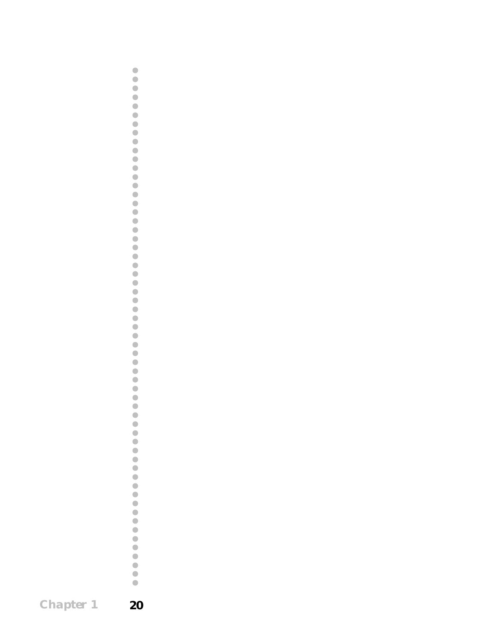aaaaaa  $\begin{array}{c} \bullet \\ \bullet \end{array}$  $\begin{array}{c} \bullet \\ \bullet \end{array}$  $\begin{array}{c} \bullet \\ \bullet \end{array}$  $\bullet$  $\begin{array}{c} \bullet \\ \bullet \end{array}$ aaaaaaaaaaaaaaaaaaaaaaaaaaaaaaaaaaaaaaaaaaaaaaaaaaaaa  $\begin{array}{c} \bullet \\ \bullet \end{array}$  $\begin{array}{ccc} \bullet & \bullet & \bullet \\ \bullet & \bullet & \bullet \end{array}$  $\begin{array}{c} \bullet \\ \bullet \end{array}$  $\begin{array}{c} \bullet \\ \bullet \end{array}$  $\bullet$  $\begin{array}{c} \bullet \\ \bullet \end{array}$  $\begin{array}{ccc} \bullet & \bullet & \bullet \\ \bullet & \bullet & \bullet \end{array}$  $\begin{array}{c} \bullet \\ \bullet \end{array}$  $\begin{array}{c} \bullet \\ \bullet \end{array}$  $\begin{array}{c} \bullet \\ \bullet \end{array}$  $\begin{array}{c} \bullet \\ \bullet \end{array}$  $\bullet$  $\bullet$  $\bullet$  $\bullet$  $\begin{array}{ccc} \bullet & \bullet & \bullet \\ \bullet & \bullet & \bullet \end{array}$  $\begin{array}{c} \bullet \\ \bullet \end{array}$  $\bullet$  $\begin{array}{c} \bullet \\ \bullet \end{array}$  $\bullet$  $\bullet$  $\bullet$  $\bullet$  $\begin{array}{ccc} \bullet & \bullet & \bullet \\ \bullet & \bullet & \bullet \end{array}$  $\bullet$  $\bullet$  $\bullet$  $\bullet$  $\bullet$  $\bullet$  $\begin{array}{c} \bullet \\ \bullet \end{array}$  $\bullet$  $\begin{array}{c} \bullet \\ \bullet \end{array}$  $\begin{array}{c} \bullet \\ \bullet \end{array}$  $\bullet$  $\begin{array}{c} \bullet \\ \bullet \end{array}$  $\bullet$  $\begin{array}{ccc} \bullet & \bullet & \bullet \\ \bullet & \bullet & \bullet \end{array}$  $\bullet$  $\begin{array}{c} \bullet \\ \bullet \end{array}$  $\bullet$  $\bullet$  $\bullet$  $\bullet$  $\begin{array}{c} \bullet \\ \bullet \end{array}$  $\bullet$  $\begin{array}{c} \bullet \\ \bullet \end{array}$  $\bullet$  $\ddot{\bullet}$  $\bullet$  $\begin{array}{ccc} \bullet & \bullet & \bullet \\ \bullet & \bullet & \bullet \end{array}$  $\bullet$ 

*Chapter 1* **20**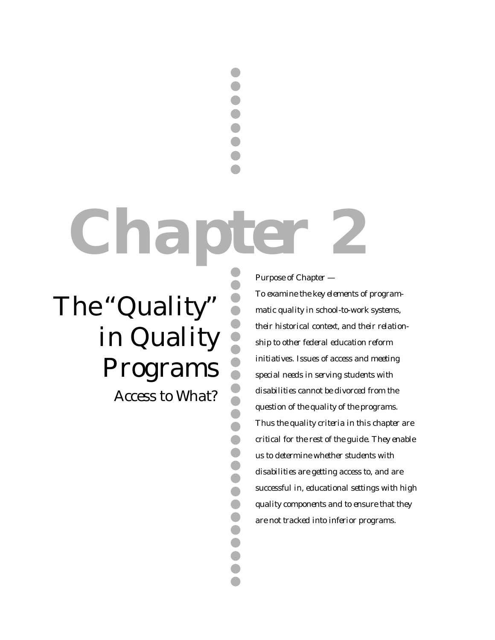# aaaaaaaaaaaaaaaaaaaaaaaaa aaaaaaaa *Chapter 2*

 $\blacksquare$ 

 $\blacksquare$ 

*The "Quality" in Quality Programs Access to What?*

*Purpose of Chapter — To examine the key elements of programmatic quality in school-to-work systems, their historical context, and their relationship to other federal education reform initiatives. Issues of access and meeting special needs in serving students with disabilities cannot be divorced from the question of the quality of the programs. Thus the quality criteria in this chapter are critical for the rest of the guide. They enable us to determine whether students with disabilities are getting access to, and are successful in, educational settings with high quality components and to ensure that they are not tracked into inferior programs.*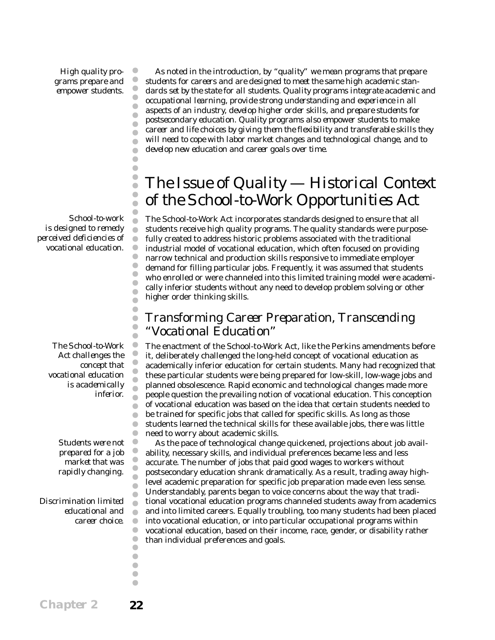*High quality programs prepare and empower students.*

> $\bullet$  $\bullet$  $\overline{\phantom{a}}$  $\bullet$  $\bullet$  $\bullet$  $\blacksquare$

> $\bullet$  $\bullet$  $\bullet$  $\bullet$

> $\bullet$  $\bullet$  $\bullet$  $\bullet$  $\blacksquare$  $\blacksquare$

 $\bullet$  $\bullet$  $\bullet$  $\bullet$  $\bullet$  $\bullet$  $\bullet$  $\bullet$  $\bullet$  $\blacksquare$  $\blacksquare$  $\bullet$  $\bullet$  $\blacksquare$  $\bullet$  $\bullet$  $\bullet$  $\bullet$  $\bullet$  $\bullet$ 

*School-to-work is designed to remedy perceived deficiencies of vocational education.*

> *The School-to-Work Act challenges the concept that vocational education is academically inferior.*

*Students were not prepared for a job market that was rapidly changing.*

*Discrimination limited educational and career choice.*

aaaaaa As noted in the introduction, *by "quality" we mean programs that prepare*  $\bullet$ *students for careers and are designed to meet the same high academic stan-* $\bullet$ *dards set by the state for all students. Quality programs integrate academic and*  $\bullet$ *occupational learning, provide strong understanding and experience in all*  $\bullet$ *aspects of an industry, develop higher order skills, and prepare students for*  $\bullet$ *postsecondary education. Quality programs also empower students to make*  $\begin{array}{c} \bullet \\ \bullet \end{array}$ aaaaaaaaaaaaaaaaaaaaaaaaaaaaaaaaaaaaaaaaaaaaaaaaaaaaa *career and life choices by giving them the flexibility and transferable skills they*  $\bullet$ *will need to cope with labor market changes and technological change, and to*  $\bullet$ *develop new education and career goals over time.*  $\blacksquare$ 

# *The Issue of Quality — Historical Context of the School-to-Work Opportunities Act*

The School-to-Work Act incorporates standards designed to ensure that all  $\mathbf{r}$ students receive high quality programs. The quality standards were purpose- $\bullet$  $\bullet$ fully created to address historic problems associated with the traditional  $\bullet$ industrial model of vocational education, which often focused on providing  $\bullet$ narrow technical and production skills responsive to immediate employer  $\blacksquare$ demand for filling particular jobs. Frequently, it was assumed that students  $\triangle$ who enrolled or were channeled into this limited training model were academi- $\blacksquare$ cally inferior students without any need to develop problem solving or other  $\overline{\phantom{a}}$ higher order thinking skills.  $\bullet$ 

# *Transforming Career Preparation, Transcending "Vocational Education"*

 $\bullet$ The enactment of the School-to-Work Act, like the Perkins amendments before it, deliberately challenged the long-held concept of vocational education as academically inferior education for certain students. Many had recognized that these particular students were being prepared for low-skill, low-wage jobs and planned obsolescence. Rapid economic and technological changes made more people question the prevailing notion of vocational education. This conception of vocational education was based on the idea that certain students needed to  $\begin{array}{c} \bullet \\ \bullet \end{array}$ be trained for specific jobs that called for specific skills. As long as those students learned the technical skills for these available jobs, there was little need to worry about academic skills.

As the pace of technological change quickened, projections about job availability, necessary skills, and individual preferences became less and less accurate. The number of jobs that paid good wages to workers without postsecondary education shrank dramatically. As a result, trading away highlevel academic preparation for specific job preparation made even less sense. Understandably, parents began to voice concerns about the way that traditional vocational education programs channeled students away from academics and into limited careers. Equally troubling, too many students had been placed into vocational education, or into particular occupational programs within vocational education, based on their income, race, gender, or disability rather than individual preferences and goals.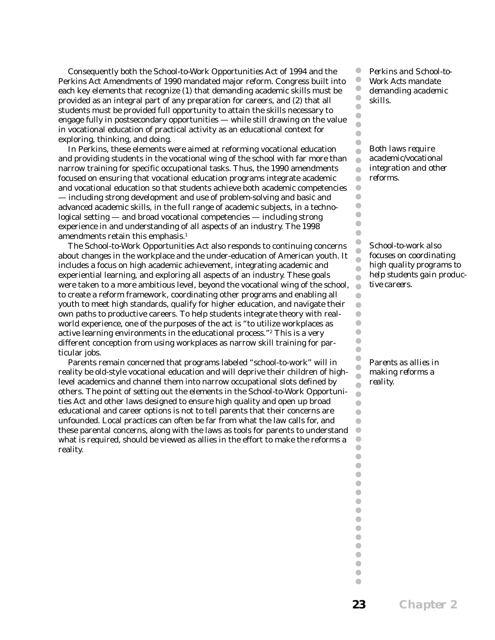Consequently both the School-to-Work Opportunities Act of 1994 and the Perkins Act Amendments of 1990 mandated major reform. Congress built into each key elements that recognize (1) that demanding academic skills must be provided as an integral part of any preparation for careers, and (2) that all students must be provided full opportunity to attain the skills necessary to engage fully in postsecondary opportunities — while still drawing on the value in vocational education of practical activity as an educational context for exploring, thinking, and doing.

In Perkins, these elements were aimed at reforming vocational education and providing students in the vocational wing of the school with far more than narrow training for specific occupational tasks. Thus, the 1990 amendments focused on ensuring that vocational education programs integrate academic and vocational education so that students achieve both academic competencies — including strong development and use of problem-solving and basic and advanced academic skills, in the full range of academic subjects, in a technological setting — and broad vocational competencies — including strong experience in and understanding of all aspects of an industry. The 1998 amendments retain this emphasis. 1

The School-to-Work Opportunities Act also responds to continuing concerns about changes in the workplace and the under-education of American youth. It includes a focus on high academic achievement, integrating academic and experiential learning, and exploring all aspects of an industry. These goals were taken to a more ambitious level, beyond the vocational wing of the school, to create a reform framework, coordinating other programs and enabling all youth to meet high standards, qualify for higher education, and navigate their own paths to productive careers. To help students integrate theory with realworld experience, one of the purposes of the act is "to utilize workplaces as active learning environments in the educational process." 2 This is a very different conception from using workplaces as narrow skill training for particular jobs.

Parents remain concerned that programs labeled "school-to-work" will in reality be old-style vocational education and will deprive their children of highlevel academics and channel them into narrow occupational slots defined by others. The point of setting out the elements in the School-to-Work Opportunities Act and other laws designed to ensure high quality and open up broad educational and career options is not to tell parents that their concerns are unfounded. Local practices can often be far from what the law calls for, and these parental concerns, along with the laws as tools for parents to understand what is required, should be viewed as allies in the effort to make the reforms a reality.

*Perkins and School-to-Work Acts mandate demanding academic skills.*

*Both laws require academic/vocational integration and other reforms.*

aaaaaaaaaaaaaaaaaaaaaaaaaaa

 $\bullet$  $\bullet$  $\bullet$  $\blacksquare$  $\bullet$  $\bullet$  $\bullet$  $\bullet$  $\bullet$  $\bullet$ ă  $\bullet$  $\bullet$  $\bullet$  $\bullet$  $\bullet$  $\bullet$  $\bullet$  $\blacksquare$  $\overline{\phantom{a}}$  $\overline{\phantom{0}}$  $\mathbf{C}$  $\bullet$  $\overline{\phantom{a}}$  $\bullet$  $\bullet$  $\bullet$  $\bullet$  $\blacksquare$  $\overline{\phantom{a}}$  $\bullet$  $\bullet$  $\bullet$  $\bullet$  $\bullet$  $\bullet$  $\overline{\phantom{a}}$  $\overline{\phantom{a}}$  $\bullet$  $\mathbf{C}$  $\bullet$  $\blacksquare$  $\bullet$  $\overline{\phantom{a}}$  $\bullet$  $\bullet$  $\blacksquare$  $\overline{\phantom{a}}$  $\blacksquare$ ă  $\overline{\phantom{a}}$  $\overline{\phantom{a}}$  $\overline{\phantom{a}}$  $\bullet$  $\overline{\phantom{a}}$  $\bullet$  $\bullet$  $\bullet$ 

*School-to-work also focuses on coordinating high quality programs to help students gain productive careers.*

*Parents as allies in making reforms a reality.*

aaaaaaaaaaaaaaaaaaaaaaaaaaaaaaa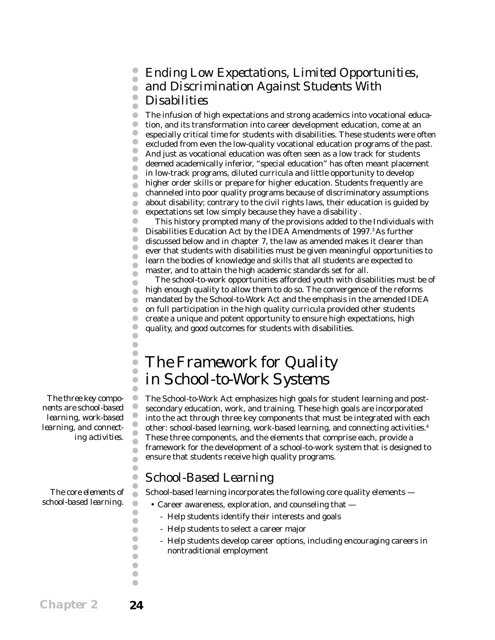#### aaaaaa *Ending Low Expectations, Limited Opportunities,*  $\bullet$ *and Discrimination Against Students With*  $\bullet$  $\bullet$ *Disabilities*  $\blacksquare$

 $\bullet$ The infusion of high expectations and strong academics into vocational educa- $\bullet$ aaaaaaaaaaaaaaaaaaaaaaaaaaaaaaaaaaaaaaaaaaaaaaaaaaaaa tion, and its transformation into career development education, come at an  $\bullet$ especially critical time for students with disabilities. These students were often  $\blacksquare$ excluded from even the low-quality vocational education programs of the past.  $\bullet$ And just as vocational education was often seen as a low track for students  $\overline{\phantom{0}}$ deemed academically inferior, "special education" has often meant placement  $\blacksquare$ in low-track programs, diluted curricula and little opportunity to develop  $\bullet$ higher order skills or prepare for higher education. Students frequently are  $\blacksquare$ channeled into poor quality programs because of discriminatory assumptions  $\bullet$ about disability; contrary to the civil rights laws, their education is guided by  $\bullet$ expectations set low simply because they have a disability .  $\bullet$  $\bullet$ This history prompted many of the provisions added to the Individuals with  $\bullet$ Disabilities Education Act by the IDEA Amendments of 1997.<sup>3</sup> As further  $\blacksquare$ discussed below and in chapter 7, the law as amended makes it clearer than  $\bullet$ ever that students with disabilities must be given meaningful opportunities to  $\blacksquare$ learn the bodies of knowledge and skills that all students are expected to  $\blacksquare$ 

master, and to attain the high academic standards set for all.

 $\triangle$ The school-to-work opportunities afforded youth with disabilities must be of  $\blacksquare$ high enough quality to allow them to do so. The convergence of the reforms  $\bullet$ mandated by the School-to-Work Act and the emphasis in the amended IDEA  $\bullet$ on full participation in the high quality curricula provided other students  $\bullet$  $\bullet$ create a unique and potent opportunity to ensure high expectations, high  $\bullet$ quality, and good outcomes for students with disabilities.

# *The Framework for Quality in School-to-Work Systems*

The School-to-Work Act emphasizes high goals for student learning and postsecondary education, work, and training. These high goals are incorporated into the act through three key components that must be integrated with each other: school-based learning, work-based learning, and connecting activities.4 These three components, and the elements that comprise each, provide a framework for the development of a school-to-work system that is designed to ensure that students receive high quality programs.

# *School-Based Learning*

School-based learning incorporates the following core quality elements —

- Career awareness, exploration, and counseling that
	- Help students identify their interests and goals
- Help students to select a career major
- Help students develop career options, including encouraging careers in nontraditional employment

*The three key components are school-based learning, work-based learning, and connecting activities.*

 $\bullet$  $\bullet$ 

 $\bullet$  $\bullet$  $\bullet$  $\bullet$  $\bullet$  $\bullet$  $\bullet$  $\bullet$  $\bullet$  $\bullet$  $\bullet$  $\bullet$  $\bullet$  $\bullet$  $\bigcirc$  $\bullet$  $\bullet$  $\bullet$  $\bullet$  $\bullet$  $\bullet$  $\bullet$  $\bullet$  $\bullet$ 

*The core elements of school-based learning.*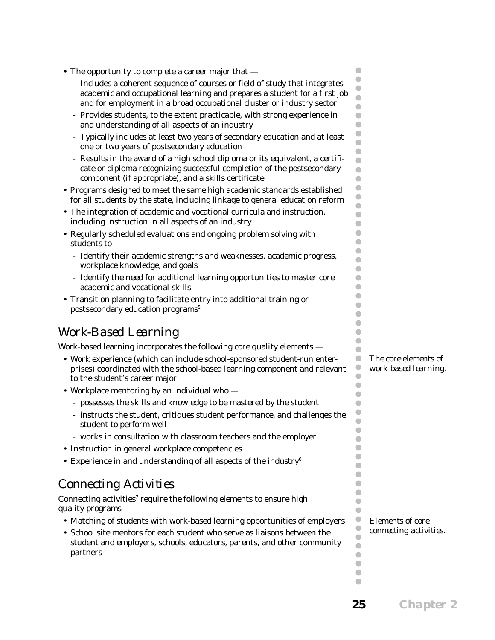| • The opportunity to complete a career major that -                                                                                                                         |                                              |
|-----------------------------------------------------------------------------------------------------------------------------------------------------------------------------|----------------------------------------------|
| - Includes a coherent sequence of courses or field of study that integrates                                                                                                 |                                              |
| academic and occupational learning and prepares a student for a first job                                                                                                   |                                              |
| and for employment in a broad occupational cluster or industry sector                                                                                                       |                                              |
| - Provides students, to the extent practicable, with strong experience in<br>and understanding of all aspects of an industry                                                |                                              |
| Typically includes at least two years of secondary education and at least<br>one or two years of postsecondary education                                                    |                                              |
| - Results in the award of a high school diploma or its equivalent, a certifi-                                                                                               |                                              |
| cate or diploma recognizing successful completion of the postsecondary<br>component (if appropriate), and a skills certificate                                              |                                              |
| • Programs designed to meet the same high academic standards established<br>for all students by the state, including linkage to general education reform                    |                                              |
| • The integration of academic and vocational curricula and instruction,<br>including instruction in all aspects of an industry                                              |                                              |
| • Regularly scheduled evaluations and ongoing problem solving with<br>students to $-$                                                                                       |                                              |
| - Identify their academic strengths and weaknesses, academic progress,<br>workplace knowledge, and goals                                                                    |                                              |
| - Identify the need for additional learning opportunities to master core<br>academic and vocational skills                                                                  |                                              |
| • Transition planning to facilitate entry into additional training or<br>postsecondary education programs <sup>5</sup>                                                      |                                              |
|                                                                                                                                                                             |                                              |
|                                                                                                                                                                             |                                              |
| <i>Work-Based Learning</i>                                                                                                                                                  |                                              |
| Work-based learning incorporates the following core quality elements —                                                                                                      |                                              |
| • Work experience (which can include school-sponsored student-run enter-<br>prises) coordinated with the school-based learning component and relevant                       | The core elements of<br>work-based learning. |
| to the student's career major                                                                                                                                               |                                              |
| • Workplace mentoring by an individual who -                                                                                                                                |                                              |
| - possesses the skills and knowledge to be mastered by the student<br>- instructs the student, critiques student performance, and challenges the<br>student to perform well |                                              |
|                                                                                                                                                                             |                                              |
| - works in consultation with classroom teachers and the employer                                                                                                            |                                              |
| • Instruction in general workplace competencies<br>• Experience in and understanding of all aspects of the industry <sup>6</sup>                                            |                                              |
|                                                                                                                                                                             |                                              |
| <b>Connecting Activities</b>                                                                                                                                                |                                              |
| Connecting activities <sup>7</sup> require the following elements to ensure high<br>quality programs -                                                                      |                                              |
| • Matching of students with work-based learning opportunities of employers                                                                                                  | Elements of core                             |
| • School site mentors for each student who serve as liaisons between the<br>student and employers, schools, educators, parents, and other community<br>partners             | connecting activities.                       |
|                                                                                                                                                                             |                                              |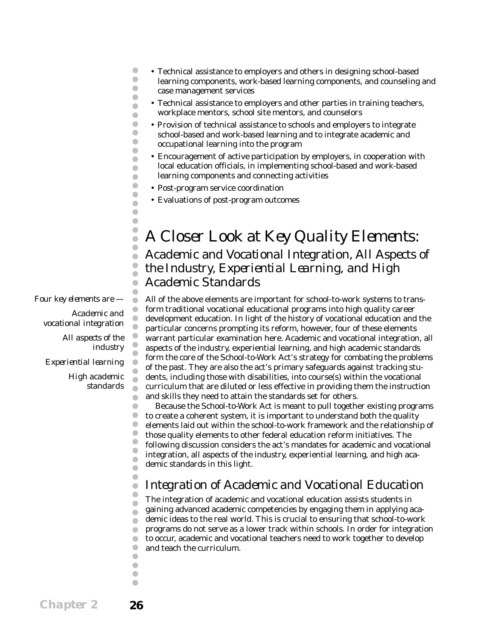- $\bullet$ aaaaaa • Technical assistance to employers and others in designing school-based  $\bullet$ learning components, work-based learning components, and counseling and  $\qquad \qquad \bullet$ case management services  $\bullet$ 
	- Technical assistance to employers and other parties in training teachers, workplace mentors, school site mentors, and counselors
	- Provision of technical assistance to schools and employers to integrate school-based and work-based learning and to integrate academic and occupational learning into the program
	- Encouragement of active participation by employers, in cooperation with local education officials, in implementing school-based and work-based learning components and connecting activities
	- Post-program service coordination
	- Evaluations of post-program outcomes

 $\overline{\phantom{a}}$ *A Closer Look at Key Quality Elements: Academic and Vocational Integration, All Aspects of*  $\bullet$  $\overline{\phantom{a}}$ *the Industry, Experiential Learning, and High*  $\triangle$ *Academic Standards*  $\bullet$  $\overline{\phantom{a}}$ 

*Four key elements are —*

*Academic and vocational integration*

*All aspects of the industry*

*Experiential learning*

*High academic standards*  $\bullet$  $\bullet$  $\bullet$  $\bullet$  $\qquad \qquad \bullet$  $\bullet$  $\bullet$  $\bullet$  $\bullet$  $\bullet$  $\bullet$  $\bullet$  $\bullet$  $\bullet$ 

 $\bullet$  $\bullet$  $\bullet$  $\bullet$  $\bullet$  $\bullet$  $\blacksquare$  $\bullet$ 

 $\qquad \qquad \blacksquare$  $\bullet$ 

 $\bullet$  $\blacksquare$  $\overline{\phantom{0}}$  $\triangle$  All of the above elements are important for school-to-work systems to transform traditional vocational educational programs into high quality career development education. In light of the history of vocational education and the particular concerns prompting its reform, however, four of these elements warrant particular examination here. Academic and vocational integration, all aspects of the industry, experiential learning, and high academic standards form the core of the School-to-Work Act's strategy for combating the problems of the past. They are also the act's primary safeguards against tracking students, including those with disabilities, into course(s) within the vocational curriculum that are diluted or less effective in providing them the instruction and skills they need to attain the standards set for others.

 $\blacksquare$ Because the School-to-Work Act is meant to pull together existing programs to create a coherent system, it is important to understand both the quality  $\bullet$ elements laid out within the school-to-work framework and the relationship of those quality elements to other federal education reform initiatives. The following discussion considers the act's mandates for academic and vocational integration, all aspects of the industry, experiential learning, and high academic standards in this light.

#### $\blacksquare$ *Integration of Academic and Vocational Education*  $\bullet$

aaaaaaaaaaaaaaaaaaaaaaaaaaaaaaaaaaaaaaaaaaaaaaaaaaaaa The integration of academic and vocational education assists students in  $\bullet$ gaining advanced academic competencies by engaging them in applying aca- $\bullet$ demic ideas to the real world. This is crucial to ensuring that school-to-work  $\bullet$ programs do not serve as a lower track within schools. In order for integration  $\blacksquare$  $\blacksquare$ to occur, academic and vocational teachers need to work together to develop  $\bullet$ and teach the curriculum.  $\bullet$ 

 $\bullet$  $\bullet$  $\bullet$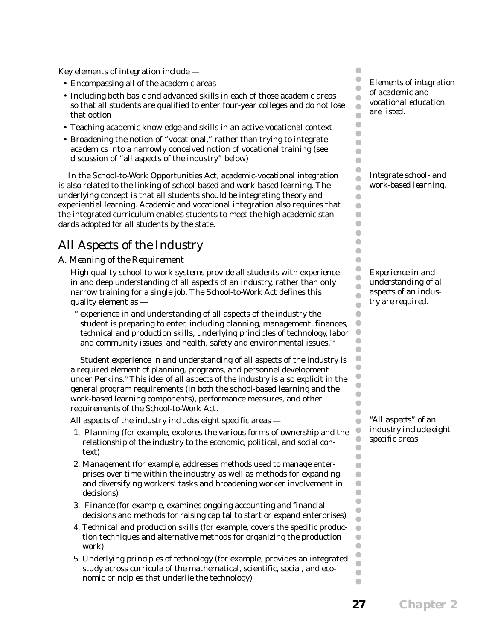Key elements of integration include —

- Encompassing all of the academic areas
- Including both basic and advanced skills in each of those academic areas so that all students are qualified to enter four-year colleges and do not lose that option
- Teaching academic knowledge and skills in an active vocational context
- Broadening the notion of "vocational," rather than trying to integrate academics into a narrowly conceived notion of vocational training (see discussion of "all aspects of the industry" below)

In the School-to-Work Opportunities Act, academic-vocational integration is also related to the linking of school-based and work-based learning. The underlying concept is that all students should be integrating theory and experiential learning. Academic and vocational integration also requires that the integrated curriculum enables students to meet the high academic standards adopted for all students by the state.

# *All Aspects of the Industry*

# *A. Meaning of the Requirement*

High quality school-to-work systems provide all students with experience in and deep understanding of all aspects of an industry, rather than only narrow training for a single job. The School-to-Work Act defines this quality element as —

" experience in and understanding of all aspects of the industry the student is preparing to enter, including planning, management, finances, technical and production skills, underlying principles of technology, labor and community issues, and health, safety and environmental issues."8

Student experience in and understanding of all aspects of the industry is a required element of planning, programs, and personnel development under Perkins. 9 This idea of all aspects of the industry is also explicit in the general program requirements (in *both* the school-based learning and the work-based learning components), performance measures, and other requirements of the School-to-Work Act.

All aspects of the industry includes eight specific areas —

- 1. *Planning* (for example, explores the various forms of ownership and the relationship of the industry to the economic, political, and social context)
- 2. *Management* (for example, addresses methods used to manage enterprises over time within the industry, as well as methods for expanding and diversifying workers' tasks and broadening worker involvement in decisions)
- 3. *Finance* (for example, examines ongoing accounting and financial decisions and methods for raising capital to start or expand enterprises)
- 4. *Technical and production skills* (for example, covers the specific production techniques and alternative methods for organizing the production work)
- 5. *Underlying principles of technology* (for example, provides an integrated study across curricula of the mathematical, scientific, social, and economic principles that underlie the technology)

aaaaaaaaaaaaaaaaaaaaaaaaaaa  $\bullet$ *Elements of integration* ă *of academic and*  $\bullet$ *vocational education*  $\bullet$ *are listed.*  $\mathbf{C}$  $\bullet$  $\bullet$  $\bullet$  $\bullet$  $\bullet$  $\overline{\phantom{0}}$ *Integrate school- and*  $\bullet$ *work-based learning.*  $\bullet$  $\bullet$  $\blacksquare$  $\bullet$  $\bullet$  $\blacksquare$  $\bullet$  $\bullet$  $\bullet$  $\bullet$ *Experience in and*  $\bullet$ *understanding of all*  $\bullet$ *aspects of an indus-* $\bullet$ *try are required.*  $\bullet$  $\bullet$ aaaaaaaaaaaaaaaaaaaaaaaaaaaaaaa  $\bullet$  $\bullet$  $\bullet$  $\bullet$  $\overline{\phantom{a}}$  $\overline{\phantom{a}}$  $\blacksquare$  $\mathbf{r}$  $\bullet$  $\bullet$  $\bullet$ *"All aspects" of an*  $\bullet$ *industry include eight*  $\bullet$  $\blacksquare$ *specific areas.* $\bullet$  $\bullet$  $\bullet$  $\blacksquare$  $\bullet$  $\bullet$  $\blacksquare$  $\overline{\phantom{0}}$ 

 $\overline{\phantom{a}}$ 

 $\overline{\phantom{a}}$  $\bullet$  $\bullet$  $\bullet$  $\overline{\phantom{a}}$ ó  $\bullet$  $\bullet$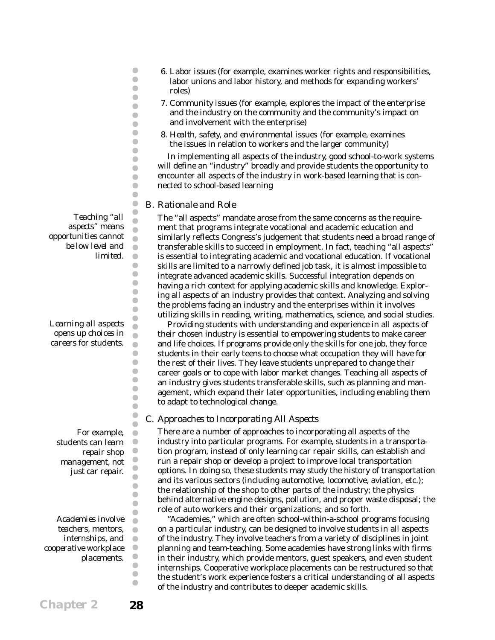*Teaching "all aspects" means opportunities cannot be low level and limited.*

*Learning all aspects opens up choices in careers for students.*

aaaaaaaaaaaaaaaaaaaaaaaaaaaaaaaaaaaaaaaaaaaaaaaaaaaaa

*For example, students can learn repair shop management, not just car repair.*

*Academies involve teachers, mentors, internships, and cooperative workplace placements.*

- 6. *Labor issues* (for example, examines worker rights and responsibilities, labor unions and labor history, and methods for expanding workers' roles)
	- 7. *Community issues* (for example, explores the impact of the enterprise and the industry on the community and the community's impact on and involvement with the enterprise)
	- 8. *Health, safety, and environmental issues* (for example, examines the issues in relation to workers and the larger community)

In implementing all aspects of the industry, good school-to-work systems will define an "industry" broadly and provide students the opportunity to encounter all aspects of the industry in work-based learning that is connected to school-based learning

#### *B. Rationale and Role*

aaaaaa

 $\bullet$  $\bullet$  $\qquad \qquad \bullet$  $\qquad \qquad \bullet$  $\begin{array}{c} \begin{array}{c} \begin{array}{c} \begin{array}{c} \end{array} \end{array} \end{array} \end{array} \end{array}$  $\bullet$  $\bullet$  $\bullet$  $\qquad \qquad \bullet$  $\bullet$  $\bullet$  $\bullet$  $\bullet$  $\blacksquare$  $\bullet$  $\blacksquare$  $\bullet$  $\bullet$  $\triangle$  $\begin{array}{c} \begin{array}{c} \begin{array}{c} \begin{array}{c} \end{array} \end{array} \end{array} \end{array} \end{array}$  $\bullet$  $\bullet$  $\bullet$  $\blacksquare$  $\bullet$  $\bullet$  $\bullet$  $\bullet$  $\bullet$  $\bullet$  $\begin{array}{c} \hline \end{array}$  $\bullet$  $\qquad \qquad \bullet$  $\bullet$  $\bullet$  $\bullet$  $\bullet$  $\bullet$  $\begin{array}{c} \bullet \\ \bullet \end{array}$  $\bullet$  $\bullet$  $\bullet$  $\bullet$  $\bullet$  $\bullet$  $\bullet$  $\bullet$  $\bullet$  $\bullet$  $\bullet$  $\bullet$  $\bullet$  $\bullet$  $\bullet$  $\bullet$  $\bullet$  $\bullet$  $\bullet$  $\bullet$ 

The "all aspects" mandate arose from the same concerns as the requirement that programs integrate vocational and academic education and similarly reflects Congress's judgement that students need a broad range of transferable skills to succeed in employment. In fact, teaching "all aspects" is essential to integrating academic and vocational education. If vocational skills are limited to a narrowly defined job task, it is almost impossible to integrate advanced academic skills. Successful integration depends on having a rich context for applying academic skills and knowledge. Exploring all aspects of an industry provides that context. Analyzing and solving the problems facing an industry and the enterprises within it involves utilizing skills in reading, writing, mathematics, science, and social studies.

Providing students with understanding and experience in all aspects of their chosen industry is essential to empowering students to make career and life choices. If programs provide only the skills for one job, they force students in their early teens to choose what occupation they will have for the rest of their lives. They leave students unprepared to change their career goals or to cope with labor market changes. Teaching all aspects of an industry gives students transferable skills, such as planning and management, which expand their later opportunities, including enabling them to adapt to technological change.

#### *C. Approaches to Incorporating All Aspects*

There are a number of approaches to incorporating all aspects of the industry into particular programs. For example, students in a transportation program, instead of only learning car repair skills, can establish and run a repair shop or develop a project to improve local transportation options. In doing so, these students may study the history of transportation and its various sectors (including automotive, locomotive, aviation, etc.); the relationship of the shop to other parts of the industry; the physics behind alternative engine designs, pollution, and proper waste disposal; the role of auto workers and their organizations; and so forth.

"Academies," which are often school-within-a-school programs focusing on a particular industry, can be designed to involve students in all aspects of the industry. They involve teachers from a variety of disciplines in joint planning and team-teaching. Some academies have strong links with firms in their industry, which provide mentors, guest speakers, and even student internships. Cooperative workplace placements can be restructured so that the student's work experience fosters a critical understanding of all aspects of the industry and contributes to deeper academic skills.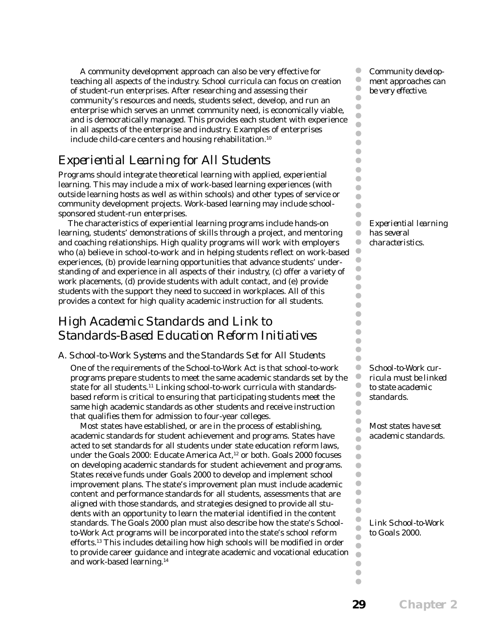A community development approach can also be very effective for teaching all aspects of the industry. School curricula can focus on creation of student-run enterprises. After researching and assessing their community's resources and needs, students select, develop, and run an enterprise which serves an unmet community need, is economically viable, and is democratically managed. This provides each student with experience in all aspects of the enterprise and industry. Examples of enterprises include child-care centers and housing rehabilitation.<sup>10</sup>

# *Experiential Learning for All Students*

Programs should integrate theoretical learning with applied, experiential learning. This may include a mix of work-based learning experiences (with outside learning hosts as well as within schools) and other types of service or community development projects. Work-based learning may include schoolsponsored student-run enterprises.

The characteristics of experiential learning programs include hands-on learning, students' demonstrations of skills through a project, and mentoring and coaching relationships. High quality programs will work with employers who (a) believe in school-to-work and in helping students reflect on work-based experiences, (b) provide learning opportunities that advance students' understanding of and experience in all aspects of their industry, (c) offer a variety of work placements, (d) provide students with adult contact, and (e) provide students with the support they need to succeed in workplaces. All of this provides a context for high quality academic instruction for all students.

# *High Academic Standards and Link to Standards-Based Education Reform Initiatives*

#### *A. School-to-Work Systems and the Standards Set for All Students*

One of the requirements of the School-to-Work Act is that school-to-work programs prepare students to meet the same academic standards set by the state for all students.11 Linking school-to-work curricula with standardsbased reform is critical to ensuring that participating students meet the same high academic standards as other students and receive instruction that qualifies them for admission to four-year colleges.

Most states have established, or are in the process of establishing, academic standards for student achievement and programs. States have acted to set standards for all students under state education reform laws, under the Goals 2000: Educate America Act,<sup>12</sup> or both. Goals 2000 focuses on developing academic standards for student achievement and programs. States receive funds under Goals 2000 to develop and implement school improvement plans. The state's improvement plan must include academic content and performance standards for all students, assessments that are aligned with those standards, and strategies designed to provide all students with an opportunity to learn the material identified in the content standards. The Goals 2000 plan must also describe how the state's Schoolto-Work Act programs will be incorporated into the state's school reform efforts.13 This includes detailing how high schools will be modified in order to provide career guidance and integrate academic and vocational education and work-based learning.14

*Community development approaches can be very effective.*

 $\bullet$  $\blacksquare$  $\overline{\phantom{a}}$  $\bullet$  $\bullet$  $\bullet$  $\overline{\phantom{a}}$  $\overline{\phantom{a}}$  $\bullet$  $\blacksquare$  $\bullet$  $\overline{\phantom{0}}$  $\overline{\phantom{0}}$  $\bullet$  $\bullet$  $\bullet$ 

aaaaaaaaaaaaaaaaaaaaaaaaaaa  $\bullet$ *Experiential learning*  $\bullet$  $\bullet$ *has several*  $\overline{\phantom{a}}$ *characteristics.*  $\bullet$  $\bullet$  $\bullet$  $\bullet$  $\overline{\phantom{a}}$  $\blacksquare$  $\bullet$  $\triangle$ aaaaaaaaaaaaaaaaaaaaaaaaaaaaaaa  $\blacksquare$  $\overline{\phantom{a}}$  $\bullet$  $\bullet$  $\bullet$  $\bullet$ *School-to-Work cur-* $\bullet$ *ricula must be linked*  $\bullet$ *to state academic*  $\bullet$ *standards.*  $\bullet$  $\bullet$  $\mathbf{C}$ *Most states have set*  $\blacksquare$ *academic standards.*  $\bullet$  $\bullet$  $\bullet$  $\bullet$  $\blacksquare$  $\bullet$  $\bullet$  $\bullet$  $\bullet$  $\overline{\phantom{a}}$ *Link School-to-Work* ò *to Goals 2000.* $\bullet$  $\bullet$  $\bullet$  $\bullet$ 

 $\bullet$  $\bullet$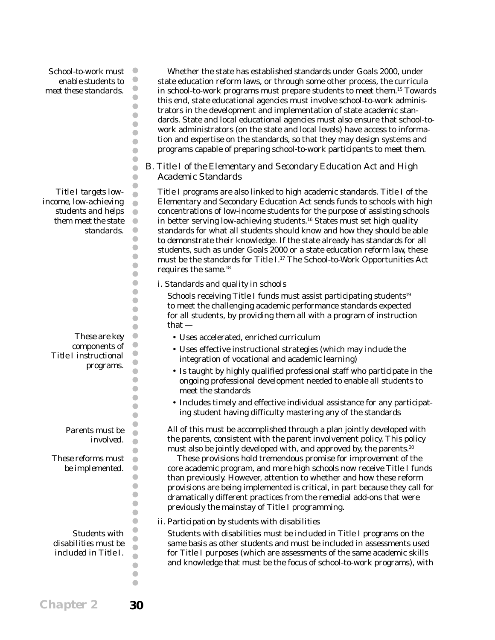$\bullet$ *School-to-work must* aaaaaa  $\bullet$ *enable students to*  $\bullet$ *meet these standards.*  $\begin{array}{c} \bullet \\ \bullet \end{array}$ 

*Title I targets lowincome, low-achieving students and helps them meet the state*

*standards.*

Whether the state has established standards under Goals 2000, under state education reform laws, or through some other process, the curricula in school-to-work programs must prepare students to meet them.15 Towards this end, state educational agencies must involve school-to-work administrators in the development and implementation of state academic standards. State and local educational agencies must also ensure that school-towork administrators (on the state and local levels) have access to information and expertise on the standards, so that they may design systems and programs capable of preparing school-to-work participants to meet them.

### *B. Title I of the Elementary and Secondary Education Act and High Academic Standards*

Title I programs are also linked to high academic standards. Title I of the Elementary and Secondary Education Act sends funds to schools with high concentrations of low-income students for the purpose of assisting schools in better serving low-achieving students.<sup>16</sup> States must set high quality standards for what all students should know and how they should be able to demonstrate their knowledge. If the state already has standards for all students, such as under Goals 2000 or a state education reform law, these must be the standards for Title I.17 The School-to-Work Opportunities Act requires the same.<sup>18</sup>

*i. Standards and quality in schools*

Schools receiving Title I funds must assist participating students<sup>19</sup> to meet the challenging academic performance standards expected for all students, by providing them all with a program of instruction that —

- Uses accelerated, enriched curriculum
- Uses effective instructional strategies (which may include the integration of vocational and academic learning)
- Is taught by highly qualified professional staff who participate in the ongoing professional development needed to enable all students to meet the standards
- Includes timely and effective individual assistance for any participating student having difficulty mastering any of the standards

All of this must be accomplished through a plan jointly developed with the parents, consistent with the parent involvement policy. This policy must also be jointly developed with, and approved by, the parents.<sup>20</sup>

These provisions hold tremendous promise for improvement of the core academic program, and more high schools now receive Title I funds than previously. However, attention to whether and how these reform provisions are being implemented is critical, in part because they call for dramatically different practices from the remedial add-ons that were previously the mainstay of Title I programming.

*ii. Participation by students with disabilities*

Students with disabilities must be included in Title I programs on the same basis as other students and must be included in assessments used for Title I purposes (which are assessments of the same academic skills and knowledge that must be the focus of school-to-work programs), with

*These are key components of Title I instructional programs.*

aaaaaaaaaaaaaaaaaaaaaaaaaaaaaaaaaaaaaaaaaaaaaaaaaaaaa

 $\bullet$  $\bullet$  $\bullet$  $\bullet$  $\qquad \qquad \bullet$  $\bullet$  $\bullet$  $\bullet$  $\bullet$  $\bullet$  $\bullet$  $\bullet$  $\bullet$  $\bullet$  $\bullet$  $\bullet$  $\blacksquare$  $\bullet$  $\bullet$  $\begin{array}{c} \hline \end{array}$  $\qquad \qquad \bullet$  $\bullet$  $\bullet$  $\bullet$  $\bullet$  $\bullet$  $\bullet$  $\bullet$  $\bullet$  $\bullet$  $\bullet$  $\bullet$  $\bullet$  $\bullet$  $\blacksquare$  $\bullet$  $\bullet$  $\bullet$  $\bullet$  $\bullet$  $\bullet$  $\bullet$  $\bullet$  $\bullet$  $\bullet$  $\bullet$  $\bullet$  $\bullet$  $\bullet$  $\bullet$  $\bullet$  $\bullet$  $\bullet$  $\bullet$  $\bullet$ 

*These reforms must be implemented.*

*Parents must be involved.*



*disabilities must be included in Title I.*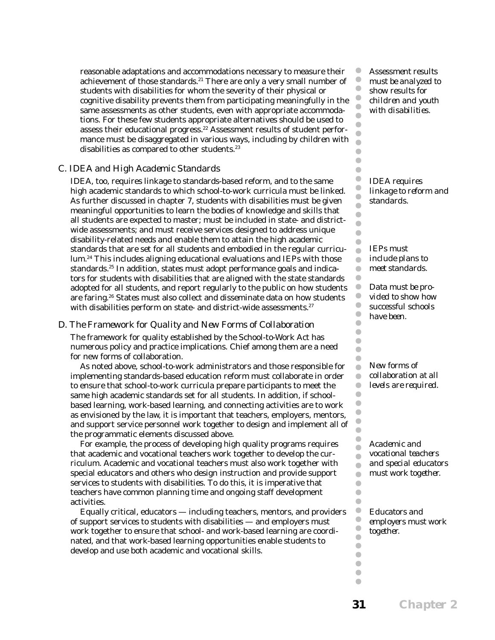reasonable adaptations and accommodations necessary to measure their achievement of those standards.<sup>21</sup> There are only a very small number of students with disabilities for whom the severity of their physical or cognitive disability prevents them from participating meaningfully in the same assessments as other students, even with appropriate accommodations. For these few students appropriate alternatives should be used to assess their educational progress.<sup>22</sup> Assessment results of student performance must be disaggregated in various ways, including by children with disabilities as compared to other students.<sup>23</sup>

## *C. IDEA and High Academic Standards*

IDEA, too, requires linkage to standards-based reform, and to the same high academic standards to which school-to-work curricula must be linked. As further discussed in chapter 7, students with disabilities must be given meaningful opportunities to learn the bodies of knowledge and skills that all students are expected to master; must be included in state- and districtwide assessments; and must receive services designed to address unique disability-related needs *and* enable them to attain the high academic standards that are set for all students and embodied in the regular curriculum.24 This includes aligning educational evaluations and IEPs with those standards.<sup>25</sup> In addition, states must adopt performance goals and indicators for students with disabilities that are aligned with the state standards adopted for all students, and report regularly to the public on how students are faring.26 States must also collect and disseminate data on how students with disabilities perform on state- and district-wide assessments.<sup>27</sup>

#### *D. The Framework for Quality and New Forms of Collaboration*

The framework for quality established by the School-to-Work Act has numerous policy and practice implications. Chief among them are a need for new forms of collaboration.

As noted above, school-to-work administrators and those responsible for implementing standards-based education reform must collaborate in order to ensure that school-to-work curricula prepare participants to meet the same high academic standards set for all students. In addition, if schoolbased learning, work-based learning, and connecting activities are to work as envisioned by the law, it is important that teachers, employers, mentors, and support service personnel work together to design and implement all of the programmatic elements discussed above.

For example, the process of developing high quality programs requires that academic and vocational teachers work together to develop the curriculum. Academic and vocational teachers must also work together with special educators and others who design instruction and provide support services to students with disabilities. To do this, it is imperative that teachers have common planning time and ongoing staff development activities.

Equally critical, educators — including teachers, mentors, and providers of support services to students with disabilities — and employers must work together to ensure that school- and work-based learning are coordinated, and that work-based learning opportunities enable students to develop and use both academic and vocational skills.

aaaaaaaaaaaaaaaaaaaaaaaaaaa  $\blacksquare$ *must be analyzed to*  $\bullet$ *show results for*  $\bullet$ *children and youth*  $\bullet$ *with disabilities.*  $\bullet$  $\bullet$  $\bullet$  $\bullet$  $\bullet$  $\bullet$  $\bullet$  $\bullet$ *IDEA requires*  $\bullet$ *linkage to reform and*  $\overline{\phantom{a}}$ *standards.*  $\bullet$  $\bullet$  $\bullet$  $\bullet$  $\bullet$ *IEPs must*  $\bullet$ *include plans to*  $\bullet$ *meet standards.*  $\bullet$  $\bullet$  $\bullet$ *Data must be pro-* $\blacksquare$ *vided to show how*  $\bullet$ *successful schools*  $\bullet$ aaaaaaaaaaaaaaaaaaaaaaaaaaaaaaa *have been.*  $\bullet$  $\bullet$  $\bullet$  $\bullet$  $\overline{\phantom{a}}$ *New forms of*  $\bullet$  $\bullet$ *collaboration at all*  $\bullet$ *levels are required.*  $\bullet$  $\bullet$  $\bullet$  $\bullet$  $\bullet$  $\bullet$ *Academic and*  $\bullet$ *vocational teachers*  $\bullet$ *and special educators*  $\bullet$ *must work together.*  $\bullet$  $\bullet$  $\bullet$  $\bullet$  $\bullet$ *Educators and*  $\bullet$ *employers must work*  $\bullet$ *together.* $\bullet$  $\bullet$  $\overline{\phantom{a}}$  $\bullet$ 

*Assessment results*

O

 $\bullet$  $\bullet$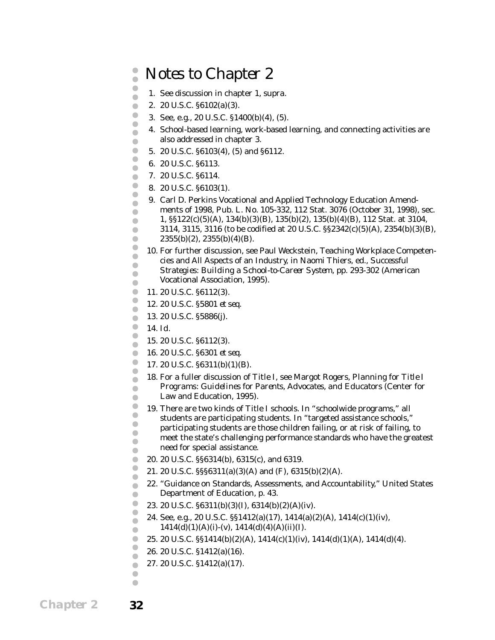# aaaaaa *Notes to Chapter 2*  $\bullet$

- $\bullet$ 1. See discussion in chapter 1, *supra*.  $\bullet$
- 2. 20 U.S.C. §6102(a)(3).  $\bullet$
- $\bullet$ 3. See, e.g., 20 U.S.C. §1400(b)(4), (5).  $\bullet$
- 4. School-based learning, work-based learning, and connecting activities are  $\bullet$ also addressed in chapter 3.  $\begin{array}{c} \bullet \\ \bullet \end{array}$
- $\qquad \qquad \bullet$ 5. 20 U.S.C. §6103(4), (5) and §6112.
- $\bullet$ 6. 20 U.S.C. §6113.  $\bullet$
- 7. 20 U.S.C. §6114.  $\bullet$
- $\bullet$ 8. 20 U.S.C. §6103(1).  $\qquad \qquad \blacksquare$
- aaaaaaaaaaaaaaaaaaaaaaaaaaaaaaaaaaaaaaaaaaaaaaaaaaaaa 9. Carl D. Perkins Vocational and Applied Technology Education Amend- $\qquad \qquad \bullet$ ments of 1998, Pub. L. No. 105-332, 112 Stat. 3076 (October 31, 1998), sec.  $\bullet$ 1, §§122(c)(5)(A), 134(b)(3)(B), 135(b)(2), 135(b)(4)(B), 112 Stat. at 3104,  $\bullet$ 3114, 3115, 3116 (to be codified at 20 U.S.C. §§2342(c)(5)(A), 2354(b)(3)(B),  $\bullet$  $\bullet$ 2355(b)(2), 2355(b)(4)(B).
- $\blacksquare$ 10. For further discussion, see Paul Weckstein, Teaching Workplace Competen- $\bullet$ cies and All Aspects of an Industry, in Naomi Thiers, ed., *Successful*  $\qquad \qquad \bullet$ *Strategies: Building a School-to-Career System*, pp. 293-302 (American  $\blacksquare$
- Vocational Association, 1995).  $\qquad \qquad \bullet$
- $\bullet$ 11. 20 U.S.C. §6112(3).
- $\bullet$ 12. 20 U.S.C. §5801 *et seq.*  $\bullet$
- 13. 20 U.S.C. §5886(j).  $\bullet$
- $\bullet$ 14. *Id.*  $\qquad \qquad \blacksquare$
- 15. 20 U.S.C. §6112(3).  $\bullet$
- 16. 20 U.S.C. §6301 *et seq.*  $\bullet$
- $\bullet$ 17. 20 U.S.C. §6311(b)(1)(B).  $\bullet$
- 18. For a fuller discussion of Title I, see Margot Rogers, *Planning for Title I*  $\bullet$ *Programs: Guidelines for Parents, Advocates, and Educators* (Center for  $\bullet$ Law and Education, 1995).  $\bullet$
- $\qquad \qquad \bullet$ 19. There are two kinds of Title I schools. In "schoolwide programs," all  $\bullet$ students are participating students. In "targeted assistance schools,"  $\bullet$ participating students are those children failing, or at risk of failing, to  $\bullet$ meet the state's challenging performance standards who have the greatest  $\bullet$ need for special assistance.  $\qquad \qquad \blacksquare$
- 20. 20 U.S.C. §§6314(b), 6315(c), and 6319.  $\qquad \qquad \blacksquare$ 
	- 21. 20 U.S.C. §§§6311(a)(3)(A) and (F), 6315(b)(2)(A).
- 22. "Guidance on Standards, Assessments, and Accountability," United States  $\bullet$ Department of Education, p. 43.  $\bullet$
- $\bullet$ 23. 20 U.S.C. §6311(b)(3)(I), 6314(b)(2)(A)(iv).  $\bullet$
- 24. See, e.g., 20 U.S.C. §§1412(a)(17), 1414(a)(2)(A), 1414(c)(1)(iv),  $\bullet$  $1414(d)(1)(A)(i)-(v), 1414(d)(4)(A)(ii)(I).$  $\qquad \qquad \blacksquare$
- $\bullet$ 25. 20 U.S.C. §§1414(b)(2)(A), 1414(c)(1)(iv), 1414(d)(1)(A), 1414(d)(4).
- $\bullet$ 26. 20 U.S.C. §1412(a)(16).  $\begin{array}{c} \hline \end{array}$
- 27. 20 U.S.C. §1412(a)(17). $\begin{array}{c} \bullet \\ \bullet \end{array}$
- 

 $\bullet$  $\bullet$ 

 $\bullet$  $\bullet$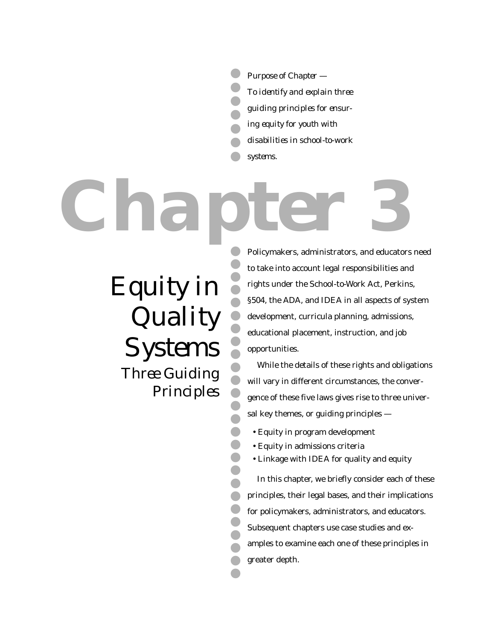aaaaaaaaaaaaaaaaaaaaaaaaaa aaaaaaa *Purpose of Chapter — To identify and explain three guiding principles for ensuring equity for youth with disabilities in school-to-work systems.*

# *Chapter 3*

 $\overline{\phantom{a}}$ 

 $\sqrt{2}$  $\blacksquare$ 

 $\overline{a}$ 

# *Equity in Quality Systems Three Guiding Principles*

Policymakers, administrators, and educators need to take into account legal responsibilities and rights under the School-to-Work Act, Perkins, §504, the ADA, and IDEA in all aspects of system development, curricula planning, admissions, educational placement, instruction, and job opportunities.

While the details of these rights and obligations will vary in different circumstances, the convergence of these five laws gives rise to three universal key themes, or guiding principles —

- •Equity in program development
- •Equity in admissions criteria
- •Linkage with IDEA for quality and equity

In this chapter, we briefly consider each of these principles, their legal bases, and their implications for policymakers, administrators, and educators. Subsequent chapters use case studies and examples to examine each one of these principles in greater depth.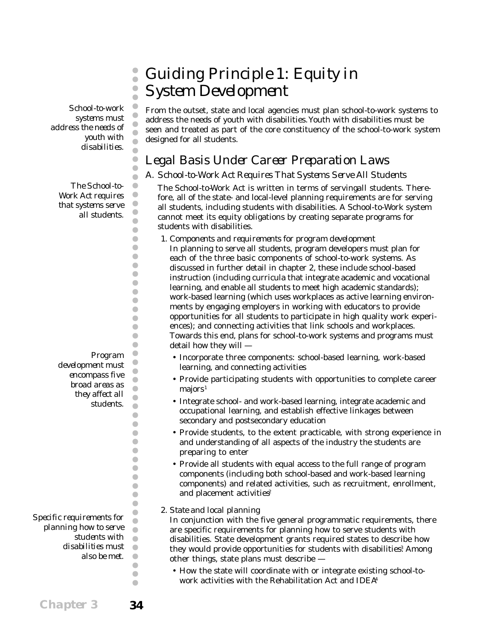# aaaaaa *Guiding Principle 1: Equity in System Development*  $\bullet$

From the outset, state and local agencies must plan school-to-work systems to address the needs of youth with disabilities. Youth with disabilities must be seen and treated as part of the core constituency of the school-to-work system designed for all students.

# *Legal Basis Under Career Preparation Laws*

# *A. School-to-Work Act Requires That Systems Serve All Students*

The School-to-Work Act is written in terms of servingall students. Therefore, all of the state- and local-level planning requirements are for serving all students, including students with disabilities. A School-to-Work system cannot meet its equity obligations by creating separate programs for students with disabilities.

1. *Components and requirements for program development*

In planning to serve all students, program developers must plan for each of the three basic components of school-to-work systems. As discussed in further detail in chapter 2, these include school-based instruction (including curricula that integrate academic and vocational learning, and enable all students to meet high academic standards); work-based learning (which uses workplaces as active learning environments by engaging employers in working with educators to provide opportunities for all students to participate in high quality work experiences); and connecting activities that link schools and workplaces. Towards this end, plans for school-to-work systems and programs must detail how they will —

- Incorporate three components: school-based learning, work-based learning, and connecting activities
- Provide participating students with opportunities to complete career majors<sup>1</sup>
- Integrate school- and work-based learning, integrate academic and occupational learning, and establish effective linkages between secondary and postsecondary education
- Provide students, to the extent practicable, with strong experience in and understanding of all aspects of the industry the students are preparing to enter
- Provide all students with equal access to the full range of program components (including both school-based and work-based learning components) and related activities, such as recruitment, enrollment, and placement activities<sup>2</sup>

2. *State and local planning*

In conjunction with the five general programmatic requirements, there are specific requirements for planning how to serve students with disabilities. State development grants required states to describe how they would provide opportunities for students with disabilities<sup>3</sup>. Among other things, state plans must describe —

• How the state will coordinate with or integrate existing school-towork activities with the Rehabilitation Act and IDEA4

*School-to-work systems must address the needs of youth with disabilities.*

*The School-to-Work Act requires that systems serve all students.*

*Program development must encompass five broad areas as they affect all students.*

aaaaaaaaaaaaaaaaaaaaaaaaaaaaaaaaaaaaaaaaaaaaaaaaaaaaa

 $\bullet$  $\bullet$  $\bullet$  $\qquad \qquad \bullet$  $\bullet$  $\bullet$  $\bullet$  $\bullet$  $\bullet$  $\bullet$  $\bullet$  $\bullet$  $\blacksquare$  $\bullet$  $\bullet$  $\bullet$  $\triangle$  $\bullet$  $\blacksquare$  $\blacksquare$  $\bullet$  $\bullet$  $\bullet$  $\bullet$  $\bullet$  $\bullet$  $\bullet$  $\bullet$  $\bullet$  $\bullet$  $\bullet$  $\bullet$  $\bullet$  $\blacksquare$  $\bullet$  $\bullet$  $\bullet$  $\bullet$  $\bullet$  $\bullet$  $\bigcirc$  $\bullet$  $\bullet$  $\bullet$  $\bullet$  $\bullet$  $\bullet$  $\bullet$  $\bullet$  $\bullet$  $\bullet$  $\bullet$  $\bullet$  $\bullet$ 

*Specific requirements for planning how to serve students with disabilities must also be met.*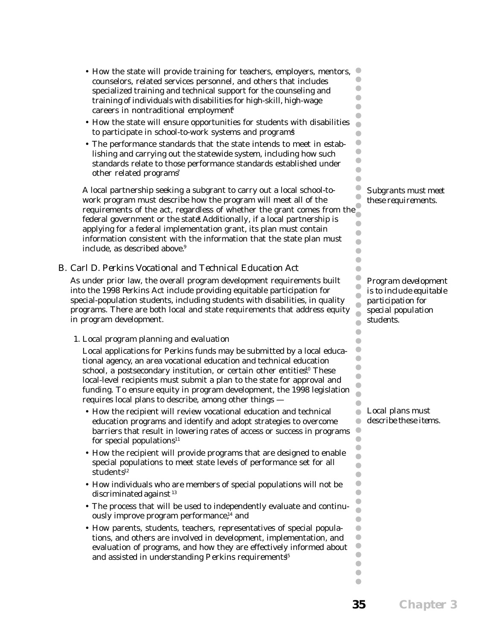| • How the state will provide training for teachers, employers, mentors,<br>counselors, related services personnel, and others that includes<br>specialized training and technical support for the counseling and<br>training of individuals with disabilities for high-skill, high-wage<br>careers in nontraditional employment <sup>®</sup>                                                                                                                                                |                                                                                                        |
|---------------------------------------------------------------------------------------------------------------------------------------------------------------------------------------------------------------------------------------------------------------------------------------------------------------------------------------------------------------------------------------------------------------------------------------------------------------------------------------------|--------------------------------------------------------------------------------------------------------|
| • How the state will ensure opportunities for students with disabilities<br>to participate in school-to-work systems and programs                                                                                                                                                                                                                                                                                                                                                           |                                                                                                        |
| • The performance standards that the state intends to meet in estab-<br>lishing and carrying out the statewide system, including how such<br>standards relate to those performance standards established under<br>other related programs                                                                                                                                                                                                                                                    |                                                                                                        |
| A local partnership seeking a subgrant to carry out a local school-to-<br>work program must describe how the program will meet all of the<br>requirements of the act, regardless of whether the grant comes from the<br>federal government or the state. Additionally, if a local partnership is<br>applying for a federal implementation grant, its plan must contain<br>information consistent with the information that the state plan must<br>include, as described above. <sup>9</sup> | Subgrants must meet<br>these requirements.                                                             |
| B. Carl D. Perkins Vocational and Technical Education Act                                                                                                                                                                                                                                                                                                                                                                                                                                   |                                                                                                        |
| As under prior law, the overall program development requirements built<br>into the 1998 Perkins Act include providing equitable participation for<br>special-population students, including students with disabilities, in quality<br>programs. There are both local and state requirements that address equity<br>in program development.                                                                                                                                                  | Program development<br>is to include equitable<br>participation for<br>special population<br>students. |
| 1. Local program planning and evaluation                                                                                                                                                                                                                                                                                                                                                                                                                                                    |                                                                                                        |
| Local applications for Perkins funds may be submitted by a local educa-<br>tional agency, an area vocational education and technical education<br>school, a postsecondary institution, or certain other entities. <sup>0</sup> These<br>local-level recipients must submit a plan to the state for approval and<br>funding. To ensure equity in program development, the 1998 legislation<br>requires local plans to describe, among other things -                                         |                                                                                                        |
| • How the recipient will review vocational education and technical<br>education programs and identify and adopt strategies to overcome<br>barriers that result in lowering rates of access or success in programs<br>for special populations <sup>11</sup>                                                                                                                                                                                                                                  | Local plans must<br>describe these items.                                                              |
| • How the recipient will provide programs that are designed to enable<br>special populations to meet state levels of performance set for all<br>students <sup>12</sup>                                                                                                                                                                                                                                                                                                                      |                                                                                                        |
| • How individuals who are members of special populations will not be<br>discriminated against <sup>13</sup>                                                                                                                                                                                                                                                                                                                                                                                 |                                                                                                        |
| • The process that will be used to independently evaluate and continu-<br>ously improve program performance, <sup>14</sup> and                                                                                                                                                                                                                                                                                                                                                              |                                                                                                        |
| • How parents, students, teachers, representatives of special popula-<br>tions, and others are involved in development, implementation, and<br>evaluation of programs, and how they are effectively informed about<br>and assisted in understanding Perkins requirements <sup>5</sup>                                                                                                                                                                                                       |                                                                                                        |
|                                                                                                                                                                                                                                                                                                                                                                                                                                                                                             |                                                                                                        |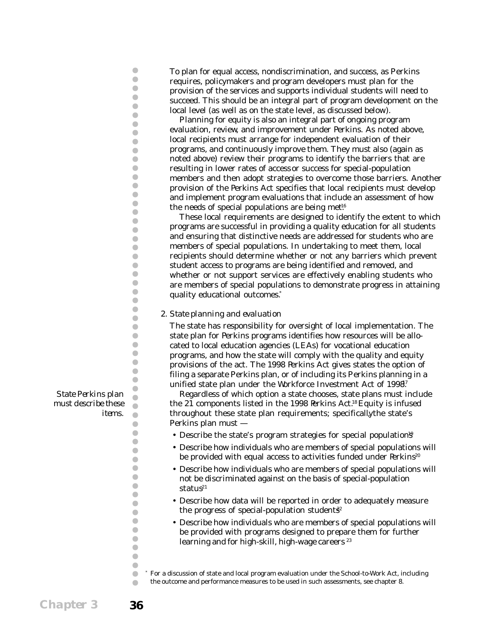To plan for equal access, nondiscrimination, and success, as Perkins requires, policymakers and program developers must plan for the provision of the services and supports individual students will need to succeed. This should be an integral part of program development on the local level (as well as on the state level, as discussed below).

Planning for equity is also an integral part of ongoing program evaluation, review, and improvement under Perkins. As noted above, local recipients must arrange for independent evaluation of their programs, and continuously improve them. They must also (again as noted above) review their programs to identify the barriers that are resulting in lower rates of access *or* success for special-population members and then adopt strategies to overcome those barriers. Another provision of the Perkins Act specifies that local recipients must develop and implement program evaluations that include an assessment of how the needs of special populations are being met<sup>16</sup>

These local requirements are designed to identify the extent to which programs are successful in providing a quality education for all students and ensuring that distinctive needs are addressed for students who are members of special populations. In undertaking to meet them, local recipients should determine whether or not any barriers which prevent student access to programs are being identified and removed, and whether or not support services are effectively enabling students who are members of special populations to demonstrate progress in attaining quality educational outcomes.\*

#### *2. State planning and evaluation*

The state has responsibility for oversight of local implementation. The state plan for Perkins programs identifies how resources will be allocated to local education agencies (LEAs) for vocational education programs, and how the state will comply with the quality and equity provisions of the act. The 1998 Perkins Act gives states the option of filing a separate Perkins plan, or of including its Perkins planning in a unified state plan under the Workforce Investment Act of 1998.<sup>7</sup>

Regardless of which option a state chooses, state plans must include the 21 components listed in the 1998 Perkins Act.<sup>18</sup> Equity is infused throughout these state plan requirements; specifically the state's Perkins plan must —

- Describe the state's program strategies for special populations<sup>9</sup>
- Describe how individuals who are members of special populations will be provided with equal access to activities funded under Perkins<sup>20</sup>
- Describe how individuals who are members of special populations will not be discriminated against on the basis of special-population status $21$
- Describe how data will be reported in order to adequately measure the progress of special-population student $\hat{s}^2$
- Describe how individuals who are members of special populations will be provided with programs designed to prepare them for further learning and for high-skill, high-wage careers<sup>23</sup>

aaaaaaaaaaaaaaaaaaaaaaaaaaaaaaaaaaaaaaaaaaaaaaaaaaaaa For a discussion of state and local program evaluation under the School-to-Work Act, including  $\bullet$ 

the outcome and performance measures to be used in such assessments, see chapter 8.

*State Perkins plan must describe these items.*

aaaaaa

 $\bullet$  $\bullet$  $\qquad \qquad \blacksquare$  $\blacksquare$  $\bullet$  $\bullet$  $\bullet$  $\bullet$  $\qquad \qquad \bullet$  $\blacksquare$  $\blacksquare$  $\bullet$  $\bullet$  $\blacksquare$  $\bullet$  $\blacksquare$  $\blacksquare$  $\bullet$  $\bullet$  $\bullet$  $\blacksquare$  $\triangle$  $\bullet$  $\blacksquare$  $\blacksquare$  $\bullet$  $\bullet$  $\bullet$  $\bullet$  $\bullet$  $\bullet$  $\bullet$  $\bullet$  $\bullet$  $\bullet$  $\bullet$  $\bullet$  $\bullet$  $\begin{array}{c} \bullet \\ \bullet \end{array}$  $\bullet$  $\bullet$  $\bullet$  $\bullet$  $\bullet$  $\bullet$  $\blacksquare$  $\bullet$  $\bullet$  $\bullet$  $\bullet$  $\bullet$  $\bullet$  $\blacksquare$  $\blacksquare$  $\bullet$  $\bullet$  $\bullet$ 

 $\bullet$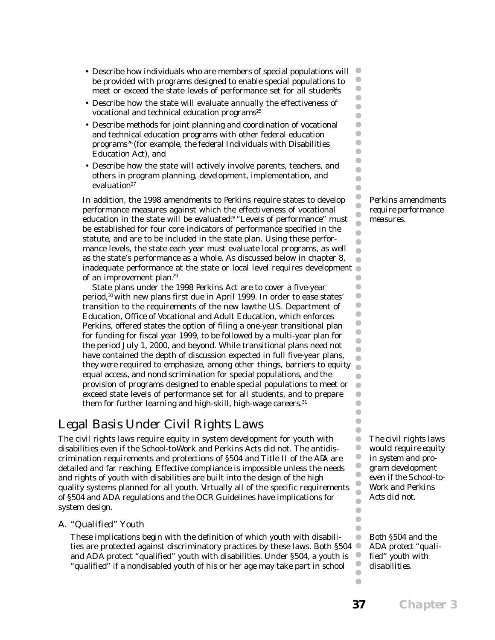- Describe how individuals who are members of special populations will  $\blacksquare$ aaaaaaaaaaaaaaaaaaaaaaaaaaa be provided with programs designed to enable special populations to  $\mathbf \Omega$  $\overline{\phantom{a}}$ meet or exceed the state levels of performance set for all students  $\overline{\phantom{0}}$
- Describe how the state will evaluate annually the effectiveness of vocational and technical education programs<sup>25</sup>
- Describe methods for joint planning and coordination of vocational and technical education programs with other federal education programs<sup>26</sup> (for example, the federal Individuals with Disabilities Education Act), and
- Describe how the state will actively involve parents, teachers, and others in program planning, development, implementation, and evaluation<sup>27</sup>

In addition, the 1998 amendments to Perkins require states to develop performance measures against which the effectiveness of vocational education in the state will be evaluated<sup>28</sup> "Levels of performance" must be established for four core indicators of performance specified in the statute, and are to be included in the state plan. Using these performance levels, the state each year must evaluate local programs, as well as the state's performance as a whole. As discussed below in chapter 8, inadequate performance at the state or local level requires development of an improvement plan.<sup>29</sup>

State plans under the 1998 Perkins Act are to cover a five-year period,<sup>30</sup> with new plans first due in April 1999. In order to ease states' transition to the requirements of the new lawthe U.S. Department of Education, Office of Vocational and Adult Education, which enforces Perkins, offered states the option of filing a one-year transitional plan for funding for fiscal year 1999, to be followed by a multi-year plan for the period July 1, 2000, and beyond. While transitional plans need not have contained the depth of discussion expected in full five-year plans, they *were* required to emphasize, among other things, barriers to equity, equal access, and nondiscrimination for special populations, and the provision of programs designed to enable special populations to meet or exceed state levels of performance set for all students, and to prepare them for further learning and high-skill, high-wage careers.<sup>31</sup>

# *Legal Basis Under Civil Rights Laws*

The civil rights laws require equity in system development for youth with disabilities even if the School-to-Work and Perkins Acts did not. The antidiscrimination requirements and protections of §504 and Title II of the ADA are detailed and far reaching. Effective compliance is impossible unless the needs and rights of youth with disabilities are built into the design of the high quality systems planned for all youth. Virtually all of the specific requirements of §504 and ADA regulations and the OCR Guidelines have implications for system design.

# *A. "Qualified" Youth*

aaaaaaaaaaaaaaaaaaaaaaaaaaaaaaa These implications begin with the definition of which youth with disabili- $\bullet$ ties are protected against discriminatory practices by these laws. Both §504  $\bullet$  $\bullet$ and ADA protect "qualified" youth with disabilities. Under §504, a youth is ó "qualified" if a nondisabled youth of his or her age may take part in school ă

*Perkins amendments require performance measures.*

 $\bullet$  $\mathbf{C}$  $\overline{\phantom{a}}$  $\overline{\phantom{a}}$  $\bullet$  $\blacksquare$  $\overline{\phantom{a}}$  $\overline{\phantom{a}}$  $\bullet$  $\bullet$  $\bullet$  $\overline{\phantom{a}}$  $\bullet$  $\blacksquare$  $\blacksquare$  $\overline{\phantom{0}}$  $\bullet$  $\bullet$  $\bullet$  $\bullet$  $\bullet$  $\blacksquare$  $\bullet$  $\bullet$  $\blacksquare$  $\bullet$  $\bullet$  $\bullet$  $\overline{\phantom{a}}$  $\triangle$  $\triangle$  $\bullet$  $\bullet$  $\overline{\phantom{a}}$  $\bullet$  $\bullet$  $\bullet$  $\bullet$  $\bullet$  $\bullet$  $\overline{\phantom{0}}$  $\bullet$  $\bullet$ ò  $\bullet$  $\bullet$  $\bullet$  $\bullet$ 

*The civil rights laws would require equity in system and program development even if the School-to-Work and Perkins Acts did not.*

*Both §504 and the ADA protect "qualified" youth with disabilities.*

 $\bullet$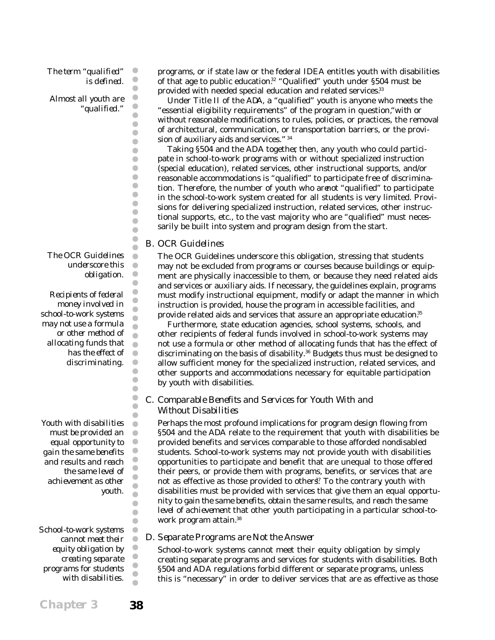$\bullet$ *The term "qualified"* aaaaaa  $\bullet$ *is defined.*  $\blacksquare$ 

*Almost all youth are "qualified."*

 $\bullet$  $\bullet$  $\bullet$  $\bullet$  $\bullet$  $\qquad \qquad \bullet$  $\blacksquare$  $\bullet$  $\bullet$  $\bullet$  $\blacksquare$  $\bullet$  $\blacksquare$  $\blacksquare$  $\blacksquare$  $\bullet$ 

*The OCR Guidelines underscore this obligation.*

*Recipients of federal money involved in school-to-work systems may not use a formula or other method of allocating funds that has the effect of discriminating.*

*Youth with disabilities must be provided an equal opportunity to gain the same benefits and results and reach the same level of achievement as other youth.*

*School-to-work systems cannot meet their equity obligation by creating separate programs for students with disabilities.*

programs, or if state law or the federal IDEA entitles youth with disabilities of that age to public education.<sup>32</sup> "Qualified" youth under §504 must be provided with needed special education and related services.<sup>33</sup>

Under Title II of the ADA, a "qualified" youth is anyone who meets the "essential eligibility requirements" of the program in question, *"with or without* reasonable modifications to rules, policies, or practices, the removal of architectural, communication, or transportation barriers, or the provision of auxiliary aids and services." <sup>34</sup>

Taking §504 and the ADA together then, any youth who could participate in school-to-work programs with or without specialized instruction (special education), related services, other instructional supports, and/or reasonable accommodations is "qualified" to participate free of discrimination. Therefore, the number of youth who arenot "qualified" to participate in the school-to-work system created for all students is very limited. Provisions for delivering specialized instruction, related services, other instructional supports, etc., to the vast majority who are "qualified" must necessarily be built into system and program design from the start.

#### $\bullet$ *B. OCR Guidelines*  $\bullet$

The OCR Guidelines underscore this obligation, stressing that students may not be excluded from programs or courses because buildings or equipment are physically inaccessible to them, or because they need related aids and services or auxiliary aids. If necessary, the guidelines explain, programs must modify instructional equipment, modify or adapt the manner in which instruction is provided, house the program in accessible facilities, and provide related aids and services that assure an appropriate education.<sup>35</sup>

Furthermore, state education agencies, school systems, schools, and other recipients of federal funds involved in school-to-work systems may not use a formula or other method of allocating funds that has the effect of discriminating on the basis of disability.36 Budgets thus must be designed to allow sufficient money for the specialized instruction, related services, and other supports and accommodations necessary for equitable participation by youth with disabilities.

#### *C. Comparable Benefits and Services for Youth With and Without Disabilities*

Perhaps the most profound implications for program design flowing from §504 and the ADA relate to the requirement that youth with disabilities be provided benefits and services comparable to those afforded nondisabled students. School-to-work systems may not provide youth with disabilities opportunities to participate and benefit that are unequal to those offered their peers, or provide them with programs, benefits, or services that are not as effective as those provided to others? To the contrary youth with disabilities must be provided with services that give them an equal opportunity to gain *the same benefits, obtain the same results, and reach the same level of achievement* that other youth participating in a particular school-towork program attain.38

#### *D. Separate Programs are Not the Answer*

School-to-work systems cannot meet their equity obligation by simply creating separate programs and services for students with disabilities. Both §504 and ADA regulations forbid different or separate programs, unless this is "necessary" in order to deliver services that are as effective as those

aaaaaaaaaaaaaaaaaaaaaaaaaaaaaaaaaaaaaaaaaaaaaaaaaaaaa

 $\blacksquare$  $\bullet$  $\bullet$  $\bullet$  $\bullet$  $\bullet$  $\bullet$  $\bullet$  $\blacksquare$  $\qquad \qquad \bullet$  $\begin{array}{c} \bullet \\ \bullet \end{array}$  $\bullet$  $\bullet$  $\bullet$  $\bullet$  $\bullet$  $\bullet$  $\bullet$  $\bullet$  $\bullet$  $\bullet$  $\bullet$  $\bullet$  $\bullet$  $\bullet$  $\triangle$  $\bullet$  $\bullet$  $\bullet$  $\bullet$  $\bullet$  $\bullet$  $\bullet$  $\bullet$  $\bullet$  $\bullet$  $\bullet$  $\blacksquare$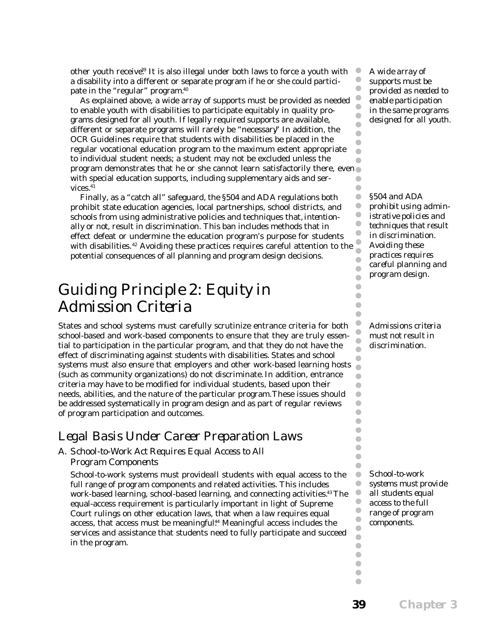other youth receive.<sup>39</sup> It is also illegal under both laws to force a youth with a disability into a different or separate program if he or she could participate in the "regular" program.40

As explained above, a wide array of supports must be provided as needed to enable youth with disabilities to participate equitably in quality pro- $\mathbf{C}$ grams designed for all youth. If legally required supports are available,  $\bullet$ different or separate programs will rarely be "necessary" In addition, the  $\bullet$ OCR Guidelines require that students with disabilities be placed in the  $\bullet$ regular vocational education program to the maximum extent appropriate  $\blacksquare$ to individual student needs; a student may not be excluded unless the  $\overline{\phantom{a}}$ program demonstrates that he or she cannot learn satisfactorily there, even with special education supports, including supplementary aids and ser- $\overline{\phantom{0}}$ vices.<sup>41</sup>  $\bullet$  $\bullet$ 

Finally, as a "catch all" safeguard, the §504 and ADA regulations both prohibit state education agencies, local partnerships, school districts, and schools from using administrative policies and techniques that, *intentionally or not*, result in discrimination. This ban includes methods that in effect defeat or undermine the education program's purpose for students with disabilities.<sup>42</sup> Avoiding these practices requires careful attention to the potential consequences of all planning and program design decisions.

# *Guiding Principle 2: Equity in Admission Criteria*

States and school systems must carefully scrutinize entrance criteria for both school-based and work-based components to ensure that they are truly essential to participation in the particular program, and that they do not have the effect of discriminating against students with disabilities. States and school systems must also ensure that employers and other work-based learning hosts (such as community organizations) do not discriminate. In addition, entrance criteria may have to be modified for individual students, based upon their needs, abilities, and the nature of the particular program. These issues should be addressed systematically in program design and as part of regular reviews of program participation and outcomes.

# *Legal Basis Under Career Preparation Laws*

*A. School-to-Work Act Requires Equal Access to All Program Components*

School-to-work systems must provide *all* students with equal access to the full range of program components and related activities. This includes work-based learning, school-based learning, and connecting activities.43 The equal-access requirement is particularly important in light of Supreme Court rulings on other education laws, that when a law requires equal access, that access must be meaningful.<sup>44</sup> Meaningful access includes the services and assistance that students need to fully participate and succeed in the program.

*A wide array of supports must be provided as needed to enable participation in the same programs designed for all youth.*

*§504 and ADA prohibit using administrative policies and techniques that result in discrimination. Avoiding these practices requires careful planning and program design.*

aaaaaaaaaaaaaaaaaaaaaaaaaaa

 $\bullet$  $\bullet$  $\bullet$  $\bullet$ 

 $\overline{\phantom{a}}$  $\bullet$  $\bullet$  $\bullet$  $\bullet$  $\blacksquare$ 

 $\triangle$  $\bullet$  $\overline{\phantom{a}}$  $\sqrt{2}$  $\bullet$  $\bullet$  $\bullet$  $\overline{\phantom{a}}$  $\bullet$  $\mathbf{C}$  $\bullet$  $\bullet$  $\bullet$  $\overline{\phantom{a}}$  $\bullet$ ă  $\bullet$  $\bullet$  $\bullet$  $\bullet$  $\overline{\phantom{a}}$  $\bullet$  $\bullet$  $\bullet$  $\overline{\phantom{a}}$  $\bullet$  $\bullet$  $\bullet$ 

 $\bullet$ 

*Admissions criteria must not result in discrimination.*

*School-to-work systems must provide all students equal access to the full range of program components.*

aaaaaaaaaaaaaaaaaaaaaaaaaaaaaaa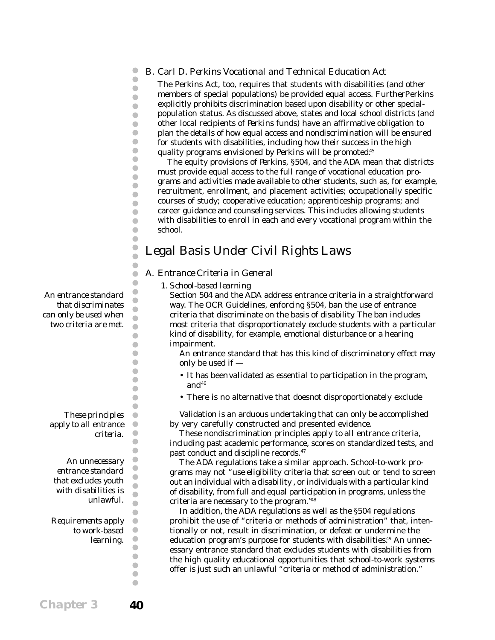| B. Carl D. Perkins Vocational and Technical Education Act        |
|------------------------------------------------------------------|
| The Perkins Act, too, requires that students with disabilities   |
| members of special populations) be provided equal access. Fu     |
| explicitly prohibits discrimination based upon disability or oth |
| population status. As discussed above, states and local school   |

The Perkins Act, too, requires that students with disabilities (and other members of special populations) be provided equal access. FurtherPerkins explicitly prohibits discrimination based upon disability or other specialpopulation status. As discussed above, states and local school districts (and other local recipients of Perkins funds) have an affirmative obligation to plan the details of *how* equal access and nondiscrimination will be ensured for students with disabilities, including how their success in the high quality programs envisioned by Perkins will be promoted.45

The equity provisions of Perkins, §504, and the ADA mean that districts must provide equal access to the full range of vocational education programs and activities made available to other students, such as, for example, recruitment, enrollment, and placement activities; occupationally specific courses of study; cooperative education; apprenticeship programs; and career guidance and counseling services. This includes allowing students with disabilities to enroll in each and every vocational program within the school.

# *Legal Basis Under Civil Rights Laws*

*A. Entrance Criteria in General*

1. *School-based learning*

Section 504 and the ADA address entrance criteria in a straightforward way. The OCR Guidelines, enforcing §504, ban the use of entrance criteria that discriminate on the basis of disability. The ban includes most criteria that disproportionately exclude students with a particular kind of disability, for example, emotional disturbance or a hearing impairment.

An entrance standard that has this kind of discriminatory effect may only be used if —

- It has been *validated* as *essential* to participation in the program,  $and^{46}$
- There is no alternative that does *not* disproportionately exclude

Validation is an arduous undertaking that can only be accomplished by very carefully constructed and presented evidence.

These nondiscrimination principles apply to *all* entrance criteria, including past academic performance, scores on standardized tests, and past conduct and discipline records.<sup>47</sup>

The ADA regulations take a similar approach. School-to-work programs may not "use eligibility criteria that screen out or tend to screen out an individual with a disability , or individuals with a particular kind of disability, from full and equal participation in programs, unless the criteria are *necessary* to the program."48

In addition, the ADA regulations as well as the §504 regulations prohibit the use of "criteria or methods of administration" that, intentionally or not, result in discrimination, or defeat or undermine the education program's purpose for students with disabilities.<sup>49</sup> An unnecessary entrance standard that excludes students with disabilities from the high quality educational opportunities that school-to-work systems offer is just such an unlawful "criteria or method of administration."

*An entrance standard that discriminates can only be used when two criteria are met.*

 $\blacksquare$ 

 $\qquad \qquad \bullet$  $\qquad \qquad \blacksquare$  $\qquad \qquad \blacksquare$  $\bullet$  $\bullet$  $\bullet$  $\qquad \qquad \bullet$  $\blacksquare$  $\blacksquare$  $\bullet$  $\bullet$  $\blacksquare$  $\bullet$  $\blacksquare$  $\blacksquare$  $\blacksquare$  $\bullet$  $\bullet$  $\overline{\phantom{a}}$  $\bullet$  $\bullet$  $\begin{array}{c} \hline \end{array}$  $\blacksquare$  $\bullet$  $\bullet$  $\bullet$  $\qquad \qquad \bullet$  $\blacksquare$  $\bullet$  $\bullet$  $\bullet$  $\bullet$  $\bullet$  $\bullet$ 

aaaaaaaaaaaaaaaaaaaaaaaaaaaaaaaaaaaaaaaaaaaaaaaaaaaaa  $\bullet$  $\bullet$  $\bullet$ *These principles*  $\bullet$ *apply to all entrance*  $\bullet$  $\bullet$ *criteria.*  $\bullet$  $\bullet$  $\bullet$ *An unnecessary*  $\bullet$ *entrance standard*  $\bullet$ *that excludes youth*  $\bullet$ *with disabilities is*  $\bullet$ *unlawful.*  $\bullet$  $\bullet$ *Requirements apply*  $\bullet$ *to work-based*  $\bullet$  $\bullet$ *learning.*  $\bullet$  $\bullet$  $\bullet$ 

 $\bullet$  $\bullet$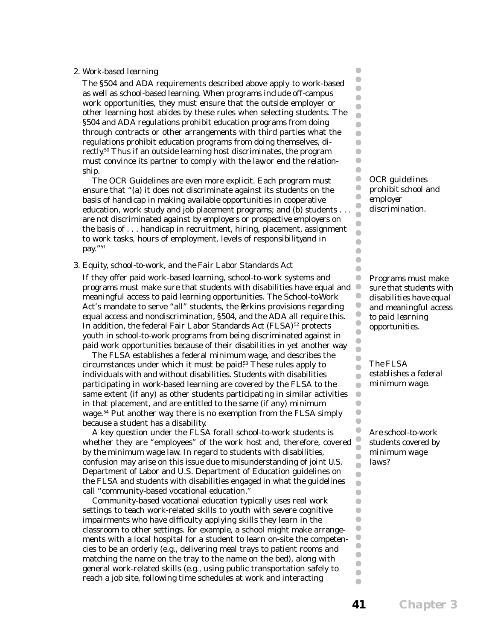#### *2. Work-based learning* The §504 and ADA requirements described above apply to work-based as well as school-based learning. When programs include off-campus work opportunities, they must ensure that the outside employer or other learning host abides by these rules when selecting students. The §504 and ADA regulations prohibit education programs from doing through contracts or other arrangements with third parties what the regulations prohibit education programs from doing themselves, directly<sup>50</sup> Thus if an outside learning host discriminates, the program must convince its partner to comply with the lawor end the relationship.

The OCR Guidelines are even more explicit. Each program must ensure that "(a) it does not discriminate against its students on the basis of handicap in making available opportunities in cooperative education, work study and job placement programs; and (b) students . . . are not discriminated against *by employers or prospective employers* on the basis of . . . handicap in recruitment, hiring, placement, assignment to work tasks, hours of employment, levels of responsibility and in pay."51

#### 3. *Equity, school-to-work, and the Fair Labor Standards Act*

If they offer paid work-based learning, school-to-work systems and programs must make sure that students with disabilities have equal and meaningful access to paid learning opportunities. The School-to-Work Act's mandate to serve "all" students, the Prkins provisions regarding equal access and nondiscrimination, §504, and the ADA all require this. In addition, the federal Fair Labor Standards Act (FLSA)<sup>52</sup> protects youth in school-to-work programs from being discriminated against in paid work opportunities because of their disabilities in yet another way.

The FLSA establishes a federal minimum wage, and describes the circumstances under which it must be paid.<sup>53</sup> These rules apply to individuals with and without disabilities. Students with disabilities participating in work-based learning are covered by the FLSA to the same extent (if any) as other students participating in similar activities in that placement, and are entitled to the same (if any) minimum wage.<sup>54</sup> Put another way, there is no exemption from the FLSA simply because a student has a disability.

A key question under the FLSA for *all* school-to-work students is whether they are "employees" of the work host and, therefore, covered by the minimum wage law. In regard to students with disabilities, confusion may arise on this issue due to misunderstanding of joint U.S. Department of Labor and U.S. Department of Education guidelines on the FLSA and students with disabilities engaged in what the guidelines call "community-based vocational education."

Community-based vocational education typically uses real work settings to teach work-related skills to youth with severe cognitive impairments who have difficulty applying skills they learn in the classroom to other settings. For example, a school might make arrangements with a local hospital for a student to learn on-site the competencies to be an orderly (e.g., delivering meal trays to patient rooms and matching the name on the tray to the name on the bed), along with general work-related skills (e.g., using public transportation safely to reach a job site, following time schedules at work and interacting

aaaaaaaaaaaaaaaaaaaaaaaaaaa  $\bullet$ *OCR guidelines prohibit school and employer discrimination.*  $\bullet$  $\bullet$  $\bullet$  $\bullet$ *Programs must make*  $\bullet$ *sure that students with disabilities have equal*  $\bullet$ *and meaningful access*  $\bullet$ aaaaaaaaaaaaaaaaaaaaaaaaaaaaaaa *to paid learning*  $\bullet$ *opportunities.*  $\bullet$  $\bullet$ 

 $\overline{\phantom{a}}$  $\bullet$ ă  $\blacksquare$  $\overline{\phantom{0}}$  $\mathbf{C}$  $\overline{\phantom{a}}$  $\overline{\phantom{a}}$  $\overline{\phantom{a}}$  $\blacksquare$  $\overline{\phantom{a}}$  $\overline{\phantom{a}}$ 

 $\bullet$  $\bullet$  $\overline{\phantom{a}}$ ă

 $\blacksquare$  $\overline{\phantom{0}}$ 

 $\bullet$ 

 $\blacksquare$ 

 $\bullet$  $\overline{\phantom{a}}$  $\bullet$  $\bullet$  $\bullet$  $\bullet$  $\bullet$  $\bullet$  $\mathbf{C}$  $\bullet$ 

 $\bullet$  $\bullet$  $\bullet$  $\bullet$  $\bullet$  $\blacksquare$ ă  $\overline{\phantom{a}}$  $\bullet$  $\bullet$  $\bullet$  $\overline{\phantom{a}}$  $\bullet$ ă  $\bullet$ 

*The FLSA establishes a federal minimum wage.*

*Are school-to-work students covered by minimum wage laws?*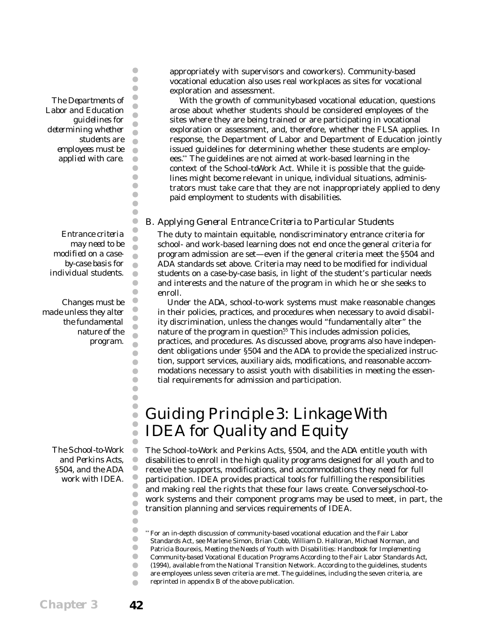*The Departments of Labor and Education guidelines for determining whether students are employees must be applied with care.*

aaaaaa

 $\bullet$  $\bullet$  $\bullet$  $\bullet$ ó  $\blacksquare$  $\overline{\phantom{a}}$  $\bullet$  $\qquad \qquad \bullet$  $\bullet$  $\bullet$  $\bullet$  $\bullet$  $\blacksquare$  $\bullet$  $\blacksquare$  $\bullet$  $\bullet$  $\bullet$  $\overline{\phantom{0}}$  $\overline{\phantom{a}}$  $\triangle$  $\bullet$  $\bullet$  $\bullet$  $\bullet$  $\bullet$  $\bullet$  $\bullet$  $\bullet$  $\begin{array}{c} \hline \end{array}$  $\blacksquare$  $\bullet$  $\bullet$  $\bullet$  $\bullet$  $\bullet$  $\bullet$  $\overline{\phantom{a}}$  $\bullet$  $\bullet$  $\bullet$  $\blacksquare$ 

*Entrance criteria may need to be modified on a caseby-case basis for individual students.*

*Changes must be made unless they alter the fundamental nature of the program.*

> *The School-to-Work and Perkins Acts, §504, and the ADA work with IDEA.*

> > $\bullet$

appropriately with supervisors and coworkers). Community-based vocational education also uses real workplaces as sites for vocational exploration and assessment.

With the growth of communitybased vocational education, questions arose about whether students should be considered employees of the sites where they are being trained or are participating in vocational exploration or assessment, and, therefore, whether the FLSA applies. In response, the Department of Labor and Department of Education jointly issued guidelines for determining whether these students are employees.\*\* The guidelines are not aimed at work-based learning in the context of the School-toWork Act. While it is possible that the guidelines might become relevant in unique, individual situations, administrators must take care that they are not inappropriately applied to deny paid employment to students with disabilities.

## *B. Applying General Entrance Criteria to Particular Students*

The duty to maintain equitable, nondiscriminatory entrance criteria for school- and work-based learning does not end once the general criteria for program admission are set—even if the general criteria meet the §504 and ADA standards set above. Criteria may need to be modified for individual students on a case-by-case basis, in light of the student's particular needs and interests and the nature of the program in which he or she seeks to enroll.

Under the ADA, school-to-work systems must make reasonable changes in their policies, practices, and procedures when necessary to avoid disability discrimination, unless the changes would "fundamentally alter" the nature of the program in question<sup>55</sup> This includes admission policies, practices, and procedures. As discussed above, programs also have independent obligations under §504 and the ADA to provide the specialized instruction, support services, auxiliary aids, modifications, and reasonable accommodations necessary to assist youth with disabilities in meeting the essential requirements for admission and participation.

# *Guiding Principle 3: Linkage With IDEA for Quality and Equity*

aaaaaaaaaaaaaaaaaaaaaaaaaaaaaaaaaaaaaaaaaaaaaaaaaaaaa  $\bullet$ The School-to-Work and Perkins Acts, §504, and the ADA entitle youth with  $\bullet$ disabilities to enroll in the high quality programs designed for all youth and to  $\bullet$ receive the supports, modifications, and accommodations they need for full  $\bullet$ participation. IDEA provides practical tools for fulfilling the responsibilities  $\bullet$ and making real the rights that these four laws create. Converselyschool-to- $\bullet$ work systems and their component programs may be used to meet, in part, the  $\bullet$ transition planning and services requirements of IDEA.  $\bullet$ 

 $\bullet$ \*\*For an in-depth discussion of community-based vocational education and the Fair Labor  $\bullet$ 

Standards Act, see Marlene Simon, Brian Cobb, William D. Halloran, Michael Norman, and

 $\bullet$ Patricia Bourexis, *Meeting the Needs of Youth with Disabilities: Handbook for Implementing*

 $\bullet$ *Community-based Vocational Education Programs According to the Fair Labor Standards Act*,

 $\bullet$ (1994), available from the National Transition Network. According to the guidelines, students

are employees unless seven criteria are met. The guidelines, including the seven criteria, are  $\bullet$ 

reprinted in appendix B of the above publication.  $\bullet$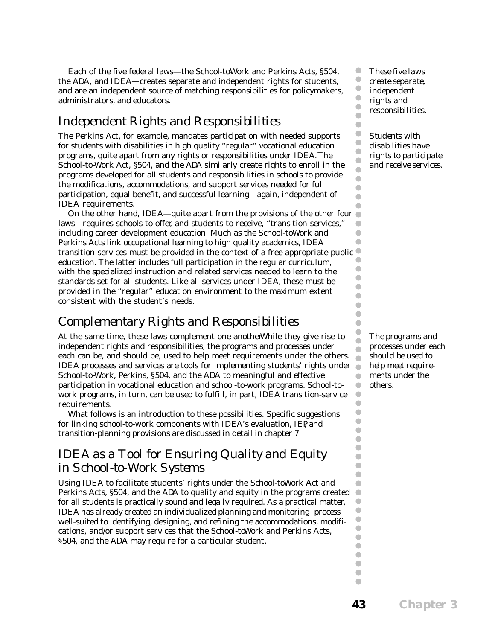Each of the five federal laws—the School-to-Work and Perkins Acts, §504, the ADA, and IDEA—creates separate and independent rights for students, and are an independent source of matching responsibilities for policymakers, administrators, and educators.

# *Independent Rights and Responsibilities*

The Perkins Act, for example, mandates participation with needed supports for students with disabilities in high quality "regular" vocational education programs, quite apart from any rights or responsibilities under IDEA. The School-to-Work Act, §504, and the ADA similarly create rights to enroll in the programs developed for all students and responsibilities in schools to provide the modifications, accommodations, and support services needed for full participation, equal benefit, and successful learning—again, independent of IDEA requirements.

On the other hand, IDEA—quite apart from the provisions of the other four laws—requires schools to offer and students to receive, "transition services," including career development education. Much as the School-toWork and Perkins Acts link occupational learning to high quality academics, IDEA transition services must be provided in the context of a free appropriate public education. The latter includes full participation in the regular curriculum, with the specialized instruction and related services needed to learn to the standards set for all students. Like all services under IDEA, these must be provided in the "regular" education environment to the maximum extent consistent with the student's needs.

# *Complementary Rights and Responsibilities*

At the same time, these laws complement one another. While they give rise to independent rights and responsibilities, the programs and processes under each can be, and should be, used to help meet requirements under the others. IDEA processes and services are tools for implementing students' rights under School-to-Work, Perkins, §504, and the ADA to meaningful and effective participation in vocational education and school-to-work programs. School-towork programs, in turn, can be used to fulfill, in part, IDEA transition-service requirements.

What follows is an introduction to these possibilities. Specific suggestions for linking school-to-work components with IDEA's evaluation, IEP and transition-planning provisions are discussed in detail in chapter 7.

# *IDEA as a Tool for Ensuring Quality and Equity in School-to-Work Systems*

Using IDEA to facilitate students' rights under the School-to-Work Act and Perkins Acts, §504, and the ADA to quality and equity in the programs created for all students is practically sound and legally required. As a practical matter, IDEA has already created an individualized planning and monitoring *process* well-suited to identifying, designing, and refining the accommodations, modifications, and/or support services that the School-to-Work and Perkins Acts, §504, and the ADA may require for a particular student.

*These five laws*

- $\blacksquare$ *create separate,*  $\bullet$
- aaaaaaaaaaaaaaaaaaaaaaaaaaa *independent*  $\overline{\phantom{0}}$

 $\bullet$ 

 $\bullet$  $\bullet$  $\bullet$  $\bullet$  $\bullet$  $\bullet$ ă  $\bullet$  $\bullet$  $\bullet$  $\overline{\phantom{a}}$  $\bullet$  $\bullet$  $\bullet$  $\overline{\phantom{0}}$  $\bullet$ 

> $\bullet$  $\bullet$  $\overline{\phantom{a}}$  $\blacksquare$  $\bullet$  $\bullet$  $\bullet$  $\overline{\phantom{a}}$  $\triangle$  $\blacksquare$

- *rights and*  $\bullet$ 
	- *responsibilities.*
	- *Students with disabilities have rights to participate and receive services.*

*The programs and processes under each should be used to help meet requirements under the others.*

aaaaaaaaaaaaaaaaaaaaaaaaaaaaaaa

 $\sqrt{2}$  $\bullet$  $\bullet$  $\bullet$  $\overline{\phantom{a}}$  $\overline{\phantom{0}}$  $\mathbf{C}$  $\overline{\phantom{a}}$  $\blacksquare$  $\overline{\phantom{0}}$  $\overline{\phantom{a}}$  $\bullet$ ă  $\bullet$  $\bullet$  $\blacksquare$  $\bullet$  $\bullet$  $\bullet$  $\overline{\phantom{a}}$  $\bullet$  $\overline{\phantom{a}}$  $\bullet$  $\bullet$  $\bullet$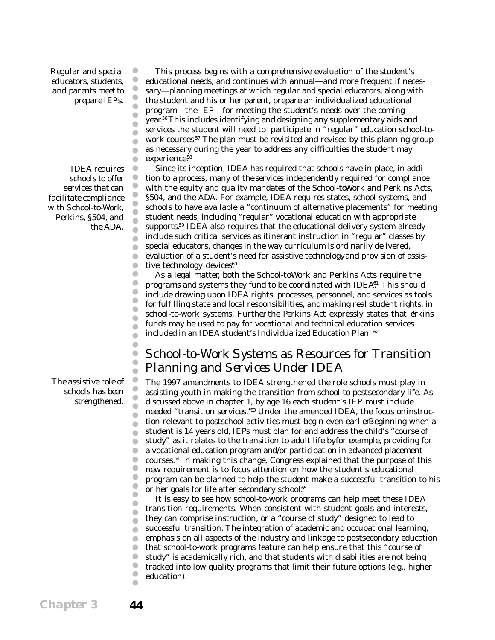*Regular and special educators, students, and parents meet to prepare IEPs.*

aaaaaa

 $\bullet$ 

 $\bigcirc$ 

O  $\bullet$  $\bullet$  $\bullet$  $\bullet$  $\bullet$  $\bullet$ ò  $\bullet$ 

*IDEA requires schools to offer services that can facilitate compliance with School-to-Work, Perkins, §504, and the ADA.*

*The assistive role of schools has been strengthened.*

This process begins with a comprehensive evaluation of the student's educational needs, and continues with annual—and more frequent if necessary—planning meetings at which regular and special educators, along with the student and his or her parent, prepare an individualized educational program—the IEP—for meeting the student's needs over the coming year.56 This includes identifying and designing any supplementary aids and services the student will need to participate in "regular" education school-towork courses.<sup>57</sup> The plan must be revisited and revised by this planning group as necessary during the year to address any difficulties the student may  $\bullet$ experience.<sup>58</sup>

 $\blacksquare$ Since its inception, IDEA has required that schools have in place, in addi- $\bullet$ tion to a *process*, many of the *services* independently required for compliance  $\bullet$ with the equity and quality mandates of the School-toWork and Perkins Acts,  $\bullet$ §504, and the ADA. For example, IDEA requires states, school systems, and  $\overline{\phantom{a}}$ schools to have available a "continuum of alternative placements" for meeting  $\bullet$ student needs, including "regular" vocational education with appropriate ÷ supports.<sup>59</sup> IDEA also requires that the educational delivery system already ò include such critical services as itinerant instruction in "regular" classes by  $\blacksquare$ special educators, changes in the way curriculum is ordinarily delivered,  $\blacksquare$  $\bullet$ evaluation of a student's need for assistive technology and provision of assis- $\blacksquare$ tive technology devices.<sup>60</sup>

 $\blacksquare$ As a legal matter, both the School-toWork and Perkins Acts require the  $\bullet$ programs and systems they fund to be coordinated with IDEA.<sup>61</sup> This should  $\overline{\phantom{a}}$ include drawing upon IDEA rights, processes, personnel, and services as tools  $\overline{\phantom{0}}$ for fulfilling state and local responsibilities, and making real student rights, in  $\blacksquare$ school-to-work systems. Further the Perkins Act expressly states that Prkins  $\bullet$ funds may be used to pay for vocational and technical education services  $\bullet$ included in an IDEA student's Individualized Education Plan. <sup>62</sup>  $\bullet$ 

#### *School-to-Work Systems as Resources for Transition*  $\blacksquare$ *Planning and Services Under IDEA*  $\bullet$

aaaaaaaaaaaaaaaaaaaaaaaaaaaaaaaaaaaaaaaaaaaaaaaaaaaaa  $\blacksquare$ The 1997 amendments to IDEA strengthened the role schools must play in  $\bullet$ assisting youth in making the transition from school to postsecondary life. As  $\bullet$ discussed above in chapter 1, by age 16 each student's IEP must include  $\bullet$ needed "transition services."63 Under the amended IDEA, the focus on *instruc-* $\bullet$ *tion* relevant to postschool activities must begin even earlier. Beginning when a  $\bullet$ student is 14 years old, IEPs must plan for and address the child's "course of  $\bullet$ study" as it relates to the transition to adult life by for example, providing for  $\blacksquare$ a vocational education program and/or participation in advanced placement  $\bullet$  $\bullet$ courses.64 In making this change, Congress explained that the purpose of this  $\bullet$ new requirement is to focus attention on how the student's educational  $\bullet$ program can be planned to help the student make a successful transition to his  $\bullet$ or her goals for life after secondary school.<sup>65</sup>  $\bullet$ 

It is easy to see how school-to-work programs can help meet these IDEA  $\bigcap$ transition requirements. When consistent with student goals and interests,  $\overline{\phantom{a}}$ they can comprise instruction, or a "course of study" designed to lead to  $\blacksquare$ successful transition. The integration of academic and occupational learning,  $\blacksquare$ emphasis on all aspects of the industry, and linkage to postsecondary education  $\bullet$ that school-to-work programs feature can help ensure that this "course of  $\bullet$ study" is academically rich, and that students with disabilities are not being  $\bullet$  $\bullet$ tracked into low quality programs that limit their future options (e.g., higher O education).  $\blacksquare$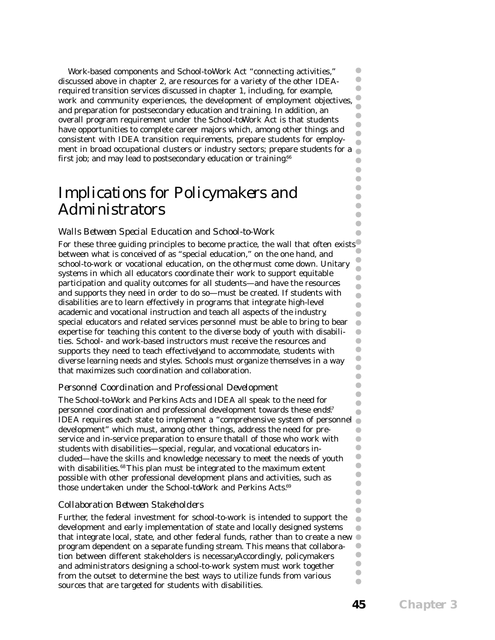$\overline{\phantom{a}}$ Work-based components and School-to-Work Act "connecting activities,"  $\bullet$ discussed above in chapter 2, are resources for a variety of the other IDEAă required transition services discussed in chapter 1, including, for example, work and community experiences, the development of employment objectives, and preparation for postsecondary education and training. In addition, an  $\overline{\phantom{a}}$ overall program requirement under the School-toWork Act is that students  $\overline{\phantom{a}}$ have opportunities to complete career majors which, among other things and ò consistent with IDEA transition requirements, prepare students for employ- $\overline{\phantom{a}}$ ment in broad occupational clusters or industry sectors; prepare students for a  $\mathcal{L}$ first job; and may lead to postsecondary education or training.<sup>66</sup>  $\overline{\phantom{a}}$ 

# *Implications for Policymakers and Administrators*

# *Walls Between Special Education and School-to-Work*

aaaaaaaaaaaaaaaaaaaaaaaaaaa For these three guiding principles to become practice, the wall that often exists between what is conceived of as "special education," on the one hand, and school-to-work or vocational education, on the othermust come down. Unitary  $\overline{\phantom{a}}$ systems in which all educators coordinate their work to support equitable  $\bullet$ participation and quality outcomes for all students—and have the resources  $\overline{\phantom{a}}$ and supports they need in order to do so—must be created. If students with  $\blacksquare$ disabilities are to learn effectively in programs that integrate high-level  $\bullet$ academic and vocational instruction and teach all aspects of the industry,  $\triangle$ special educators and related services personnel must be able to bring to bear  $\blacksquare$ expertise for teaching this content to the diverse body of youth with disabili- $\overline{\phantom{a}}$ ties. School- and work-based instructors must receive the resources and  $\overline{\phantom{a}}$ supports they need to teach effectively and to accommodate, students with  $\blacksquare$  $\bullet$ diverse learning needs and styles. Schools must organize themselves in a way  $\overline{\phantom{a}}$ that maximizes such coordination and collaboration.  $\triangle$ 

#### *Personnel Coordination and Professional Development*

The School-to-Work and Perkins Acts and IDEA all speak to the need for  $\overline{\phantom{a}}$ personnel coordination and professional development towards these ends<sup>67</sup>  $\triangle$ IDEA requires each state to implement a "comprehensive system of personnel development" which must, among other things, address the need for pre- $\overline{\phantom{a}}$ service and in-service preparation to ensure thatall of those who work with  $\blacksquare$  $\bullet$ students with disabilities—special, regular, and vocational educators in- $\overline{\phantom{a}}$ cluded—have the skills and knowledge necessary to meet the needs of youth  $\overline{\phantom{0}}$ with disabilities.<sup>68</sup> This plan must be integrated to the maximum extent ă possible with other professional development plans and activities, such as  $\mathbf{C}$ those undertaken under the School-toWork and Perkins Acts.<sup>69</sup>  $\overline{\phantom{a}}$ 

#### *Collaboration Between Stakeholders*

aaaaaaaaaaaaaaaaaaaaaaaaaaaaaaa Further, the federal investment for school-to-work is intended to support the  $\overline{\phantom{a}}$ development and early implementation of state and locally designed systems  $\bullet$ that integrate local, state, and other federal funds, rather than to create a new  $\bullet$ program dependent on a separate funding stream. This means that collabora- $\bullet$  $\overline{\phantom{a}}$ tion between different stakeholders is necessary. Accordingly, policymakers  $\bullet$ and administrators designing a school-to-work system must work together  $\bullet$ from the outset to determine the best ways to utilize funds from various  $\overline{\phantom{a}}$ sources that are targeted for students with disabilities.

 $\triangle$  $\overline{\phantom{0}}$  $\bullet$  $\mathbf \Omega$  $\overline{\phantom{a}}$  $\blacksquare$  $\bullet$  $\blacksquare$ 

 $\mathbf{r}$  $\overline{\phantom{a}}$ 

 $\blacksquare$  $\blacksquare$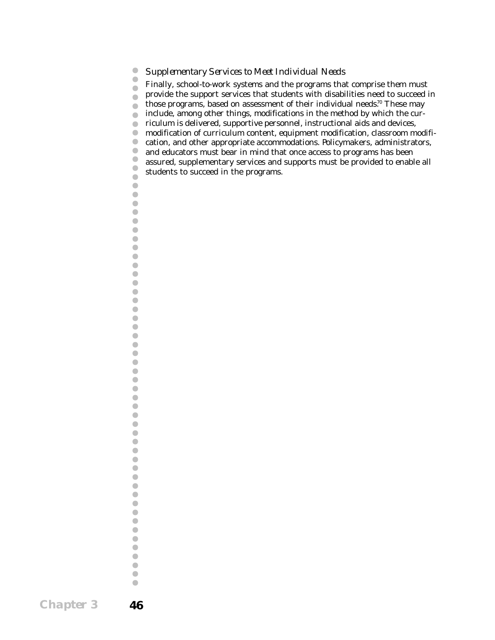$\bullet$ *Supplementary Services to Meet Individual Needs*

aaaaaa  $\bullet$ Finally, school-to-work systems and the programs that comprise them must  $\bullet$ 

provide the support services that students with disabilities need to succeed in  $\bullet$ 

those programs, based on assessment of their individual needs.<sup>70</sup> These may  $\bullet$ 

include, among other things, modifications in the method by which the cur- $\bullet$ 

- $\bullet$ riculum is delivered, supportive personnel, instructional aids and devices,
- aaaaaaaaaaaaaaaaaaaaaaaaaaaaaaaaaaaaaaaaaaaaaaaaaaaaa  $\bullet$ modification of curriculum content, equipment modification, classroom modifi-
- $\begin{array}{c} \begin{array}{c} \begin{array}{c} \begin{array}{c} \end{array} \end{array} \end{array} \end{array}$ cation, and other appropriate accommodations. Policymakers, administrators,  $\bullet$
- and educators must bear in mind that once access to programs has been  $\bullet$
- assured, supplementary services and supports must be provided to enable all  $\bullet$
- students to succeed in the programs. $\bullet$
- $\bullet$  $\bullet$  $\qquad \qquad \bullet$

 $\bullet$  $\bullet$  $\bullet$  $\bullet$  $\bullet$  $\bullet$  $\bullet$  $\begin{array}{c} \hline \end{array}$  $\blacksquare$  $\qquad \qquad \bullet$  $\bullet$  $\bullet$  $\bullet$  $\bullet$  $\bullet$  $\bullet$  $\bullet$  $\bullet$  $\bullet$  $\bullet$  $\bullet$  $\bullet$  $\bullet$  $\bullet$  $\bullet$  $\bullet$  $\bullet$  $\bullet$  $\bullet$  $\blacksquare$  $\bullet$  $\bullet$  $\bullet$  $\bullet$  $\bullet$  $\bullet$  $\bullet$  $\bullet$  $\bullet$  $\bullet$  $\bullet$  $\bullet$  $\bullet$ 

*Chapter 3* **46**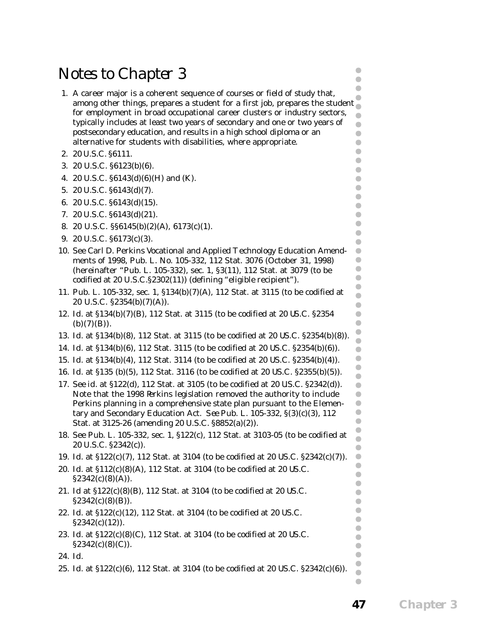| <i>Notes to Chapter 3</i> |                                                                                                                                                                                                                                                                                                                                                                                                                                                                 |  |  |  |
|---------------------------|-----------------------------------------------------------------------------------------------------------------------------------------------------------------------------------------------------------------------------------------------------------------------------------------------------------------------------------------------------------------------------------------------------------------------------------------------------------------|--|--|--|
|                           | 1. A career major is a coherent sequence of courses or field of study that,<br>among other things, prepares a student for a first job, prepares the student<br>for employment in broad occupational career clusters or industry sectors,<br>typically includes at least two years of secondary and one or two years of<br>postsecondary education, and results in a high school diploma or an<br>alternative for students with disabilities, where appropriate. |  |  |  |
|                           | 2. 20 U.S.C. §6111.                                                                                                                                                                                                                                                                                                                                                                                                                                             |  |  |  |
|                           | 3. 20 U.S.C. §6123(b)(6).                                                                                                                                                                                                                                                                                                                                                                                                                                       |  |  |  |
|                           | 4. 20 U.S.C. §6143(d)(6)(H) and (K).                                                                                                                                                                                                                                                                                                                                                                                                                            |  |  |  |
|                           | 5. 20 U.S.C. $\S6143(d)(7)$ .                                                                                                                                                                                                                                                                                                                                                                                                                                   |  |  |  |
|                           | 6. 20 U.S.C. $\S6143(d)(15)$ .                                                                                                                                                                                                                                                                                                                                                                                                                                  |  |  |  |
|                           | 7. 20 U.S.C. $\S6143(d)(21)$ .                                                                                                                                                                                                                                                                                                                                                                                                                                  |  |  |  |
|                           | 8. 20 U.S.C. $\S$ §6145(b)(2)(A), 6173(c)(1).                                                                                                                                                                                                                                                                                                                                                                                                                   |  |  |  |
|                           | 9. 20 U.S.C. $\S6173(c)(3)$ .<br>●                                                                                                                                                                                                                                                                                                                                                                                                                              |  |  |  |
|                           | 10. See Carl D. Perkins Vocational and Applied Technology Education Amend-<br>ments of 1998, Pub. L. No. 105-332, 112 Stat. 3076 (October 31, 1998)<br>(hereinafter "Pub. L. 105-332), sec. 1, §3(11), 112 Stat. at 3079 (to be<br>codified at 20 U.S.C. § 2302(11)) (defining "eligible recipient").                                                                                                                                                           |  |  |  |
|                           | 11. Pub. L. 105-332, sec. 1, §134(b)(7)(A), 112 Stat. at 3115 (to be codified at<br>20 U.S.C. §2354(b)(7)(A)).                                                                                                                                                                                                                                                                                                                                                  |  |  |  |
|                           | 12. Id. at §134(b)(7)(B), 112 Stat. at 3115 (to be codified at 20 LS.C. §2354<br>$\bullet$<br>(b)(7)(B)).                                                                                                                                                                                                                                                                                                                                                       |  |  |  |
|                           | $\bullet$<br>13. Id. at §134(b)(8), 112 Stat. at 3115 (to be codified at 20 LS.C. §2354(b)(8)).                                                                                                                                                                                                                                                                                                                                                                 |  |  |  |
|                           | 14. Id. at §134(b)(6), 112 Stat. 3115 (to be codified at 20 US.C. §2354(b)(6)).                                                                                                                                                                                                                                                                                                                                                                                 |  |  |  |
|                           | 15. Id. at §134(b)(4), 112 Stat. 3114 (to be codified at 20 US.C. §2354(b)(4)).                                                                                                                                                                                                                                                                                                                                                                                 |  |  |  |
|                           | $\bullet$<br>16. Id. at §135 (b)(5), 112 Stat. 3116 (to be codified at 20 LS.C. §2355(b)(5)).<br>$\bullet$                                                                                                                                                                                                                                                                                                                                                      |  |  |  |
|                           | 17. See id. at §122(d), 112 Stat. at 3105 (to be codified at 20 US.C. §2342(d)).<br>$\bullet$<br>Note that the 1998 Perkins legislation removed the authority to include<br>$\bullet$<br>Perkins planning in a comprehensive state plan pursuant to the Elemen-<br>$\bullet$<br>tary and Secondary Education Act. See Pub. L. 105-332, §(3)(c)(3), 112<br>Stat. at 3125-26 (amending 20 U.S.C. §8852(a)(2)).                                                    |  |  |  |
|                           | 18. See Pub. L. 105-332, sec. 1, §122(c), 112 Stat. at 3103-05 (to be codified at<br>20 U.S.C. §2342(c)).<br>$\bullet$                                                                                                                                                                                                                                                                                                                                          |  |  |  |
|                           | 19. Id. at $$122(c)(7)$ , 112 Stat. at 3104 (to be codified at 20 US.C. $$2342(c)(7)$ ).<br>0                                                                                                                                                                                                                                                                                                                                                                   |  |  |  |
|                           | 20. <i>Id.</i> at $$112(c)(8)(A)$ , 112 Stat. at 3104 (to be codified at 20 US.C.<br>\$2342(c)(8)(A)).                                                                                                                                                                                                                                                                                                                                                          |  |  |  |
|                           | 21. Id at §122(c)(8)(B), 112 Stat. at 3104 (to be codified at 20 LS.C.<br>$\S2342(c)(8)(B)$ .                                                                                                                                                                                                                                                                                                                                                                   |  |  |  |
|                           | 22. Id. at §122(c)(12), 112 Stat. at 3104 (to be codified at 20 LS.C.<br>$\S 2342(c)(12)$ .                                                                                                                                                                                                                                                                                                                                                                     |  |  |  |
|                           | 23. Id. at §122(c)(8)(C), 112 Stat. at 3104 (to be codified at 20 LS.C.<br>$\S2342(c)(8)(C)$ .                                                                                                                                                                                                                                                                                                                                                                  |  |  |  |
| 24. Id.                   |                                                                                                                                                                                                                                                                                                                                                                                                                                                                 |  |  |  |
|                           | 25. Id. at §122(c)(6), 112 Stat. at 3104 (to be codified at 20 US.C. §2342(c)(6)).                                                                                                                                                                                                                                                                                                                                                                              |  |  |  |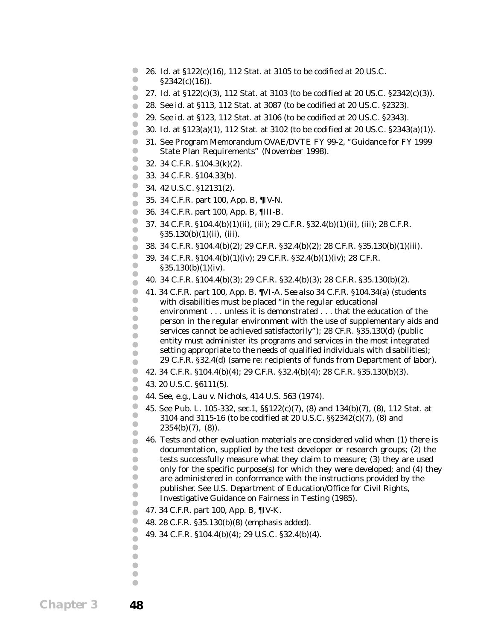- $\bullet$ aaaaaa 26. *Id.* at §122(c)(16), 112 Stat. at 3105 to be codified at 20 US.C.
- $\qquad \qquad \blacksquare$  $$2342(c)(16)$ .  $\blacksquare$
- 27. *Id.* at §122(c)(3), 112 Stat. at 3103 (to be codified at 20 US.C. §2342(c)(3)).  $\bullet$
- 28. See *id.* at §113, 112 Stat. at 3087 (to be codified at 20 US.C. §2323).  $\bullet$
- $\bullet$ 29. See *id.* at §123, 112 Stat. at 3106 (to be codified at 20 US.C. §2343).  $\blacksquare$
- 30. *Id.* at §123(a)(1), 112 Stat. at 3102 (to be codified at 20 US.C. §2343(a)(1)).  $\bullet$
- $\blacksquare$ 31. See Program Memorandum OVAE/DVTE FY 99-2, "Guidance for FY 1999  $\qquad \qquad \bullet$ State Plan Requirements" (November 1998).  $\bullet$
- 32. 34 C.F.R. §104.3(k)(2).  $\bullet$
- 33. 34 C.F.R. §104.33(b).  $\bullet$
- $\bullet$ 34. 42 U.S.C. §12131(2).  $\bullet$
- 35. 34 C.F.R. part 100, App. B, ¶IV-N.  $\blacksquare$
- $\qquad \qquad \bullet$ 36. 34 C.F.R. part 100, App. B, ¶III-B.
- $\bullet$ 37. 34 C.F.R. §104.4(b)(1)(ii), (iii); 29 C.F.R. §32.4(b)(1)(ii), (iii); 28 C.F.R.  $\bullet$ §35.130(b)(1)(ii), (iii).  $\bullet$
- 38. 34 C.F.R. §104.4(b)(2); 29 C.F.R. §32.4(b)(2); 28 C.F.R. §35.130(b)(1)(iii).  $\qquad \qquad \blacksquare$
- $\bullet$ 39. 34 C.F.R. §104.4(b)(1)(iv); 29 C.F.R. §32.4(b)(1)(iv); 28 C.F.R.  $\begin{array}{c} \begin{array}{c} \begin{array}{c} \begin{array}{c} \end{array} \end{array} \end{array} \end{array} \end{array}$
- $\S 35.130(b)(1)(iv).$  $\blacksquare$
- 40. 34 C.F.R. §104.4(b)(3); 29 C.F.R. §32.4(b)(3); 28 C.F.R. §35.130(b)(2).  $\blacksquare$
- aaaaaaaaaaaaaaaaaaaaaaaaaaaaaaaaaaaaaaaaaaaaaaaaaaaaa 41. 34 C.F.R. part 100, App. B. ¶VI-A. *See also* 34 C.F.R. §104.34(a) (students  $\bullet$  $\bullet$ with disabilities must be placed "in the regular educational  $\bullet$ environment . . . unless it is demonstrated . . . that the education of the  $\bullet$ person in the regular environment with the use of supplementary aids and  $\qquad \qquad \bullet$ services cannot be achieved satisfactorily"); 28 CF.R. §35.130(d) (public  $\bullet$ entity must administer its programs and services in the most integrated  $\bullet$ setting appropriate to the needs of qualified individuals with disabilities);  $\bullet$
- 29 C.F.R. §32.4(d) (same re: recipients of funds from Department of labor).  $\bullet$
- $\bullet$ 42. 34 C.F.R. §104.4(b)(4); 29 C.F.R. §32.4(b)(4); 28 C.F.R. §35.130(b)(3).
- $\bullet$ 43. 20 U.S.C. §6111(5).  $\bullet$
- 44. See, e.g., *Lau v. Nichols*, 414 U.S. 563 (1974).  $\bullet$
- $\bullet$ 45. See Pub. L. 105-332, sec.1, §§122(c)(7), (8) and 134(b)(7), (8), 112 Stat. at  $\bullet$ 3104 and 3115-16 (to be codified at 20 U.S.C. §§2342(c)(7), (8) and  $\bullet$  $2354(b)(7)$ , (8)).  $\bullet$
- 46. Tests and other evaluation materials are considered valid when (1) there is  $\bullet$ documentation, supplied by the test developer or research groups; (2) the  $\bullet$  $\qquad \qquad \blacksquare$ tests successfully measure what they claim to measure; (3) they are used  $\blacksquare$ only for the specific purpose(s) for which they were developed; and (4) they  $\bullet$ are administered in conformance with the instructions provided by the
- $\bullet$ publisher. See U.S. Department of Education/Office for Civil Rights,  $\bullet$ 
	- Investigative Guidance on Fairness in Testing (1985).
- 47. 34 C.F.R. part 100, App. B, ¶IV-K.  $\bullet$
- $\bullet$ 48. 28 C.F.R. §35.130(b)(8) (emphasis added).
- $\bullet$ 49. 34 C.F.R. §104.4(b)(4); 29 U.S.C. §32.4(b)(4).  $\bullet$
- $\bullet$

 $\bullet$ 

- $\bullet$
- $\bullet$  $\bullet$
- 

 $\bullet$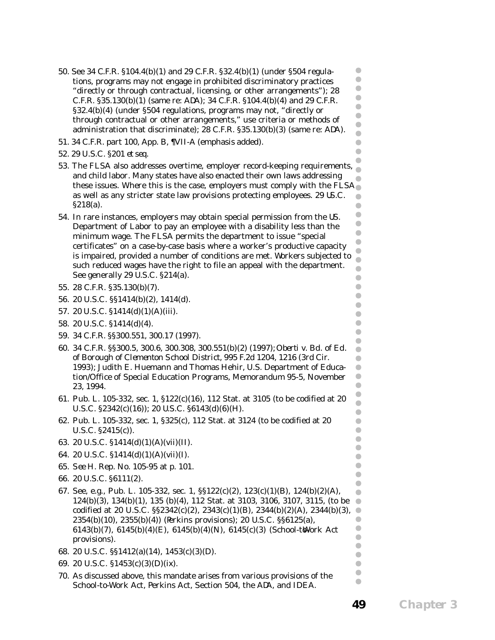| 50. See 34 C.F.R. §104.4(b)(1) and 29 C.F.R. §32.4(b)(1) (under §504 regula-<br>tions, programs may not engage in prohibited discriminatory practices<br>"directly or through contractual, licensing, or other arrangements"); 28<br>C.F.R. §35.130(b)(1) (same re: ADA); 34 C.F.R. §104.4(b)(4) and 29 C.F.R.<br>§32.4(b)(4) (under §504 regulations, programs may not, "directly or<br>through contractual or other arrangements," use criteria or methods of<br>administration that discriminate); 28 C.F.R. §35.130(b)(3) (same re: ADA). |                                                                                         |
|-----------------------------------------------------------------------------------------------------------------------------------------------------------------------------------------------------------------------------------------------------------------------------------------------------------------------------------------------------------------------------------------------------------------------------------------------------------------------------------------------------------------------------------------------|-----------------------------------------------------------------------------------------|
| 51. 34 C.F.R. part 100, App. B, [VII-A (emphasis added).                                                                                                                                                                                                                                                                                                                                                                                                                                                                                      |                                                                                         |
| 52. 29 U.S.C. §201 et seq.                                                                                                                                                                                                                                                                                                                                                                                                                                                                                                                    |                                                                                         |
| 53. The FLSA also addresses overtime, employer record-keeping requirements,<br>and child labor. Many states have also enacted their own laws addressing<br>these issues. Where this is the case, employers must comply with the FLSA<br>as well as any stricter state law provisions protecting employees. 29 LS.C.<br>\$218(a).                                                                                                                                                                                                              |                                                                                         |
| 54. In rare instances, employers may obtain special permission from the US.<br>Department of Labor to pay an employee with a disability less than the<br>minimum wage. The FLSA permits the department to issue "special<br>certificates" on a case-by-case basis where a worker's productive capacity<br>is impaired, provided a number of conditions are met. Workers subjected to<br>such reduced wages have the right to file an appeal with the department.<br>See generally 29 U.S.C. §214(a).                                          |                                                                                         |
| 55. 28 C.F.R. §35.130(b)(7).                                                                                                                                                                                                                                                                                                                                                                                                                                                                                                                  |                                                                                         |
| 56. 20 U.S.C. §§1414(b)(2), 1414(d).                                                                                                                                                                                                                                                                                                                                                                                                                                                                                                          |                                                                                         |
| 57. 20 U.S.C. §1414(d)(1)(A)(iii).                                                                                                                                                                                                                                                                                                                                                                                                                                                                                                            |                                                                                         |
| 58. 20 U.S.C. §1414(d)(4).                                                                                                                                                                                                                                                                                                                                                                                                                                                                                                                    |                                                                                         |
| 59. 34 C.F.R. §§300.551, 300.17 (1997).                                                                                                                                                                                                                                                                                                                                                                                                                                                                                                       |                                                                                         |
| 60. 34 C.F.R. §§300.5, 300.6, 300.308, 300.551(b)(2) (1997); Oberti v. Bd. of Ed.<br>of Borough of Clementon School District, 995 F.2d 1204, 1216 (3rd Cir.<br>1993); Judith E. Huemann and Thomas Hehir, U.S. Department of Educa-<br>tion/Office of Special Education Programs, Memorandum 95-5, November<br>23, 1994.                                                                                                                                                                                                                      |                                                                                         |
| 61. Pub. L. 105-332, sec. 1, §122(c)(16), 112 Stat. at 3105 (to be codified at 20<br>U.S.C. $$2342(c)(16)$ ; 20 U.S.C. $$6143(d)(6)(H)$ .                                                                                                                                                                                                                                                                                                                                                                                                     |                                                                                         |
| 62. Pub. L. 105-332, sec. 1, §325(c), 112 Stat. at 3124 (to be codified at 20<br>U.S.C. $$2415(c)$ ).                                                                                                                                                                                                                                                                                                                                                                                                                                         |                                                                                         |
| 63. 20 U.S.C. §1414(d)(1)(A)(vii)(II).                                                                                                                                                                                                                                                                                                                                                                                                                                                                                                        |                                                                                         |
| 64. 20 U.S.C. $$1414(d)(1)(A)(vii)(I)$ .                                                                                                                                                                                                                                                                                                                                                                                                                                                                                                      |                                                                                         |
| 65. See H. Rep. No. 105-95 at p. 101.                                                                                                                                                                                                                                                                                                                                                                                                                                                                                                         |                                                                                         |
| 66. 20 U.S.C. §6111(2).                                                                                                                                                                                                                                                                                                                                                                                                                                                                                                                       | $\bullet$                                                                               |
| 67. See, e.g., Pub. L. 105-332, sec. 1, $\S5122(c)(2)$ , $123(c)(1)(B)$ , $124(b)(2)(A)$ ,<br>124(b)(3), 134(b)(1), 135 (b)(4), 112 Stat. at 3103, 3106, 3107, 3115, (to be<br>codified at 20 U.S.C. §§2342(c)(2), 2343(c)(1)(B), 2344(b)(2)(A), 2344(b)(3),<br>2354(b)(10), 2355(b)(4)) (Rerkins provisions); 20 US.C. §§6125(a),<br>6143(b)(7), 6145(b)(4)(E), 6145(b)(4)(N), 6145(c)(3) (School-tWork Act<br>provisions).                                                                                                                  | $\bullet$<br>$\bullet$<br>$\bullet$<br>$\bullet$<br>$\bullet$<br>$\bullet$<br>$\bullet$ |
| 68. 20 U.S.C. §§1412(a)(14), 1453(c)(3)(D).                                                                                                                                                                                                                                                                                                                                                                                                                                                                                                   |                                                                                         |
| 69. 20 U.S.C. $$1453(c)(3)(D)(ix)$ .                                                                                                                                                                                                                                                                                                                                                                                                                                                                                                          | $\bullet$                                                                               |
| 70. As discussed above, this mandate arises from various provisions of the<br>School-to-Work Act, Perkins Act, Section 504, the ADA, and IDEA.                                                                                                                                                                                                                                                                                                                                                                                                |                                                                                         |

**49** *Chapter 3*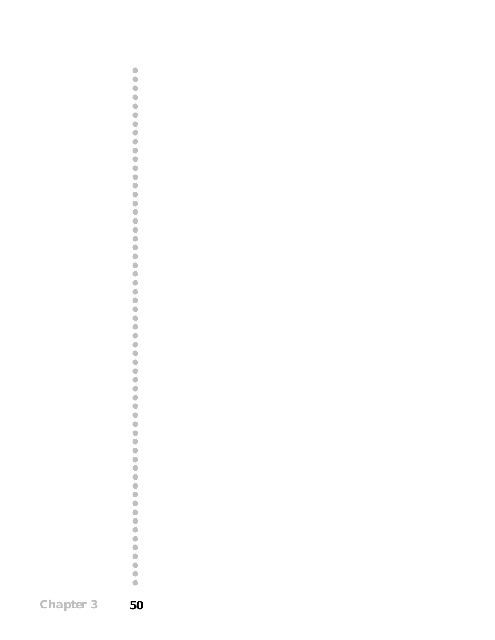aaaaaa  $\begin{array}{c} \bullet \\ \bullet \end{array}$  $\bullet$  $\begin{array}{c} \bullet \\ \bullet \end{array}$  $\bullet$  $\begin{array}{c} \bullet \\ \bullet \end{array}$ aaaaaaaaaaaaaaaaaaaaaaaaaaaaaaaaaaaaaaaaaaaaaaaaaaaaa  $\begin{array}{c} \bullet \\ \bullet \end{array}$  $\begin{array}{ccc} \bullet & \bullet & \bullet \\ \bullet & \bullet & \bullet \end{array}$  $\begin{array}{c} \bullet \\ \bullet \end{array}$  $\begin{array}{c} \bullet \\ \bullet \end{array}$  $\bullet$  $\bullet$  $\begin{array}{c} \bullet \\ \bullet \end{array}$  $\begin{array}{c} \bullet \\ \bullet \end{array}$  $\begin{array}{c} \bullet \\ \bullet \end{array}$  $\begin{array}{c} \bullet \\ \bullet \end{array}$  $\begin{array}{c} \bullet \\ \bullet \end{array}$  $\bullet$  $\bullet$  $\bullet$  $\bullet$  $\begin{array}{c} \bullet \\ \bullet \end{array}$  $\begin{array}{c} \bullet \\ \bullet \end{array}$  $\begin{array}{c} \bullet \\ \bullet \end{array}$  $\begin{array}{c} \bullet \\ \bullet \end{array}$  $\bullet$  $\begin{array}{ccc} \bullet & \bullet & \bullet \\ \bullet & \bullet & \bullet \end{array}$  $\begin{array}{ccc} \bullet & \bullet & \bullet \\ \bullet & \bullet & \bullet \end{array}$  $\begin{array}{ccc} \bullet & \bullet & \bullet \\ \bullet & \bullet & \bullet \end{array}$  $\begin{array}{ccc} \bullet & \bullet & \bullet \\ \bullet & \bullet & \bullet \end{array}$  $\bullet$  $\begin{array}{c} \bullet \\ \bullet \end{array}$  $\bullet$  $\bullet$  $\bullet$  $\bullet$  $\begin{array}{ccc} \bullet & \bullet & \bullet \\ \bullet & \bullet & \bullet \end{array}$  $\bullet$  $\begin{array}{c} \bullet \\ \bullet \end{array}$  $\bullet$  $\begin{array}{c} \bullet \\ \bullet \end{array}$  $\begin{array}{c} \bullet \\ \bullet \end{array}$  $\bullet$  $\begin{array}{ccc} \bullet & \bullet & \bullet \\ \bullet & \bullet & \bullet \end{array}$  $\bullet$  $\begin{array}{c} \bullet \\ \bullet \end{array}$  $\bullet$  $\bullet$  $\bullet$  $\bullet$  $\begin{array}{c} \bullet \\ \bullet \end{array}$  $\bullet$  $\begin{array}{c} \bullet \\ \bullet \end{array}$  $\bullet$  $\begin{array}{c} \bullet \\ \bullet \end{array}$  $\bullet$  $\begin{array}{ccc} \bullet & \bullet & \bullet \\ \bullet & \bullet & \bullet \end{array}$  $\begin{array}{c} \bullet \\ \bullet \end{array}$ 

*Chapter 3* **50**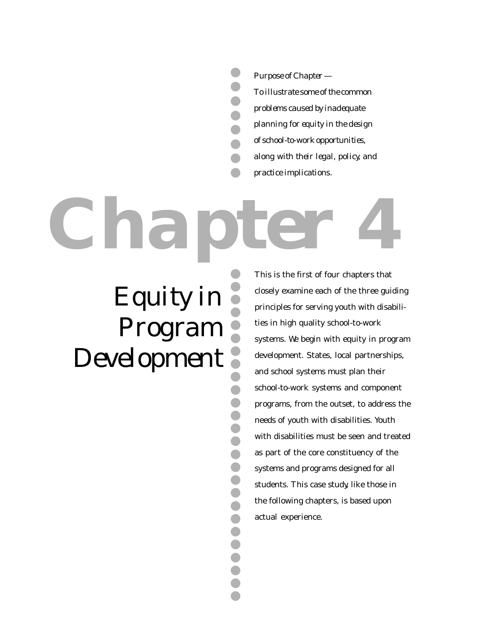*Purpose of Chapter — To illustrate some of the common problems caused by inadequate planning for equity in the design of school-to-work opportunities, along with their legal, policy, and practice implications.*

# aaaaaaaaaaaaaaaaaaaaaaaaaa aaaaaaaa **Chapter**

 $\bullet$ 

# *Equity in Program Development*

This is the first of four chapters that closely examine each of the three guiding principles for serving youth with disabilities in high quality school-to-work systems. We begin with equity in program development. States, local partnerships, and school systems must plan their school-to-work systems and component programs, from the outset, to address the needs of youth with disabilities. Youth with disabilities must be seen and treated as part of the core constituency of the systems and programs designed for all students. This case study, like those in the following chapters, is based upon actual experience.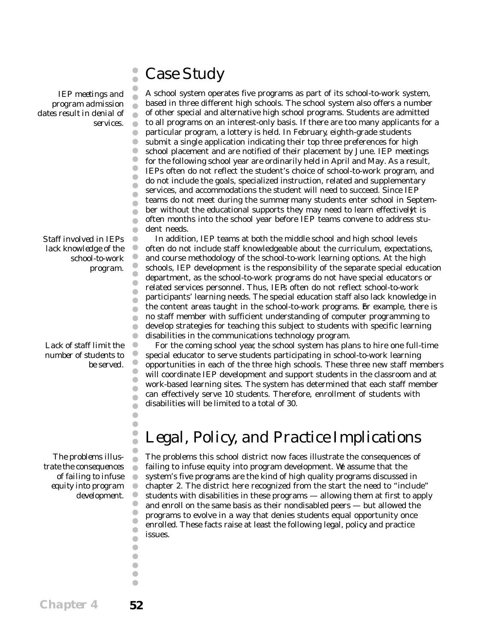#### *IEP meetings and program admission dates result in denial of services.*

*Staff involved in IEPs lack knowledge of the school-to-work program.*

 $\bullet$ 

 $\bullet$  $\bullet$  $\triangle$  $\bullet$  $\overline{\phantom{a}}$ 

 $\bullet$  $\blacksquare$  $\bullet$  $\bullet$ 

 $\bullet$  $\bullet$  $\bullet$  $\overline{\phantom{0}}$ 

 $\bullet$  $\bullet$  $\bullet$  $\bullet$  $\bullet$ 

#### *Lack of staff limit the number of students to be served.*

*The problems illustrate the consequences of failing to infuse equity into program development.*

#### *Case Study*  $\bullet$

aaaaaa A school system operates five programs as part of its school-to-work system,  $\bullet$ based in three different high schools. The school system also offers a number  $\bullet$ of other special and alternative high school programs. Students are admitted  $\bullet$ to all programs on an interest-only basis. If there are too many applicants for a  $\bullet$ aaaaaaaaaaaaaaaaaaaaaaaaaaaaaaaaaaaaaaaaaaaaaaaaaaaaa  $\bullet$ particular program, a lottery is held. In February, eighth-grade students  $\blacksquare$ submit a single application indicating their top three preferences for high  $\bullet$ school placement and are notified of their placement by June. IEP meetings  $\bullet$ for the following school year are ordinarily held in April and May. As a result,  $\bullet$ IEPs often do not reflect the student's choice of school-to-work program, and  $\overline{\phantom{a}}$ do not include the goals, specialized instruction, related and supplementary  $\overline{\phantom{a}}$ services, and accommodations the student will need to succeed. Since IEP  $\bullet$ teams do not meet during the summer many students enter school in Septem- $\overline{\phantom{a}}$ ber without the educational supports they may need to learn effectivelyt is  $\triangle$ often months into the school year before IEP teams convene to address stu- $\bullet$ dent needs.  $\bullet$ 

In addition, IEP teams at both the middle school and high school levels  $\bullet$ often do not include staff knowledgeable about the curriculum, expectations, and course methodology of the school-to-work learning options. At the high schools, IEP development is the responsibility of the separate special education department, as the school-to-work programs do not have special educators or related services personnel. Thus, IEB often do not reflect school-to-work participants' learning needs. The special education staff also lack knowledge in  $\bullet$ the content areas taught in the school-to-work programs. For example, there is no staff member with sufficient understanding of computer programming to develop strategies for teaching this subject to students with specific learning disabilities in the communications technology program.

 $\bullet$ For the coming school year, the school system has plans to hire one full-time  $\bullet$ special educator to serve students participating in school-to-work learning opportunities in each of the three high schools. These three new staff members will coordinate IEP development and support students in the classroom and at  $\bullet$ work-based learning sites. The system has determined that each staff member  $\bullet$ can effectively serve 10 students. Therefore, enrollment of students with  $\bullet$ disabilities will be limited to a total of 30.  $\bullet$ 

# *Legal, Policy, and Practice Implications*

 $\bullet$ The problems this school district now faces illustrate the consequences of  $\overline{\phantom{0}}$ failing to infuse equity into program development. We assume that the  $\bullet$ system's five programs are the kind of high quality programs discussed in  $\bullet$  $\bullet$ chapter 2. The district here recognized from the start the need to "include"  $\bullet$ students with disabilities in these programs — allowing them at first to apply  $\bullet$ and enroll on the same basis as their nondisabled peers — but allowed the  $\bullet$ programs to evolve in a way that denies students equal opportunity once  $\overline{\phantom{0}}$ enrolled. These facts raise at least the following legal, policy, and practice  $\overline{\phantom{a}}$ issues.  $\bullet$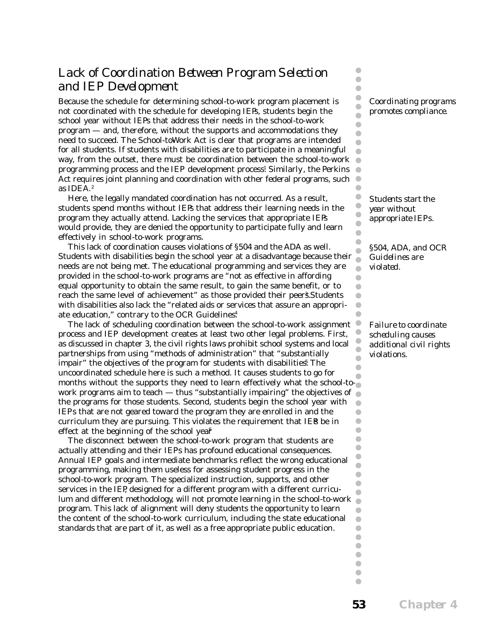# *Lack of Coordination Between Program Selection and IEP Development*

Because the schedule for determining school-to-work program placement is not coordinated with the schedule for developing IEPs, students begin the school year without IEPs that address their needs in the school-to-work program — and, therefore, without the supports and accommodations they need to succeed. The School-to-Work Act is clear that programs are intended for all students. If students with disabilities are to participate in a meaningful way, from the outset, there must be coordination between the school-to-work programming process and the IEP development process! Similarly, the Perkins Act requires joint planning and coordination with other federal programs, such as IDEA. 2

Here, the legally mandated coordination has not occurred. As a result, students spend months without IEB that address their learning needs in the program they actually attend. Lacking the services that appropriate IEB would provide, they are denied the opportunity to participate fully and learn effectively in school-to-work programs.

This lack of coordination causes violations of §504 and the ADA as well. Students with disabilities begin the school year at a disadvantage because their needs are not being met. The educational programming and services they are provided in the school-to-work programs are "not as effective in affording equal opportunity to obtain the same result, to gain the same benefit, or to reach the same level of achievement" as those provided their peers°. Students with disabilities also lack the "related aids or services that assure an appropriate education," contrary to the OCR Guidelines<sup>4</sup>.

 $\bullet$ The lack of scheduling coordination between the school-to-work assignment process and IEP development creates at least two other legal problems. First, as discussed in chapter 3, the civil rights laws prohibit school systems and local partnerships from using "methods of administration" that "substantially impair" the objectives of the program for students with disabilities<sup>s</sup>. The uncoordinated schedule here is such a method. It causes students to go for months without the supports they need to learn effectively what the school-towork programs aim to teach — thus "substantially impairing" the objectives of  $\sim$ the programs for those students. Second, students begin the school year with  $\blacksquare$ IEPs that are not geared toward the program they are enrolled in and the curriculum they are pursuing. This violates the requirement that IEB be in effect at the beginning of the school year.

The disconnect between the school-to-work program that students are actually attending and their IEPs has profound educational consequences. Annual IEP goals and intermediate benchmarks reflect the wrong educational programming, making them useless for assessing student progress in the school-to-work program. The specialized instruction, supports, and other services in the IEP, designed for a different program with a different curriculum and different methodology, will not promote learning in the school-to-work program. This lack of alignment will deny students the opportunity to learn the content of the school-to-work curriculum, including the state educational standards that are part of it, as well as a free appropriate public education.

*Coordinating programs promotes compliance.*

*Students start the year without appropriate IEPs.*

aaaaaaaaaaaaaaaaaaaaaaaaaaa

 $\overline{\phantom{a}}$  $\bullet$  $\bullet$  $\bullet$  $\overline{\phantom{a}}$  $\bullet$  $\bullet$  $\blacksquare$  $\overline{\phantom{a}}$  $\bullet$  $\blacksquare$  $\bullet$  $\bullet$  $\bullet$  $\bullet$  $\bullet$  $\bullet$ 

 $\bullet$  $\bullet$  $\bullet$  $\bullet$  $\bullet$  $\bullet$  $\bullet$  $\bullet$  $\bullet$  $\blacksquare$ 

> *§504, ADA, and OCR Guidelines are violated.*

*Failure to coordinate scheduling causes additional civil rights violations.*

aaaaaaaaaaaaaaaaaaaaaaaaaaaaaaa

 $\bullet$  $\mathbf{C}$  $\blacksquare$  $\blacksquare$  $\bullet$  $\mathbf \Omega$ ò ă  $\blacksquare$  $\overline{\phantom{a}}$  $\blacksquare$  $\bullet$  $\overline{\phantom{a}}$  $\bullet$  $\bullet$  $\bullet$  $\overline{\phantom{a}}$  $\bullet$  $\bullet$  $\bullet$ 

 $\bullet$  $\bullet$  $\bullet$  $\bullet$  $\bullet$  $\triangle$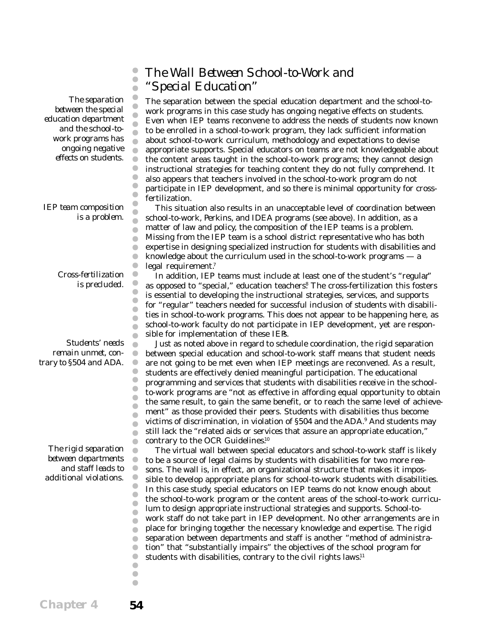#### aaaaaa *The Wall Between School-to-Work and*  $\bullet$ *"Special Education"*  $\bullet$  $\bullet$

The separation between the special education department and the school-towork programs in this case study has ongoing negative effects on students. Even when IEP teams reconvene to address the needs of students now known aaaaaaaaaaaaaaaaaaaaaaaaaaaaaaaaaaaaaaaaaaaaaaaaaaaaa to be enrolled in a school-to-work program, they lack sufficient information  $\bullet$ about school-to-work curriculum, methodology, and expectations to devise  $\bullet$  $\bullet$ appropriate supports. Special educators on teams are not knowledgeable about  $\bullet$ the content areas taught in the school-to-work programs; they cannot design  $\bullet$ instructional strategies for teaching content they do not fully comprehend. It  $\overline{\phantom{a}}$ also appears that teachers involved in the school-to-work program do not  $\bullet$ participate in IEP development, and so there is minimal opportunity for cross- $\bullet$ fertilization.  $\bullet$ 

This situation also results in an unacceptable level of coordination between school-to-work, Perkins, and IDEA programs (see above). In addition, as a matter of law and policy, the composition of the IEP teams is a problem. Missing from the IEP team is a school district representative who has both expertise in designing specialized instruction for students with disabilities and knowledge about the curriculum used in the school-to-work programs — a legal requirement.<sup>7</sup>

In addition, IEP teams must include at least one of the student's "regular" as opposed to "special," education teachers.<sup>8</sup> The cross-fertilization this fosters is essential to developing the instructional strategies, services, and supports for "regular" teachers needed for successful inclusion of students with disabilities in school-to-work programs. This does not appear to be happening here, as school-to-work faculty do not participate in IEP development, yet are responsible for implementation of these IEB.

Just as noted above in regard to schedule coordination, the rigid separation between special education and school-to-work staff means that student needs are not going to be met even when IEP meetings are reconvened. As a result, students are effectively denied meaningful participation. The educational programming and services that students with disabilities receive in the schoolto-work programs are "not as effective in affording equal opportunity to obtain the same result, to gain the same benefit, or to reach the same level of achievement" as those provided their peers. Students with disabilities thus become victims of discrimination, in violation of §504 and the ADA.<sup>9</sup> And students may still lack the "related aids or services that assure an appropriate education," contrary to the OCR Guidelines.10

 $\bullet$ The virtual wall between special educators and school-to-work staff is likely  $\bullet$ to be a source of legal claims by students with disabilities for two more rea- $\bullet$ sons. The wall is, in effect, an organizational structure that makes it impossible to develop appropriate plans for school-to-work students with disabilities. In this case study, special educators on IEP teams do not know enough about the school-to-work program or the content areas of the school-to-work curriculum to design appropriate instructional strategies and supports. School-towork staff do not take part in IEP development. No other arrangements are in place for bringing together the necessary knowledge and expertise. The rigid separation between departments and staff is another "method of administration" that "substantially impairs" the objectives of the school program for  $\bullet$ students with disabilities, contrary to the civil rights laws.<sup>11</sup>  $\bullet$ 

*The separation between the special education department and the school-towork programs has ongoing negative effects on students.*

*IEP team composition is a problem.*

 $\triangle$ ÷  $\overline{\phantom{a}}$  $\bullet$  $\triangle$  $\bullet$  $\overline{\phantom{a}}$  $\blacksquare$  $\bullet$  $\blacksquare$  $\overline{\phantom{0}}$  $\blacksquare$  $\bullet$  $\bullet$  $\blacksquare$  $\bullet$  $\bullet$  $\bullet$  $\bullet$  $\overline{\phantom{0}}$  $\bullet$  $\bullet$  $\overline{\phantom{a}}$  $\blacksquare$  $\bullet$  $\bullet$  $\blacksquare$ 

*Cross-fertilization is precluded.*

*Students' needs remain unmet, contrary to §504 and ADA.*

*The rigid separation between departments and staff leads to additional violations.*

 $\bullet$  $\bullet$  $\bullet$  $\bullet$  $\overline{\phantom{a}}$  $\bullet$  $\blacksquare$  $\bullet$  $\bullet$ 

 $\bullet$ 

 $\bullet$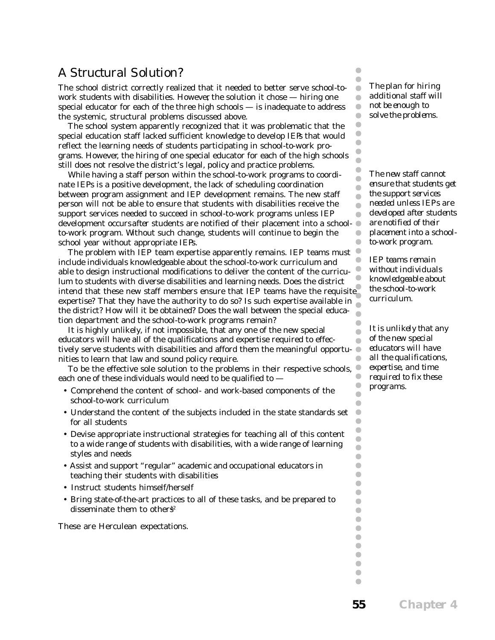# *A Structural Solution?*

The school district correctly realized that it needed to better serve school-towork students with disabilities. However the solution it chose — hiring one special educator for each of the three high schools — is inadequate to address the systemic, structural problems discussed above.

The school system apparently recognized that it was problematic that the special education staff lacked sufficient knowledge to develop IEB that would reflect the learning needs of students participating in school-to-work programs. However, the hiring of one special educator for each of the high schools still does not resolve the district's legal, policy and practice problems.

While having a staff person within the school-to-work programs to coordinate IEPs is a positive development, the lack of scheduling coordination between program assignment and IEP development remains. The new staff person will not be able to ensure that students with disabilities receive the support services needed to succeed in school-to-work programs unless IEP development occurs *after* students are notified of their placement into a schoolto-work program. Without such change, students will continue to begin the school year without appropriate IEB.

aaaaaaaaaaaaaaaaaaaaaaaaaaa The problem with IEP team expertise apparently remains. IEP teams must  $\bullet$ include individuals knowledgeable about the school-to-work curriculum and  $\bullet$ able to design instructional modifications to deliver the content of the curriculum to students with diverse disabilities and learning needs. Does the district intend that these new staff members ensure that IEP teams have the requisite expertise? That they have the authority to do so? Is such expertise available in the district? How will it be obtained? Does the wall between the special educa- $\bullet$ aaaaaaaaaaaaaaaaaaaaaaaaaaaaaaa tion department and the school-to-work programs remain?  $\blacksquare$ 

It is highly unlikely, if not impossible, that any one of the new special educators will have all of the qualifications and expertise required to effectively serve students with disabilities and afford them the meaningful opportu- $\bullet$ nities to learn that law and sound policy require.

 $\blacksquare$ To be the effective sole solution to the problems in their respective schools,  $\bullet$ each one of these individuals would need to be qualified to —  $\bullet$ 

- Comprehend the content of school- and work-based components of the school-to-work curriculum
- Understand the content of the subjects included in the state standards set for all students
- Devise appropriate instructional strategies for teaching all of this content to a wide range of students with disabilities, with a wide range of learning styles and needs
- Assist and support "regular" academic and occupational educators in teaching their students with disabilities
- Instruct students himself/herself
- Bring state-of-the-art practices to all of these tasks, and be prepared to disseminate them to other $s^2$

These are Herculean expectations.

*The plan for hiring additional staff will not be enough to solve the problems.*

 $\overline{\phantom{a}}$  $\bullet$  $\bullet$  $\bullet$  $\bullet$  $\bullet$  $\bullet$  $\bullet$  $\bullet$  $\bullet$  $\bullet$  $\bullet$  $\bullet$  $\bullet$  $\overline{\phantom{a}}$  $\overline{\phantom{a}}$  $\bullet$  $\bullet$  $\blacksquare$  $\overline{\phantom{a}}$ 

> $\overline{\phantom{a}}$  $\triangle$

 $\bullet$ 

 $\overline{\phantom{a}}$  $\bullet$  $\overline{\phantom{0}}$  $\mathbf{C}$  $\bullet$  $\blacksquare$  $\bullet$  $\overline{\phantom{a}}$  $\bullet$  $\bullet$  $\mathbf{C}$  $\overline{\phantom{a}}$  $\bullet$ ă  $\overline{\phantom{a}}$  $\bullet$  $\overline{\phantom{a}}$  $\bullet$  $\overline{\phantom{a}}$  $\bullet$  $\bullet$  $\bullet$ 

*The new staff cannot ensure that students get the support services needed unless IEPs are developed after students are notified of their placement into a schoolto-work program.*

*IEP teams remain without individuals knowledgeable about the school-to-work curriculum.*

*It is unlikely that any of the new special educators will have all the qualifications, expertise, and time required to fix these programs.*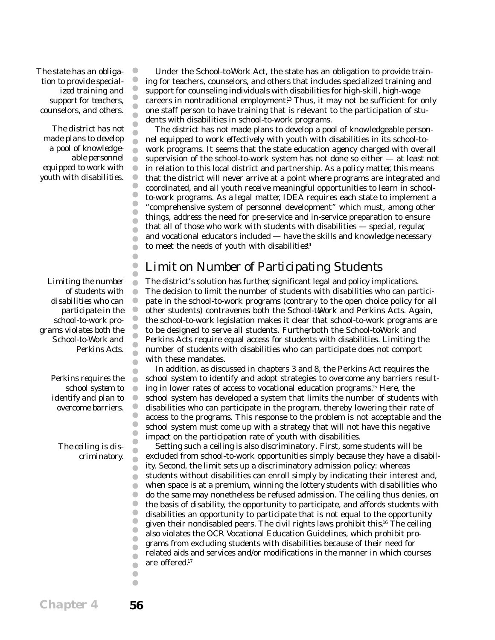*The state has an obligation to provide specialized training and support for teachers, counselors, and others.*

aaaaaa

 $\bullet$ 

 $\bullet$  $\bullet$  $\bullet$  $\bullet$  $\blacksquare$  $\bullet$  $\bullet$  $\bullet$  $\begin{array}{c} \hline \end{array}$  $\bullet$  $\bullet$  $\bullet$  $\bullet$  $\bullet$  $\bullet$  $\bullet$  $\bullet$  $\bullet$ 

 $\triangle$ 

 $\bullet$  $\bullet$  $\bullet$  $\overline{\phantom{0}}$  $\overline{\phantom{a}}$  $\triangle$  $\overline{\phantom{a}}$  $\blacksquare$ 

 $\bullet$ 

O  $\bullet$  $\bullet$  $\bullet$  $\bullet$  $\bullet$ 

*The district has not made plans to develop a pool of knowledgeable personnel equipped to work with youth with disabilities.*

*Limiting the number of students with disabilities who can participate in the school-to-work programs violates both the School-to-Work and Perkins Acts.*

> *Perkins requires the school system to identify and plan to overcome barriers.*

> > *The ceiling is discriminatory.*

Under the School-to-Work Act, the state has an obligation to provide training for teachers, counselors, and others that includes specialized training and support for counseling individuals with disabilities for high-skill, high-wage careers in nontraditional employment.<sup>13</sup> Thus, it may not be sufficient for only one staff person to have training that is relevant to the participation of students with disabilities in school-to-work programs.

 $\overline{\phantom{a}}$ aaaaaaaaaaaaaaaaaaaaaaaaaaaaaaaaaaaaaaaaaaaaaaaaaaaaa The district has not made plans to develop a pool of knowledgeable person- $\bullet$ nel equipped to work effectively with youth with disabilities in its school-to- $\bullet$ work programs. It seems that the state education agency charged with overall  $\bullet$ supervision of the school-to-work system has not done so either — at least not  $\bullet$  $\bullet$ in relation to this local district and partnership. As a *policy* matter, this means  $\overline{\phantom{a}}$ that the district will never arrive at a point where programs are integrated and  $\bullet$ coordinated, and all youth receive meaningful opportunities to learn in school- $\blacksquare$ to-work programs. As a *legal* matter, IDEA requires each state to implement a  $\overline{\phantom{a}}$ "comprehensive system of personnel development" which must, among other  $\triangle$ things, address the need for pre-service and in-service preparation to ensure ÷ that all of those who work with students with disabilities — special, regular,  $\blacksquare$ and vocational educators included — have the skills and knowledge necessary  $\bullet$ to meet the needs of youth with disabilities<sup>4</sup>.  $\blacksquare$ 

#### $\bullet$ *Limit on Number of Participating Students*  $\triangle$

The district's solution has further significant legal and policy implications. The decision to limit the number of students with disabilities who can participate in the school-to-work programs (contrary to the open choice policy for all other students) contravenes both the School-twork and Perkins Acts. Again, the school-to-work legislation makes it clear that school-to-work programs are to be designed to serve all students. Furtherboth the School-to-Work and Perkins Acts require equal access for students with disabilities. Limiting the number of students with disabilities who can participate does not comport with these mandates.

In addition, as discussed in chapters 3 and 8, the Perkins Act requires the school system to identify and adopt strategies to overcome any barriers resulting in lower rates of access to vocational education programs.15 Here, the school system has developed a system that limits the number of students with disabilities who can participate in the program, thereby lowering their rate of access to the programs. This response to the problem is not acceptable and the school system must come up with a strategy that will not have this negative impact on the participation rate of youth with disabilities.

 $\bullet$ Setting such a ceiling is also discriminatory. First, some students will be  $\bullet$ excluded from school-to-work opportunities simply because they have a disabil- $\bullet$ ity. Second, the limit sets up a discriminatory admission policy: whereas students without disabilities can enroll simply by indicating their interest and,  $\bullet$ when space is at a premium, winning the lottery students with disabilities who  $\bullet$ do the same may nonetheless be refused admission. The ceiling thus denies, on the basis of disability, the opportunity to participate, and affords students with disabilities an opportunity to participate that is not equal to the opportunity given their nondisabled peers. The civil rights laws prohibit this.16 The ceiling also violates the OCR Vocational Education Guidelines, which prohibit programs from excluding students with disabilities because of their need for related aids and services and/or modifications in the manner in which courses are offered.17  $\bullet$  $\bullet$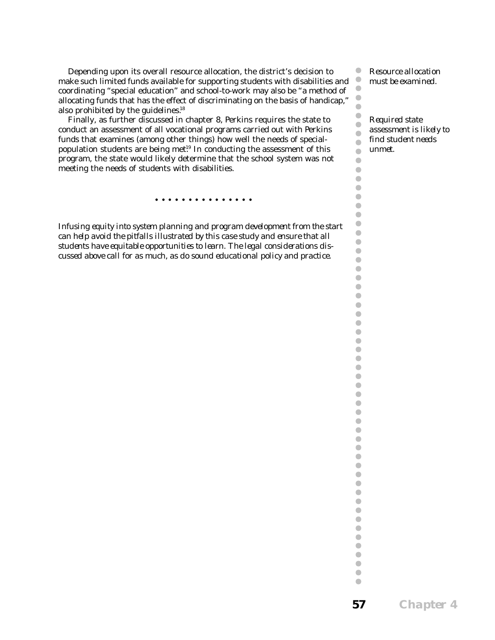Depending upon its overall resource allocation, the district's decision to make such limited funds available for supporting students with disabilities and coordinating "special education" and school-to-work may also be "a method of allocating funds that has the effect of discriminating on the basis of handicap," also prohibited by the guidelines.<sup>18</sup>

Finally, as further discussed in chapter 8, Perkins requires the state to conduct an assessment of all vocational programs carried out with Perkins funds that examines (among other things) how well the needs of specialpopulation students are being met<sup>19</sup> In conducting the assessment of this program, the state would likely determine that the school system was not meeting the needs of students with disabilities.

aaaaaaaaaaaaaaa

*Infusing equity into system planning and program development from the start can help avoid the pitfalls illustrated by this case study and ensure that all students have equitable opportunities to learn. The legal considerations discussed above call for as much, as do sound educational policy and practice.*

*Resource allocation must be examined.*

*Required state assessment is likely to find student needs unmet.*

aaaaaaaaaaaaaaaaaaaaaaaaaaa

 $\bullet$  $\bullet$  $\bullet$  $\bullet$  $\bullet$  $\bullet$  $\bullet$  $\bullet$  $\blacksquare$  $\bullet$  $\bullet$  $\bullet$  $\bullet$  $\bullet$  $\bullet$  $\bullet$  $\bullet$  $\bullet$  $\blacksquare$  $\bullet$  $\bullet$  $\bullet$  $\bullet$  $\bullet$  $\bullet$  $\bullet$  $\bullet$  $\bullet$  $\bullet$  $\bullet$  $\bullet$  $\bullet$  $\overline{\phantom{a}}$  $\bullet$  $\bullet$  $\bullet$  $\bullet$  $\bullet$  $\bullet$  $\bullet$  $\bullet$  $\bullet$  $\bullet$  $\overline{\phantom{a}}$  $\bullet$  $\bullet$  $\bullet$  $\blacksquare$  $\bullet$  $\bullet$  $\bullet$  $\bullet$  $\bullet$  $\bullet$  $\bullet$  $\bullet$  $\bullet$  $\bullet$ 

aaaaaaaaaaaaaaaaaaaaaaaaaaaaaaa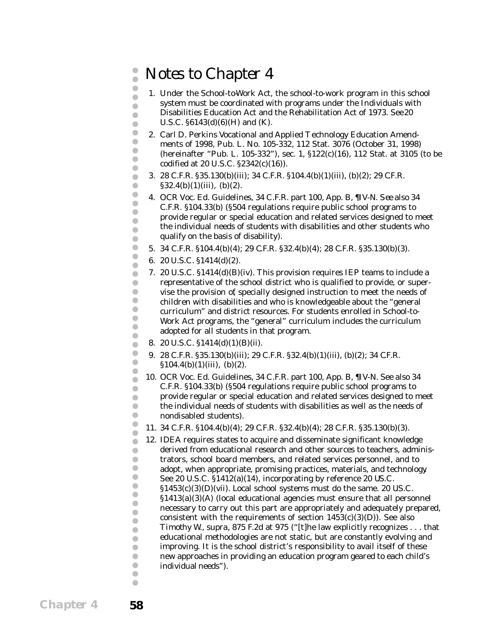# aaaaaa *Notes to Chapter 4*  $\bullet$

 $\bullet$  $\bullet$  $\bullet$  $\bullet$  $\qquad \qquad \blacksquare$  $\bullet$  $\qquad \qquad \bullet$  $\qquad \qquad \bullet$  $\bullet$  $\bullet$ 

 $\blacksquare$  $\bullet$  $\bullet$ 

 $\bullet$ 

 $\bullet$ 

 $\bullet$  $\bullet$ 

 $\bullet$ 

- 1. Under the School-to-Work Act, the school-to-work program in this school system must be coordinated with programs under the Individuals with Disabilities Education Act and the Rehabilitation Act of 1973. See20 U.S.C.  $$6143(d)(6)(H)$  and (K).
- 2. Carl D. Perkins Vocational and Applied Technology Education Amendments of 1998, Pub. L. No. 105-332, 112 Stat. 3076 (October 31, 1998) (hereinafter "Pub. L. 105-332"), sec. 1, §122(c)(16), 112 Stat. at 3105 (to be codified at 20 U.S.C. §2342(c)(16)).
- aaaaaaaaaaaaaaaaaaaaaaaaaaaaaaaaaaaaaaaaaaaaaaaaaaaaa 3. 28 C.F.R. §35.130(b)(iii); 34 C.F.R. §104.4(b)(1)(iii), (b)(2); 29 CF.R.  $\bullet$  $§32.4(b)(1)(iii), (b)(2).$  $\bullet$
- $\bullet$ 4. OCR Voc. Ed. Guidelines, 34 C.F.R. part 100, App. B, ¶IV-N. *See* also 34  $\qquad \qquad \bullet$ C.F.R. §104.33(b) (§504 regulations require public school programs to  $\bullet$ provide regular or special education and related services designed to meet  $\bullet$ the individual needs of students with disabilities and other students who  $\bullet$ qualify on the basis of disability).  $\bullet$ 
	- 5. 34 C.F.R. §104.4(b)(4); 29 C.F.R. §32.4(b)(4); 28 C.F.R. §35.130(b)(3).
	- 6. 20 U.S.C. §1414(d)(2).
- 7. 20 U.S.C. §1414(d)(B)(iv). This provision requires IEP teams to include a  $\qquad \qquad \blacksquare$ representative of the school district who is qualified to provide, or super- $\qquad \qquad \bullet$ vise the provision of specially designed instruction to meet the needs of  $\bullet$ children with disabilities and who is knowledgeable about the "general  $\bullet$ curriculum" and district resources. For students enrolled in School-to-Work Act programs, the "general" curriculum includes the curriculum  $\qquad \qquad \bullet$ adopted for all students in that program.  $\bullet$
- 8. 20 U.S.C. §1414(d)(1)(B)(ii).  $\bullet$ 
	- 9. 28 C.F.R.  $$35.130(b)(iii); 29 C.F.R. $32.4(b)(1)(iii), (b)(2); 34 C.F.R.$  $$104.4(b)(1)(iii), (b)(2).$
- $\bullet$ 10. OCR Voc. Ed. Guidelines, 34 C.F.R. part 100, App. B, ¶IV-N. See also 34  $\bullet$ C.F.R. §104.33(b) (§504 regulations require public school programs to  $\bullet$ provide regular or special education and related services designed to meet  $\bullet$  $\blacksquare$ the individual needs of students with disabilities as well as the needs of nondisabled students).  $\bullet$
- $\bullet$ 11. 34 C.F.R. §104.4(b)(4); 29 C.F.R. §32.4(b)(4); 28 C.F.R. §35.130(b)(3).  $\bullet$
- 12. IDEA requires states to acquire and disseminate significant knowledge  $\bullet$ derived from educational research and other sources to teachers, adminis- $\bullet$  $\bullet$ trators, school board members, and related services personnel, and to  $\bullet$ adopt, when appropriate, promising practices, materials, and technology.  $\bullet$ See 20 U.S.C. §1412(a)(14), incorporating by reference 20 U.S.C.  $\bullet$  $$1453(c)(3)(D)(vii)$ . Local school systems must do the same. 20 US.C.  $\bullet$ §1413(a)(3)(A) (local educational agencies must ensure that all personnel  $\bullet$ necessary to carry out this part are appropriately and adequately prepared,  $\bullet$ consistent with the requirements of section  $1453(c)(3)(D)$ ). See also  $\bullet$ *Timothy W., supra,* 875 F.2d at 975 ("[t]he law explicitly recognizes . . . that  $\bullet$ educational methodologies are not static, but are constantly evolving and  $\blacksquare$ improving. It is the school district's responsibility to avail itself of these  $\bullet$  $\bullet$ new approaches in providing an education program geared to each child's  $\bullet$ individual needs"). $\bullet$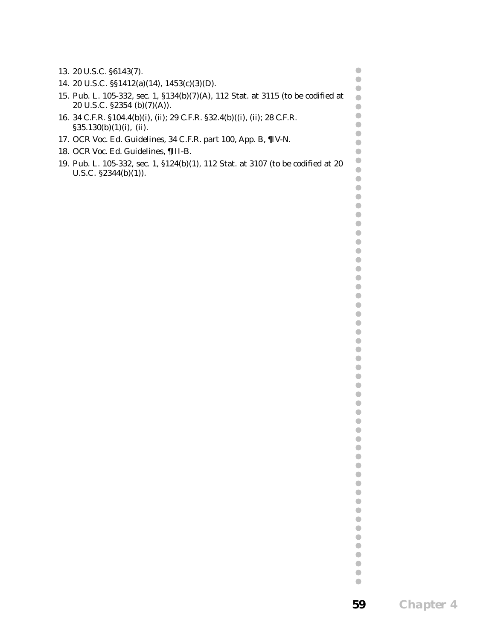| 13. 20 U.S.C. §6143(7).                                                                                             |  |
|---------------------------------------------------------------------------------------------------------------------|--|
| 14. 20 U.S.C. $\S$ \$1412(a)(14), 1453(c)(3)(D).                                                                    |  |
| 15. Pub. L. 105-332, sec. 1, §134(b)(7)(A), 112 Stat. at 3115 (to be codified at<br>20 U.S.C. $\S$ 2354 (b)(7)(A)). |  |
| 16. 34 C.F.R. §104.4(b)(i), (ii); 29 C.F.R. §32.4(b)((i), (ii); 28 C.F.R.<br>$\S35.130(b)(1)(i)$ , (ii).            |  |
| 17. OCR Voc. Ed. Guidelines, 34 C.F.R. part 100, App. B, IIV-N.                                                     |  |
| 18. OCR Voc. Ed. Guidelines, <i>IIII-B.</i>                                                                         |  |
| 19. Pub. L. 105-332, sec. 1, §124(b)(1), 112 Stat. at 3107 (to be codified at 20<br>U.S.C. $\S$ 2344(b)(1)).        |  |
|                                                                                                                     |  |
|                                                                                                                     |  |
|                                                                                                                     |  |

aaaaaaaaaaaaaaaaaaaaaaaaaaa  $\bullet$  $\bullet$  $\ddot{\bullet}$  $\ddot{\bullet}$  $\begin{array}{c} \bullet \\ \bullet \end{array}$  $\bullet$  $\bullet$  $\bullet$  $\bullet$  $\bullet$  $\bullet$  $\bullet$  $\bullet$ aaaaaaaaaaaaaaaaaaaaaaaaaaaaaaa  $\begin{array}{c} \bullet \\ \bullet \end{array}$  $\bullet$  $\bullet$  $\bullet$  $\bullet$  $\bullet$  $\begin{array}{c} \bullet \\ \bullet \end{array}$  $\bullet$  $\bullet$  $\ddot{\bullet}$  $\begin{array}{ccc} \bullet & \bullet & \bullet \\ \bullet & \bullet & \bullet \end{array}$  $\begin{array}{c} \bullet \\ \bullet \end{array}$  $\bullet$  $\begin{array}{c} \bullet \\ \bullet \end{array}$  $\bullet$  $\bullet$  $\bullet$  $\bullet$  $\bullet$  $\bullet$  $\ddot{\bullet}$  $\begin{array}{c} \bullet \\ \bullet \end{array}$  $\begin{array}{ccc} \bullet & \bullet & \bullet \\ \bullet & \bullet & \bullet \end{array}$  $\bullet$  $\begin{array}{c} \bullet \\ \bullet \end{array}$  $\begin{array}{c} \bullet \\ \bullet \end{array}$  $\bullet$  $\begin{array}{ccc} \bullet & \bullet & \bullet \\ \bullet & \bullet & \bullet \end{array}$  $\ddot{\bullet}$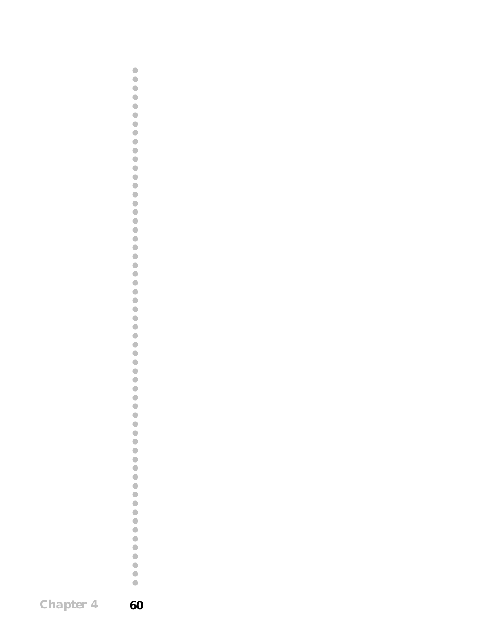aaaaaa  $\begin{array}{c} \bullet \\ \bullet \end{array}$  $\bullet$  $\begin{array}{c} \bullet \\ \bullet \end{array}$  $\bullet$  $\begin{array}{ccc} \bullet & \bullet & \bullet \\ \bullet & \bullet & \bullet \end{array}$ aaaaaaaaaaaaaaaaaaaaaaaaaaaaaaaaaaaaaaaaaaaaaaaaaaaaa  $\begin{array}{c} \bullet \\ \bullet \end{array}$  $\begin{array}{ccc} \bullet & \bullet & \bullet \\ \bullet & \bullet & \bullet \end{array}$  $\begin{array}{c} \bullet \\ \bullet \end{array}$  $\begin{array}{c} \bullet \\ \bullet \end{array}$  $\bullet$  $\begin{array}{c} \bullet \\ \bullet \end{array}$  $\begin{array}{ccc} \bullet & \bullet & \bullet \\ \bullet & \bullet & \bullet \end{array}$  $\begin{array}{ccc} \bullet & \bullet & \bullet \\ \bullet & \bullet & \bullet \end{array}$  $\begin{array}{c} \bullet \\ \bullet \end{array}$  $\begin{array}{c} \bullet \\ \bullet \end{array}$  $\bullet$  $\bullet$  $\bullet$  $\bullet$  $\bullet$  $\begin{array}{c} \bullet \\ \bullet \end{array}$  $\begin{array}{c} \bullet \\ \bullet \end{array}$  $\bullet$  $\begin{array}{c} \bullet \\ \bullet \end{array}$  $\bullet$  $\bullet$  $\bullet$  $\bullet$  $\begin{array}{ccc} \bullet & \bullet & \bullet \\ \bullet & \bullet & \bullet \end{array}$  $\bullet$  $\bullet$  $\bullet$  $\bullet$  $\bullet$  $\bullet$  $\begin{array}{ccc} \bullet & \bullet & \bullet \\ \bullet & \bullet & \bullet \end{array}$  $\bullet$  $\begin{array}{c} \bullet \\ \bullet \end{array}$  $\bullet$  $\begin{array}{c} \bullet \\ \bullet \end{array}$  $\begin{array}{c} \bullet \\ \bullet \end{array}$  $\bullet$  $\begin{array}{ccc} \bullet & \bullet & \bullet \\ \bullet & \bullet & \bullet \end{array}$  $\bullet$  $\begin{array}{c} \bullet \\ \bullet \end{array}$  $\bullet$  $\bullet$  $\bullet$  $\bullet$  $\begin{array}{c} \bullet \\ \bullet \end{array}$  $\begin{array}{c} \bullet \\ \bullet \end{array}$  $\bullet$  $\bullet$  $\ddot{\bullet}$  $\bullet$  $\begin{array}{ccc} \bullet & \bullet & \bullet \\ \bullet & \bullet & \bullet \end{array}$  $\begin{array}{c} \bullet \\ \bullet \end{array}$ 

*Chapter 4* **60**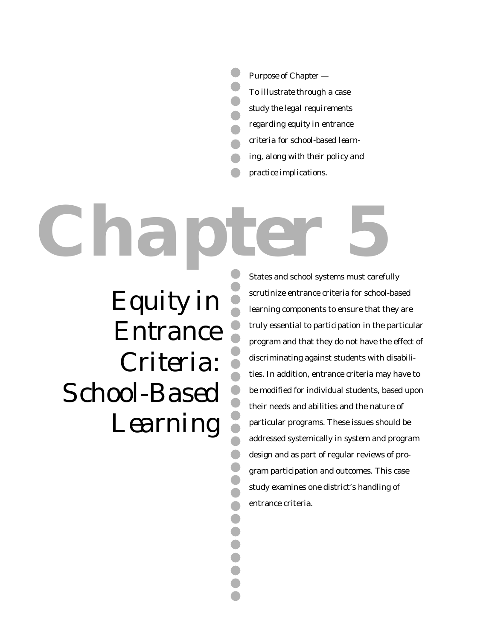*Purpose of Chapter — To illustrate through a case study the legal requirements regarding equity in entrance criteria for school-based learning, along with their policy and practice implications.*

# aaaaaaaaaaaaaaaaaaaaaaaaaa aaaaaaaa *Chapte*

 $\blacksquare$ 

 $\blacksquare$ 

*Equity in Entrance Criteria: School-Based Learning*

States and school systems must carefully scrutinize entrance criteria for school-based learning components to ensure that they are truly essential to participation in the particular program and that they do not have the effect of discriminating against students with disabilities. In addition, entrance criteria may have to be modified for individual students, based upon their needs and abilities and the nature of particular programs. These issues should be addressed systemically in system and program design and as part of regular reviews of program participation and outcomes. This case study examines one district's handling of entrance criteria.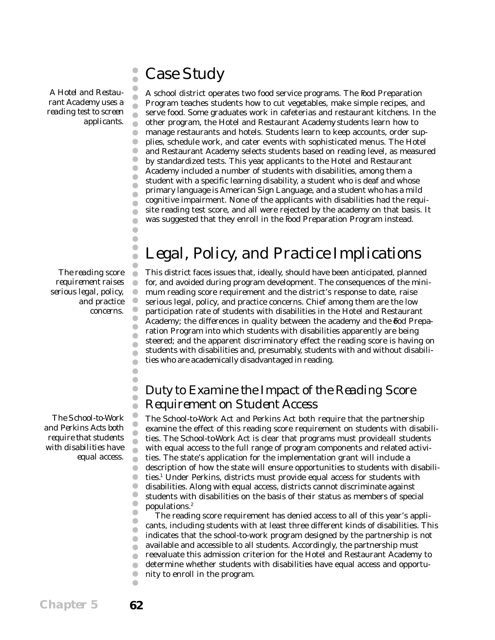*A Hotel and Restaurant Academy uses a reading test to screen applicants.*

#### *Case Study*  $\bullet$

aaaaaa  $\bullet$ A school district operates two food service programs. The Food Preparation  $\bullet$ Program teaches students how to cut vegetables, make simple recipes, and  $\bullet$ serve food. Some graduates work in cafeterias and restaurant kitchens. In the  $\bullet$  $\bullet$ other program, the Hotel and Restaurant Academy, students learn how to aaaaaaaaaaaaaaaaaaaaaaaaaaaaaaaaaaaaaaaaaaaaaaaaaaaaa  $\bullet$ manage restaurants and hotels. Students learn to keep accounts, order sup- $\blacksquare$ plies, schedule work, and cater events with sophisticated menus. The Hotel  $\overline{\phantom{a}}$ and Restaurant Academy selects students based on reading level, as measured  $\overline{\phantom{0}}$ by standardized tests. This year, applicants to the Hotel and Restaurant  $\bullet$ Academy included a number of students with disabilities, among them a  $\overline{\phantom{a}}$ student with a specific learning disability, a student who is deaf and whose  $\overline{\phantom{a}}$ primary language is American Sign Language, and a student who has a mild ă cognitive impairment. None of the applicants with disabilities had the requi- $\overline{\phantom{a}}$ site reading test score, and all were rejected by the academy on that basis. It  $\triangle$ was suggested that they enroll in the Food Preparation Program instead.  $\overline{\phantom{0}}$ 

*The reading score requirement raises serious legal, policy, and practice concerns.*

 $\bullet$  $\bullet$ 

 $\bullet$  $\bullet$ C  $\overline{\phantom{a}}$ 

 $\bullet$  $\bullet$ 

 $\bullet$  $\bullet$  $\bullet$ 

 $\bullet$  $\bullet$  $\bullet$  $\overline{\phantom{0}}$  $\overline{\phantom{a}}$  $\overline{\phantom{a}}$  $\bullet$ 

 $\bullet$  $\bullet$  $\blacksquare$ 

 *The School-to-Work and Perkins Acts both require that students with disabilities have equal access.*

#### $\overline{\phantom{a}}$ *Legal, Policy, and Practice Implications*  $\bullet$  $\overline{\phantom{a}}$

This district faces issues that, ideally, should have been anticipated, planned  $\bullet$  $\bullet$ for, and avoided during program development. The consequences of the mini- $\bullet$ mum reading score requirement and the district's response to date, raise  $\bullet$ serious legal, policy, and practice concerns. Chief among them are the low  $\bullet$ participation rate of students with disabilities in the Hotel and Restaurant  $\overline{\phantom{a}}$ Academy; the differences in quality between the academy and the Food Prepa- $\mathbf \Omega$ ration Program into which students with disabilities apparently are being  $\bullet$ steered; and the apparent discriminatory effect the reading score is having on  $\bullet$ students with disabilities and, presumably, students with and without disabili- $\bullet$ ties who are academically disadvantaged in reading.  $\bullet$ 

#### *Duty to Examine the Impact of the Reading Score Requirement on Student Access*  $\bullet$  $\bullet$

The School-to-Work Act and Perkins Act both require that the partnership examine the effect of this reading score requirement on students with disabilities. The School-to-Work Act is clear that programs must provide *all* students  $\bullet$ with equal access to the full range of program components and related activi- $\bullet$ ties. The state's application for the implementation grant will include a description of how the state will ensure opportunities to students with disabilities.1 Under Perkins, districts must provide equal access for students with  $\bullet$ disabilities. Along with equal access, districts cannot discriminate against students with disabilities on the basis of their status as members of special populations.2 The reading score requirement has denied access to all of this year's applicants, including students with at least three different kinds of disabilities. This indicates that the school-to-work program designed by the partnership is not available and accessible to all students. Accordingly, the partnership must reevaluate this admission criterion for the Hotel and Restaurant Academy to  $\bullet$ determine whether students with disabilities have equal access and opportunity to enroll in the program.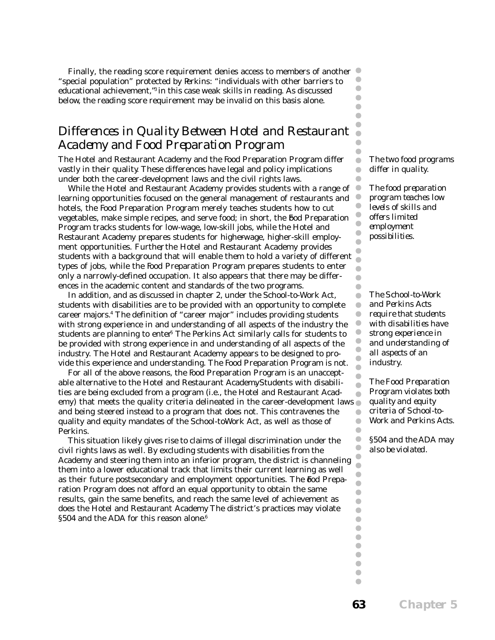Finally, the reading score requirement denies access to members of another  $\bullet$ aaaaaaaaaaaaaaaaaaaaaaaaaaa "special population" protected by Perkins: "individuals with other barriers to  $\overline{\phantom{a}}$ educational achievement,"<sup>3</sup> in this case weak skills in reading. As discussed  $\overline{\phantom{0}}$ below, the reading score requirement may be invalid on this basis alone.  $\bullet$ 

## *Differences in Quality Between Hotel and Restaurant Academy and Food Preparation Program*

The Hotel and Restaurant Academy and the Food Preparation Program differ vastly in their quality. These differences have legal and policy implications under both the career-development laws and the civil rights laws.

While the Hotel and Restaurant Academy provides students with a range of learning opportunities focused on the general management of restaurants and hotels, the Food Preparation Program merely teaches students how to cut vegetables, make simple recipes, and serve food; in short, the Food Preparation Program tracks students for low-wage, low-skill jobs, while the Hotel and Restaurant Academy prepares students for higher-wage, higher-skill employment opportunities. Further the Hotel and Restaurant Academy provides students with a background that will enable them to hold a variety of different types of jobs, while the Food Preparation Program prepares students to enter only a narrowly-defined occupation. It also appears that there may be differences in the academic content and standards of the two programs.

In addition, and as discussed in chapter 2, under the School-to-Work Act, students with disabilities are to be provided with an opportunity to complete career majors. 4 The definition of "career major" includes providing students with strong experience in and understanding of all aspects of the industry the students are planning to enter<sup>s</sup> The Perkins Act similarly calls for students to be provided with strong experience in and understanding of all aspects of the industry. The Hotel and Restaurant Academy appears to be designed to provide this experience and understanding. The Food Preparation Program is not.

For all of the above reasons, the Food Preparation Program is an unacceptable alternative to the Hotel and Restaurant AcademyStudents with disabilities are being excluded from a program (i.e., the Hotel and Restaurant Academy) that meets the quality criteria delineated in the career-development laws and being steered instead to a program that does not. This contravenes the quality and equity mandates of the School-toWork Act, as well as those of Perkins.

This situation likely gives rise to claims of illegal discrimination under the civil rights laws as well. By excluding students with disabilities from the Academy and steering them into an inferior program, the district is channeling them into a lower educational track that limits their current learning as well as their future postsecondary and employment opportunities. The God Preparation Program does not afford an equal opportunity to obtain the same results, gain the same benefits, and reach the same level of achievement as does the Hotel and Restaurant Academy. The district's practices may violate §504 and the ADA for this reason alone. 6

*The two food programs differ in quality.*

 $\overline{\phantom{a}}$  $\overline{\phantom{a}}$ ò  $\bullet$  $\blacksquare$  $\bullet$  $\bullet$  $\bullet$  $\bullet$  $\bullet$  $\bullet$  $\bullet$  $\bullet$  $\blacksquare$  $\bullet$  $\overline{\phantom{0}}$  $\bullet$  $\bullet$  $\bullet$  $\overline{\phantom{a}}$  $\bullet$  $\bullet$  $\bullet$  $\bullet$  $\bullet$  $\bullet$  $\bullet$  $\overline{\phantom{a}}$  $\blacksquare$  $\triangle$  $\bullet$  $\bullet$ 

*The food preparation program teaches low levels of skills and offers limited employment possibilities.*

*The School-to-Work and Perkins Acts require that students with disabilities have strong experience in and understanding of all aspects of an industry.*

*The Food Preparation Program violates both quality and equity criteria of School-to-Work and Perkins Acts.*

*§504 and the ADA may also be violated.*

aaaaaaaaaaaaaaaaaaaaaaaaaaaaaaa

 $\bullet$  $\bullet$  $\bullet$  $\bullet$  $\bullet$  $\bullet$  $\bullet$  $\bullet$  $\bullet$  $\bullet$  $\blacksquare$ ă  $\overline{\phantom{a}}$  $\overline{\phantom{a}}$  $\overline{\phantom{a}}$  $\bullet$  $\overline{\phantom{a}}$  $\bullet$  $\bullet$  $\bullet$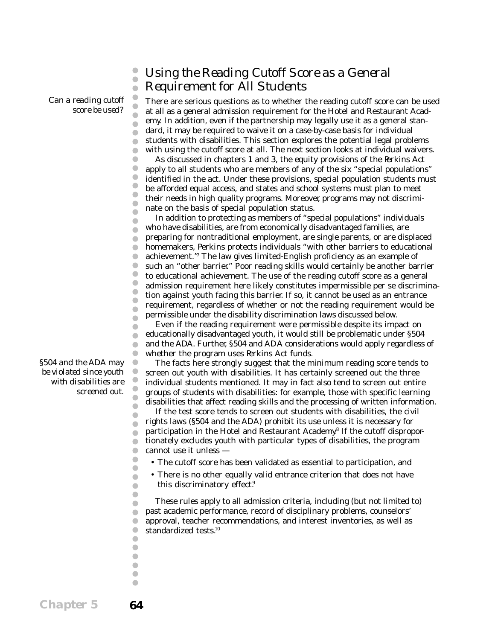## *Using the Reading Cutoff Score as a General* aaaaaa  $\bullet$ *Requirement for All Students*  $\bullet$

*Can a reading cutoff score be used?*

at all as a general admission requirement for the Hotel and Restaurant Acad- $\bullet$ emy. In addition, even if the partnership may legally use it as a general stan- $\bullet$ aaaaaaaaaaaaaaaaaaaaaaaaaaaaaaaaaaaaaaaaaaaaaaaaaaaaa dard, it may be required to waive it on a case-by-case basis for individual  $\bullet$ students with disabilities. This section explores the potential legal problems  $\blacksquare$ with using the cutoff score at all. The next section looks at individual waivers.  $\bullet$  $\bullet$ As discussed in chapters 1 and 3, the equity provisions of the Perkins Act  $\bullet$ apply to all students who are members of any of the six "special populations"  $\bullet$ identified in the act. Under these provisions, special population students must  $\bullet$ be afforded equal access, and states and school systems must plan to meet  $\blacksquare$ their needs in high quality programs. Moreover, programs may not discrimi- $\overline{\phantom{a}}$ nate on the basis of special population status.  $\bullet$ In addition to protecting as members of "special populations" individuals  $\blacksquare$ 

There are serious questions as to whether the reading cutoff score can be used

who have disabilities, are from economically disadvantaged families, are  $\bullet$ preparing for nontraditional employment, are single parents, or are displaced  $\bullet$  $\blacksquare$ homemakers, Perkins protects individuals "with other barriers to educational  $\bullet$ achievement."7 The law gives limited-English proficiency as an example of  $\blacksquare$ such an "other barrier" Poor reading skills would certainly be another barrier  $\triangle$ to educational achievement. The use of the reading cutoff score as a general  $\blacksquare$ admission requirement here likely constitutes impermissible per se discrimina- $\blacksquare$ tion against youth facing this barrier. If so, it cannot be used as an entrance  $\overline{\phantom{0}}$ requirement, regardless of whether or not the reading requirement would be  $\blacksquare$ permissible under the disability discrimination laws discussed below.  $\bullet$ 

Even if the reading requirement were permissible despite its impact on  $\bullet$ educationally disadvantaged youth, it would still be problematic under §504  $\bullet$ and the ADA. Further, §504 and ADA considerations would apply regardless of  $\bullet$ whether the program uses Perkins Act funds.  $\bullet$  $\bullet$ 

The facts here strongly suggest that the minimum reading score tends to screen out youth with disabilities. It has certainly screened out the three individual students mentioned. It may in fact also tend to screen out entire *groups* of students with disabilities: for example, those with specific learning disabilities that affect reading skills and the processing of written information.

If the test score tends to screen out students with disabilities, the civil  $\bullet$ rights laws (§504 and the ADA) prohibit its use unless it is necessary for  $\bullet$ participation in the Hotel and Restaurant Academy<sup>8</sup> If the cutoff dispropor- $\bullet$ tionately excludes youth with particular types of disabilities, the program cannot use it unless —  $\bullet$ 

• The cutoff score has been validated as essential to participation, and

• There is no other equally valid entrance criterion that does not have this discriminatory effect.<sup>9</sup>

These rules apply to all admission criteria, including (but not limited to)  $\bullet$ past academic performance, record of disciplinary problems, counselors'  $\bullet$ approval, teacher recommendations, and interest inventories, as well as  $\bullet$  $\blacksquare$ standardized tests.<sup>10</sup>

 $\bullet$  $\bullet$ 

 $\bullet$  $\blacksquare$  $\bullet$  $\bullet$  $\bullet$ 

 $\blacksquare$ 

 $\bullet$  $\blacksquare$  $\bullet$  $\bullet$  $\bullet$ 

 $\bullet$ 

 $\bullet$  $\bullet$ 

 $\bullet$ 

*§504 and the ADA may be violated since youth with disabilities are screened out.*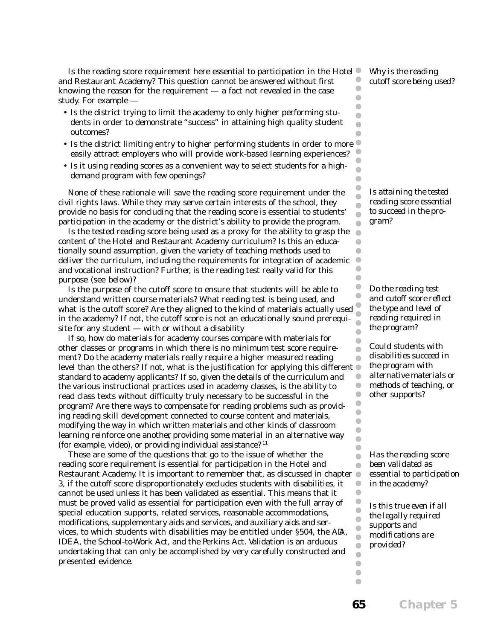Is the reading score requirement here essential to participation in the Hotel and Restaurant Academy? This question cannot be answered without first knowing the reason for the requirement — a fact not revealed in the case study. For example —

- Is the district trying to limit the academy to only higher performing students in order to demonstrate "success" in attaining high quality student outcomes?
- aaaaaaaaaaaaaaaaaaaaaaaaaaa • Is the district limiting entry to higher performing students in order to more easily attract employers who will provide work-based learning experiences?  $\overline{\phantom{a}}$
- Is it using reading scores as a convenient way to select students for a highdemand program with few openings?

None of these rationale will save the reading score requirement under the civil rights laws. While they may serve certain interests of the school, they provide no basis for concluding that the reading score is essential to students' participation in the academy or the district's ability to provide the program.

Is the tested reading score being used as a proxy for the ability to grasp the content of the Hotel and Restaurant Academy curriculum? Is this an educationally sound assumption, given the variety of teaching methods used to deliver the curriculum, including the requirements for integration of academic and vocational instruction? Further, is the reading test really valid for this purpose (see below)?

 $\bullet$ Is the purpose of the cutoff score to ensure that students will be able to  $\bullet$ understand written course materials? What reading test is being used, and what is the cutoff score? Are they aligned to the kind of materials actually used aaaaaaaaaaaaaaaaaaaaaaaaaaaaaaa in the academy? If not, the cutoff score is not an educationally sound prerequisite for any student — with or without a disability.  $\overline{\phantom{a}}$ 

If so, how do materials for academy courses compare with materials for other classes or programs in which there is no minimum test score requirement? Do the academy materials really require a higher measured reading level than the others? If not, what is the justification for applying this different  $\bullet$ standard to academy applicants? If so, given the details of the curriculum and the various instructional practices used in academy classes, is the ability to read class texts without difficulty truly necessary to be successful in the program? Are there ways to compensate for reading problems such as providing reading skill development connected to course content and materials, modifying the way in which written materials and other kinds of classroom learning reinforce one another providing some material in an alternative way (for example, video), or providing individual assistance?<sup>11</sup>

These are some of the questions that go to the issue of whether the reading score requirement is essential for participation in the Hotel and Restaurant Academy. It is important to remember that, as discussed in chapter 3, if the cutoff score disproportionately excludes students with disabilities, it cannot be used unless it has been validated as essential. This means that it must be proved valid as essential for participation even with the full array of special education supports, related services, reasonable accommodations, modifications, supplementary aids and services, and auxiliary aids and services, to which students with disabilities may be entitled under §504, the ADA, IDEA, the School-to-Work Act, and the Perkins Act. Validation is an arduous undertaking that can only be accomplished by very carefully constructed and presented evidence.

*Why is the reading cutoff score being used?*

 $\blacksquare$  $\bullet$  $\bullet$  $\bullet$  $\bullet$  $\bullet$  $\bullet$ 

 $\bullet$  $\bullet$  $\bullet$  $\overline{\phantom{a}}$  $\bullet$  $\bullet$  $\bullet$  $\blacksquare$  $\overline{\phantom{a}}$  $\bullet$  $\bullet$  $\bullet$  $\bullet$ 

 $\bullet$  $\triangle$  $\overline{\phantom{a}}$ 

 $\bullet$  $\bullet$  $\bullet$  $\bullet$  $\bullet$  $\bullet$  $\bullet$  $\bullet$  $\bullet$  $\bullet$ ò

 $\bullet$  $\bullet$  $\blacksquare$ ă  $\bullet$ ò  $\overline{\phantom{a}}$  $\bullet$  $\overline{\phantom{a}}$  $\bullet$  $\bullet$  $\bullet$  *Is attaining the tested reading score essential to succeed in the program?*

*Do the reading test and cutoff score reflect the type and level of reading required in the program?*

*Could students with disabilities succeed in the program with alternative materials or methods of teaching, or other supports?*

*Has the reading score been validated as essential to participation in the academy?*

*Is this true even if all the legally required supports and modifications are provided?*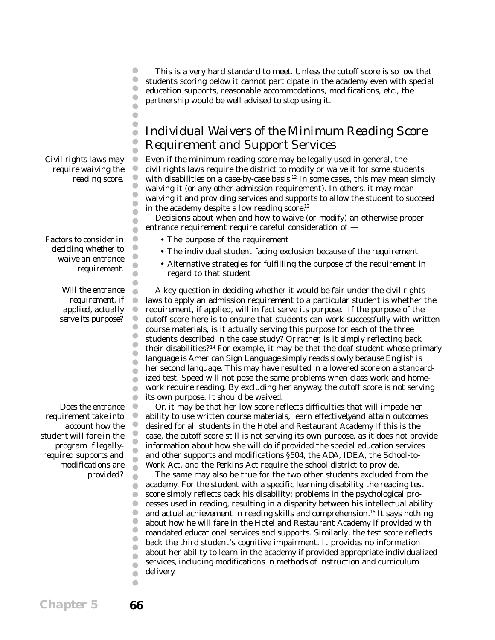$\bullet$ aaaaaa This is a very hard standard to meet. Unless the cutoff score is so low that  $\bullet$ students scoring below it cannot participate in the academy even with special  $\blacksquare$ education supports, reasonable accommodations, modifications, etc., the  $\bullet$ partnership would be well advised to stop using it.  $\bullet$ 

## $\blacksquare$ *Individual Waivers of the Minimum Reading Score*  $\bullet$  $\bullet$ *Requirement and Support Services*  $\bullet$

Even if the minimum reading score may be legally used in general, the civil rights laws require the district to modify or waive it for some students with disabilities on a case-by-case basis.<sup>12</sup> In some cases, this may mean simply waiving it (or any other admission requirement). In others, it may mean waiving it and providing services and supports to allow the student to succeed

*Civil rights laws may require waiving the reading score.*

 $\bullet$ 

 $\bullet$  $\bullet$  $\bullet$  $\bullet$  $\blacksquare$  $\overline{\phantom{a}}$  $\bullet$  $\bullet$  $\bullet$  $\overline{\phantom{0}}$  $\bullet$  $\overline{\phantom{a}}$  $\overline{\phantom{a}}$  $\triangle$  $\bullet$ 

 $\triangle$  $\bullet$  $\bigcirc$  $\blacksquare$  $\bullet$ 

 $\bullet$  $\blacksquare$ 

 $\bullet$  $\bullet$  $\bullet$  $\bullet$  $\bullet$  $\bullet$  $\bullet$ 

*Factors to consider in deciding whether to waive an entrance requirement.*

> *Will the entrance requirement, if applied, actually serve its purpose?*

*Does the entrance requirement take into account how the student will fare in the program if legallyrequired supports and modifications are provided?* • The purpose of the requirement

in the academy despite a low reading score.<sup>13</sup>

entrance requirement require careful consideration of —

• The individual student facing exclusion because of the requirement

Decisions about when and how to waive (or modify) an otherwise proper

• Alternative strategies for fulfilling the purpose of the requirement in regard to that student

A key question in deciding whether it would be fair under the civil rights  $\bullet$  $\bullet$ laws to apply an admission requirement to a particular student is whether the  $\bullet$ requirement, if applied, will in fact serve its purpose. If the purpose of the  $\bullet$ cutoff score here is to ensure that students can work successfully with written course materials, is it actually serving this purpose for each of the three students described in the case study? Or rather, is it simply reflecting back their disabilities?14 For example, it may be that the deaf student whose primary language is American Sign Language simply reads slowly because English is her second language. This may have resulted in a lowered score on a standard- $\bullet$ ized test. Speed will not pose the same problems when class work and homework require reading. By excluding her anyway, the cutoff score is not serving  $\bullet$ its own purpose. It should be waived.

Or, it may be that her low score reflects difficulties that will impede her ability to use written course materials, learn effectively and attain outcomes desired for all students in the Hotel and Restaurant Academy If this is the case, the cutoff score still is not serving its own purpose, as it does not provide information about how she will do if provided the special education services and other supports and modifications §504, the ADA, IDEA, the School-to-Work Act, and the Perkins Act require the school district to provide.

aaaaaaaaaaaaaaaaaaaaaaaaaaaaaaaaaaaaaaaaaaaaaaaaaaaaa  $\bullet$ The same may also be true for the two other students excluded from the  $\bullet$ academy. For the student with a specific learning disability, the reading test  $\bullet$ score simply reflects back his disability: problems in the psychological pro- $\bullet$ cesses used in reading, resulting in a disparity between his intellectual ability  $\bullet$  $\bullet$ and actual achievement in reading skills and comprehension.15 It says nothing  $\bullet$ about how he will fare in the Hotel and Restaurant Academy if provided with  $\overline{\phantom{a}}$ mandated educational services and supports. Similarly, the test score reflects  $\bullet$ back the third student's cognitive impairment. It provides no information  $\bullet$ about her ability to learn in the academy if provided appropriate individualized  $\bullet$ services, including modifications in methods of instruction and curriculum  $\bullet$ delivery.  $\bullet$  $\bullet$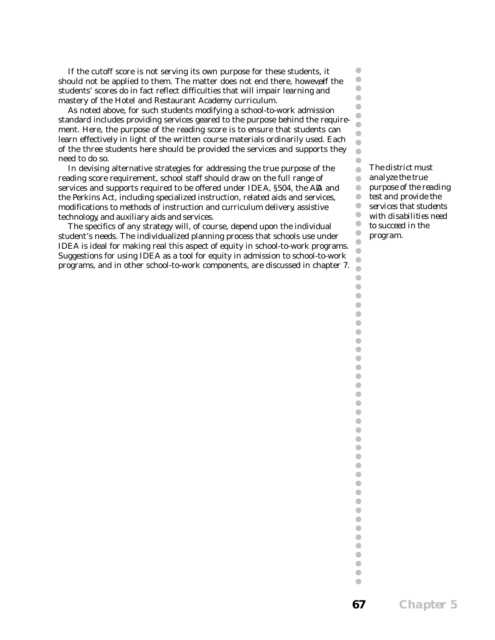If the cutoff score is not serving its own purpose for these students, it should not be applied to them. The matter does not end there, however fthe students' scores do in fact reflect difficulties that will impair learning and mastery of the Hotel and Restaurant Academy curriculum.

As noted above, for such students modifying a school-to-work admission standard includes providing services geared to the purpose behind the requirement. Here, the purpose of the reading score is to ensure that students can learn effectively in light of the written course materials ordinarily used. Each of the three students here should be provided the services and supports they need to do so.

In devising alternative strategies for addressing the true purpose of the reading score requirement, school staff should draw on the full range of services and supports required to be offered under IDEA, §504, the AD and the Perkins Act, including specialized instruction, related aids and services, modifications to methods of instruction and curriculum delivery, assistive technology, and auxiliary aids and services.

The specifics of any strategy will, of course, depend upon the individual student's needs. The individualized planning process that schools use under IDEA is ideal for making real this aspect of equity in school-to-work programs. Suggestions for using IDEA as a tool for equity in admission to school-to-work programs, and in other school-to-work components, are discussed in chapter 7.

*The district must analyze the true purpose of the reading test and provide the services that students with disabilities need to succeed in the program.*

aaaaaaaaaaaaaaaaaaaaaaaaaaa

 $\overline{\phantom{a}}$  $\bullet$  $\bullet$  $\blacksquare$  $\bullet$  $\blacksquare$ ò  $\bullet$  $\bullet$  $\bullet$  $\overline{\phantom{a}}$  $\blacksquare$  $\bullet$  $\bullet$  $\bullet$  $\bullet$  $\bullet$  $\bullet$  $\blacksquare$  $\overline{\phantom{a}}$  $\bullet$  $\bullet$  $\bullet$  $\bullet$  $\bullet$  $\bullet$  $\bullet$  $\triangle$  $\blacksquare$  $\overline{\phantom{a}}$  $\overline{\phantom{a}}$  $\bullet$  $\overline{\phantom{a}}$  $\bullet$  $\bullet$  $\blacksquare$  $\overline{\phantom{a}}$  $\overline{\phantom{a}}$ ă  $\mathbf{C}$  $\bullet$  $\blacksquare$  $\bullet$  $\overline{\phantom{a}}$  $\bullet$  $\bullet$  $\bullet$  $\overline{\phantom{a}}$  $\blacksquare$ ă  $\overline{\phantom{a}}$  $\bullet$  $\overline{\phantom{a}}$  $\bullet$  $\bullet$  $\bullet$  $\bullet$  $\bullet$ 

aaaaaaaaaaaaaaaaaaaaaaaaaaaaaaa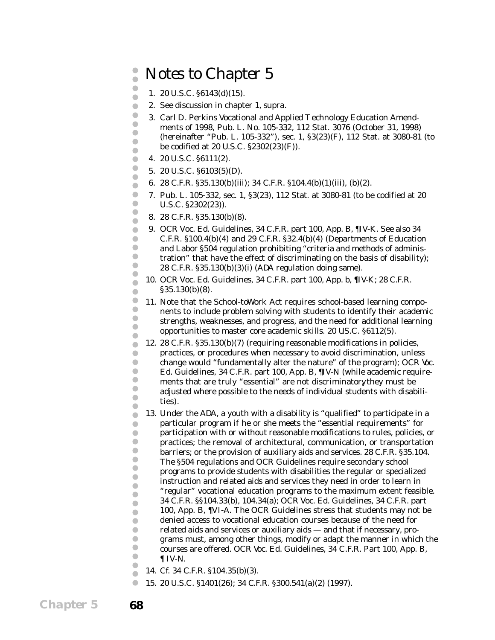## aaaaaa *Notes to Chapter 5*  $\bullet$

- $\bullet$ 1. 20 U.S.C. §6143(d)(15).  $\bullet$
- 2. See discussion in chapter 1, *supra*.  $\bullet$
- $\bullet$ 3. Carl D. Perkins Vocational and Applied Technology Education Amend- $\bullet$ ments of 1998, Pub. L. No. 105-332, 112 Stat. 3076 (October 31, 1998)  $\bullet$ (hereinafter "Pub. L. 105-332"), sec. 1, §3(23)(F), 112 Stat. at 3080-81 (to  $\qquad \qquad \bullet$ be codified at 20 U.S.C. §2302(23)(F)).  $\qquad \qquad \bullet$
- 4. 20 U.S.C. §6111(2).  $\bullet$

 $\blacksquare$ 

- $\bullet$ 5. 20 U.S.C. §6103(5)(D).  $\bullet$ 
	- 6. 28 C.F.R.  $\S 35.130(b)(iii)$ ; 34 C.F.R.  $\S 104.4(b)(1)(iii)$ ,  $(b)(2)$ .
- $\bullet$ 7. Pub. L. 105-332, sec. 1, §3(23), 112 Stat. at 3080-81 (to be codified at 20  $\bullet$ U.S.C. §2302(23)).
- $\bullet$ 8. 28 C.F.R. §35.130(b)(8).  $\bullet$
- 9. OCR Voc. Ed. Guidelines, 34 C.F.R. part 100, App. B, ¶IV-K. See also 34  $\bullet$  $\bullet$ C.F.R. §100.4(b)(4) and 29 C.F.R. §32.4(b)(4) (Departments of Education  $\bullet$ and Labor §504 regulation prohibiting "criteria and methods of adminis- $\bullet$ tration" that have the effect of discriminating on the basis of disability);  $\blacksquare$ 28 C.F.R. §35.130(b)(3)(i) (ADA regulation doing same).  $\blacksquare$
- 10. OCR Voc. Ed. Guidelines, 34 C.F.R. part 100, App. b, ¶IV-K; 28 C.F.R.  $\blacksquare$ §35.130(b)(8).  $\bullet$
- $\bullet$ 11. Note that the School-toWork Act requires school-based learning compo- $\bullet$ nents to include problem solving with students to identify their academic  $\bullet$ strengths, weaknesses, and progress, and the need for additional learning  $\qquad \qquad \bullet$ opportunities to master core academic skills. 20 US.C. §6112(5).  $\bullet$
- 12. 28 C.F.R. §35.130(b)(7) (requiring reasonable modifications in policies,  $\bullet$ practices, or procedures when necessary to avoid discrimination, unless  $\bullet$  $\bullet$ change would "fundamentally alter the nature" of the program); OCR Voc.  $\bullet$ Ed. Guidelines, 34 C.F.R. part 100, App. B, ¶IV-N (while academic require- $\bullet$ ments that are truly "essential" are not discriminatory they must be  $\bullet$ adjusted where possible to the needs of individual students with disabili- $\bullet$ ties).  $\bullet$
- aaaaaaaaaaaaaaaaaaaaaaaaaaaaaaaaaaaaaaaaaaaaaaaaaaaaa 13. Under the ADA, a youth with a disability is "qualified" to participate in a  $\bullet$ particular program if he or she meets the "essential requirements" for  $\bullet$  $\bullet$ participation *with or without* reasonable modifications to rules, policies, or  $\bullet$ practices; the removal of architectural, communication, or transportation  $\bullet$ barriers; or the provision of auxiliary aids and services. 28 C.F.R. §35.104.  $\bullet$ The §504 regulations and OCR Guidelines require secondary school  $\blacksquare$ programs to provide students with disabilities the regular or specialized  $\bullet$ instruction and related aids and services they need in order to learn in  $\bullet$ "regular" vocational education programs to the maximum extent feasible.  $\bullet$ 34 C.F.R. §§104.33(b), 104.34(a); OCR Voc. Ed. Guidelines, 34 C.F.R. part  $\bullet$ 100, App. B, ¶VI-A. The OCR Guidelines stress that students may not be  $\bullet$ denied access to vocational education courses because of the need for  $\bullet$  $\bullet$ related aids and services or auxiliary aids — and that if necessary, pro- $\bullet$ grams must, among other things, modify or adapt the manner in which the  $\bullet$ courses are offered. OCR Voc. Ed. Guidelines, 34 C.F.R. Part 100, App. B,  $\bullet$ ¶ IV-N.
- $\bullet$ 14. *Cf.* 34 C.F.R. §104.35(b)(3).  $\bullet$
- 15. 20 U.S.C. §1401(26); 34 C.F.R. §300.541(a)(2) (1997). $\bullet$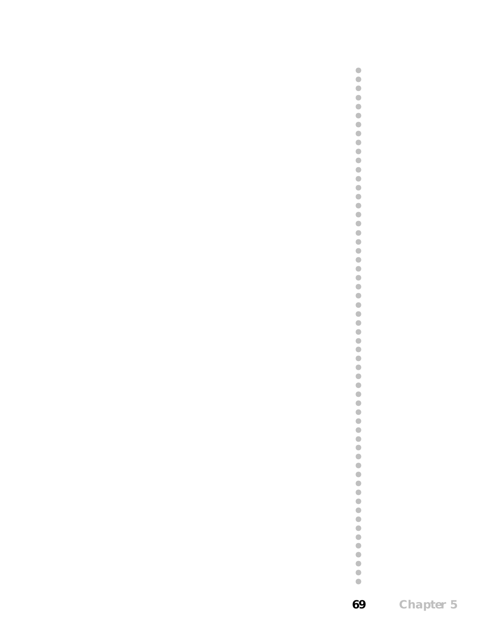aaaaaaaaaaaaaaaaaaaaaaaaaaa  $\begin{array}{c} \bullet \\ \bullet \end{array}$  $\begin{array}{c} \bullet \\ \bullet \end{array}$  $\bullet$  $\begin{array}{c} \bullet \\ \bullet \end{array}$  $\bullet$  $\bullet$  $\ddot{\bullet}$  $\begin{array}{c} \bullet \\ \bullet \end{array}$  $\begin{array}{c} \bullet \\ \bullet \end{array}$  $\bullet$  $\bullet$  $\begin{array}{c} \bullet \\ \bullet \end{array}$  $\begin{array}{c} \bullet \\ \bullet \end{array}$  $\begin{array}{c} \bullet \\ \bullet \end{array}$  $\ddot{\bullet}$  $\begin{array}{c} \bullet \\ \bullet \end{array}$  $\begin{array}{c} \bullet \\ \bullet \end{array}$  $\begin{array}{c} \bullet \\ \bullet \end{array}$  $\ddot{\bullet}$  $\begin{array}{ccc} \bullet & \bullet & \bullet \\ \bullet & \bullet & \bullet \end{array}$  $\bullet$  $\bullet$  $\ddot{\bullet}$  $\begin{array}{ccc} \bullet & \bullet & \bullet \\ \bullet & \bullet & \bullet \end{array}$ aaaaaaaaaaaaaaaaaaaaaaaaaaaaaaa  $\bullet$  $\bullet$  $\begin{array}{c} \bullet \\ \bullet \end{array}$  $\bullet$  $\begin{array}{c} \bullet \\ \bullet \end{array}$  $\begin{array}{ccc} \bullet & \bullet & \bullet \\ \bullet & \bullet & \bullet \end{array}$  $\begin{array}{c} \bullet \\ \bullet \end{array}$  $\begin{array}{c} \bullet \\ \bullet \end{array}$  $\begin{array}{c} \bullet \\ \bullet \end{array}$  $\begin{array}{ccc} \bullet & \bullet & \bullet \\ \bullet & \bullet & \bullet \end{array}$  $\begin{array}{c} \bullet \\ \bullet \end{array}$  $\bullet$  $\ddot{\bullet}$  $\begin{array}{ccc} \bullet & \bullet & \bullet \\ \bullet & \bullet & \bullet \end{array}$  $\bullet$  $\begin{array}{c} \bullet \\ \bullet \end{array}$  $\bullet$  $\ddot{\bullet}$  $\begin{array}{ccc} \bullet & \bullet & \bullet \\ \bullet & \bullet & \bullet \end{array}$  $\begin{array}{c} \bullet \\ \bullet \end{array}$  $\begin{array}{c} \bullet \\ \bullet \end{array}$  $\begin{array}{c} \bullet \\ \bullet \end{array}$  $\bullet$  $\ddot{\bullet}$  $\begin{array}{ccc} \bullet & \bullet & \bullet \\ \bullet & \bullet & \bullet \end{array}$  $\ddot{\bullet}$ 

**69** *Chapter 5*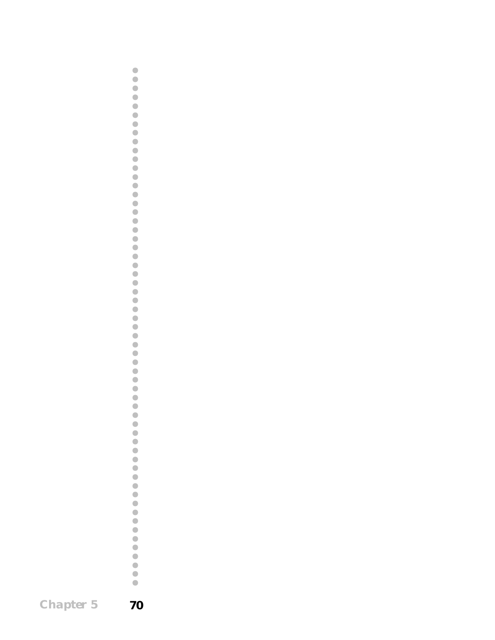aaaaaa  $\begin{array}{c} \bullet \\ \bullet \end{array}$  $\bullet$  $\begin{array}{c} \bullet \\ \bullet \end{array}$  $\bullet$  $\begin{array}{ccc} \bullet & \bullet & \bullet \\ \bullet & \bullet & \bullet \end{array}$ aaaaaaaaaaaaaaaaaaaaaaaaaaaaaaaaaaaaaaaaaaaaaaaaaaaaa  $\begin{array}{c} \bullet \\ \bullet \end{array}$  $\begin{array}{ccc} \bullet & \bullet & \bullet \\ \bullet & \bullet & \bullet \end{array}$  $\begin{array}{c} \bullet \\ \bullet \end{array}$  $\begin{array}{c} \bullet \\ \bullet \end{array}$  $\bullet$  $\begin{array}{c} \bullet \\ \bullet \end{array}$  $\begin{array}{ccc} \bullet & \bullet & \bullet \\ \bullet & \bullet & \bullet \end{array}$  $\begin{array}{ccc} \bullet & \bullet & \bullet \\ \bullet & \bullet & \bullet \end{array}$  $\begin{array}{c} \bullet \\ \bullet \end{array}$  $\begin{array}{c} \bullet \\ \bullet \end{array}$  $\begin{array}{c} \bullet \\ \bullet \end{array}$  $\bullet$  $\bullet$  $\bullet$  $\bullet$  $\begin{array}{c} \bullet \\ \bullet \end{array}$  $\begin{array}{c} \bullet \\ \bullet \end{array}$  $\bullet$  $\begin{array}{c} \bullet \\ \bullet \end{array}$  $\bullet$  $\bullet$  $\bullet$  $\bullet$  $\begin{array}{c} \bullet \\ \bullet \end{array}$  $\bullet$  $\bullet$  $\bullet$  $\bullet$  $\bullet$  $\begin{array}{c} \bullet \\ \bullet \end{array}$  $\begin{array}{ccc} \bullet & \bullet & \bullet \\ \bullet & \bullet & \bullet \end{array}$  $\bullet$  $\begin{array}{c} \bullet \\ \bullet \end{array}$  $\bullet$  $\begin{array}{c} \bullet \\ \bullet \end{array}$  $\begin{array}{c} \bullet \\ \bullet \end{array}$  $\bullet$  $\begin{array}{c} \bullet \\ \bullet \end{array}$  $\bullet$  $\begin{array}{c} \bullet \\ \bullet \end{array}$  $\bullet$  $\bullet$  $\bullet$  $\bullet$  $\begin{array}{c} \bullet \\ \bullet \end{array}$  $\bullet$  $\begin{array}{c} \bullet \\ \bullet \end{array}$  $\bullet$  $\ddot{\bullet}$  $\bullet$  $\begin{array}{ccc} \bullet & \bullet & \bullet \\ \bullet & \bullet & \bullet \end{array}$  $\begin{array}{c} \bullet \\ \bullet \end{array}$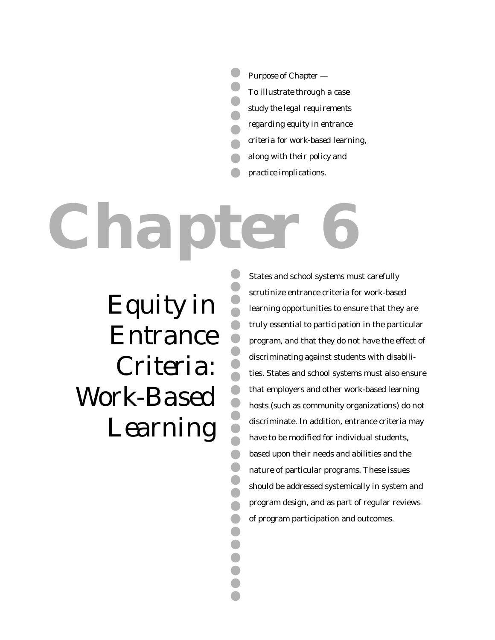aaaaaaaaaaaaaaaaaaaaaaaaaa aaaaaaaa *Purpose of Chapter — To illustrate through a case study the legal requirements regarding equity in entrance criteria for work-based learning, along with their policy and practice implications.*

## *Chapter*

 $\blacksquare$  $\bullet$ 

 $\blacksquare$  $\blacksquare$  $\bullet$ 

*Equity in Entrance Criteria: Work-Based Learning*

States and school systems must carefully scrutinize entrance criteria for work-based learning opportunities to ensure that they are truly essential to participation in the particular program, and that they do not have the effect of discriminating against students with disabilities. States and school systems must also ensure that employers and other work-based learning hosts (such as community organizations) do not discriminate. In addition, entrance criteria may have to be modified for individual students, based upon their needs and abilities and the nature of particular programs. These issues should be addressed systemically in system and program design, and as part of regular reviews of program participation and outcomes.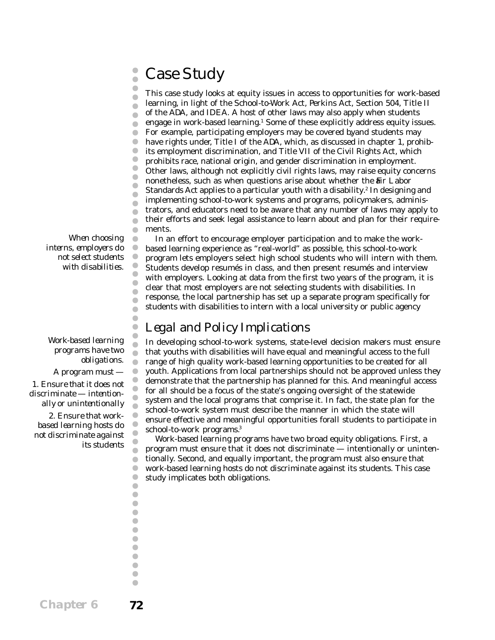## aaaaaa *Case Study*  $\bullet$

 $\blacksquare$  $\bullet$ 

 $\bullet$  $\bullet$  $\triangle$  $\blacksquare$  $\overline{\phantom{a}}$  $\bullet$  $\bullet$ 

 $\bullet$  $\bullet$  $\bullet$  $\bullet$  $\bullet$  $\bullet$  $\bullet$  $\bullet$  $\bullet$  $\bullet$ 

 $\bullet$  $\bullet$  $\overline{\phantom{a}}$  $\overline{\phantom{0}}$  $\overline{\phantom{a}}$  $\bullet$  $\bullet$  $\bullet$  $\bullet$  $\bullet$  $\bullet$ 

This case study looks at equity issues in access to opportunities for work-based learning, in light of the School-to-Work Act, Perkins Act, Section 504, Title II

 $\bullet$ of the ADA, and IDEA. A host of other laws may also apply when students

- $\bullet$
- engage in work-based learning.<sup>1</sup> Some of these explicitly address equity issues.  $\bullet$  $\bullet$ For example, participating employers may be covered by and students may
- $\blacksquare$ have rights under, Title I of the ADA, which, as discussed in chapter 1, prohib-
- $\bullet$ its employment discrimination, and Title VII of the Civil Rights Act, which
- $\overline{\phantom{0}}$ prohibits race, national origin, and gender discrimination in employment.
- $\bullet$ Other laws, although not explicitly civil rights laws, may raise equity concerns  $\overline{\phantom{a}}$
- nonetheless, such as when questions arise about whether the Fir Labor  $\overline{\phantom{a}}$
- Standards Act applies to a particular youth with a disability.<sup>2</sup> In designing and ă
- implementing school-to-work systems and programs, policymakers, adminis- $\overline{\phantom{a}}$
- aaaaaaaaaaaaaaaaaaaaaaaaaaaaaaaaaaaaaaaaaaaaaaaaaaaaa trators, and educators need to be aware that any number of laws may apply to  $\triangle$ their efforts and seek legal assistance to learn about and plan for their require- $\bullet$ ments.  $\bullet$

*When choosing interns, employers do not select students with disabilities.*

*Work-based learning programs have two obligations.*

*A program must —*

*1. Ensure that it does not discriminate — intentionally or unintentionally*

 *2. Ensure that workbased learning hosts do not discriminate against its students*  $\bullet$ In an effort to encourage employer participation and to make the work- $\bullet$ based learning experience as "real-world" as possible, this school-to-work program lets employers select high school students who will intern with them. Students develop resumés in class, and then present resumés and interview with employers. Looking at data from the first two years of the program, it is clear that most employers are not selecting students with disabilities. In response, the local partnership has set up a separate program specifically for students with disabilities to intern with a local university or public agency.

## $\bullet$ *Legal and Policy Implications*  $\bullet$  $\bullet$

In developing school-to-work systems, state-level decision makers must ensure that youths with disabilities will have equal and meaningful access to the full range of high quality work-based learning opportunities to be created for all youth. Applications from local partnerships should not be approved unless they demonstrate that the partnership has planned for this. And meaningful access for all should be a focus of the state's ongoing oversight of the statewide system and the local programs that comprise it. In fact, the state plan for the school-to-work system must describe the manner in which the state will ensure effective and meaningful opportunities for *all* students to participate in school-to-work programs.3

 $\bullet$ Work-based learning programs have two broad equity obligations. First, a  $\bullet$ program must ensure that it does not discriminate — intentionally or uninten- $\overline{\phantom{a}}$ tionally. Second, and equally important, the program must also ensure that  $\bullet$ work-based learning hosts do not discriminate against its students. This case  $\bullet$  $\bullet$ study implicates both obligations.  $\bullet$ 

*Chapter 6* **72**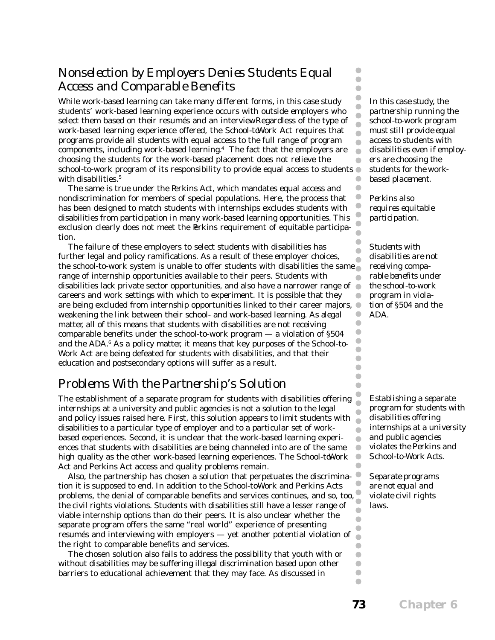## *Nonselection by Employers Denies Students Equal Access and Comparable Benefits*

While work-based learning can take many different forms, in this case study students' work-based learning experience occurs with outside employers who select them based on their resumés and an interview. Regardless of the type of work-based learning experience offered, the School-toWork Act requires that programs provide *all* students with equal access to the full range of program components, including work-based learning. 4 The fact that the employers are choosing the students for the work-based placement does not relieve the school-to-work program of its responsibility to provide equal access to students  $\bullet$ with disabilities. 5

The same is true under the Perkins Act, which mandates equal access and nondiscrimination for members of special populations. Here, the process that has been designed to match students with internships excludes students with disabilities from participation in many work-based learning opportunities. This exclusion clearly does not meet the Perkins requirement of equitable participation.

The failure of these employers to select students with disabilities has further legal and policy ramifications. As a result of these employer choices, the school-to-work system is unable to offer students with disabilities the same range of internship opportunities available to their peers. Students with disabilities lack private sector opportunities, and also have a narrower range of careers and work settings with which to experiment. It is possible that they are being excluded from internship opportunities linked to their career majors, weakening the link between their school- and work-based learning. As alegal matter, all of this means that students with disabilities are not receiving comparable benefits under the school-to-work program — a violation of §504 and the ADA.<sup>6</sup> As a *policy* matter, it means that key purposes of the School-to-Work Act are being defeated for students with disabilities, and that their education and postsecondary options will suffer as a result.

## *Problems With the Partnership's Solution*

The establishment of a separate program for students with disabilities offering internships at a university and public agencies is not a solution to the legal and policy issues raised here. First, this solution appears to limit students with  $\blacksquare$ disabilities to a particular type of employer and to a particular set of workbased experiences. Second, it is unclear that the work-based learning experiences that students with disabilities are being channeled into are of the same high quality as the other work-based learning experiences. The School-toWork Act and Perkins Act access and quality problems remain.  $\bullet$ 

Also, the partnership has chosen a solution that perpetuates the discrimination it is supposed to end. In addition to the School-to-Work and Perkins Acts problems, the denial of comparable benefits and services continues, and so, too, the civil rights violations. Students with disabilities still have a lesser range of viable internship options than do their peers. It is also unclear whether the separate program offers the same "real world" experience of presenting resumés and interviewing with employers — yet another potential violation of the right to comparable benefits and services.

The chosen solution also fails to address the possibility that youth with or without disabilities may be suffering illegal discrimination based upon other barriers to educational achievement that they may face. As discussed in

*In this case study, the partnership running the school-to-work program must still provide equal access to students with disabilities even if employers are choosing the students for the workbased placement.*

*Perkins also requires equitable participation.*

aaaaaaaaaaaaaaaaaaaaaaaaaaa

 $\bullet$  $\overline{\phantom{a}}$  $\mathbf{r}$ 

 $\blacksquare$ 

 $\bullet$  $\bullet$  $\bullet$  $\blacksquare$  $\bullet$  $\bullet$ ó  $\bullet$  $\bullet$  $\bullet$  $\bullet$ 

 $\bullet$  $\bullet$  $\bullet$  $\bullet$ 

 $\bullet$  $\bullet$  $\bullet$  $\bullet$  $\bullet$  $\bullet$  $\blacksquare$  $\bullet$  $\bullet$  $\bullet$ 

aaaaaaaaaaaaaaaaaaaaaaaaaaaaaaa

 $\bullet$ 

ă  $\bullet$  $\overline{\phantom{a}}$  $\bullet$  $\bullet$  $\bullet$  $\bullet$  $\bullet$  $\bullet$ 

 $\bullet$  $\bullet$  $\bullet$  $\overline{\phantom{a}}$  $\blacksquare$ 

*Students with disabilities are not receiving comparable benefits under the school-to-work program in violation of §504 and the ADA.*

*Establishing a separate program for students with disabilities offering internships at a university and public agencies violates the Perkins and School-to-Work Acts.*

*Separate programs are not equal and violate civil rights laws.*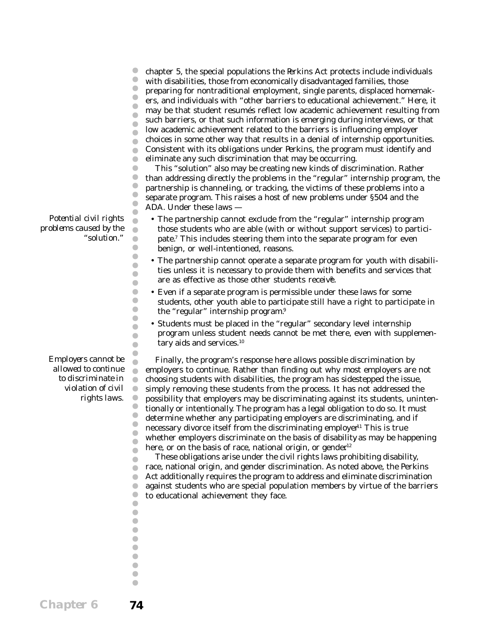|                                                                                                        | chapter 5, the special populations the Perkins Act protects include individuals<br>with disabilities, those from economically disadvantaged families, those<br>preparing for nontraditional employment, single parents, displaced homemak-<br>ers, and individuals with "other barriers to educational achievement." Here, it<br>may be that student resumés reflect low academic achievement resulting from<br>such barriers, or that such information is emerging during interviews, or that<br>low academic achievement related to the barriers is influencing employer<br>choices in some other way that results in a denial of internship opportunities.<br>Consistent with its obligations under Perkins, the program must identify and<br>eliminate any such discrimination that may be occurring.<br>This "solution" also may be creating new kinds of discrimination. Rather<br>than addressing directly the problems in the "regular" internship program, the<br>partnership is channeling, or tracking, the victims of these problems into a<br>separate program. This raises a host of new problems under §504 and the<br>ADA. Under these laws -                                    |
|--------------------------------------------------------------------------------------------------------|--------------------------------------------------------------------------------------------------------------------------------------------------------------------------------------------------------------------------------------------------------------------------------------------------------------------------------------------------------------------------------------------------------------------------------------------------------------------------------------------------------------------------------------------------------------------------------------------------------------------------------------------------------------------------------------------------------------------------------------------------------------------------------------------------------------------------------------------------------------------------------------------------------------------------------------------------------------------------------------------------------------------------------------------------------------------------------------------------------------------------------------------------------------------------------------------------|
| Potential civil rights<br>problems caused by the<br>"solution."                                        | • The partnership cannot exclude from the "regular" internship program<br>those students who are able (with or without support services) to partici-<br>pate. <sup>7</sup> This includes steering them into the separate program for even<br>benign, or well-intentioned, reasons.                                                                                                                                                                                                                                                                                                                                                                                                                                                                                                                                                                                                                                                                                                                                                                                                                                                                                                               |
|                                                                                                        | • The partnership cannot operate a separate program for youth with disabili-<br>ties unless it is necessary to provide them with benefits and services that<br>are as effective as those other students receive.                                                                                                                                                                                                                                                                                                                                                                                                                                                                                                                                                                                                                                                                                                                                                                                                                                                                                                                                                                                 |
|                                                                                                        | • Even if a separate program is permissible under these laws for some<br>students, other youth able to participate still have a right to participate in<br>the "regular" internship program. <sup>9</sup>                                                                                                                                                                                                                                                                                                                                                                                                                                                                                                                                                                                                                                                                                                                                                                                                                                                                                                                                                                                        |
|                                                                                                        | • Students must be placed in the "regular" secondary level internship<br>program unless student needs cannot be met there, even with supplemen-<br>tary aids and services. <sup>10</sup>                                                                                                                                                                                                                                                                                                                                                                                                                                                                                                                                                                                                                                                                                                                                                                                                                                                                                                                                                                                                         |
| Employers cannot be<br>allowed to continue<br>to discriminate in<br>violation of civil<br>rights laws. | Finally, the program's response here allows possible discrimination by<br>employers to continue. Rather than finding out why most employers are not<br>choosing students with disabilities, the program has sidestepped the issue,<br>simply removing these students from the process. It has not addressed the<br>possibility that employers may be discriminating against its students, uninten-<br>tionally or intentionally. The program has a legal obligation to do so. It must<br>determine whether any participating employers are discriminating, and if<br>necessary divorce itself from the discriminating employer <sup>11</sup> This is true<br>whether employers discriminate on the basis of disability as may be happening<br>here, or on the basis of race, national origin, or gender <sup>12</sup><br>These obligations arise under the civil rights laws prohibiting disability,<br>race, national origin, and gender discrimination. As noted above, the Perkins<br>Act additionally requires the program to address and eliminate discrimination<br>against students who are special population members by virtue of the barriers<br>to educational achievement they face. |
|                                                                                                        |                                                                                                                                                                                                                                                                                                                                                                                                                                                                                                                                                                                                                                                                                                                                                                                                                                                                                                                                                                                                                                                                                                                                                                                                  |

*Chapter 6* **74**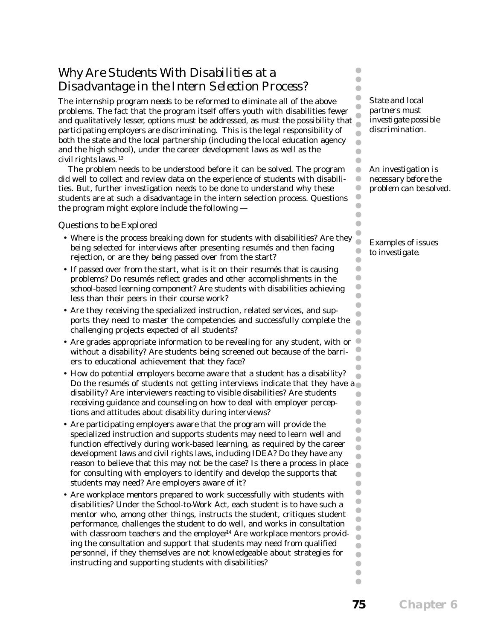## *Why Are Students With Disabilities at a Disadvantage in the Intern Selection Process?*

The internship program needs to be reformed to eliminate all of the above problems. The fact that the program itself offers youth with disabilities fewer, and qualitatively lesser, options must be addressed, as must the possibility that participating employers are discriminating. This is the legal responsibility of both the state and the local partnership (including the local education agency and the high school), under the career development laws as well as the civil rights laws. <sup>13</sup>

The problem needs to be understood before it can be solved. The program did well to collect and review data on the experience of students with disabilities. But, further investigation needs to be done to understand why these students are at such a disadvantage in the intern selection process. Questions the program might explore include the following —

## *Questions to be Explored*

- Where is the process breaking down for students with disabilities? Are they being selected for interviews after presenting resumés and then facing rejection, or are they being passed over from the start?
- If passed over from the start, what is it on their resumés that is causing problems? Do resumés reflect grades and other accomplishments in the school-based learning component? Are students with disabilities achieving less than their peers in their course work?
- Are they receiving the specialized instruction, related services, and supports they need to master the competencies and successfully complete the challenging projects expected of all students?
- aaaaaaaaaaaaaaaaaaaaaaaaaaaaaaa • Are grades appropriate information to be revealing for any student, with or  $\bullet$ without a disability? Are students being screened out because of the barri- $\overline{\phantom{a}}$ ers to educational achievement that they face?  $\overline{\phantom{a}}$
- How do potential employers become aware that a student has a disability? Do the resumes of students not getting interviews indicate that they have a disability? Are interviewers reacting to visible disabilities? Are students receiving guidance and counseling on how to deal with employer perceptions and attitudes about disability during interviews?
- Are participating employers aware that the program will provide the specialized instruction and supports students may need to learn well and function effectively during work-based learning, as required by the careerdevelopment laws and civil rights laws, including IDEA? Do they have any reason to believe that this may not be the case? Is there a process in place for consulting with employers to identify and develop the supports that students may need? Are employers aware of it?
- Are workplace mentors prepared to work successfully with students with disabilities? Under the School-to-Work Act, each student is to have such a mentor who, among other things, instructs the student, critiques student performance, challenges the student to do well, and works in consultation with classroom teachers and the employer<sup>14</sup> Are workplace mentors providing the consultation and support that students may need from qualified personnel, if they themselves are not knowledgeable about strategies for instructing and supporting students with disabilities?

*State and local partners must investigate possible discrimination.*

*An investigation is necessary before the problem can be solved.*

aaaaaaaaaaaaaaaaaaaaaaaaaaa

 $\bullet$  $\bullet$  $\bullet$  $\bullet$  $\bullet$  $\blacksquare$  $\bullet$  $\blacksquare$  $\triangle$  $\mathbf{r}$  $\overline{\phantom{a}}$ 

 $\triangle$ 

 $\overline{\phantom{a}}$  $\overline{\phantom{a}}$  $\bullet$  $\mathbf{C}$  $\bullet$  $\blacksquare$  $\bullet$  $\overline{\phantom{a}}$ ò  $\bullet$  $\blacksquare$  $\bullet$  $\blacksquare$  $\overline{\phantom{0}}$  $\overline{\phantom{a}}$  $\overline{\phantom{a}}$  $\bullet$  $\bullet$  $\overline{\phantom{a}}$  $\bullet$  $\bullet$  $\bullet$ 

 $\overline{\phantom{a}}$  $\bullet$ ă  $\blacksquare$ 

 $\overline{\phantom{a}}$ 

 $\blacksquare$  $\bullet$  $\bullet$  $\bullet$  $\bullet$  $\bullet$  $\bullet$  $\bullet$  $\bullet$  $\bullet$  $\bullet$ 

> *Examples of issues to investigate.*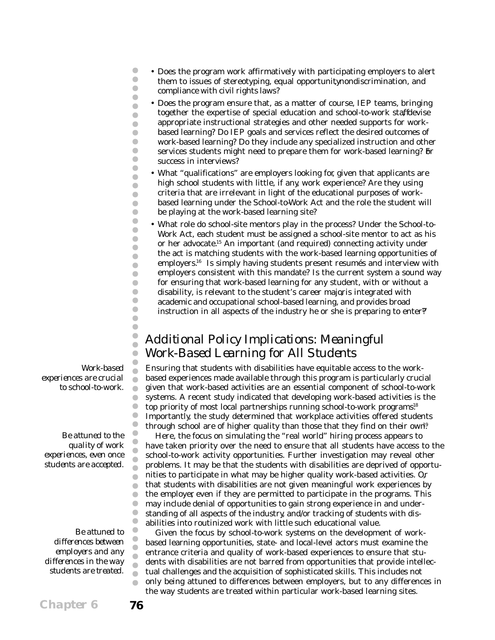- $\bullet$ aaaaaa • Does the program work affirmatively with participating employers to alert  $\bullet$ them to issues of stereotyping, equal opportunity nondiscrimination, and  $\qquad \qquad \bullet$ compliance with civil rights laws?  $\bullet$ 
	- Does the program ensure that, as a matter of course, IEP teams, bringing together the expertise of special education and school-to-work staffdevise appropriate instructional strategies and other needed supports for workbased learning? Do IEP goals and services reflect the desired outcomes of work-based learning? Do they include any specialized instruction and other services students might need to prepare them for work-based learning? For success in interviews?
	- What "qualifications" are employers looking for, given that applicants are high school students with little, if any, work experience? Are they using criteria that are irrelevant in light of the educational purposes of workbased learning under the School-to-Work Act and the role the student will be playing at the work-based learning site?
	- What role do school-site mentors play in the process? Under the School-to-Work Act, each student must be assigned a school-site mentor to act as his or her advocate.15 An important (and required) connecting activity under the act is matching students with the work-based learning opportunities of employers.<sup>16</sup> Is simply having students present resumés and interview with employers consistent with this mandate? Is the current system a sound way for ensuring that work-based learning for any student, with or without a disability, is relevant to the student's career majoris integrated with academic and occupational school-based learning, and provides broad instruction in all aspects of the industry he or she is preparing to enter?<sup>9</sup>

## *Additional Policy Implications: Meaningful Work-Based Learning for All Students*

Ensuring that students with disabilities have equitable access to the workbased experiences made available through this program is particularly crucial given that work-based activities are an essential component of school-to-work systems. A recent study indicated that developing work-based activities is the top priority of most local partnerships running school-to-work programs.<sup>18</sup> Importantly, the study determined that workplace activities offered students through school are of higher quality than those that they find on their own!

 $\bullet$ Here, the focus on simulating the "real world" hiring process appears to  $\bullet$ have taken priority over the need to ensure that all students have access to the school-to-work activity opportunities. Further investigation may reveal other problems. It may be that the students with disabilities are deprived of opportunities to participate in what may be higher quality work-based activities. Or, that students with disabilities are not given meaningful work experiences by the employer even if they are permitted to participate in the programs. This  $\bullet$ may include denial of opportunities to gain strong experience in and understanding of all aspects of the industry, and/or tracking of students with disabilities into routinized work with little such educational value.

Given the focus by school-to-work systems on the development of workbased learning opportunities, state- and local-level actors must examine the entrance criteria and quality of work-based experiences to ensure that students with disabilities are not barred from opportunities that provide intellec- $\bullet$ tual challenges and the acquisition of sophisticated skills. This includes not  $\bullet$ only being attuned to differences between employers, but to any differences in  $\bullet$ the way students are treated within particular work-based learning sites.

*Work-based experiences are crucial to school-to-work.*

*Be attuned to the quality of work experiences, even once students are accepted.*

*Be attuned to differences between employers and any differences in the way students are treated.*

aaaaaaaaaaaaaaaaaaaaaaaaaaaaaaaaaaaaaaaaaaaaaaaaaaaaa

 $\bullet$  $\bullet$  $\bullet$  $\blacksquare$  $\bullet$ 

 $\bigcap$  $\bullet$  $\overline{\phantom{0}}$  $\bullet$  $\bullet$  $\bullet$  $\bullet$ 

 $\bullet$  $\bullet$  $\bullet$  $\bullet$  $\qquad \qquad \bullet$  $\bullet$  $\bullet$  $\bullet$  $\bullet$  $\blacksquare$  $\bullet$  $\bullet$  $\bullet$  $\bullet$  $\bullet$  $\bullet$  $\blacksquare$  $\triangle$  $\bullet$  $\begin{array}{c} \hline \end{array}$  $\qquad \qquad \bullet$  $\bullet$  $\bullet$  $\bullet$  $\bullet$  $\bullet$  $\bullet$  $\bullet$  $\bullet$  $\bullet$  $\bullet$  $\bullet$  $\blacksquare$  $\bullet$  $\bullet$  $\bullet$  $\bullet$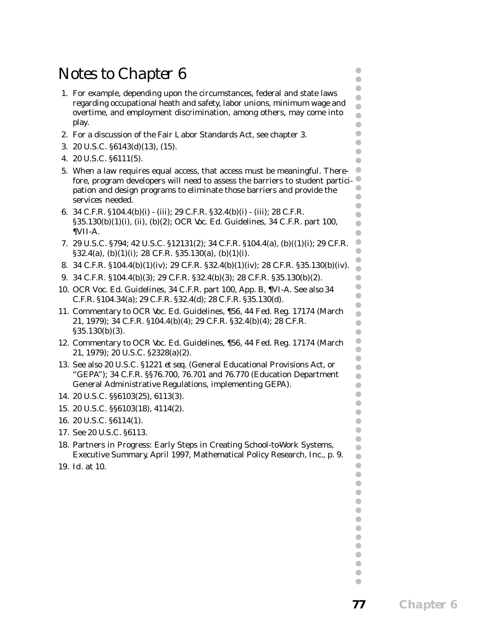| <i>Notes to Chapter 6</i>                                                                                                                                                                                                                                  |                        |
|------------------------------------------------------------------------------------------------------------------------------------------------------------------------------------------------------------------------------------------------------------|------------------------|
| 1. For example, depending upon the circumstances, federal and state laws<br>regarding occupational heath and safety, labor unions, minimum wage and<br>overtime, and employment discrimination, among others, may come into<br>play.                       |                        |
| 2. For a discussion of the Fair Labor Standards Act, see chapter 3.                                                                                                                                                                                        |                        |
| 3. 20 U.S.C. $$6143(d)(13)$ , $(15)$ .                                                                                                                                                                                                                     |                        |
| 4. 20 U.S.C. §6111(5).                                                                                                                                                                                                                                     |                        |
| 5. When a law requires equal access, that access must be meaningful. There-<br>fore, program developers will need to assess the barriers to student partici-<br>pation and design programs to eliminate those barriers and provide the<br>services needed. |                        |
| 6. 34 C.F.R. §104.4(b)(i) - (iii); 29 C.F.R. §32.4(b)(i) - (iii); 28 C.F.R.<br>§35.130(b)(1)(i), (ii), (b)(2); OCR Voc. Ed. Guidelines, 34 C.F.R. part 100,<br>$\P$ VII-A.                                                                                 |                        |
| 7. 29 U.S.C. §794; 42 U.S.C. §12131(2); 34 C.F.R. §104.4(a), (b)((1)(i); 29 C.F.R.<br>§32.4(a), (b)(1)(i); 28 CF.R. §35.130(a), (b)(1)(i).                                                                                                                 |                        |
| 8. 34 C.F.R. $$104.4(b)(1)(iv); 29 \text{ CFR}$ . $$32.4(b)(1)(iv); 28 \text{ CFR}$ . $$35.130(b)(iv)$ .                                                                                                                                                   |                        |
| 9. 34 C.F.R. §104.4(b)(3); 29 C.F.R. §32.4(b)(3); 28 C.F.R. §35.130(b)(2).                                                                                                                                                                                 |                        |
| 10. OCR Voc. Ed. Guidelines, 34 C.F.R. part 100, App. B, [VI-A. See also 34<br>C.F.R. §104.34(a); 29 C.F.R. §32.4(d); 28 C.F.R. §35.130(d).                                                                                                                |                        |
| 11. Commentary to OCR Voc. Ed. Guidelines, 156, 44 Fed. Reg. 17174 (March<br>21, 1979); 34 C.F.R. §104.4(b)(4); 29 C.F.R. §32.4(b)(4); 28 C.F.R.<br>$\S 35.130(b)(3)$ .                                                                                    |                        |
| 12. Commentary to OCR Voc. Ed. Guidelines, 156, 44 Fed. Reg. 17174 (March<br>21, 1979); 20 U.S.C. §2328(a)(2).                                                                                                                                             |                        |
| 13. See also 20 U.S.C. §1221 et seq. (General Educational Provisions Act, or<br>"GEPA"); 34 C.F.R. §§76.700, 76.701 and 76.770 (Education Department<br>General Administrative Regulations, implementing GEPA).                                            |                        |
| 14. 20 U.S.C. §§6103(25), 6113(3).                                                                                                                                                                                                                         |                        |
| 15. 20 U.S.C. §§6103(18), 4114(2).                                                                                                                                                                                                                         |                        |
| 16. 20 U.S.C. §6114(1).                                                                                                                                                                                                                                    |                        |
| 17. See 20 U.S.C. §6113.                                                                                                                                                                                                                                   |                        |
| 18. Partners in Progress: Early Steps in Creating School-to-Work Systems,<br>Executive Summary, April 1997, Mathematical Policy Research, Inc., p. 9.                                                                                                      | $\bullet$<br>$\bullet$ |
| 19. Id. at 10.                                                                                                                                                                                                                                             | $\bullet$              |
|                                                                                                                                                                                                                                                            |                        |
|                                                                                                                                                                                                                                                            |                        |
|                                                                                                                                                                                                                                                            |                        |
|                                                                                                                                                                                                                                                            |                        |
|                                                                                                                                                                                                                                                            |                        |
|                                                                                                                                                                                                                                                            |                        |
|                                                                                                                                                                                                                                                            |                        |
|                                                                                                                                                                                                                                                            |                        |
|                                                                                                                                                                                                                                                            |                        |
|                                                                                                                                                                                                                                                            |                        |
|                                                                                                                                                                                                                                                            |                        |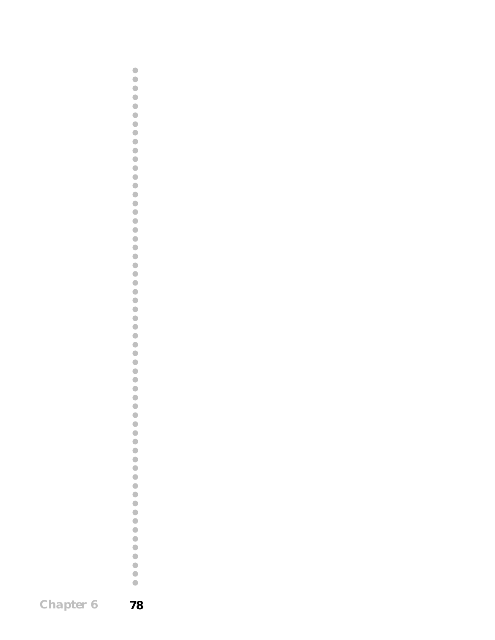aaaaaa  $\begin{array}{c} \bullet \\ \bullet \end{array}$  $\bullet$  $\begin{array}{c} \bullet \\ \bullet \end{array}$  $\bullet$  $\begin{array}{ccc} \bullet & \bullet & \bullet \\ \bullet & \bullet & \bullet \end{array}$ aaaaaaaaaaaaaaaaaaaaaaaaaaaaaaaaaaaaaaaaaaaaaaaaaaaaa  $\begin{array}{c} \bullet \\ \bullet \end{array}$  $\begin{array}{ccc} \bullet & \bullet & \bullet \\ \bullet & \bullet & \bullet \end{array}$  $\begin{array}{c} \bullet \\ \bullet \end{array}$  $\begin{array}{c} \bullet \\ \bullet \end{array}$  $\bullet$  $\begin{array}{c} \bullet \\ \bullet \end{array}$  $\begin{array}{c} \bullet \\ \bullet \end{array}$  $\begin{array}{c} \bullet \\ \bullet \end{array}$  $\begin{array}{c} \bullet \\ \bullet \end{array}$  $\begin{array}{c} \bullet \\ \bullet \end{array}$  $\begin{array}{c} \bullet \\ \bullet \end{array}$  $\bullet$  $\bullet$  $\bullet$  $\bullet$  $\begin{array}{c} \bullet \\ \bullet \end{array}$  $\begin{array}{c} \bullet \\ \bullet \end{array}$  $\bullet$  $\begin{array}{c} \bullet \\ \bullet \end{array}$  $\bullet$  $\bullet$  $\bullet$  $\bullet$  $\begin{array}{ccc} \bullet & \bullet & \bullet \\ \bullet & \bullet & \bullet \end{array}$  $\bullet$  $\bullet$  $\bullet$  $\bullet$  $\bullet$  $\bullet$  $\begin{array}{ccc} \bullet & \bullet & \bullet \\ \bullet & \bullet & \bullet \end{array}$  $\bullet$  $\begin{array}{c} \bullet \\ \bullet \end{array}$  $\bullet$  $\begin{array}{c} \bullet \\ \bullet \end{array}$  $\begin{array}{c} \bullet \\ \bullet \end{array}$  $\bullet$  $\begin{array}{ccc} \bullet & \bullet & \bullet \\ \bullet & \bullet & \bullet \end{array}$  $\bullet$  $\begin{array}{c} \bullet \\ \bullet \end{array}$  $\bullet$  $\bullet$  $\bullet$  $\bullet$  $\begin{array}{c} \bullet \\ \bullet \end{array}$  $\begin{array}{c} \bullet \\ \bullet \end{array}$  $\bullet$  $\bullet$  $\ddot{\bullet}$  $\bullet$  $\begin{array}{c} \bullet \\ \bullet \end{array}$  $\begin{array}{c} \bullet \\ \bullet \end{array}$ 

*Chapter 6* **78**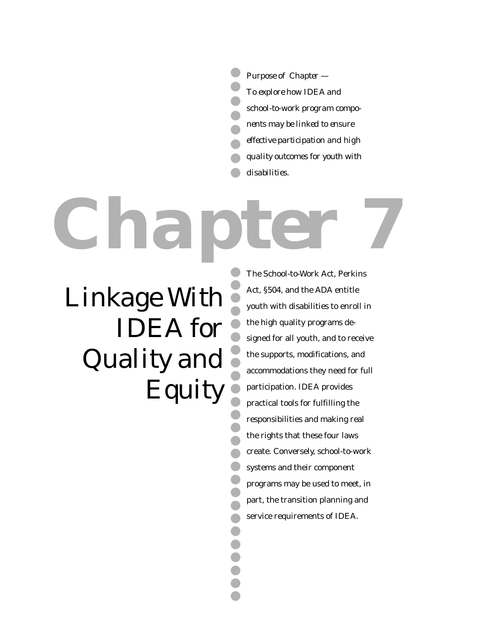*Purpose of Chapter — To explore how IDEA and school-to-work program components may be linked to ensure effective participation and high quality outcomes for youth with disabilities.*

# aaaaaaaaaaaaaaaaaaaaaaaaaa aaaaaaaa *Chapter*

*Linkage With IDEA for Quality and Equity*

The School-to-Work Act, Perkins Act, §504, and the ADA entitle youth with disabilities to enroll in the high quality programs designed for all youth, and to receive the supports, modifications, and accommodations they need for full participation. IDEA provides practical tools for fulfilling the responsibilities and making real the rights that these four laws create. Conversely, school-to-work systems and their component programs may be used to meet, in part, the transition planning and service requirements of IDEA.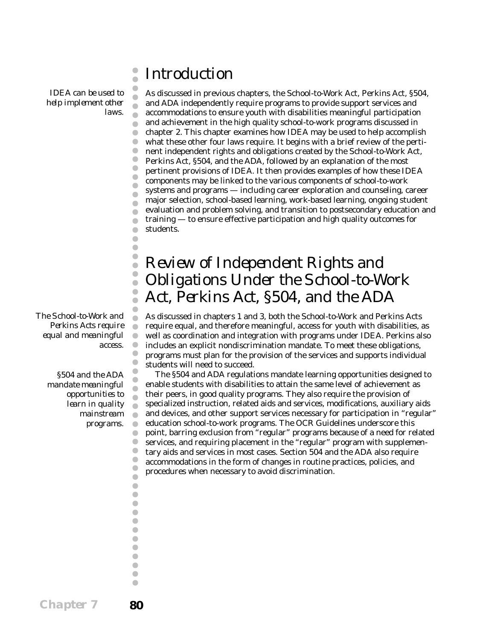*IDEA can be used to help implement other laws.*

## *Introduction*  $\begin{array}{c} \begin{array}{c} \begin{array}{c} \begin{array}{c} \end{array} \end{array} \end{array} \end{array} \end{array}$

aaaaaa As discussed in previous chapters, the School-to-Work Act, Perkins Act, §504, and ADA independently require programs to provide support services and  $\bullet$ accommodations to ensure youth with disabilities meaningful participation  $\bullet$  $\bullet$ and achievement in the high quality school-to-work programs discussed in aaaaaaaaaaaaaaaaaaaaaaaaaaaaaaaaaaaaaaaaaaaaaaaaaaaaa  $\bullet$ chapter 2. This chapter examines how IDEA may be used to help accomplish  $\blacksquare$ what these other four laws require. It begins with a brief review of the perti- $\bullet$ nent independent rights and obligations created by the School-to-Work Act,  $\bullet$ Perkins Act, §504, and the ADA, followed by an explanation of the most  $\bullet$ pertinent provisions of IDEA. It then provides examples of how these IDEA  $\overline{\phantom{a}}$ components may be linked to the various components of school-to-work  $\overline{\phantom{a}}$ systems and programs — including career exploration and counseling, career ă major selection, school-based learning, work-based learning, ongoing student  $\overline{\phantom{a}}$ evaluation and problem solving, and transition to postsecondary education and  $\triangle$ training — to ensure effective participation and high quality outcomes for  $\bullet$ students.  $\bullet$  $\bullet$ 

## $\bullet$ *Review of Independent Rights and*  $\overline{\phantom{a}}$  $\bullet$ *Obligations Under the School-to-Work*  $\bullet$  $\bullet$ *Act, Perkins Act, §504, and the ADA*  $\bullet$  $\blacksquare$

As discussed in chapters 1 and 3, both the School-to-Work and Perkins Acts  $\qquad \qquad \bullet$ require equal, and therefore meaningful, access for youth with disabilities, as  $\bullet$  $\bullet$ well as coordination and integration with programs under IDEA. Perkins also  $\bullet$ includes an explicit nondiscrimination mandate. To meet these obligations, programs must plan for the provision of the services and supports individual students will need to succeed.

The §504 and ADA regulations mandate learning opportunities designed to enable students with disabilities to attain the same level of achievement as their peers, in good quality programs. They also require the provision of specialized instruction, related aids and services, modifications, auxiliary aids and devices, and other support services necessary for participation in "regular" education school-to-work programs. The OCR Guidelines underscore this point, barring exclusion from "regular" programs because of a need for related services, and requiring placement in the "regular" program with supplementary aids and services in most cases. Section 504 and the ADA also require accommodations in the form of changes in routine practices, policies, and procedures when necessary to avoid discrimination.

*The School-to-Work and Perkins Acts require equal and meaningful access.*

 $\overline{\phantom{a}}$ 

 $\bullet$  $\bullet$  $\bullet$  $\bullet$  $\bullet$  $\bullet$  $\bullet$  $\bullet$  $\bullet$  $\bullet$  $\overline{\phantom{0}}$  $\bullet$  $\overline{\phantom{0}}$  $\triangle$  $\overline{\phantom{a}}$  $\bullet$  $\bullet$  $\bullet$  $\blacksquare$  $\blacksquare$  $\overline{\phantom{a}}$  $\bullet$  $\bullet$  $\bullet$  $\bullet$  $\bullet$  $\bullet$ 

*§504 and the ADA mandate meaningful opportunities to learn in quality mainstream programs.*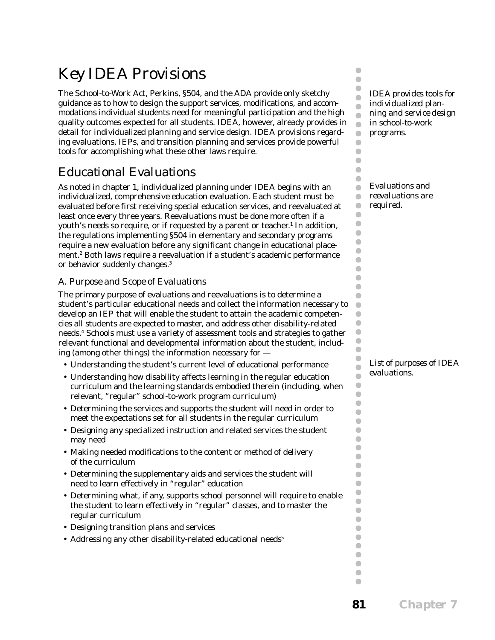## *Key IDEA Provisions*

The School-to-Work Act, Perkins, §504, and the ADA provide only sketchy guidance as to *how* to design the support services, modifications, and accommodations individual students need for meaningful participation and the high quality outcomes expected for all students. IDEA, however, already provides in detail for individualized planning and service design. IDEA provisions regarding evaluations, IEPs, and transition planning and services provide powerful tools for accomplishing what these other laws require.

## *Educational Evaluations*

As noted in chapter 1, individualized planning under IDEA begins with an individualized, comprehensive education evaluation. Each student must be evaluated before first receiving special education services, and reevaluated at least once every three years. Reevaluations must be done more often if a youth's needs so require, or if requested by a parent or teacher.<sup>1</sup> In addition, the regulations implementing §504 in elementary and secondary programs require a new evaluation before any significant change in educational placement.2 Both laws require a reevaluation if a student's academic performance or behavior suddenly changes. 3

## *A. Purpose and Scope of Evaluations*

The primary purpose of evaluations and reevaluations is to determine a student's particular educational needs and collect the information necessary to develop an IEP that will enable the student to attain the academic competencies all students are expected to master, and address other disability-related needs. 4 Schools must use a variety of assessment tools and strategies to gather relevant functional and developmental information about the student, including (among other things) the information necessary for —

- Understanding the student's current level of educational performance
- Understanding how disability affects learning in the regular education curriculum and the learning standards embodied therein (including, when relevant, "regular" school-to-work program curriculum)
- Determining the services and supports the student will need in order to meet the expectations set for all students in the regular curriculum
- Designing any specialized instruction and related services the student may need
- Making needed modifications to the content or method of delivery of the curriculum
- Determining the supplementary aids and services the student will need to learn effectively in "regular" education
- Determining what, if any, supports school personnel will require to enable the student to learn effectively in "regular" classes, and to master the regular curriculum
- *•* Designing transition plans and services
- Addressing any other disability-related educational needs<sup>5</sup>

aaaaaaaaaaaaaaaaaaaaaaaaaaa  $\bullet$ ă *IDEA provides tools for*  $\bullet$ *individualized plan-* $\bullet$ *ning and service design*  $\bullet$ *in school-to-work*  $\bullet$ *programs.*  $\bullet$  $\bullet$  $\blacksquare$  $\bullet$ ă  $\overline{\phantom{0}}$ *Evaluations and*  $\bullet$ *reevaluations are*  $\bullet$ *required.*  $\bullet$  $\bullet$  $\bullet$  $\blacksquare$  $\overline{\phantom{a}}$  $\overline{\phantom{0}}$  $\bullet$  $\bullet$  $\overline{\phantom{a}}$  $\overline{\phantom{a}}$  $\blacksquare$  $\blacksquare$  $\bullet$ aaaaaaaaaaaaaaaaaaaaaaaaaaaaaaa  $\blacksquare$  $\bullet$  $\bullet$  $\bullet$  $\bullet$ *List of purposes of IDEA*  $\bullet$ *evaluations.* $\bullet$  $\bullet$  $\bullet$  $\overline{\phantom{a}}$  $\bullet$  $\mathbf{C}$  $\bullet$  $\blacksquare$  $\bullet$ 

 $\bullet$ 

 $\overline{\phantom{a}}$  $\bullet$ ă  $\blacksquare$  $\bullet$  $\blacksquare$ ă  $\overline{\phantom{a}}$  $\overline{\phantom{a}}$  $\overline{\phantom{a}}$  $\bullet$  $\overline{\phantom{a}}$  $\bullet$  $\bullet$  $\overline{\phantom{a}}$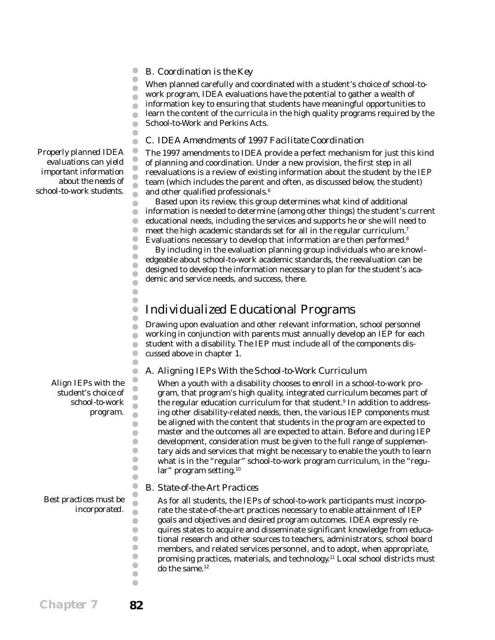## *B. Coordination is the Key*  $\blacksquare$

- When planned carefully and coordinated with a student's choice of school-to- $\blacksquare$
- work program, IDEA evaluations have the potential to gather a wealth of  $\begin{array}{c} \bullet \\ \bullet \end{array}$
- aaaaaa information key to ensuring that students have meaningful opportunities to  $\bullet$
- learn the content of the curricula in the high quality programs required by the  $\bullet$
- School-to-Work and Perkins Acts.  $\bullet$  $\bullet$

## *C. IDEA Amendments of 1997 Facilitate Coordination*  $\bullet$

The 1997 amendments to IDEA provide a perfect mechanism for just this kind of planning and coordination. Under a new provision, the first step in all reevaluations is a review of existing information about the student by the IEP team (which includes the parent and often, as discussed below, the student) and other qualified professionals.<sup>6</sup>

aaaaaaaaaaaaaaaaaaaaaaaaaaaaaaaaaaaaaaaaaaaaaaaaaaaaa  $\bullet$ Based upon its review, this group determines what kind of additional  $\qquad \qquad \bullet$ information is needed to determine (among other things) the student's current  $\bullet$  $\bullet$ educational needs, including the services and supports he or she will need to  $\bullet$ meet the high academic standards set for all in the regular curriculum.<sup>7</sup>  $\blacksquare$ Evaluations necessary to develop that information are then performed.<sup>8</sup>  $\overline{\phantom{a}}$ 

By including in the evaluation planning group individuals who are knowledgeable about school-to-work academic standards, the reevaluation can be designed to develop the information necessary to plan for the student's academic and service needs, and success, there.  $\qquad \qquad \bullet$ 

## *Individualized Educational Programs*

 $\bullet$ Drawing upon evaluation and other relevant information, school personnel  $\bullet$ working in conjunction with parents must annually develop an IEP for each  $\bullet$ student with a disability. The IEP must include all of the components dis- $\bullet$ cussed above in chapter 1.  $\bullet$ 

## *A. Aligning IEPs With the School-to-Work Curriculum*

When a youth with a disability chooses to enroll in a school-to-work program, that program's high quality, integrated curriculum becomes part of the regular education curriculum for that student.9 In addition to addressing other disability-related needs, then, the various IEP components must be aligned with the content that students in the program are expected to master and the outcomes all are expected to attain. Before and during IEP development, consideration must be given to the full range of supplementary aids and services that might be necessary to enable the youth to learn what is in the "regular" school-to-work program curriculum, in the "regular" program setting.<sup>10</sup>

## *B. State-of-the-Art Practices*

As for all students, the IEPs of school-to-work participants must incorporate the state-of-the-art practices necessary to enable attainment of IEP goals and objectives and desired program outcomes. IDEA expressly requires states to acquire and disseminate significant knowledge from educational research and other sources to teachers, administrators, school board members, and related services personnel, and to adopt, when appropriate, promising practices, materials, and technology.<sup>11</sup> Local school districts must do the same.<sup>12</sup>

*Properly planned IDEA evaluations can yield important information about the needs of school-to-work students.*

 $\bullet$  $\bullet$  $\bullet$  $\bullet$  $\bullet$ 

 $\triangle$  $\overline{\phantom{a}}$  $\triangle$ 

 $\bullet$  $\bullet$  $\blacksquare$ 

 $\bullet$  $\bullet$  $\blacksquare$  $\bullet$  $\overline{\phantom{a}}$  $\overline{\phantom{a}}$  $\bullet$  $\bullet$  $\bullet$  $\bullet$  $\bullet$  $\bullet$  $\bullet$  $\bullet$  $\bullet$ O  $\bullet$  $\bullet$  $\bullet$  $\bullet$  $\bullet$  $\bullet$  $\bullet$  $\bullet$  $\bullet$  $\bullet$ 

*Align IEPs with the student's choice of school-to-work program.*

*Best practices must be incorporated.*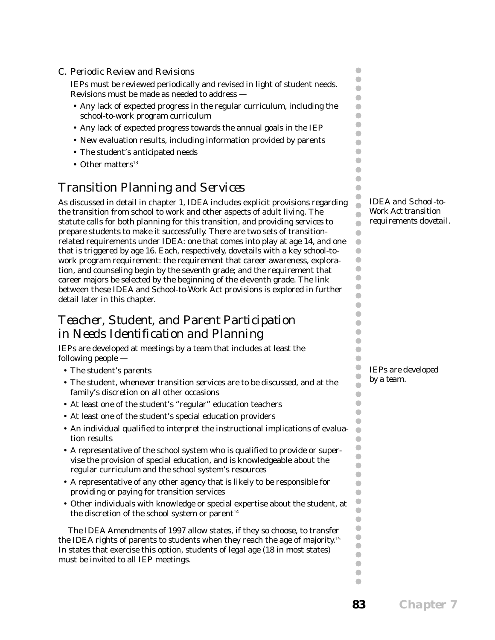| C. Periodic Review and Revisions                                                                                                                                                                                                                                                                                                                                                                                                                                                                                                                                                                                                                                                                                                                                                                                                                                  |                                                                             |
|-------------------------------------------------------------------------------------------------------------------------------------------------------------------------------------------------------------------------------------------------------------------------------------------------------------------------------------------------------------------------------------------------------------------------------------------------------------------------------------------------------------------------------------------------------------------------------------------------------------------------------------------------------------------------------------------------------------------------------------------------------------------------------------------------------------------------------------------------------------------|-----------------------------------------------------------------------------|
| IEPs must be reviewed periodically and revised in light of student needs.<br>Revisions must be made as needed to address -                                                                                                                                                                                                                                                                                                                                                                                                                                                                                                                                                                                                                                                                                                                                        |                                                                             |
| • Any lack of expected progress in the regular curriculum, including the<br>school-to-work program curriculum                                                                                                                                                                                                                                                                                                                                                                                                                                                                                                                                                                                                                                                                                                                                                     |                                                                             |
| • Any lack of expected progress towards the annual goals in the IEP                                                                                                                                                                                                                                                                                                                                                                                                                                                                                                                                                                                                                                                                                                                                                                                               |                                                                             |
| • New evaluation results, including information provided by parents                                                                                                                                                                                                                                                                                                                                                                                                                                                                                                                                                                                                                                                                                                                                                                                               |                                                                             |
| • The student's anticipated needs                                                                                                                                                                                                                                                                                                                                                                                                                                                                                                                                                                                                                                                                                                                                                                                                                                 |                                                                             |
| $\bullet$ Other matters <sup>13</sup>                                                                                                                                                                                                                                                                                                                                                                                                                                                                                                                                                                                                                                                                                                                                                                                                                             |                                                                             |
|                                                                                                                                                                                                                                                                                                                                                                                                                                                                                                                                                                                                                                                                                                                                                                                                                                                                   |                                                                             |
| <b>Transition Planning and Services</b>                                                                                                                                                                                                                                                                                                                                                                                                                                                                                                                                                                                                                                                                                                                                                                                                                           |                                                                             |
| As discussed in detail in chapter 1, IDEA includes explicit provisions regarding<br>the transition from school to work and other aspects of adult living. The<br>statute calls for both <i>planning</i> for this transition, and providing services to<br>prepare students to make it successfully. There are two sets of transition-<br>related requirements under IDEA: one that comes into play at age 14, and one<br>that is triggered by age 16. Each, respectively, dovetails with a key school-to-<br>work program requirement: the requirement that career awareness, explora-<br>tion, and counseling begin by the seventh grade; and the requirement that<br>career majors be selected by the beginning of the eleventh grade. The link<br>between these IDEA and School-to-Work Act provisions is explored in further<br>detail later in this chapter. | <b>IDEA</b> and School-to-<br>Work Act transition<br>requirements dovetail. |
| Teacher, Student, and Parent Participation                                                                                                                                                                                                                                                                                                                                                                                                                                                                                                                                                                                                                                                                                                                                                                                                                        |                                                                             |
| in Needs Identification and Planning                                                                                                                                                                                                                                                                                                                                                                                                                                                                                                                                                                                                                                                                                                                                                                                                                              |                                                                             |
| IEPs are developed at meetings by a team that includes at least the<br>following people —                                                                                                                                                                                                                                                                                                                                                                                                                                                                                                                                                                                                                                                                                                                                                                         |                                                                             |
| • The student's parents                                                                                                                                                                                                                                                                                                                                                                                                                                                                                                                                                                                                                                                                                                                                                                                                                                           | IEPs are developed                                                          |
| • The student, whenever transition services are to be discussed, and at the<br>family's discretion on all other occasions                                                                                                                                                                                                                                                                                                                                                                                                                                                                                                                                                                                                                                                                                                                                         | by a team.                                                                  |
| • At least one of the student's "regular" education teachers                                                                                                                                                                                                                                                                                                                                                                                                                                                                                                                                                                                                                                                                                                                                                                                                      |                                                                             |
| • At least one of the student's special education providers                                                                                                                                                                                                                                                                                                                                                                                                                                                                                                                                                                                                                                                                                                                                                                                                       |                                                                             |
| • An individual qualified to interpret the instructional implications of evalua-<br>tion results                                                                                                                                                                                                                                                                                                                                                                                                                                                                                                                                                                                                                                                                                                                                                                  |                                                                             |
| • A representative of the school system who is qualified to provide or super-<br>vise the provision of special education, and is knowledgeable about the<br>regular curriculum and the school system's resources                                                                                                                                                                                                                                                                                                                                                                                                                                                                                                                                                                                                                                                  |                                                                             |
| • A representative of any other agency that is likely to be responsible for<br>providing or paying for transition services                                                                                                                                                                                                                                                                                                                                                                                                                                                                                                                                                                                                                                                                                                                                        |                                                                             |
| • Other individuals with knowledge or special expertise about the student, at<br>the discretion of the school system or parent <sup>14</sup>                                                                                                                                                                                                                                                                                                                                                                                                                                                                                                                                                                                                                                                                                                                      |                                                                             |
| The IDEA Amendments of 1997 allow states, if they so choose, to transfer<br>the IDEA rights of parents to students when they reach the age of majority. <sup>15</sup><br>In states that exercise this option, students of legal age (18 in most states)<br>must be invited to all IEP meetings.                                                                                                                                                                                                                                                                                                                                                                                                                                                                                                                                                                   |                                                                             |

 $\bullet$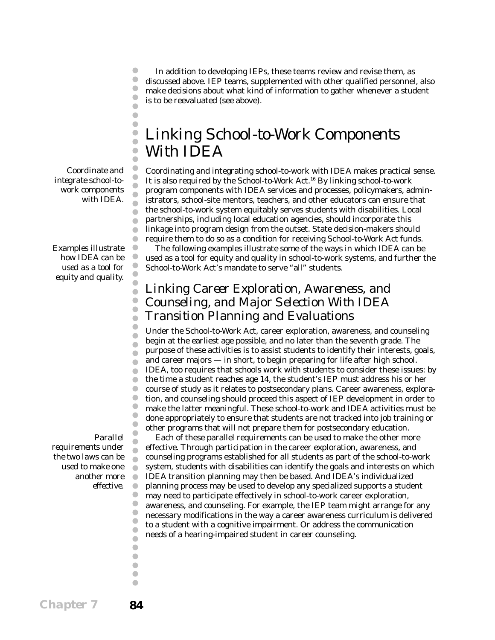$\bullet$ aaaaaa In addition to developing IEPs, these teams review and revise them, as  $\bullet$ discussed above. IEP teams, supplemented with other qualified personnel, also  $\blacksquare$ make decisions about what kind of information to gather whenever a student  $\bullet$ is to be reevaluated (see above).  $\bullet$ 

## *Linking School-to-Work Components With IDEA*

aaaaaaaaaaaaaaaaaaaaaaaaaaaaaaaaaaaaaaaaaaaaaaaaaaaaa  $\bullet$ Coordinating and integrating school-to-work with IDEA makes practical sense.  $\bullet$ It is also required by the School-to-Work Act.16 By linking school-to-work  $\bullet$ program components with IDEA services and processes, policymakers, admin- $\bullet$ istrators, school-site mentors, teachers, and other educators can ensure that  $\bullet$ the school-to-work system equitably serves students with disabilities. Local  $\blacksquare$ partnerships, including local education agencies, should incorporate this  $\bullet$ linkage into program design from the outset. State decision-makers should  $\bullet$ require them to do so as a condition for receiving School-to-Work Act funds.  $\bullet$  $\bullet$ 

The following examples illustrate some of the ways in which IDEA can be used as a tool for equity and quality in school-to-work systems, and further the School-to-Work Act's mandate to serve "all" students.

## *Linking Career Exploration, Awareness, and Counseling, and Major Selection With IDEA Transition Planning and Evaluations*

 $\bullet$ Under the School-to-Work Act, career exploration, awareness, and counseling  $\bullet$ begin at the earliest age possible, and no later than the seventh grade. The  $\bullet$ purpose of these activities is to assist students to identify their interests, goals,  $\bullet$ and career majors — in short, to begin preparing for life after high school.  $\bullet$ IDEA, too requires that schools work with students to consider these issues: by  $\bullet$ the time a student reaches age 14, the student's IEP must address his or her  $\bullet$  $\bullet$ course of study as it relates to postsecondary plans. Career awareness, explora- $\bullet$ tion, and counseling should proceed this aspect of IEP development in order to  $\bullet$ make the latter meaningful. These school-to-work and IDEA activities must be  $\bullet$ done appropriately to ensure that students are not tracked into job training or  $\bullet$ other programs that will not prepare them for postsecondary education.  $\bullet$  $\overline{\phantom{0}}$ 

Each of these parallel requirements can be used to make the other more effective. Through participation in the career exploration, awareness, and counseling programs established for all students as part of the school-to-work system, students with disabilities can identify the goals and interests on which IDEA transition planning may then be based. And IDEA's individualized planning process may be used to develop any specialized supports a student may need to participate effectively in school-to-work career exploration, awareness, and counseling. For example, the IEP team might arrange for any necessary modifications in the way a career awareness curriculum is delivered to a student with a cognitive impairment. Or address the communication needs of a hearing-impaired student in career counseling.

*Coordinate and integrate school-towork components with IDEA.*

 $\bullet$  $\bullet$ Ċ  $\bullet$  $\bullet$  $\bullet$ 

 $\bullet$  $\bullet$  $\blacksquare$  $\bullet$  $\bullet$  $\bullet$  $\bullet$  $\bullet$ 

 $\overline{\phantom{a}}$ ă  $\begin{array}{c} \bullet \\ \bullet \end{array}$  $\bullet$  $\bullet$  $\bullet$  $\bullet$  $\bullet$  $\overline{\phantom{0}}$  $\overline{\phantom{a}}$  $\bullet$  $\bullet$  $\bullet$  $\bullet$  $\bullet$  $\bullet$ 

*Examples illustrate how IDEA can be used as a tool for equity and quality.*

*Parallel requirements under the two laws can be used to make one another more effective.*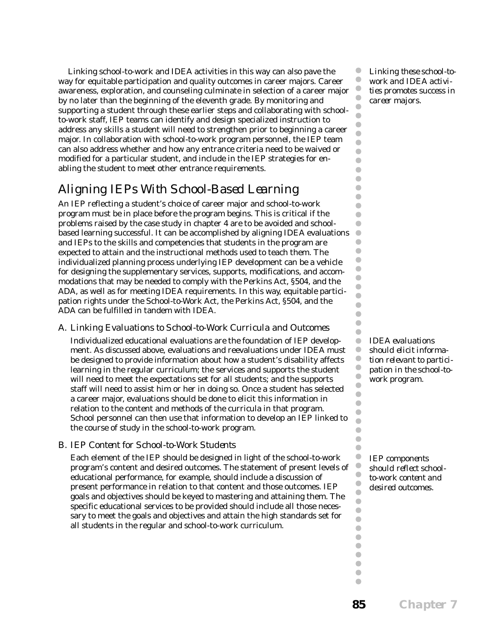Linking school-to-work and IDEA activities in this way can also pave the way for equitable participation and quality outcomes in career majors. Career awareness, exploration, and counseling culminate in selection of a career major by no later than the beginning of the eleventh grade. By monitoring and supporting a student through these earlier steps and collaborating with schoolto-work staff, IEP teams can identify and design specialized instruction to address any skills a student will need to strengthen prior to beginning a career major. In collaboration with school-to-work program personnel, the IEP team can also address whether and how any entrance criteria need to be waived or modified for a particular student, and include in the IEP strategies for enabling the student to meet other entrance requirements.

## *Aligning IEPs With School-Based Learning*

An IEP reflecting a student's choice of career major and school-to-work program must be in place before the program begins. This is critical if the problems raised by the case study in chapter 4 are to be avoided and schoolbased learning successful. It can be accomplished by aligning IDEA evaluations and IEPs to the skills and competencies that students in the program are expected to attain and the instructional methods used to teach them. The individualized planning process underlying IEP development can be a vehicle for designing the supplementary services, supports, modifications, and accommodations that may be needed to comply with the Perkins Act, §504, and the ADA, as well as for meeting IDEA requirements. In this way, equitable participation rights under the School-to-Work Act, the Perkins Act, §504, and the ADA can be fulfilled in tandem with IDEA.

## *A. Linking Evaluations to School-to-Work Curricula and Outcomes*

Individualized educational evaluations are the foundation of IEP development. As discussed above, evaluations and reevaluations under IDEA must be designed to provide information about how a student's disability affects learning in the regular curriculum; the services and supports the student will need to meet the expectations set for all students; and the supports staff will need to assist him or her in doing so. Once a student has selected a career major, evaluations should be done to elicit this information in relation to the content and methods of the curricula in that program. School personnel can then use that information to develop an IEP linked to the course of study in the school-to-work program.

## *B. IEP Content for School-to-Work Students*

Each element of the IEP should be designed in light of the school-to-work program's content and desired outcomes. The statement of present levels of educational performance, for example, should include a discussion of present performance in relation to that content and those outcomes. IEP goals and objectives should be keyed to mastering and attaining them. The specific educational services to be provided should include all those necessary to meet the goals and objectives and attain the high standards set for all students in the regular and school-to-work curriculum.

*Linking these school-towork and IDEA activities promotes success in career majors.*

aaaaaaaaaaaaaaaaaaaaaaaaaaa

 $\bullet$  $\bullet$  $\bullet$  $\overline{\phantom{0}}$  $\overline{\phantom{0}}$  $\bullet$  $\overline{\phantom{a}}$  $\bullet$  $\bullet$  $\blacksquare$  $\overline{\phantom{a}}$  $\overline{\phantom{0}}$  $\overline{\phantom{0}}$  $\bullet$  $\bullet$  $\bullet$  $\overline{\phantom{a}}$  $\bullet$  $\blacksquare$  $\blacksquare$  $\blacksquare$  $\bullet$  $\bullet$  $\bullet$  $\blacksquare$  $\blacksquare$  $\bullet$  $\bullet$  $\blacksquare$  $\bullet$  $\bullet$  $\bullet$  $\bullet$  $\bullet$  $\bullet$  $\bullet$  $\overline{\phantom{a}}$  $\overline{\phantom{a}}$  $\bullet$  $\mathbf{C}$  $\bullet$  $\bullet$  $\bullet$  $\bullet$  $\bullet$  $\bullet$  $\bullet$  $\bullet$  $\bullet$  $\bullet$  $\overline{\phantom{a}}$  $\overline{\phantom{a}}$  $\overline{\phantom{a}}$  $\bullet$  $\overline{\phantom{a}}$  $\bullet$  $\bullet$  $\bullet$ 

*IDEA evaluations should elicit information relevant to participation in the school-towork program.*

*IEP components should reflect schoolto-work content and desired outcomes.*

aaaaaaaaaaaaaaaaaaaaaaaaaaaaaaa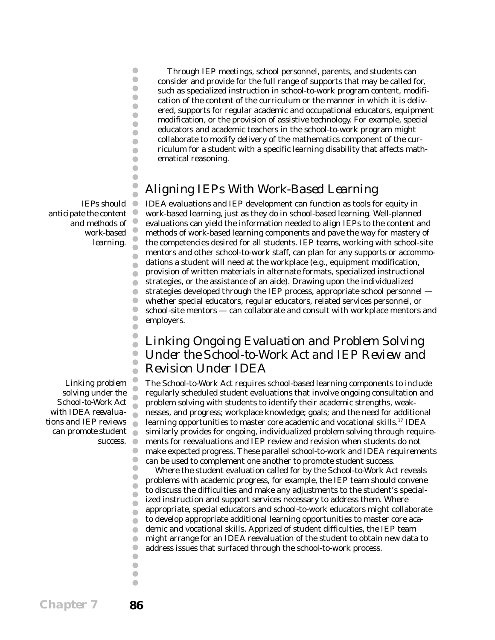Through IEP meetings, school personnel, parents, and students can consider and provide for the full range of supports that may be called for, such as specialized instruction in school-to-work program content, modification of the content of the curriculum or the manner in which it is delivered, supports for regular academic and occupational educators, equipment modification, or the provision of assistive technology. For example, special educators and academic teachers in the school-to-work program might collaborate to modify delivery of the mathematics component of the curriculum for a student with a specific learning disability that affects mathematical reasoning.

## *Aligning IEPs With Work-Based Learning*

*IEPs should anticipate the content and methods of work-based learning.*

aaaaaa

 $\bullet$  $\bullet$  $\blacksquare$  $\blacksquare$  $\bullet$  $\bullet$  $\bullet$  $\bullet$  $\qquad \qquad \bullet$  $\blacksquare$  $\bullet$  $\bullet$  $\bullet$  $\overline{\phantom{a}}$  $\blacksquare$ 

IDEA evaluations and IEP development can function as tools for equity in  $\bigcap$ work-based learning, just as they do in school-based learning. Well-planned evaluations can yield the information needed to align IEPs to the content and methods of work-based learning components and pave the way for mastery of the competencies desired for all students. IEP teams, working with school-site mentors and other school-to-work staff, can plan for any supports or accommo- $\triangle$ dations a student will need at the workplace (e.g., equipment modification,  $\blacksquare$ provision of written materials in alternate formats, specialized instructional  $\blacksquare$ strategies, or the assistance of an aide). Drawing upon the individualized  $\blacksquare$ strategies developed through the IEP process, appropriate school personnel —  $\bullet$  $\bullet$ whether special educators, regular educators, related services personnel, or  $\bullet$ school-site mentors — can collaborate and consult with workplace mentors and  $\bullet$ employers.  $\bullet$ 

## $\bullet$ *Linking Ongoing Evaluation and Problem Solving Under the School-to-Work Act and IEP Review and*  $\bullet$  $\bullet$ *Revision Under IDEA*  $\bullet$

The School-to-Work Act requires school-based learning components to include regularly scheduled student evaluations that involve ongoing consultation and problem solving with students to identify their academic strengths, weaknesses, and progress; workplace knowledge; goals; and the need for additional learning opportunities to master core academic and vocational skills.<sup>17</sup> IDEA similarly provides for ongoing, individualized problem solving through requirements for reevaluations and IEP review and revision when students do not make expected progress. These parallel school-to-work and IDEA requirements can be used to complement one another to promote student success.

aaaaaaaaaaaaaaaaaaaaaaaaaaaaaaaaaaaaaaaaaaaaaaaaaaaaa  $\bullet$ Where the student evaluation called for by the School-to-Work Act reveals  $\bullet$ problems with academic progress, for example, the IEP team should convene to discuss the difficulties and make any adjustments to the student's specialized instruction and support services necessary to address them. Where appropriate, special educators and school-to-work educators might collaborate  $\bullet$ to develop appropriate additional learning opportunities to master core aca- $\bullet$ demic and vocational skills. Apprized of student difficulties, the IEP team  $\blacksquare$ might arrange for an IDEA reevaluation of the student to obtain new data to  $\bullet$  $\bullet$ address issues that surfaced through the school-to-work process.  $\bullet$  $\bullet$ 

*Linking problem solving under the School-to-Work Act with IDEA reevaluations and IEP reviews can promote student success.*

 $\bullet$  $\bullet$ 

ă  $\bullet$  $\bullet$  $\bullet$  $\bullet$  $\bullet$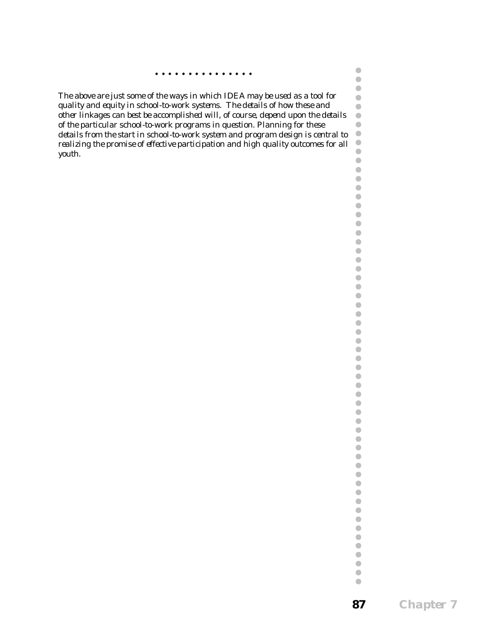| The above are just some of the ways in which IDEA may be used as a tool for<br>quality and equity in school-to-work systems. The details of how these and<br>other linkages can best be accomplished will, of course, depend upon the details<br>of the particular school-to-work programs in question. Planning for these<br>details from the start in school-to-work system and program design is central to<br>realizing the promise of effective participation and high quality outcomes for all<br>youth. | $\bullet$<br>$\bullet$<br>$\bullet$ |
|----------------------------------------------------------------------------------------------------------------------------------------------------------------------------------------------------------------------------------------------------------------------------------------------------------------------------------------------------------------------------------------------------------------------------------------------------------------------------------------------------------------|-------------------------------------|
|                                                                                                                                                                                                                                                                                                                                                                                                                                                                                                                |                                     |
|                                                                                                                                                                                                                                                                                                                                                                                                                                                                                                                |                                     |
|                                                                                                                                                                                                                                                                                                                                                                                                                                                                                                                |                                     |
|                                                                                                                                                                                                                                                                                                                                                                                                                                                                                                                |                                     |
|                                                                                                                                                                                                                                                                                                                                                                                                                                                                                                                |                                     |
|                                                                                                                                                                                                                                                                                                                                                                                                                                                                                                                |                                     |
|                                                                                                                                                                                                                                                                                                                                                                                                                                                                                                                |                                     |
|                                                                                                                                                                                                                                                                                                                                                                                                                                                                                                                |                                     |
|                                                                                                                                                                                                                                                                                                                                                                                                                                                                                                                |                                     |
|                                                                                                                                                                                                                                                                                                                                                                                                                                                                                                                |                                     |
|                                                                                                                                                                                                                                                                                                                                                                                                                                                                                                                |                                     |
|                                                                                                                                                                                                                                                                                                                                                                                                                                                                                                                |                                     |
|                                                                                                                                                                                                                                                                                                                                                                                                                                                                                                                |                                     |
|                                                                                                                                                                                                                                                                                                                                                                                                                                                                                                                |                                     |
|                                                                                                                                                                                                                                                                                                                                                                                                                                                                                                                |                                     |
|                                                                                                                                                                                                                                                                                                                                                                                                                                                                                                                |                                     |
|                                                                                                                                                                                                                                                                                                                                                                                                                                                                                                                |                                     |
|                                                                                                                                                                                                                                                                                                                                                                                                                                                                                                                | $\bullet$                           |
|                                                                                                                                                                                                                                                                                                                                                                                                                                                                                                                | $\bullet$<br>$\bullet$              |
|                                                                                                                                                                                                                                                                                                                                                                                                                                                                                                                | $\bullet$                           |
|                                                                                                                                                                                                                                                                                                                                                                                                                                                                                                                | $\bullet$<br>$\bullet$              |
|                                                                                                                                                                                                                                                                                                                                                                                                                                                                                                                | $\bullet$<br>$\bullet$              |
|                                                                                                                                                                                                                                                                                                                                                                                                                                                                                                                | $\bullet$<br>$\bullet$              |
|                                                                                                                                                                                                                                                                                                                                                                                                                                                                                                                | 0<br>O                              |
|                                                                                                                                                                                                                                                                                                                                                                                                                                                                                                                | $\bullet$<br>$\bullet$              |
|                                                                                                                                                                                                                                                                                                                                                                                                                                                                                                                | $\bullet$                           |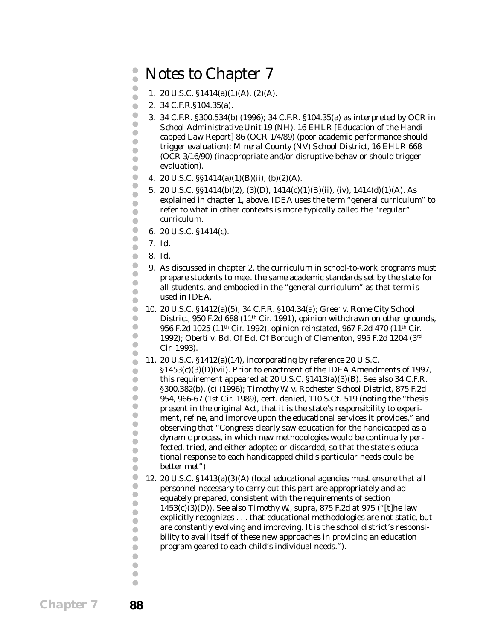## aaaaaa *Notes to Chapter 7*  $\bullet$

- $\bullet$ 1. 20 U.S.C. §1414(a)(1)(A), (2)(A).  $\bullet$
- 2. 34 C.F.R.§104.35(a).  $\bullet$
- $\bullet$ 3. 34 C.F.R. §300.534(b) (1996); 34 C.F.R. §104.35(a) as interpreted by OCR in  $\bullet$ *School Administrative Unit 19 (NH)*, 16 EHLR [Education of the Handi- $\bullet$ capped Law Report] 86 (OCR 1/4/89) (poor academic performance should  $\begin{array}{c} \bullet \\ \bullet \end{array}$ trigger evaluation); *Mineral County (NV) School District*, 16 EHLR 668  $\bullet$ (OCR 3/16/90) (inappropriate and/or disruptive behavior should trigger  $\bullet$ evaluation).  $\bullet$ 
	- 4. 20 U.S.C. §§1414(a)(1)(B)(ii), (b)(2)(A).
- $\blacksquare$ 5. 20 U.S.C. §§1414(b)(2), (3)(D), 1414(c)(1)(B)(ii), (iv), 1414(d)(1)(A). As  $\bullet$ explained in chapter 1, above, IDEA uses the term "general curriculum" to  $\qquad \qquad \bullet$ refer to what in other contexts is more typically called the "regular"  $\bullet$ curriculum.  $\bullet$
- $\bullet$ 6. 20 U.S.C. §1414(c).  $\bullet$ 
	- 7. *Id.*

 $\bullet$ 

 $\bullet$  $\bullet$ 

 $\bullet$  $\bullet$  $\bullet$  $\bullet$  $\bullet$  $\bullet$  $\bullet$  $\bullet$  $\bullet$  $\bullet$  $\bullet$  $\qquad \qquad \blacksquare$ 

- 8. *Id.*
- $\bullet$ 9. As discussed in chapter 2, the curriculum in school-to-work programs must  $\qquad \qquad \blacksquare$ prepare students to meet the same academic standards set by the state for  $\qquad \qquad \bullet$ all students, and embodied in the "general curriculum" as that term is  $\qquad \qquad \blacksquare$ used in IDEA.  $\bullet$
- aaaaaaaaaaaaaaaaaaaaaaaaaaaaaaaaaaaaaaaaaaaaaaaaaaaaa 10. 20 U.S.C. §1412(a)(5); 34 C.F.R. §104.34(a); *Greer v. Rome City School*  $\bullet$  $\bullet$ *District*, 950 F.2d 688 (11th Cir. 1991), *opinion withdrawn on other grounds*,  $\qquad \qquad \bullet$ 956 F.2d 1025 (11th Cir. 1992), *opinion reinstated*, 967 F.2d 470 (11th Cir.  $\qquad \qquad \blacksquare$ 1992); *Oberti v. Bd. Of Ed. Of Borough of Clementon*, 995 F.2d 1204 (3rd  $\bullet$ Cir. 1993).  $\bullet$
- 11. 20 U.S.C. §1412(a)(14), incorporating by reference 20 U.S.C.  $\bullet$ 
	- §1453(c)(3)(D)(vii). Prior to enactment of the IDEA Amendments of 1997, this requirement appeared at 20 U.S.C. §1413(a)(3)(B). See also 34 C.F.R. §300.382(b), (c) (1996); *Timothy W. v. Rochester School District*, 875 F.2d 954, 966-67 (1st Cir. 1989), cert. denied, 110 S.Ct. 519 (noting the "thesis present in the original Act, that it is the state's responsibility to experiment, refine, and improve upon the educational services it provides," and observing that "Congress clearly saw education for the handicapped as a dynamic process, in which new methodologies would be continually perfected, tried, and either adopted or discarded, so that the state's educational response to each handicapped child's particular needs could be better met").
- $\bullet$ 12. 20 U.S.C. §1413(a)(3)(A) (local educational agencies must ensure that all  $\bullet$ personnel necessary to carry out this part are appropriately and ad- $\bullet$ equately prepared, consistent with the requirements of section  $\bullet$ 1453(c)(3)(D)). See also *Timothy W.*, *supra*, 875 F.2d at 975 ("[t]he law  $\bullet$ explicitly recognizes . . . that educational methodologies are not static, but  $\bullet$ are constantly evolving and improving. It is the school district's responsi- $\bullet$ bility to avail itself of these new approaches in providing an education  $\blacksquare$ program geared to each child's individual needs."). $\bullet$
- $\bullet$
- $\bullet$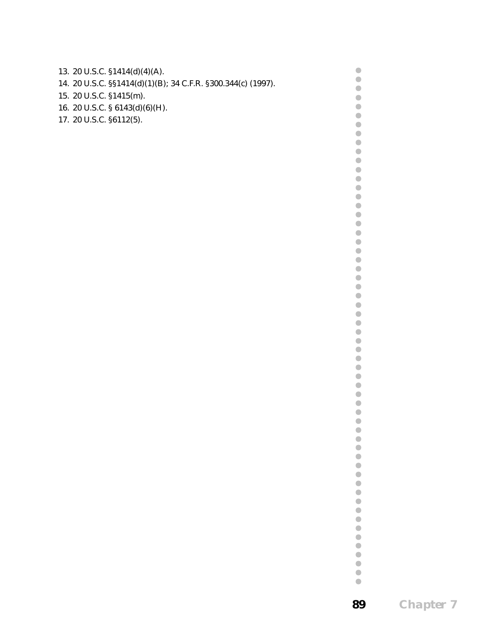| 13. 20 U.S.C. §1414(d)(4)(A).                                |                        |
|--------------------------------------------------------------|------------------------|
| 14. 20 U.S.C. §§1414(d)(1)(B); 34 C.F.R. §300.344(c) (1997). |                        |
| 15. 20 U.S.C. §1415(m).                                      |                        |
|                                                              |                        |
| 16. 20 U.S.C. § 6143(d)(6)(H).                               |                        |
| 17. 20 U.S.C. §6112(5).                                      |                        |
|                                                              |                        |
|                                                              |                        |
|                                                              |                        |
|                                                              |                        |
|                                                              |                        |
|                                                              |                        |
|                                                              |                        |
|                                                              |                        |
|                                                              |                        |
|                                                              |                        |
|                                                              |                        |
|                                                              |                        |
|                                                              |                        |
|                                                              |                        |
|                                                              |                        |
|                                                              |                        |
|                                                              |                        |
|                                                              |                        |
|                                                              |                        |
|                                                              |                        |
|                                                              |                        |
|                                                              |                        |
|                                                              |                        |
|                                                              |                        |
|                                                              |                        |
|                                                              |                        |
|                                                              |                        |
|                                                              |                        |
|                                                              |                        |
|                                                              |                        |
|                                                              |                        |
|                                                              | 0                      |
|                                                              | $\bullet$<br>$\bullet$ |
|                                                              | $\bullet$              |
|                                                              | $\bullet$              |
|                                                              | $\bullet$              |
|                                                              | $\bullet$              |
|                                                              | $\bullet$              |
|                                                              | $\bullet$              |
|                                                              | $\bullet$              |
|                                                              | $\bullet$              |
|                                                              | $\bullet$              |
|                                                              | $\bullet$<br>$\bullet$ |
|                                                              | $\bullet$              |
|                                                              | $\bullet$              |
|                                                              | $\bullet$              |
|                                                              | $\bullet$              |

## $\bullet$  $\ddot{\bullet}$  $\bullet$  $\ddot{\bullet}$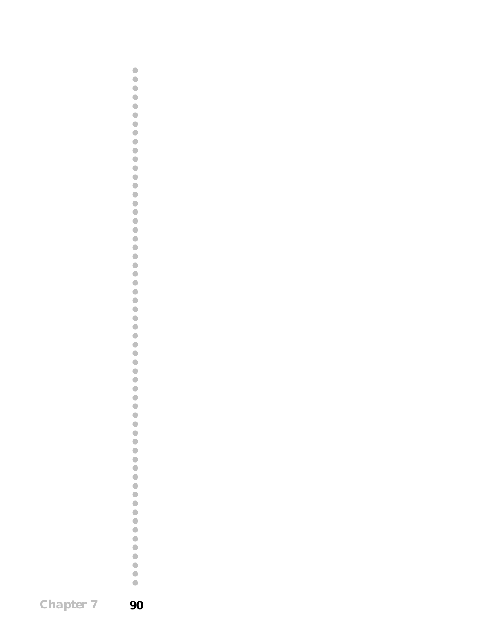aaaaaa  $\begin{array}{ccc} \bullet & \bullet & \bullet \\ \bullet & \bullet & \bullet \end{array}$  $\bullet$  $\begin{array}{c} \bullet \\ \bullet \end{array}$  $\bullet$  $\begin{array}{ccc} \bullet & \bullet & \bullet \\ \bullet & \bullet & \bullet \end{array}$ aaaaaaaaaaaaaaaaaaaaaaaaaaaaaaaaaaaaaaaaaaaaaaaaaaaaa  $\begin{array}{c} \bullet \\ \bullet \end{array}$  $\begin{array}{ccc} \bullet & \bullet & \bullet \\ \bullet & \bullet & \bullet \end{array}$  $\begin{array}{c} \bullet \\ \bullet \end{array}$  $\begin{array}{c} \bullet \\ \bullet \end{array}$  $\bullet$  $\begin{array}{c} \bullet \\ \bullet \end{array}$  $\begin{array}{c} \bullet \\ \bullet \end{array}$  $\begin{array}{ccc} \bullet & \bullet & \bullet \\ \bullet & \bullet & \bullet \end{array}$  $\begin{array}{c} \bullet \\ \bullet \end{array}$  $\begin{array}{c} \bullet \\ \bullet \end{array}$  $\begin{array}{c} \bullet \\ \bullet \end{array}$  $\bullet$  $\bullet$  $\bullet$  $\bullet$  $\begin{array}{c} \bullet \\ \bullet \end{array}$  $\begin{array}{c} \bullet \\ \bullet \end{array}$  $\bullet$  $\begin{array}{c} \bullet \\ \bullet \end{array}$  $\bullet$  $\begin{array}{ccc} \bullet & \bullet & \bullet \\ \bullet & \bullet & \bullet \end{array}$  $\bullet$  $\bullet$  $\begin{array}{c} \bullet \\ \bullet \end{array}$  $\bullet$  $\bullet$  $\bullet$  $\bullet$  $\bullet$  $\bullet$  $\begin{array}{ccc} \bullet & \bullet & \bullet \\ \bullet & \bullet & \bullet \end{array}$  $\bullet$  $\begin{array}{c} \bullet \\ \bullet \end{array}$  $\bullet$  $\begin{array}{c} \bullet \\ \bullet \end{array}$  $\begin{array}{c} \bullet \\ \bullet \end{array}$  $\bullet$  $\begin{array}{c} \bullet \\ \bullet \end{array}$  $\bullet$  $\begin{array}{c} \bullet \\ \bullet \end{array}$  $\bullet$  $\bullet$  $\bullet$  $\bullet$  $\begin{array}{c} \bullet \\ \bullet \end{array}$  $\bullet$  $\bullet$  $\bullet$  $\begin{array}{c} \bullet \\ \bullet \end{array}$  $\bullet$  $\begin{array}{ccc} \bullet & \bullet & \bullet \\ \bullet & \bullet & \bullet \end{array}$  $\begin{array}{c} \bullet \\ \bullet \end{array}$ 

*Chapter 7* **90**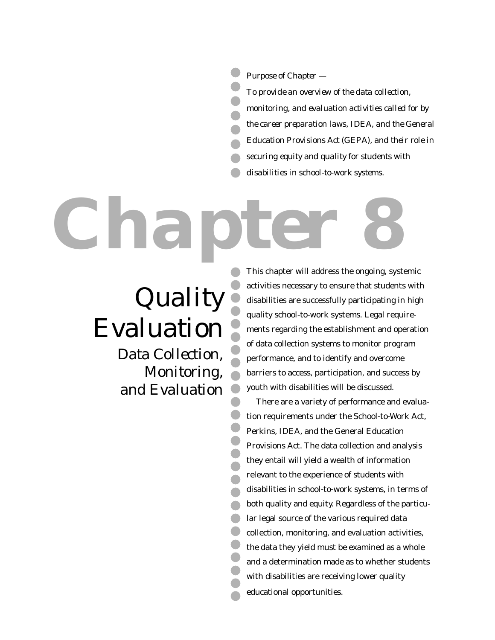*Purpose of Chapter — To provide an overview of the data collection, monitoring, and evaluation activities called for by the career preparation laws, IDEA, and the General Education Provisions Act (GEPA), and their role in securing equity and quality for students with disabilities in school-to-work systems.*

# aaaaaaaaaaaaaaaaaaaaaaaaaa aaaaaaaa *Chapter 8*

 $\overline{a}$  $\overline{ }$  $\blacksquare$ 

 $\overline{\phantom{a}}$ 

## *Quality Evaluation*

*Data Collection, Monitoring, and Evaluation*

This chapter will address the ongoing, systemic activities necessary to ensure that students with disabilities are successfully participating in high quality school-to-work systems. Legal requirements regarding the establishment and operation of data collection systems to monitor program performance, and to identify and overcome barriers to access, participation, and success by youth with disabilities will be discussed.

There are a variety of performance and evaluation requirements under the School-to-Work Act, Perkins, IDEA, and the General Education Provisions Act. The data collection and analysis they entail will yield a wealth of information relevant to the experience of students with disabilities in school-to-work systems, in terms of both quality and equity. Regardless of the particular legal source of the various required data collection, monitoring, and evaluation activities, the data they yield must be examined as a whole and a determination made as to whether students with disabilities are receiving lower quality educational opportunities.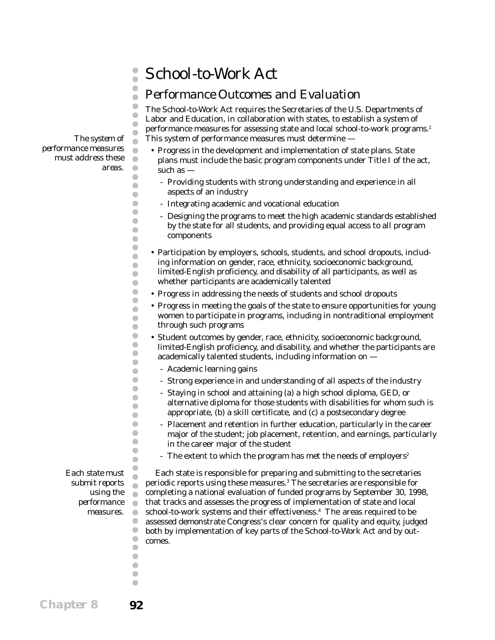## *School-to-Work Act* aaaaaa  $\begin{array}{c} \begin{array}{c} \begin{array}{c} \begin{array}{c} \end{array} \end{array} \end{array} \end{array} \end{array}$

## $\bullet$ *Performance Outcomes and Evaluation*  $\bullet$

 $\bullet$ The School-to-Work Act requires the Secretaries of the U.S. Departments of  $\blacksquare$ Labor and Education, in collaboration with states, to establish a system of  $\bullet$ aaaaaaaaaaaaaaaaaaaaaaaaaaaaaaaaaaaaaaaaaaaaaaaaaaaaa performance measures for assessing state and local school-to-work programs.<sup>1</sup>  $\blacksquare$ This system of performance measures must determine —  $\mathbf{r}$ 

*The system of performance measures must address these areas.*

 $\bullet$  $\bullet$  $\bullet$  $\bullet$  $\blacksquare$  $\bullet$  $\qquad \qquad \bullet$  $\bullet$  $\bullet$  $\bullet$  $\bullet$  $\blacksquare$  $\bullet$  $\bullet$  $\begin{array}{c} \hline \end{array}$  $\qquad \qquad \bullet$  $\bullet$  $\bullet$  $\bullet$  $\bullet$  $\qquad \qquad \bullet$  $\bullet$  $\qquad \qquad \bullet$  $\bullet$  $\bullet$  $\bullet$  $\bullet$  $\bullet$  $\bullet$  $\begin{array}{c} \bullet \\ \bullet \end{array}$  $\bullet$  $\bullet$  $\bullet$  $\bullet$  $\bullet$  $\bullet$ 

- Progress in the development and implementation of state plans. State plans must include the basic program components under Title I of the act, such as —
	- Providing students with strong understanding and experience in all aspects of an industry
- Integrating academic and vocational education
- Designing the programs to meet the high academic standards established by the state for all students, and providing equal access to all program components
- Participation by employers, schools, students, and school dropouts, including information on gender, race, ethnicity, socioeconomic background, limited-English proficiency, and disability of all participants, as well as whether participants are academically talented
- Progress in addressing the needs of students and school dropouts
- Progress in meeting the goals of the state to ensure opportunities for young women to participate in programs, including in nontraditional employment through such programs
- Student outcomes by gender, race, ethnicity, socioeconomic background, limited-English proficiency, and disability, and whether the participants are academically talented students, including information on —
	- Academic learning gains
	- Strong experience in and understanding of all aspects of the industry
	- Staying in school and attaining (a) a high school diploma, GED, or alternative diploma for those students with disabilities for whom such is appropriate, (b) a skill certificate, and (c) a postsecondary degree
	- Placement and retention in further education, particularly in the career
	- major of the student; job placement, retention, and earnings, particularly in the career major of the student
	- The extent to which the program has met the needs of employers<sup>2</sup>

*Each state must submit reports using the performance measures.*

> $\bullet$  $\bullet$  $\bullet$  $\bullet$

 $\bullet$ Each state is responsible for preparing and submitting to the secretaries  $\bullet$ periodic reports using these measures.<sup>3</sup> The secretaries are responsible for  $\begin{array}{c} \bullet \\ \bullet \end{array}$ completing a national evaluation of funded programs by September 30, 1998,  $\bullet$ that tracks and assesses the progress of implementation of state and local  $\bullet$  $\bullet$ school-to-work systems and their effectiveness.<sup>4</sup> The areas required to be  $\bullet$ assessed demonstrate Congress's clear concern for quality and equity, judged  $\blacksquare$ both by implementation of key parts of the School-to-Work Act and by out- $\bullet$ comes.  $\bullet$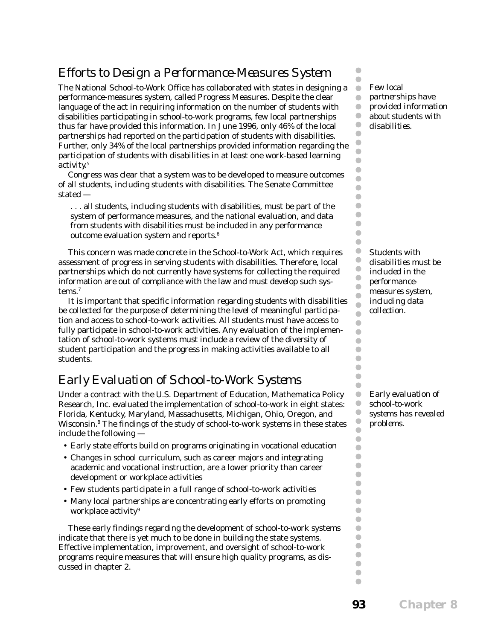## *Efforts to Design a Performance-Measures System*

The National School-to-Work Office has collaborated with states in designing a performance-measures system, called Progress Measures. Despite the clear language of the act in requiring information on the number of students with disabilities participating in school-to-work programs, few local partnerships thus far have provided this information. In June 1996, only 46% of the local partnerships had reported on the participation of students with disabilities. Further, only 34% of the local partnerships provided information regarding the participation of students with disabilities in at least one work-based learning activity. 5

Congress was clear that a system was to be developed to measure outcomes of all students, including students with disabilities. The Senate Committee stated —

. . . all students, including students with disabilities, must be part of the system of performance measures, and the national evaluation, and data from students with disabilities must be included in any performance outcome evaluation system and reports. 6

This concern was made concrete in the School-to-Work Act, which requires assessment of progress in serving students with disabilities. Therefore, local partnerships which do not currently have systems for collecting the required information are out of compliance with the law and must develop such systems.7

It is important that specific information regarding students with disabilities be collected for the purpose of determining the level of meaningful participation and access to school-to-work activities. All students must have access to fully participate in school-to-work activities. Any evaluation of the implementation of school-to-work systems must include a review of the diversity of student participation and the progress in making activities available to all students.

## *Early Evaluation of School-to-Work Systems*

Under a contract with the U.S. Department of Education, Mathematica Policy Research, Inc. evaluated the implementation of school-to-work in eight states: Florida, Kentucky, Maryland, Massachusetts, Michigan, Ohio, Oregon, and Wisconsin. 8 The findings of the study of school-to-work systems in these states include the following —

- Early state efforts build on programs originating in vocational education
- Changes in school curriculum, such as career majors and integrating academic and vocational instruction, are a lower priority than career development or workplace activities
- Few students participate in a full range of school-to-work activities
- Many local partnerships are concentrating early efforts on promoting workplace activity<sup>9</sup>

These early findings regarding the development of school-to-work systems indicate that there is yet much to be done in building the state systems. Effective implementation, improvement, and oversight of school-to-work programs require measures that will ensure high quality programs, as discussed in chapter 2.

 $\bullet$ aaaaaaaaaaaaaaaaaaaaaaaaaaa  $\bullet$  $\bullet$ *Few local*  $\bullet$ *partnerships have*  $\bullet$ *provided information*  $\bullet$ *about students with*  $\bullet$ *disabilities.*  $\bullet$  $\bullet$  $\blacksquare$  $\bullet$  $\bullet$  $\overline{\phantom{0}}$  $\bullet$  $\bullet$  $\bullet$  $\bullet$  $\bullet$  $\blacksquare$  $\bullet$  $\bullet$ *Students with*  $\bullet$ *disabilities must be*  $\bullet$ *included in the*  $\bullet$ *performance-* $\bullet$ *measures system,*  $\bullet$ *including data*  $\bullet$ *collection.*  $\triangle$ aaaaaaaaaaaaaaaaaaaaaaaaaaaaaaa  $\bullet$  $\bullet$  $\overline{\phantom{a}}$  $\bullet$  $\overline{\phantom{a}}$  $\bullet$  $\bullet$  $\bullet$  $\bullet$ *Early evaluation of*  $\bullet$ *school-to-work*  $\bullet$ *systems has revealed*  $\mathbf{C}$ *problems.* $\overline{\phantom{a}}$  $\bullet$  $\bullet$  $\overline{\phantom{a}}$  $\bullet$ ă  $\blacksquare$  $\bullet$  $\blacksquare$  $\bullet$ 

 $\overline{\phantom{a}}$  $\overline{\phantom{a}}$  $\overline{\phantom{a}}$  $\bullet$  $\overline{\phantom{a}}$  $\bullet$  $\bullet$  $\bullet$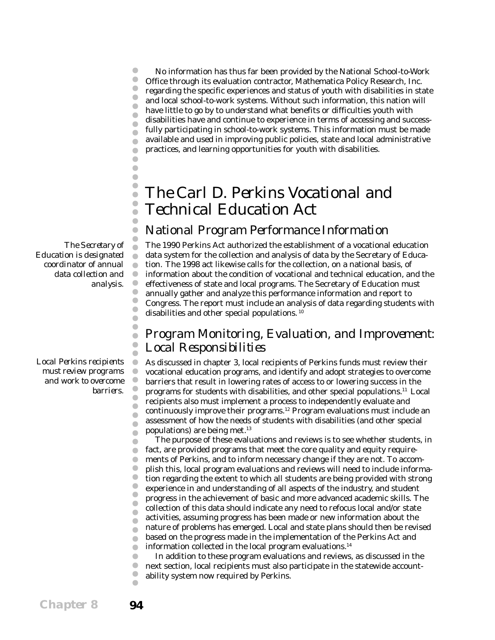No information has thus far been provided by the National School-to-Work

 $\bullet$ Office through its evaluation contractor, Mathematica Policy Research, Inc.  $\blacksquare$ 

- regarding the specific experiences and status of youth with disabilities in state
- aaaaaa  $\bullet$ and local school-to-work systems. Without such information, this nation will  $\blacksquare$ 
	- have little to go by to understand what benefits or difficulties youth with
- disabilities have and continue to experience in terms of accessing and success- $\overline{\phantom{a}}$
- fully participating in school-to-work systems. This information must be made  $\bullet$ available and used in improving public policies, state and local administrative
- $\bullet$ practices, and learning opportunities for youth with disabilities. ò

## *The Carl D. Perkins Vocational and Technical Education Act*

## $\bullet$ *National Program Performance Information*  $\bullet$

The 1990 Perkins Act authorized the establishment of a vocational education data system for the collection and analysis of data by the Secretary of Education. The 1998 act likewise calls for the collection, on a national basis, of  $\bullet$ information about the condition of vocational and technical education, and the  $\bullet$  $\bullet$ effectiveness of state and local programs. The Secretary of Education must  $\bullet$ annually gather and analyze this performance information and report to Congress. The report must include an analysis of data regarding students with disabilities and other special populations. <sup>10</sup>  $\bullet$ 

## *Program Monitoring, Evaluation, and Improvement: Local Responsibilities*

 $\bullet$ As discussed in chapter 3, local recipients of Perkins funds must review their  $\bullet$ vocational education programs, and identify and adopt strategies to overcome  $\bullet$ barriers that result in lowering rates of access to or lowering success in the  $\bullet$ programs for students with disabilities, and other special populations.<sup>11</sup> Local  $\overline{\phantom{a}}$ recipients also must implement a process to independently evaluate and  $\bullet$ continuously improve their programs.12 Program evaluations must include an  $\bullet$ assessment of how the needs of students with disabilities (and other special  $\blacksquare$ populations) are being met.13  $\bullet$ 

aaaaaaaaaaaaaaaaaaaaaaaaaaaaaaaaaaaaaaaaaaaaaaaaaaaaa The purpose of these evaluations and reviews is to see whether students, in  $\bullet$ fact, are provided programs that meet the core quality and equity require- $\bullet$ ments of Perkins, and to inform necessary change if they are not. To accom- $\bullet$  $\bullet$ plish this, local program evaluations and reviews will need to include informa- $\bullet$ tion regarding the extent to which all students are being provided with strong  $\bullet$ experience in and understanding of all aspects of the industry, and student progress in the achievement of basic and more advanced academic skills. The collection of this data should indicate any need to refocus local and/or state  $\bullet$ activities, assuming progress has been made or new information about the  $\bullet$ nature of problems has emerged. Local and state plans should then be revised  $\blacksquare$ based on the progress made in the implementation of the Perkins Act and  $\blacksquare$ information collected in the local program evaluations.<sup>14</sup>  $\bullet$  $\bullet$ In addition to these program evaluations and reviews, as discussed in the

 $\bullet$ next section, local recipients must also participate in the statewide account-

 $\bullet$ ability system now required by Perkins.  $\blacksquare$ 

*The Secretary of Education is designated coordinator of annual data collection and analysis.*

 $\bullet$ 

 $\bullet$  $\bullet$  $\bullet$  $\bullet$  $\bullet$  $\bullet$  $\bullet$ 

 $\triangle$ 

 $\overline{\phantom{0}}$  $\blacksquare$ 

 $\bullet$  $\bullet$  $\bullet$  $\blacksquare$ 

*Local Perkins recipients must review programs and work to overcome barriers.*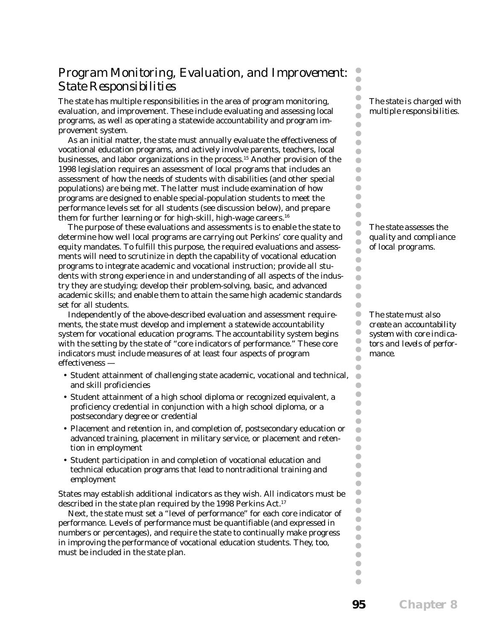## *Program Monitoring, Evaluation, and Improvement:* aaaaaaaaaaaaaaaaaaaaaaaaaaa *State Responsibilities*  $\bullet$  $\bullet$

The state has multiple responsibilities in the area of program monitoring, evaluation, and improvement. These include evaluating and assessing local programs, as well as operating a statewide accountability and program improvement system.

As an initial matter, the state must annually evaluate the effectiveness of vocational education programs, and actively involve parents, teachers, local businesses, and labor organizations in the process.15 Another provision of the 1998 legislation requires an assessment of local programs that includes an assessment of how the needs of students with disabilities (and other special populations) are being met. The latter must include examination of how programs are designed to enable special-population students to meet the performance levels set for all students (see discussion below), and prepare them for further learning or for high-skill, high-wage careers.<sup>16</sup>

The purpose of these evaluations and assessments is to enable the state to determine how well local programs are carrying out Perkins' core quality and equity mandates. To fulfill this purpose, the required evaluations and assessments will need to scrutinize in depth the capability of vocational education programs to integrate academic and vocational instruction; provide *all* students with strong experience in and understanding of all aspects of the industry they are studying; develop their problem-solving, basic, and advanced academic skills; and enable them to attain the same high academic standards set for all students.

Independently of the above-described evaluation and assessment requirements, the state must develop and implement a statewide accountability system for vocational education programs. The accountability system begins with the setting by the state of "core indicators of performance." These core indicators must include measures of at least four aspects of program effectiveness —

- Student attainment of challenging state academic, vocational and technical, and skill proficiencies
- Student attainment of a high school diploma or recognized equivalent, a proficiency credential in conjunction with a high school diploma, or a postsecondary degree or credential
- Placement and retention in, and completion of, postsecondary education or advanced training, placement in military service, or placement and retention in employment
- Student participation in and completion of vocational education and technical education programs that lead to nontraditional training and employment

States may establish additional indicators as they wish. All indicators must be described in the state plan required by the 1998 Perkins Act.<sup>17</sup>

Next, the state must set a "level of performance" for each core indicator of performance. Levels of performance must be quantifiable (and expressed in numbers or percentages), and require the state to continually make progress in improving the performance of vocational education students. They, too, must be included in the state plan.

*The state is charged with multiple responsibilities.*

 $\bullet$  $\bullet$  $\bullet$  $\bullet$  $\bullet$  $\blacksquare$  $\overline{\phantom{a}}$  $\overline{\phantom{a}}$  $\overline{\phantom{0}}$  $\bullet$  $\bullet$  $\bullet$  $\bullet$  $\bullet$  $\bullet$  $\bullet$  $\bullet$  $\bullet$  $\bullet$  $\bullet$  $\bullet$  $\bullet$  $\bullet$  $\bullet$  $\bullet$  $\bullet$  $\bullet$  $\bullet$  $\bullet$  $\bullet$  $\bullet$  $\overline{\phantom{0}}$  $\bullet$  $\overline{\phantom{a}}$ ă  $\mathbf{C}$  $\overline{\phantom{a}}$  $\blacksquare$  $\bullet$  $\overline{\phantom{a}}$  $\bullet$  $\bullet$  $\blacksquare$  $\bullet$  $\blacksquare$  $\bullet$  $\bullet$  $\overline{\phantom{a}}$  $\overline{\phantom{a}}$  $\bullet$  $\overline{\phantom{a}}$  $\bullet$  $\bullet$  $\bullet$ 

*The state assesses the quality and compliance of local programs.*

*The state must also create an accountability system with core indicators and levels of performance.*

aaaaaaaaaaaaaaaaaaaaaaaaaaaaaaa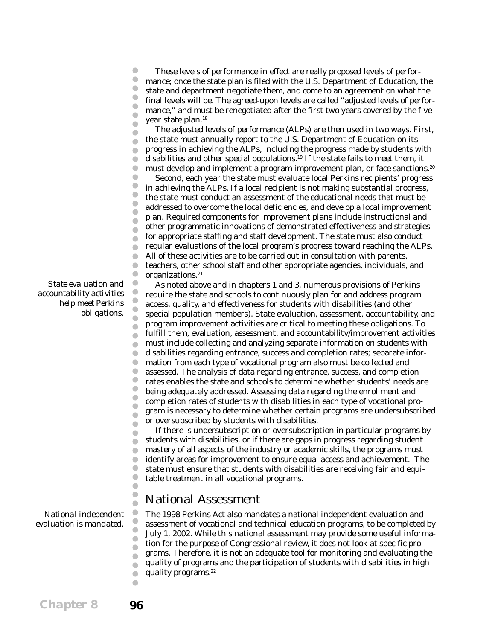$\bullet$ aaaaaa These levels of performance in effect are really *proposed* levels of perfor- $\bullet$ mance; once the state plan is filed with the U.S. Department of Education, the  $\bullet$ state and department negotiate them, and come to an agreement on what the  $\bullet$ final levels will be. The agreed-upon levels are called "adjusted levels of perfor- $\bullet$ mance," and must be renegotiated after the first two years covered by the five- $\bullet$ year state plan.<sup>18</sup>  $\bullet$ aaaaaaaaaaaaaaaaaaaaaaaaaaaaaaaaaaaaaaaaaaaaaaaaaaaaa The adjusted levels of performance (ALPs) are then used in two ways. First,  $\bullet$ the state must annually report to the U.S. Department of Education on its  $\bullet$ progress in achieving the ALPs, including the progress made by students with  $\blacksquare$ disabilities and other special populations.19 If the state fails to meet them, it  $\bullet$ must develop and implement a program improvement plan, or face sanctions.<sup>20</sup>  $\bullet$  $\blacksquare$ Second, each year the state must evaluate local Perkins recipients' progress  $\bullet$ in achieving the ALPs. If a local recipient is not making substantial progress,  $\blacksquare$ the state must conduct an assessment of the educational needs that must be  $\overline{\phantom{a}}$ addressed to overcome the local deficiencies, and develop a local improvement  $\triangle$ plan. Required components for improvement plans include instructional and  $\mathbf{r}$ other programmatic innovations of demonstrated effectiveness and strategies  $\blacksquare$ for appropriate staffing and staff development. The state must also conduct  $\bullet$ regular evaluations of the local program's progress toward reaching the ALPs.  $\blacksquare$  $\bullet$ All of these activities are to be carried out in consultation with parents,  $\blacksquare$ teachers, other school staff and other appropriate agencies, individuals, and  $\blacksquare$ organizations.<sup>21</sup>  $\bullet$ As noted above and in chapters 1 and 3, numerous provisions of Perkins  $\bullet$ require the state and schools to continuously plan for and address program  $\bullet$ access, quality, and effectiveness for students with disabilities (and other  $\blacksquare$ special population members). State evaluation, assessment, accountability, and  $\overline{\phantom{a}}$ program improvement activities are critical to meeting these obligations. To  $\bullet$ fulfill them, evaluation, assessment, and accountability/improvement activities  $\bullet$ must include collecting and analyzing separate information on students with  $\bullet$  $\bullet$ 

- disabilities regarding entrance, success and completion rates; separate infor-
- $\bullet$ mation from each type of vocational program also must be collected and
	- assessed. The analysis of data regarding entrance, success, and completion rates enables the state and schools to determine whether students' needs are
	- being adequately addressed. Assessing data regarding the enrollment and
- $\blacksquare$ completion rates of students with disabilities in each type of vocational pro- $\overline{\phantom{a}}$ gram is necessary to determine whether certain programs are undersubscribed  $\bullet$
- or oversubscribed by students with disabilities.  $\bullet$ If there is undersubscription or oversubscription in particular programs by  $\bullet$ 
	- students with disabilities, or if there are gaps in progress regarding student mastery of all aspects of the industry or academic skills, the programs must identify areas for improvement to ensure equal access and achievement. The
	- state must ensure that students with disabilities are receiving fair and equi-
	- table treatment in all vocational programs.
	- *National Assessment*

 $\bullet$ The 1998 Perkins Act also mandates a national independent evaluation and  $\blacksquare$ assessment of vocational and technical education programs, to be completed by  $\overline{\phantom{a}}$ July 1, 2002. While this national assessment may provide some useful informa- $\bullet$ tion for the purpose of Congressional review, it does not look at specific pro- $\bullet$ grams. Therefore, it is not an adequate tool for monitoring and evaluating the  $\bullet$ quality of programs and the participation of students with disabilities in high  $\bullet$ quality programs.<sup>22</sup>  $\blacksquare$  $\bullet$ 

*State evaluation and accountability activities help meet Perkins obligations.*

*National independent evaluation is mandated.*

 $\bullet$  $\blacksquare$  $\blacksquare$ 

 $\bullet$  $\bullet$  $\bullet$  $\bigcirc$  $\bullet$  $\bullet$  $\bullet$  $\bullet$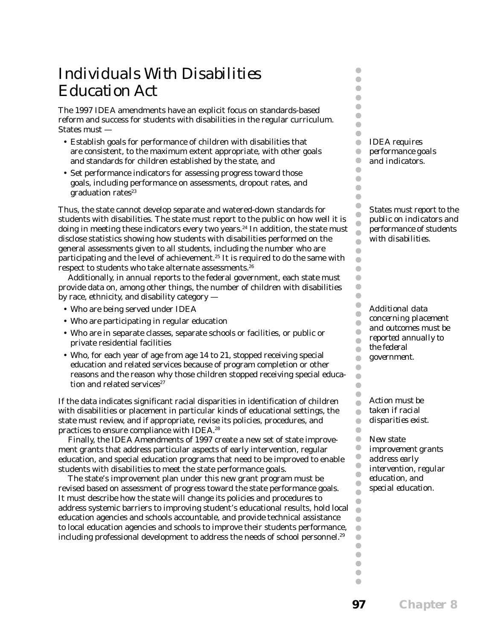## *Individuals With Disabilities Education Act*

The 1997 IDEA amendments have an explicit focus on standards-based reform and success for students with disabilities in the regular curriculum. States must —

- Establish goals for performance of children with disabilities that are consistent, to the maximum extent appropriate, with other goals and standards for children established by the state, and
- Set performance indicators for assessing progress toward those goals, including performance on assessments, dropout rates, and graduation rates<sup>23</sup>

Thus, the state cannot develop separate and watered-down standards for students with disabilities. The state must report to the public on how well it is doing in meeting these indicators every two years.<sup>24</sup> In addition, the state must disclose statistics showing how students with disabilities performed on the general assessments given to all students, including the number who are participating and the level of achievement.<sup>25</sup> It is required to do the same with respect to students who take alternate assessments.26

Additionally, in annual reports to the federal government, each state must provide data on, among other things, the number of children with disabilities by race, ethnicity, and disability category —

- Who are being served under IDEA
- Who are participating in regular education
- Who are in separate classes, separate schools or facilities, or public or private residential facilities
- Who, for each year of age from age 14 to 21, stopped receiving special education and related services because of program completion or other reasons and the reason why those children stopped receiving special education and related services<sup>27</sup>

If the data indicates significant racial disparities in identification of children with disabilities or placement in particular kinds of educational settings, the state must review, and if appropriate, revise its policies, procedures, and practices to ensure compliance with IDEA.28

Finally, the IDEA Amendments of 1997 create a new set of state improvement grants that address particular aspects of early intervention, regular education, and special education programs that need to be improved to enable students with disabilities to meet the state performance goals.

The state's improvement plan under this new grant program must be revised based on assessment of progress toward the state performance goals. It must describe how the state will change its policies and procedures to address systemic barriers to improving student's educational results, hold local education agencies and schools accountable, and provide technical assistance to local education agencies and schools to improve their students performance, including professional development to address the needs of school personnel.<sup>29</sup>

aaaaaaaaaaaaaaaaaaaaaaaaaaa  $\bullet$  $\blacksquare$  $\bullet$  $\overline{\phantom{a}}$  $\bullet$  $\bullet$ *IDEA requires*  $\bullet$  $\blacksquare$ *performance goals*  $\overline{\phantom{a}}$ *and indicators.*  $\bullet$  $\bullet$  $\bullet$  $\bullet$  $\overline{\phantom{a}}$ *States must report to the*  $\overline{\phantom{a}}$ *public on indicators and*  $\blacksquare$ *performance of students* ă *with disabilities.* ă  $\bullet$  $\bullet$  $\bullet$  $\bullet$  $\bullet$  $\bullet$  $\bullet$ *Additional data*  $\triangle$ aaaaaaaaaaaaaaaaaaaaaaaaaaaaaaa *concerning placement*  $\blacksquare$ *and outcomes must be*  $\overline{\phantom{a}}$ *reported annually to*  $\triangle$ *the federal*  $\triangle$ *government.*  $\blacksquare$  $\bullet$  $\bullet$  $\bullet$  $\bullet$ *Action must be*  $\bullet$ *taken if racial*  $\bullet$ *disparities exist.*  $\bullet$  $\bullet$  $\bullet$ *New state*  $\overline{\phantom{0}}$ *improvement grants*  $\bullet$ *address early*  $\bullet$ *intervention, regular*  $\bullet$ *education, and*  $\bullet$ *special education.* $\bullet$  $\blacksquare$ ă  $\bullet$  $\overline{\phantom{a}}$  $\bullet$ 

 $\overline{\phantom{a}}$  $\bullet$ 

 $\bullet$  $\overline{\phantom{a}}$  $\bullet$  $\bullet$  $\bullet$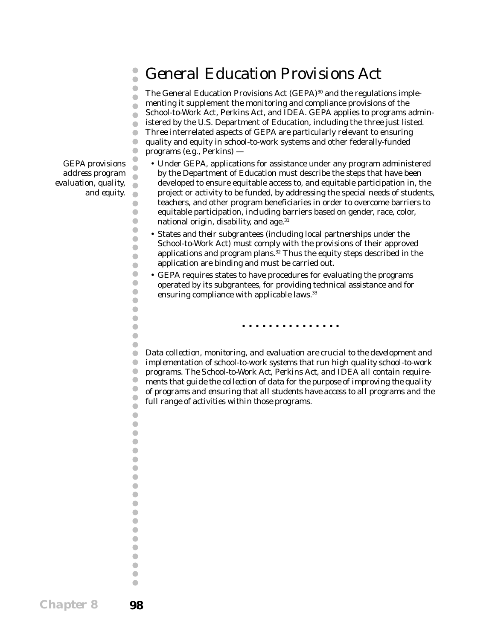## aaaaaa *General Education Provisions Act*  $\bullet$

 $\blacksquare$ The General Education Provisions Act (GEPA)<sup>30</sup> and the regulations imple- $\blacksquare$ 

menting it supplement the monitoring and compliance provisions of the  $\bullet$ 

- School-to-Work Act, Perkins Act, and IDEA. GEPA applies to programs admin- $\bullet$
- istered by the U.S. Department of Education, including the three just listed.  $\bullet$
- $\bullet$ Three interrelated aspects of GEPA are particularly relevant to ensuring
- $\blacksquare$ quality and equity in school-to-work systems and other federally-funded  $\overline{\phantom{a}}$ programs (e.g., Perkins) —

*GEPA provisions address program evaluation, quality, and equity.*

 $\bullet$  $\bullet$  $\begin{array}{c} \bullet \\ \bullet \end{array}$  $\bullet$  $\blacksquare$  $\bullet$  $\bullet$  $\bullet$  $\bullet$  $\blacksquare$  $\bullet$  $\bullet$  $\bullet$  $\bullet$  $\bullet$  $\bullet$  $\bullet$  $\bullet$  $\bullet$  $\bullet$ 

 $\bullet$  $\bullet$  $\bullet$  $\bullet$  $\bullet$  $\bullet$  $\bullet$  $\bullet$  $\bullet$  $\bullet$  $\bullet$  $\bullet$  $\bullet$  $\blacksquare$  $\bullet$  $\bullet$  $\bullet$  $\bullet$  $\bullet$  $\bullet$ 

- Under GEPA, applications for assistance under any program administered by the Department of Education must describe the steps that have been developed to ensure equitable access to, and equitable participation in, the project or activity to be funded, by addressing the special needs of students, teachers, and other program beneficiaries in order to overcome barriers to equitable participation, including barriers based on gender, race, color, national origin, disability, and age.<sup>31</sup>
- States and their subgrantees (including local partnerships under the School-to-Work Act) must comply with the provisions of their approved applications and program plans.<sup>32</sup> Thus the equity steps described in the application are binding and must be carried out.
- GEPA requires states to have procedures for evaluating the programs operated by its subgrantees, for providing technical assistance and for ensuring compliance with applicable laws.<sup>33</sup>

aaaaaaaaaaaaaaa

aaaaaaaaaaaaaaaaaaaaaaaaaaaaaaaaaaaaaaaaaaaaaaaaaaaaa  $\qquad \qquad \bullet$ *Data collection, monitoring, and evaluation are crucial to the development and*  $\bullet$  $\bullet$ *implementation of school-to-work systems that run high quality school-to-work*  $\bullet$ *programs. The School-to-Work Act, Perkins Act, and IDEA all contain require-* $\blacksquare$ *ments that guide the collection of data for the purpose of improving the quality*  $\bullet$ *of programs and ensuring that all students have access to all programs and the*  $\bullet$ *full range of activities within those programs.*  $\begin{array}{c} \bullet \\ \bullet \end{array}$ 

*Chapter 8* **98**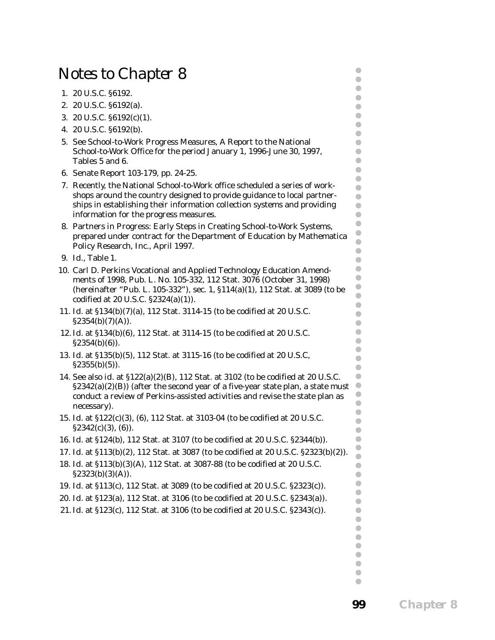| <b>Notes to Chapter 8</b>                                                                                                                                                                                                                                                    |                        |
|------------------------------------------------------------------------------------------------------------------------------------------------------------------------------------------------------------------------------------------------------------------------------|------------------------|
| 1. 20 U.S.C. §6192.                                                                                                                                                                                                                                                          |                        |
| 2. 20 U.S.C. §6192(a).                                                                                                                                                                                                                                                       |                        |
| 3. 20 U.S.C. $\S6192(c)(1)$ .                                                                                                                                                                                                                                                |                        |
| 4. 20 U.S.C. §6192(b).                                                                                                                                                                                                                                                       |                        |
| 5. See School-to-Work Progress Measures, A Report to the National<br>School-to-Work Office for the period January 1, 1996-June 30, 1997,<br>Tables 5 and 6.                                                                                                                  |                        |
| 6. Senate Report 103-179, pp. 24-25.                                                                                                                                                                                                                                         |                        |
| 7. Recently, the National School-to-Work office scheduled a series of work-<br>shops around the country designed to provide guidance to local partner-<br>ships in establishing their information collection systems and providing<br>information for the progress measures. |                        |
| 8. Partners in Progress: Early Steps in Creating School-to-Work Systems,<br>prepared under contract for the Department of Education by Mathematica<br>Policy Research, Inc., April 1997.                                                                                     |                        |
| 9. Id., Table 1.                                                                                                                                                                                                                                                             |                        |
| 10. Carl D. Perkins Vocational and Applied Technology Education Amend-<br>ments of 1998, Pub. L. No. 105-332, 112 Stat. 3076 (October 31, 1998)<br>(hereinafter "Pub. L. 105-332"), sec. 1, §114(a)(1), 112 Stat. at 3089 (to be<br>codified at 20 U.S.C. §2324(a)(1)).      |                        |
| 11. Id. at §134(b)(7)(a), 112 Stat. 3114-15 (to be codified at 20 U.S.C.<br>\$2354(b)(7)(A)).                                                                                                                                                                                |                        |
| 12. Id. at §134(b)(6), 112 Stat. at 3114-15 (to be codified at 20 U.S.C.<br>$§2354(b)(6)$ .                                                                                                                                                                                  |                        |
| 13. Id. at §135(b)(5), 112 Stat. at 3115-16 (to be codified at 20 U.S.C,<br>§2355(b)(5)).                                                                                                                                                                                    |                        |
| 14. See also id. at §122(a)(2)(B), 112 Stat. at 3102 (to be codified at 20 U.S.C.<br>$\S2342(a)(2)(B)$ ) (after the second year of a five-year state plan, a state must<br>conduct a review of Perkins-assisted activities and revise the state plan as<br>necessary).       |                        |
| 15. Id. at §122(c)(3), (6), 112 Stat. at 3103-04 (to be codified at 20 U.S.C.<br>$$2342(c)(3), (6)$ .                                                                                                                                                                        |                        |
| 16. <i>Id.</i> at §124(b), 112 Stat. at 3107 (to be codified at 20 U.S.C. §2344(b)).                                                                                                                                                                                         |                        |
| 17. Id. at §113(b)(2), 112 Stat. at 3087 (to be codified at 20 U.S.C. §2323(b)(2)).                                                                                                                                                                                          | $\bullet$              |
| 18. Id. at §113(b)(3)(A), 112 Stat. at 3087-88 (to be codified at 20 U.S.C.<br>\$2323(b)(3)(A)).                                                                                                                                                                             | $\bullet$<br>$\bullet$ |
| 19. Id. at §113(c), 112 Stat. at 3089 (to be codified at 20 U.S.C. §2323(c)).                                                                                                                                                                                                |                        |
| 20. Id. at §123(a), 112 Stat. at 3106 (to be codified at 20 U.S.C. §2343(a)).                                                                                                                                                                                                |                        |
| 21. Id. at §123(c), 112 Stat. at 3106 (to be codified at 20 U.S.C. §2343(c)).                                                                                                                                                                                                |                        |
|                                                                                                                                                                                                                                                                              |                        |
|                                                                                                                                                                                                                                                                              |                        |
|                                                                                                                                                                                                                                                                              |                        |
|                                                                                                                                                                                                                                                                              |                        |
|                                                                                                                                                                                                                                                                              |                        |
|                                                                                                                                                                                                                                                                              |                        |

 $\bullet$